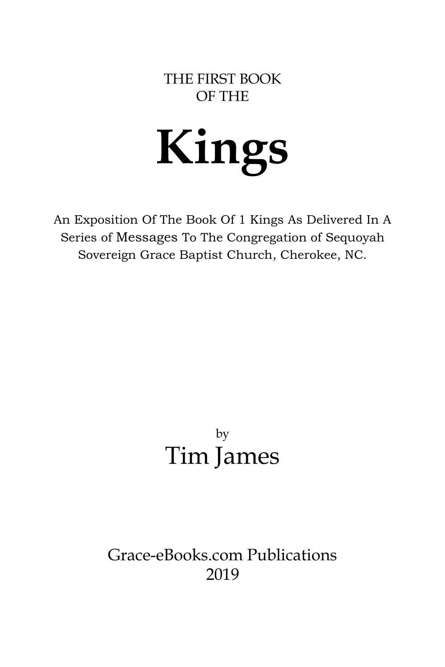#### THE FIRST BOOK OF THE

# **Kings**

An Exposition Of The Book Of 1 Kings As Delivered In A Series of Messages To The Congregation of Sequoyah Sovereign Grace Baptist Church, Cherokee, NC.

# by Tim James

## Grace-eBooks.com Publications 2019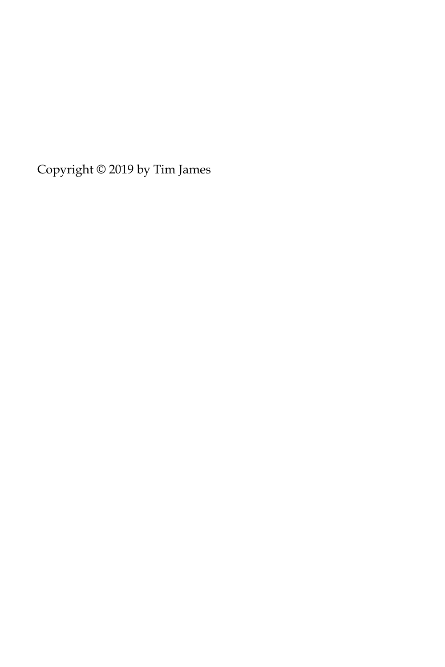Copyright © 2019 by Tim James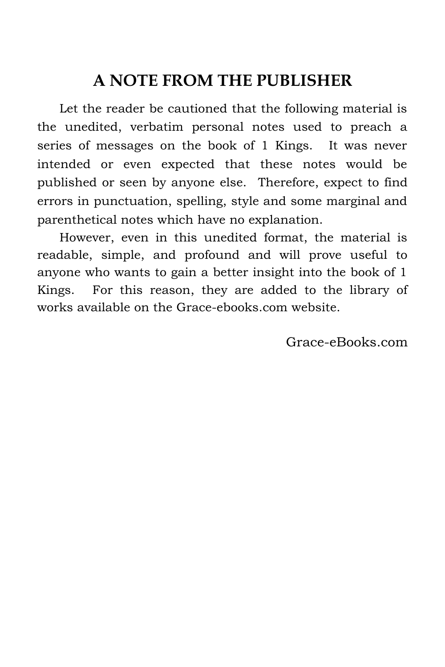## **A NOTE FROM THE PUBLISHER**

Let the reader be cautioned that the following material is the unedited, verbatim personal notes used to preach a series of messages on the book of 1 Kings. It was never intended or even expected that these notes would be published or seen by anyone else. Therefore, expect to find errors in punctuation, spelling, style and some marginal and parenthetical notes which have no explanation.

However, even in this unedited format, the material is readable, simple, and profound and will prove useful to anyone who wants to gain a better insight into the book of 1 Kings. For this reason, they are added to the library of works available on the Grace-ebooks.com website.

Grace-eBooks.com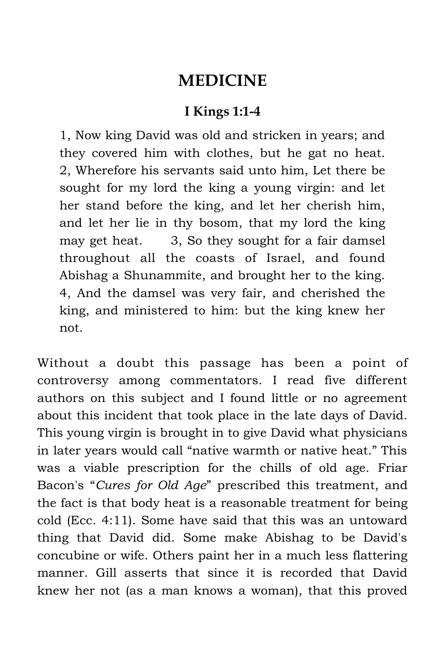### **MEDICINE**

#### **I Kings 1:1-4**

1, Now king David was old and stricken in years; and they covered him with clothes, but he gat no heat. 2, Wherefore his servants said unto him, Let there be sought for my lord the king a young virgin: and let her stand before the king, and let her cherish him, and let her lie in thy bosom, that my lord the king may get heat. 3, So they sought for a fair damsel throughout all the coasts of Israel, and found Abishag a Shunammite, and brought her to the king. 4, And the damsel was very fair, and cherished the king, and ministered to him: but the king knew her not.

Without a doubt this passage has been a point of controversy among commentators. I read five different authors on this subject and I found little or no agreement about this incident that took place in the late days of David. This young virgin is brought in to give David what physicians in later years would call "native warmth or native heat." This was a viable prescription for the chills of old age. Friar Bacon's "*Cures for Old Age*" prescribed this treatment, and the fact is that body heat is a reasonable treatment for being cold (Ecc. 4:11). Some have said that this was an untoward thing that David did. Some make Abishag to be David's concubine or wife. Others paint her in a much less flattering manner. Gill asserts that since it is recorded that David knew her not (as a man knows a woman), that this proved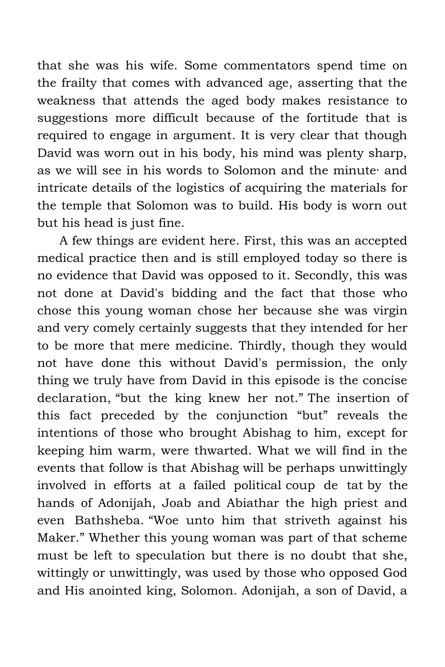that she was his wife. Some commentators spend time on the frailty that comes with advanced age, asserting that the weakness that attends the aged body makes resistance to suggestions more difficult because of the fortitude that is required to engage in argument. It is very clear that though David was worn out in his body, his mind was plenty sharp, as we will see in his words to Solomon and the minute· and intricate details of the logistics of acquiring the materials for the temple that Solomon was to build. His body is worn out but his head is just fine.

A few things are evident here. First, this was an accepted medical practice then and is still employed today so there is no evidence that David was opposed to it. Secondly, this was not done at David's bidding and the fact that those who chose this young woman chose her because she was virgin and very comely certainly suggests that they intended for her to be more that mere medicine. Thirdly, though they would not have done this without David's permission, the only thing we truly have from David in this episode is the concise declaration, "but the king knew her not." The insertion of this fact preceded by the conjunction "but" reveals the intentions of those who brought Abishag to him, except for keeping him warm, were thwarted. What we will find in the events that follow is that Abishag will be perhaps unwittingly involved in efforts at a failed political coup de tat by the hands of Adonijah, Joab and Abiathar the high priest and even Bathsheba. "Woe unto him that striveth against his Maker." Whether this young woman was part of that scheme must be left to speculation but there is no doubt that she, wittingly or unwittingly, was used by those who opposed God and His anointed king, Solomon. Adonijah, a son of David, a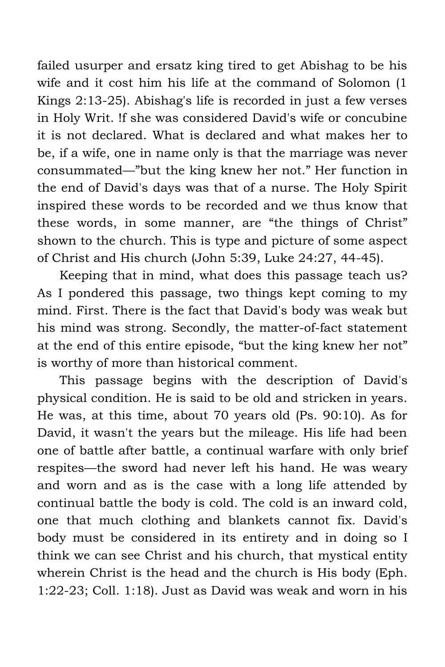failed usurper and ersatz king tired to get Abishag to be his wife and it cost him his life at the command of Solomon (1 Kings 2:13-25). Abishag's life is recorded in just a few verses in Holy Writ. !f she was considered David's wife or concubine it is not declared. What is declared and what makes her to be, if a wife, one in name only is that the marriage was never consummated—"but the king knew her not." Her function in the end of David's days was that of a nurse. The Holy Spirit inspired these words to be recorded and we thus know that these words, in some manner, are "the things of Christ" shown to the church. This is type and picture of some aspect of Christ and His church (John 5:39, Luke 24:27, 44-45).

Keeping that in mind, what does this passage teach us? As I pondered this passage, two things kept coming to my mind. First. There is the fact that David's body was weak but his mind was strong. Secondly, the matter-of-fact statement at the end of this entire episode, "but the king knew her not" is worthy of more than historical comment.

This passage begins with the description of David's physical condition. He is said to be old and stricken in years. He was, at this time, about 70 years old (Ps. 90:10). As for David, it wasn't the years but the mileage. His life had been one of battle after battle, a continual warfare with only brief respites—the sword had never left his hand. He was weary and worn and as is the case with a long life attended by continual battle the body is cold. The cold is an inward cold, one that much clothing and blankets cannot fix. David's body must be considered in its entirety and in doing so I think we can see Christ and his church, that mystical entity wherein Christ is the head and the church is His body (Eph. 1:22-23; Coll. 1:18). Just as David was weak and worn in his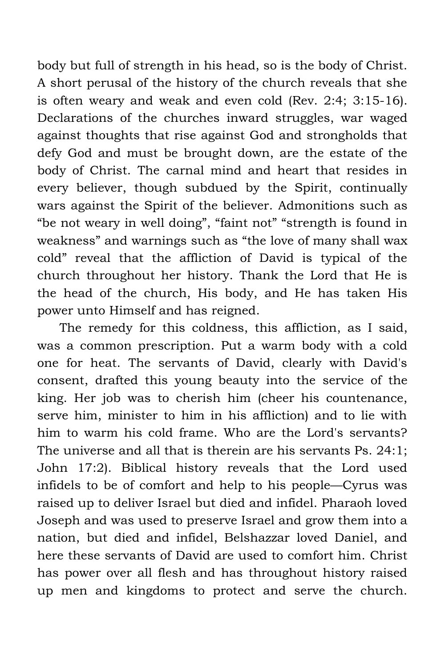body but full of strength in his head, so is the body of Christ. A short perusal of the history of the church reveals that she is often weary and weak and even cold (Rev. 2:4; 3:15-16). Declarations of the churches inward struggles, war waged against thoughts that rise against God and strongholds that defy God and must be brought down, are the estate of the body of Christ. The carnal mind and heart that resides in every believer, though subdued by the Spirit, continually wars against the Spirit of the believer. Admonitions such as "be not weary in well doing", "faint not" "strength is found in weakness" and warnings such as "the love of many shall wax cold" reveal that the affliction of David is typical of the church throughout her history. Thank the Lord that He is the head of the church, His body, and He has taken His power unto Himself and has reigned.

The remedy for this coldness, this affliction, as I said, was a common prescription. Put a warm body with a cold one for heat. The servants of David, clearly with David's consent, drafted this young beauty into the service of the king. Her job was to cherish him (cheer his countenance, serve him, minister to him in his affliction) and to lie with him to warm his cold frame. Who are the Lord's servants? The universe and all that is therein are his servants Ps. 24:1; John 17:2). Biblical history reveals that the Lord used infidels to be of comfort and help to his people—Cyrus was raised up to deliver Israel but died and infidel. Pharaoh loved Joseph and was used to preserve Israel and grow them into a nation, but died and infidel, Belshazzar loved Daniel, and here these servants of David are used to comfort him. Christ has power over all flesh and has throughout history raised up men and kingdoms to protect and serve the church.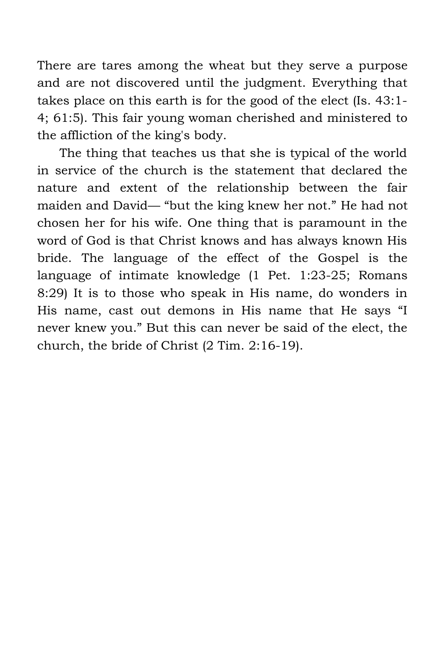There are tares among the wheat but they serve a purpose and are not discovered until the judgment. Everything that takes place on this earth is for the good of the elect (Is. 43:1- 4; 61:5). This fair young woman cherished and ministered to the affliction of the king's body.

The thing that teaches us that she is typical of the world in service of the church is the statement that declared the nature and extent of the relationship between the fair maiden and David— "but the king knew her not." He had not chosen her for his wife. One thing that is paramount in the word of God is that Christ knows and has always known His bride. The language of the effect of the Gospel is the language of intimate knowledge (1 Pet. 1:23-25; Romans 8:29) It is to those who speak in His name, do wonders in His name, cast out demons in His name that He says "I never knew you." But this can never be said of the elect, the church, the bride of Christ (2 Tim. 2:16-19).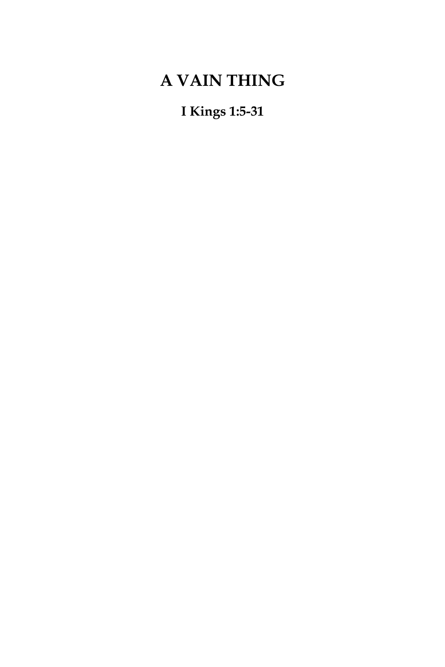## **A VAIN THING**

**I Kings 1:5-31**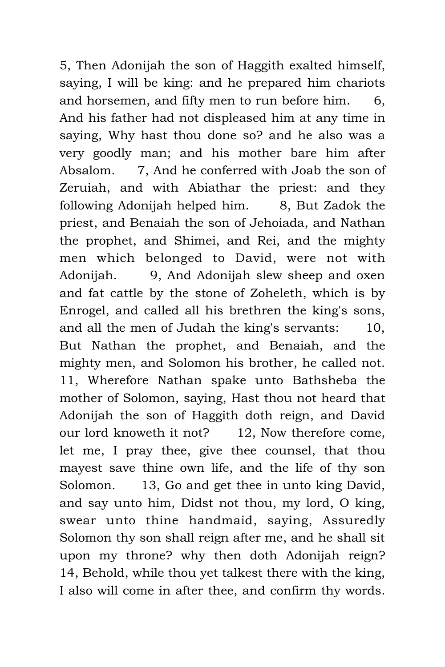5, Then Adonijah the son of Haggith exalted himself, saying, I will be king: and he prepared him chariots and horsemen, and fifty men to run before him. 6, And his father had not displeased him at any time in saying, Why hast thou done so? and he also was a very goodly man; and his mother bare him after Absalom. 7, And he conferred with Joab the son of Zeruiah, and with Abiathar the priest: and they following Adonijah helped him. 8, But Zadok the priest, and Benaiah the son of Jehoiada, and Nathan the prophet, and Shimei, and Rei, and the mighty men which belonged to David, were not with Adonijah. 9, And Adonijah slew sheep and oxen and fat cattle by the stone of Zoheleth, which is by Enrogel, and called all his brethren the king's sons, and all the men of Judah the king's servants: 10, But Nathan the prophet, and Benaiah, and the mighty men, and Solomon his brother, he called not. 11, Wherefore Nathan spake unto Bathsheba the mother of Solomon, saying, Hast thou not heard that Adonijah the son of Haggith doth reign, and David our lord knoweth it not? 12, Now therefore come, let me, I pray thee, give thee counsel, that thou mayest save thine own life, and the life of thy son Solomon. 13, Go and get thee in unto king David, and say unto him, Didst not thou, my lord, O king, swear unto thine handmaid, saying, Assuredly Solomon thy son shall reign after me, and he shall sit upon my throne? why then doth Adonijah reign? 14, Behold, while thou yet talkest there with the king, I also will come in after thee, and confirm thy words.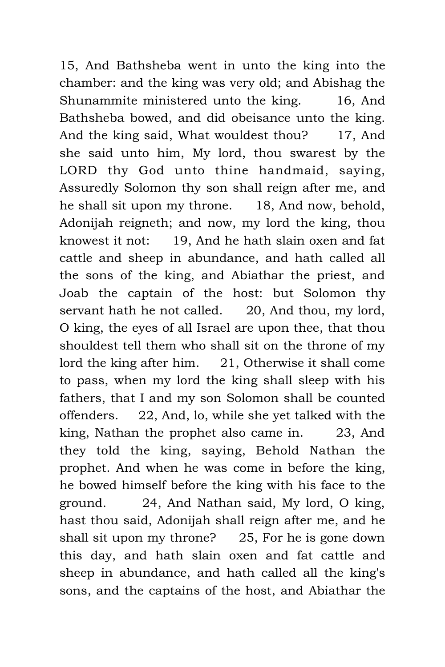15, And Bathsheba went in unto the king into the chamber: and the king was very old; and Abishag the Shunammite ministered unto the king. 16, And Bathsheba bowed, and did obeisance unto the king. And the king said, What wouldest thou? 17, And she said unto him, My lord, thou swarest by the LORD thy God unto thine handmaid, saying, Assuredly Solomon thy son shall reign after me, and he shall sit upon my throne. 18, And now, behold, Adonijah reigneth; and now, my lord the king, thou knowest it not: 19, And he hath slain oxen and fat cattle and sheep in abundance, and hath called all the sons of the king, and Abiathar the priest, and Joab the captain of the host: but Solomon thy servant hath he not called. 20, And thou, my lord, O king, the eyes of all Israel are upon thee, that thou shouldest tell them who shall sit on the throne of my lord the king after him. 21, Otherwise it shall come to pass, when my lord the king shall sleep with his fathers, that I and my son Solomon shall be counted offenders. 22, And, lo, while she yet talked with the king, Nathan the prophet also came in. 23, And they told the king, saying, Behold Nathan the prophet. And when he was come in before the king, he bowed himself before the king with his face to the ground. 24, And Nathan said, My lord, O king, hast thou said, Adonijah shall reign after me, and he shall sit upon my throne? 25, For he is gone down this day, and hath slain oxen and fat cattle and sheep in abundance, and hath called all the king's sons, and the captains of the host, and Abiathar the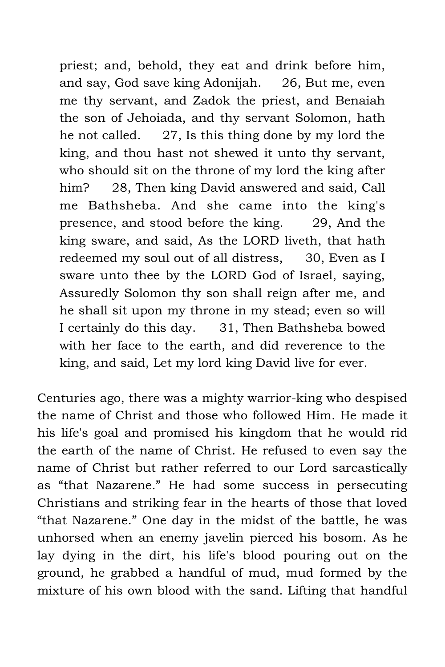priest; and, behold, they eat and drink before him, and say, God save king Adonijah. 26, But me, even me thy servant, and Zadok the priest, and Benaiah the son of Jehoiada, and thy servant Solomon, hath he not called. 27, Is this thing done by my lord the king, and thou hast not shewed it unto thy servant, who should sit on the throne of my lord the king after him? 28, Then king David answered and said, Call me Bathsheba. And she came into the king's presence, and stood before the king. 29, And the king sware, and said, As the LORD liveth, that hath redeemed my soul out of all distress, 30, Even as I sware unto thee by the LORD God of Israel, saying, Assuredly Solomon thy son shall reign after me, and he shall sit upon my throne in my stead; even so will I certainly do this day. 31, Then Bathsheba bowed with her face to the earth, and did reverence to the king, and said, Let my lord king David live for ever.

Centuries ago, there was a mighty warrior-king who despised the name of Christ and those who followed Him. He made it his life's goal and promised his kingdom that he would rid the earth of the name of Christ. He refused to even say the name of Christ but rather referred to our Lord sarcastically as "that Nazarene." He had some success in persecuting Christians and striking fear in the hearts of those that loved "that Nazarene." One day in the midst of the battle, he was unhorsed when an enemy javelin pierced his bosom. As he lay dying in the dirt, his life's blood pouring out on the ground, he grabbed a handful of mud, mud formed by the mixture of his own blood with the sand. Lifting that handful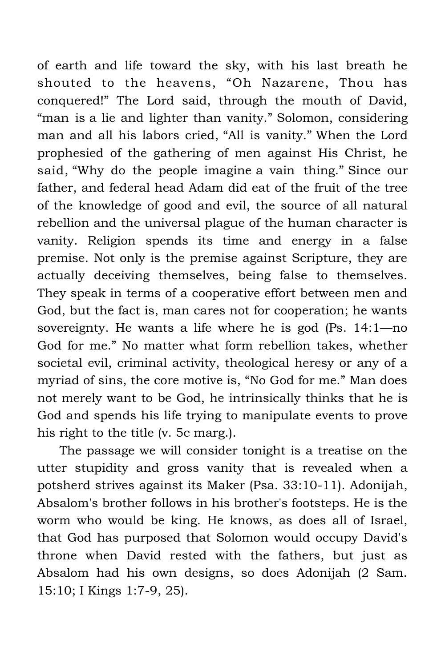of earth and life toward the sky, with his last breath he shouted to the heavens, "Oh Nazarene, Thou has conquered!" The Lord said, through the mouth of David, "man is a lie and lighter than vanity." Solomon, considering man and all his labors cried, "All is vanity." When the Lord prophesied of the gathering of men against His Christ, he said, "Why do the people imagine a vain thing." Since our father, and federal head Adam did eat of the fruit of the tree of the knowledge of good and evil, the source of all natural rebellion and the universal plague of the human character is vanity. Religion spends its time and energy in a false premise. Not only is the premise against Scripture, they are actually deceiving themselves, being false to themselves. They speak in terms of a cooperative effort between men and God, but the fact is, man cares not for cooperation; he wants sovereignty. He wants a life where he is god (Ps. 14:1—no God for me." No matter what form rebellion takes, whether societal evil, criminal activity, theological heresy or any of a myriad of sins, the core motive is, "No God for me." Man does not merely want to be God, he intrinsically thinks that he is God and spends his life trying to manipulate events to prove his right to the title (v. 5c marg.).

The passage we will consider tonight is a treatise on the utter stupidity and gross vanity that is revealed when a potsherd strives against its Maker (Psa. 33:10-11). Adonijah, Absalom's brother follows in his brother's footsteps. He is the worm who would be king. He knows, as does all of Israel, that God has purposed that Solomon would occupy David's throne when David rested with the fathers, but just as Absalom had his own designs, so does Adonijah (2 Sam. 15:10; I Kings 1:7-9, 25).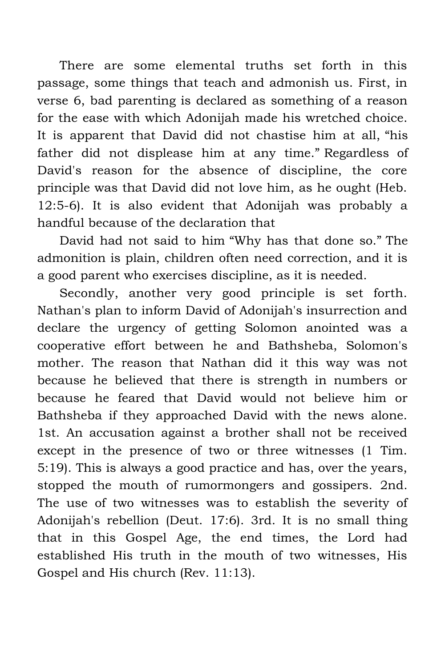There are some elemental truths set forth in this passage, some things that teach and admonish us. First, in verse 6, bad parenting is declared as something of a reason for the ease with which Adonijah made his wretched choice. It is apparent that David did not chastise him at all, "his father did not displease him at any time." Regardless of David's reason for the absence of discipline, the core principle was that David did not love him, as he ought (Heb. 12:5-6). It is also evident that Adonijah was probably a handful because of the declaration that

David had not said to him "Why has that done so." The admonition is plain, children often need correction, and it is a good parent who exercises discipline, as it is needed.

Secondly, another very good principle is set forth. Nathan's plan to inform David of Adonijah's insurrection and declare the urgency of getting Solomon anointed was a cooperative effort between he and Bathsheba, Solomon's mother. The reason that Nathan did it this way was not because he believed that there is strength in numbers or because he feared that David would not believe him or Bathsheba if they approached David with the news alone. 1st. An accusation against a brother shall not be received except in the presence of two or three witnesses (1 Tim. 5:19). This is always a good practice and has, over the years, stopped the mouth of rumormongers and gossipers. 2nd. The use of two witnesses was to establish the severity of Adonijah's rebellion (Deut. 17:6). 3rd. It is no small thing that in this Gospel Age, the end times, the Lord had established His truth in the mouth of two witnesses, His Gospel and His church (Rev. 11:13).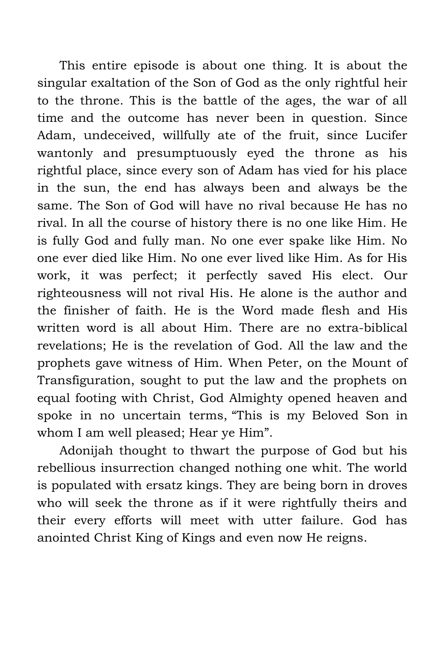This entire episode is about one thing. It is about the singular exaltation of the Son of God as the only rightful heir to the throne. This is the battle of the ages, the war of all time and the outcome has never been in question. Since Adam, undeceived, willfully ate of the fruit, since Lucifer wantonly and presumptuously eyed the throne as his rightful place, since every son of Adam has vied for his place in the sun, the end has always been and always be the same. The Son of God will have no rival because He has no rival. In all the course of history there is no one like Him. He is fully God and fully man. No one ever spake like Him. No one ever died like Him. No one ever lived like Him. As for His work, it was perfect; it perfectly saved His elect. Our righteousness will not rival His. He alone is the author and the finisher of faith. He is the Word made flesh and His written word is all about Him. There are no extra-biblical revelations; He is the revelation of God. All the law and the prophets gave witness of Him. When Peter, on the Mount of Transfiguration, sought to put the law and the prophets on equal footing with Christ, God Almighty opened heaven and spoke in no uncertain terms, "This is my Beloved Son in whom I am well pleased; Hear ye Him".

Adonijah thought to thwart the purpose of God but his rebellious insurrection changed nothing one whit. The world is populated with ersatz kings. They are being born in droves who will seek the throne as if it were rightfully theirs and their every efforts will meet with utter failure. God has anointed Christ King of Kings and even now He reigns.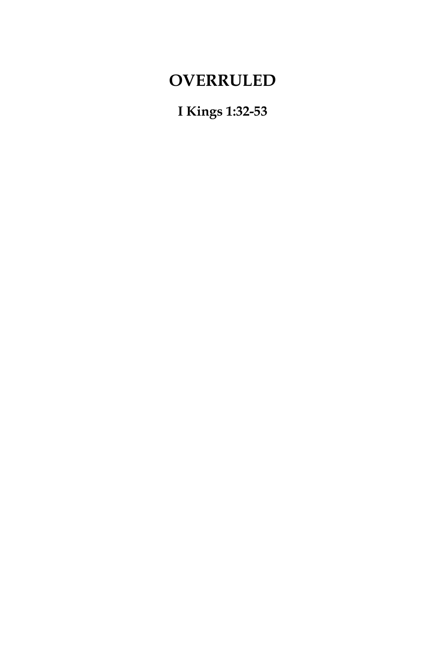## **OVERRULED**

**I Kings 1:32-53**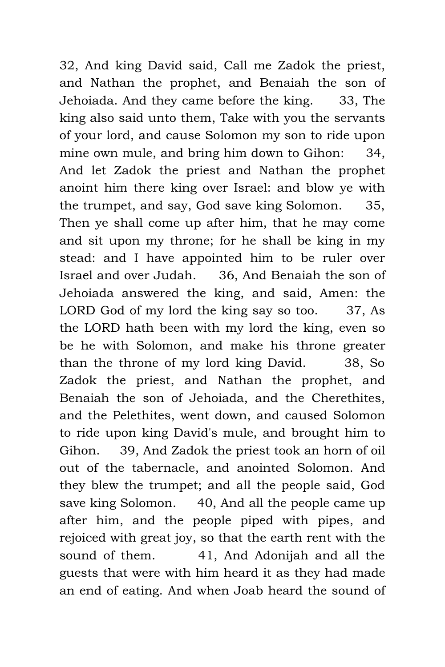32, And king David said, Call me Zadok the priest, and Nathan the prophet, and Benaiah the son of Jehoiada. And they came before the king. 33, The king also said unto them, Take with you the servants of your lord, and cause Solomon my son to ride upon mine own mule, and bring him down to Gihon: 34, And let Zadok the priest and Nathan the prophet anoint him there king over Israel: and blow ye with the trumpet, and say, God save king Solomon. 35, Then ye shall come up after him, that he may come and sit upon my throne; for he shall be king in my stead: and I have appointed him to be ruler over Israel and over Judah. 36, And Benaiah the son of Jehoiada answered the king, and said, Amen: the LORD God of my lord the king say so too. 37, As the LORD hath been with my lord the king, even so be he with Solomon, and make his throne greater than the throne of my lord king David. 38, So Zadok the priest, and Nathan the prophet, and Benaiah the son of Jehoiada, and the Cherethites, and the Pelethites, went down, and caused Solomon to ride upon king David's mule, and brought him to Gihon. 39, And Zadok the priest took an horn of oil out of the tabernacle, and anointed Solomon. And they blew the trumpet; and all the people said, God save king Solomon. 40, And all the people came up after him, and the people piped with pipes, and rejoiced with great joy, so that the earth rent with the sound of them. 41, And Adonijah and all the guests that were with him heard it as they had made an end of eating. And when Joab heard the sound of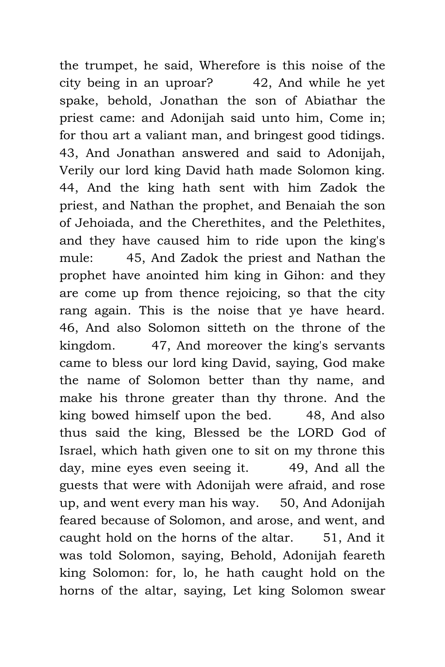the trumpet, he said, Wherefore is this noise of the city being in an uproar? 42, And while he yet spake, behold, Jonathan the son of Abiathar the priest came: and Adonijah said unto him, Come in; for thou art a valiant man, and bringest good tidings. 43, And Jonathan answered and said to Adonijah, Verily our lord king David hath made Solomon king. 44, And the king hath sent with him Zadok the priest, and Nathan the prophet, and Benaiah the son of Jehoiada, and the Cherethites, and the Pelethites, and they have caused him to ride upon the king's mule: 45, And Zadok the priest and Nathan the prophet have anointed him king in Gihon: and they are come up from thence rejoicing, so that the city rang again. This is the noise that ye have heard. 46, And also Solomon sitteth on the throne of the kingdom. 47, And moreover the king's servants came to bless our lord king David, saying, God make the name of Solomon better than thy name, and make his throne greater than thy throne. And the king bowed himself upon the bed. 48, And also thus said the king, Blessed be the LORD God of Israel, which hath given one to sit on my throne this day, mine eyes even seeing it. 49, And all the guests that were with Adonijah were afraid, and rose up, and went every man his way. 50, And Adonijah feared because of Solomon, and arose, and went, and caught hold on the horns of the altar. 51, And it was told Solomon, saying, Behold, Adonijah feareth king Solomon: for, lo, he hath caught hold on the horns of the altar, saying, Let king Solomon swear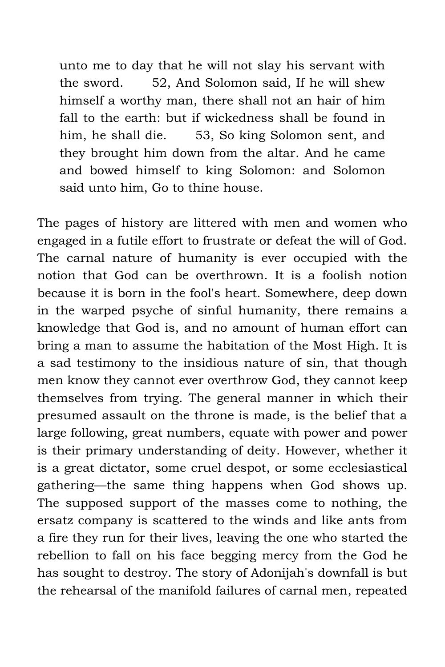unto me to day that he will not slay his servant with the sword. 52, And Solomon said, If he will shew himself a worthy man, there shall not an hair of him fall to the earth: but if wickedness shall be found in him, he shall die. 53, So king Solomon sent, and they brought him down from the altar. And he came and bowed himself to king Solomon: and Solomon said unto him, Go to thine house.

The pages of history are littered with men and women who engaged in a futile effort to frustrate or defeat the will of God. The carnal nature of humanity is ever occupied with the notion that God can be overthrown. It is a foolish notion because it is born in the fool's heart. Somewhere, deep down in the warped psyche of sinful humanity, there remains a knowledge that God is, and no amount of human effort can bring a man to assume the habitation of the Most High. It is a sad testimony to the insidious nature of sin, that though men know they cannot ever overthrow God, they cannot keep themselves from trying. The general manner in which their presumed assault on the throne is made, is the belief that a large following, great numbers, equate with power and power is their primary understanding of deity. However, whether it is a great dictator, some cruel despot, or some ecclesiastical gathering—the same thing happens when God shows up. The supposed support of the masses come to nothing, the ersatz company is scattered to the winds and like ants from a fire they run for their lives, leaving the one who started the rebellion to fall on his face begging mercy from the God he has sought to destroy. The story of Adonijah's downfall is but the rehearsal of the manifold failures of carnal men, repeated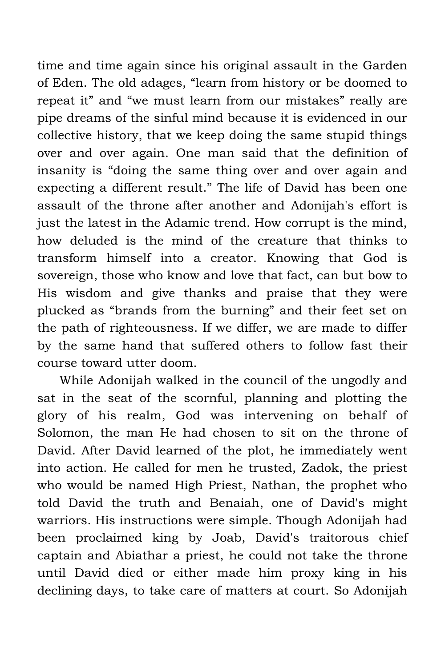time and time again since his original assault in the Garden of Eden. The old adages, "learn from history or be doomed to repeat it" and "we must learn from our mistakes" really are pipe dreams of the sinful mind because it is evidenced in our collective history, that we keep doing the same stupid things over and over again. One man said that the definition of insanity is "doing the same thing over and over again and expecting a different result." The life of David has been one assault of the throne after another and Adonijah's effort is just the latest in the Adamic trend. How corrupt is the mind, how deluded is the mind of the creature that thinks to transform himself into a creator. Knowing that God is sovereign, those who know and love that fact, can but bow to His wisdom and give thanks and praise that they were plucked as "brands from the burning" and their feet set on the path of righteousness. If we differ, we are made to differ by the same hand that suffered others to follow fast their course toward utter doom.

While Adonijah walked in the council of the ungodly and sat in the seat of the scornful, planning and plotting the glory of his realm, God was intervening on behalf of Solomon, the man He had chosen to sit on the throne of David. After David learned of the plot, he immediately went into action. He called for men he trusted, Zadok, the priest who would be named High Priest, Nathan, the prophet who told David the truth and Benaiah, one of David's might warriors. His instructions were simple. Though Adonijah had been proclaimed king by Joab, David's traitorous chief captain and Abiathar a priest, he could not take the throne until David died or either made him proxy king in his declining days, to take care of matters at court. So Adonijah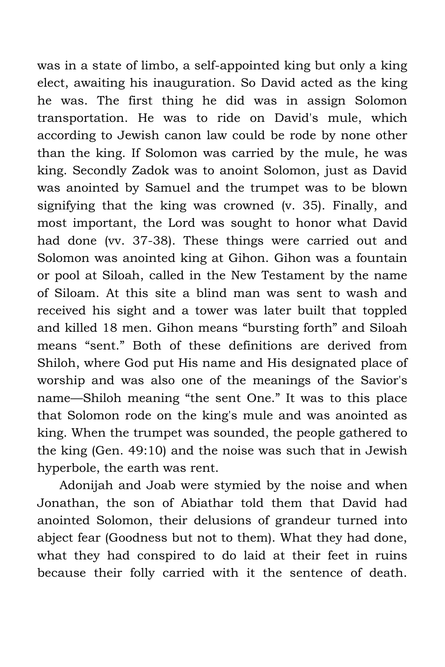was in a state of limbo, a self-appointed king but only a king elect, awaiting his inauguration. So David acted as the king he was. The first thing he did was in assign Solomon transportation. He was to ride on David's mule, which according to Jewish canon law could be rode by none other than the king. If Solomon was carried by the mule, he was king. Secondly Zadok was to anoint Solomon, just as David was anointed by Samuel and the trumpet was to be blown signifying that the king was crowned (v. 35). Finally, and most important, the Lord was sought to honor what David had done (vv. 37-38). These things were carried out and Solomon was anointed king at Gihon. Gihon was a fountain or pool at Siloah, called in the New Testament by the name of Siloam. At this site a blind man was sent to wash and received his sight and a tower was later built that toppled and killed 18 men. Gihon means "bursting forth" and Siloah means "sent." Both of these definitions are derived from Shiloh, where God put His name and His designated place of worship and was also one of the meanings of the Savior's name—Shiloh meaning "the sent One." It was to this place that Solomon rode on the king's mule and was anointed as king. When the trumpet was sounded, the people gathered to the king (Gen. 49:10) and the noise was such that in Jewish hyperbole, the earth was rent.

Adonijah and Joab were stymied by the noise and when Jonathan, the son of Abiathar told them that David had anointed Solomon, their delusions of grandeur turned into abject fear (Goodness but not to them). What they had done, what they had conspired to do laid at their feet in ruins because their folly carried with it the sentence of death.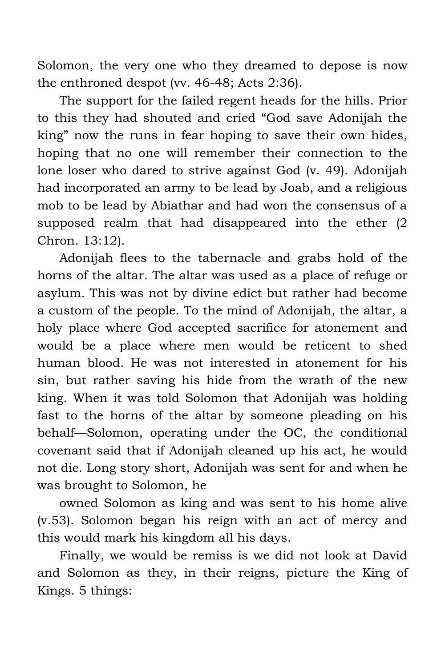Solomon, the very one who they dreamed to depose is now the enthroned despot (vv. 46-48; Acts 2:36).

The support for the failed regent heads for the hills. Prior to this they had shouted and cried "God save Adonijah the king" now the runs in fear hoping to save their own hides, hoping that no one will remember their connection to the lone loser who dared to strive against God (v. 49). Adonijah had incorporated an army to be lead by Joab, and a religious mob to be lead by Abiathar and had won the consensus of a supposed realm that had disappeared into the ether (2 Chron. 13:12).

Adonijah flees to the tabernacle and grabs hold of the horns of the altar. The altar was used as a place of refuge or asylum. This was not by divine edict but rather had become a custom of the people. To the mind of Adonijah, the altar, a holy place where God accepted sacrifice for atonement and would be a place where men would be reticent to shed human blood. He was not interested in atonement for his sin, but rather saving his hide from the wrath of the new king. When it was told Solomon that Adonijah was holding fast to the horns of the altar by someone pleading on his behalf—Solomon, operating under the OC, the conditional covenant said that if Adonijah cleaned up his act, he would not die. Long story short, Adonijah was sent for and when he was brought to Solomon, he

owned Solomon as king and was sent to his home alive (v.53). Solomon began his reign with an act of mercy and this would mark his kingdom all his days.

Finally, we would be remiss is we did not look at David and Solomon as they, in their reigns, picture the King of Kings. 5 things: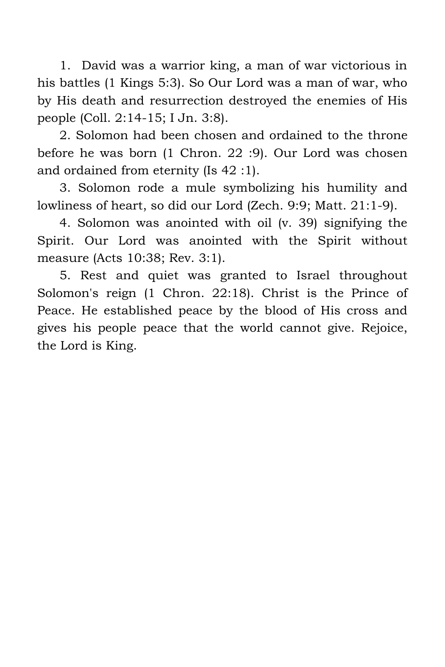1. David was a warrior king, a man of war victorious in his battles (1 Kings 5:3). So Our Lord was a man of war, who by His death and resurrection destroyed the enemies of His people (Coll. 2:14-15; I Jn. 3:8).

2. Solomon had been chosen and ordained to the throne before he was born (1 Chron. 22 :9). Our Lord was chosen and ordained from eternity (Is 42 :1).

3. Solomon rode a mule symbolizing his humility and lowliness of heart, so did our Lord (Zech. 9:9; Matt. 21:1-9).

4. Solomon was anointed with oil (v. 39) signifying the Spirit. Our Lord was anointed with the Spirit without measure (Acts 10:38; Rev. 3:1).

5. Rest and quiet was granted to Israel throughout Solomon's reign (1 Chron. 22:18). Christ is the Prince of Peace. He established peace by the blood of His cross and gives his people peace that the world cannot give. Rejoice, the Lord is King.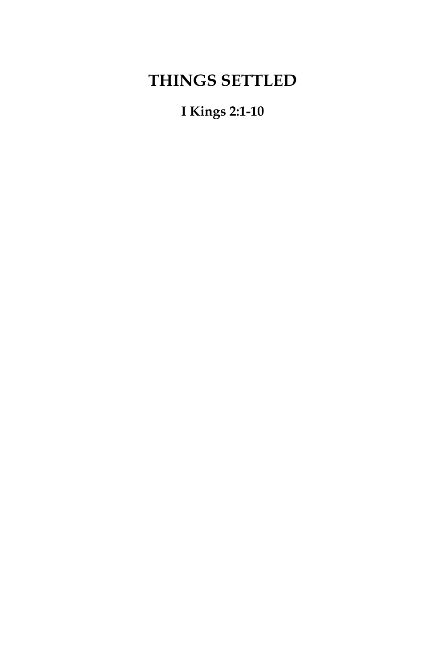# **THINGS SETTLED**

**I Kings 2:1-10**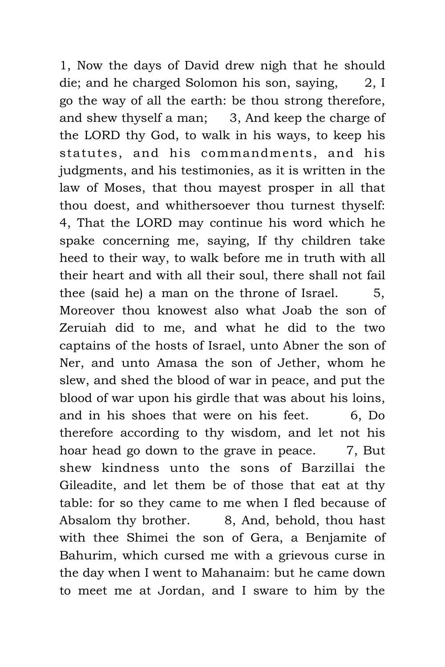1, Now the days of David drew nigh that he should die; and he charged Solomon his son, saying, 2, I go the way of all the earth: be thou strong therefore, and shew thyself a man; 3, And keep the charge of the LORD thy God, to walk in his ways, to keep his statutes, and his commandments, and his judgments, and his testimonies, as it is written in the law of Moses, that thou mayest prosper in all that thou doest, and whithersoever thou turnest thyself: 4, That the LORD may continue his word which he spake concerning me, saying, If thy children take heed to their way, to walk before me in truth with all their heart and with all their soul, there shall not fail thee (said he) a man on the throne of Israel.  $5$ , Moreover thou knowest also what Joab the son of Zeruiah did to me, and what he did to the two captains of the hosts of Israel, unto Abner the son of Ner, and unto Amasa the son of Jether, whom he slew, and shed the blood of war in peace, and put the blood of war upon his girdle that was about his loins, and in his shoes that were on his feet. 6, Do therefore according to thy wisdom, and let not his hoar head go down to the grave in peace. 7, But shew kindness unto the sons of Barzillai the Gileadite, and let them be of those that eat at thy table: for so they came to me when I fled because of Absalom thy brother. 8, And, behold, thou hast with thee Shimei the son of Gera, a Benjamite of Bahurim, which cursed me with a grievous curse in the day when I went to Mahanaim: but he came down to meet me at Jordan, and I sware to him by the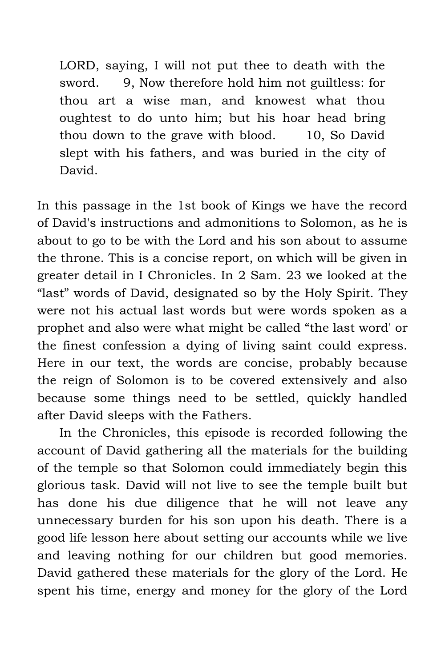LORD, saying, I will not put thee to death with the sword. 9, Now therefore hold him not guiltless: for thou art a wise man, and knowest what thou oughtest to do unto him; but his hoar head bring thou down to the grave with blood. 10, So David slept with his fathers, and was buried in the city of David.

In this passage in the 1st book of Kings we have the record of David's instructions and admonitions to Solomon, as he is about to go to be with the Lord and his son about to assume the throne. This is a concise report, on which will be given in greater detail in I Chronicles. In 2 Sam. 23 we looked at the "last" words of David, designated so by the Holy Spirit. They were not his actual last words but were words spoken as a prophet and also were what might be called "the last word' or the finest confession a dying of living saint could express. Here in our text, the words are concise, probably because the reign of Solomon is to be covered extensively and also because some things need to be settled, quickly handled after David sleeps with the Fathers.

In the Chronicles, this episode is recorded following the account of David gathering all the materials for the building of the temple so that Solomon could immediately begin this glorious task. David will not live to see the temple built but has done his due diligence that he will not leave any unnecessary burden for his son upon his death. There is a good life lesson here about setting our accounts while we live and leaving nothing for our children but good memories. David gathered these materials for the glory of the Lord. He spent his time, energy and money for the glory of the Lord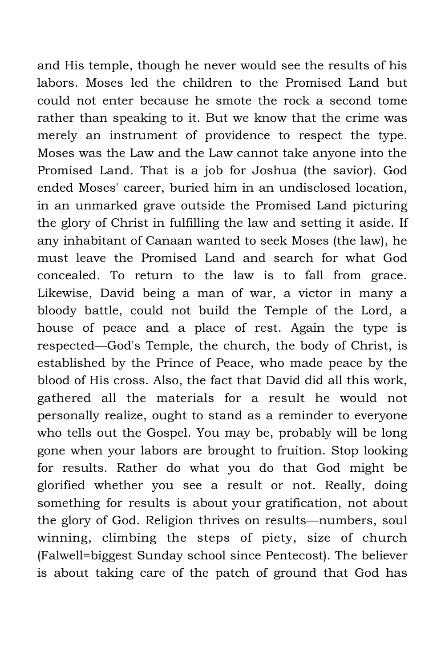and His temple, though he never would see the results of his labors. Moses led the children to the Promised Land but could not enter because he smote the rock a second tome rather than speaking to it. But we know that the crime was merely an instrument of providence to respect the type. Moses was the Law and the Law cannot take anyone into the Promised Land. That is a job for Joshua (the savior). God ended Moses' career, buried him in an undisclosed location, in an unmarked grave outside the Promised Land picturing the glory of Christ in fulfilling the law and setting it aside. If any inhabitant of Canaan wanted to seek Moses (the law), he must leave the Promised Land and search for what God concealed. To return to the law is to fall from grace. Likewise, David being a man of war, a victor in many a bloody battle, could not build the Temple of the Lord, a house of peace and a place of rest. Again the type is respected—God's Temple, the church, the body of Christ, is established by the Prince of Peace, who made peace by the blood of His cross. Also, the fact that David did all this work, gathered all the materials for a result he would not personally realize, ought to stand as a reminder to everyone who tells out the Gospel. You may be, probably will be long gone when your labors are brought to fruition. Stop looking for results. Rather do what you do that God might be glorified whether you see a result or not. Really, doing something for results is about your gratification, not about the glory of God. Religion thrives on results—numbers, soul winning, climbing the steps of piety, size of church (Falwell=biggest Sunday school since Pentecost). The believer is about taking care of the patch of ground that God has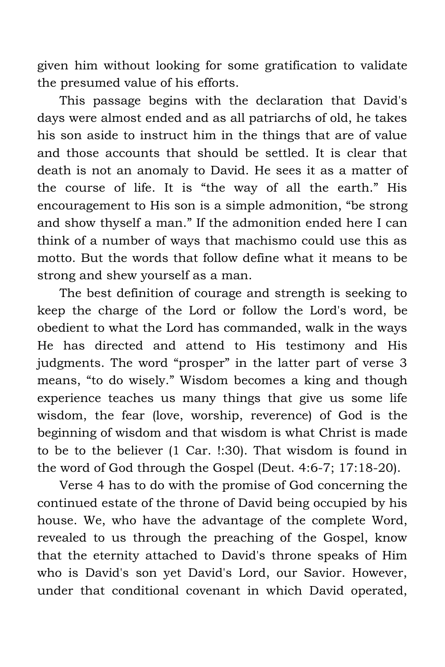given him without looking for some gratification to validate the presumed value of his efforts.

This passage begins with the declaration that David's days were almost ended and as all patriarchs of old, he takes his son aside to instruct him in the things that are of value and those accounts that should be settled. It is clear that death is not an anomaly to David. He sees it as a matter of the course of life. It is "the way of all the earth." His encouragement to His son is a simple admonition, "be strong and show thyself a man." If the admonition ended here I can think of a number of ways that machismo could use this as motto. But the words that follow define what it means to be strong and shew yourself as a man.

The best definition of courage and strength is seeking to keep the charge of the Lord or follow the Lord's word, be obedient to what the Lord has commanded, walk in the ways He has directed and attend to His testimony and His judgments. The word "prosper" in the latter part of verse 3 means, "to do wisely." Wisdom becomes a king and though experience teaches us many things that give us some life wisdom, the fear (love, worship, reverence) of God is the beginning of wisdom and that wisdom is what Christ is made to be to the believer (1 Car. !:30). That wisdom is found in the word of God through the Gospel (Deut. 4:6-7; 17:18-20).

Verse 4 has to do with the promise of God concerning the continued estate of the throne of David being occupied by his house. We, who have the advantage of the complete Word, revealed to us through the preaching of the Gospel, know that the eternity attached to David's throne speaks of Him who is David's son yet David's Lord, our Savior. However, under that conditional covenant in which David operated,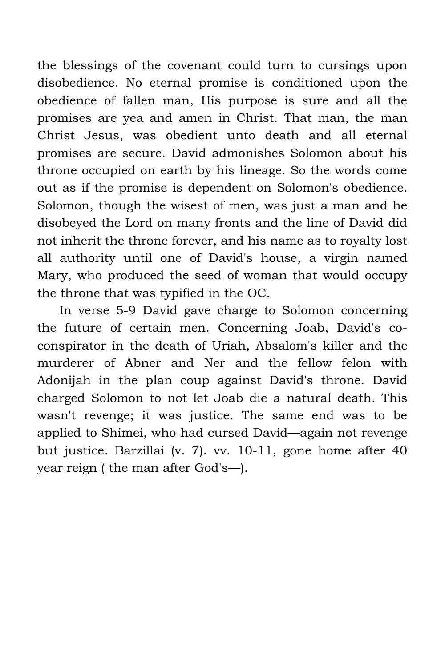the blessings of the covenant could turn to cursings upon disobedience. No eternal promise is conditioned upon the obedience of fallen man, His purpose is sure and all the promises are yea and amen in Christ. That man, the man Christ Jesus, was obedient unto death and all eternal promises are secure. David admonishes Solomon about his throne occupied on earth by his lineage. So the words come out as if the promise is dependent on Solomon's obedience. Solomon, though the wisest of men, was just a man and he disobeyed the Lord on many fronts and the line of David did not inherit the throne forever, and his name as to royalty lost all authority until one of David's house, a virgin named Mary, who produced the seed of woman that would occupy the throne that was typified in the OC.

In verse 5-9 David gave charge to Solomon concerning the future of certain men. Concerning Joab, David's coconspirator in the death of Uriah, Absalom's killer and the murderer of Abner and Ner and the fellow felon with Adonijah in the plan coup against David's throne. David charged Solomon to not let Joab die a natural death. This wasn't revenge; it was justice. The same end was to be applied to Shimei, who had cursed David—again not revenge but justice. Barzillai (v. 7). vv. 10-11, gone home after 40 year reign ( the man after God's—).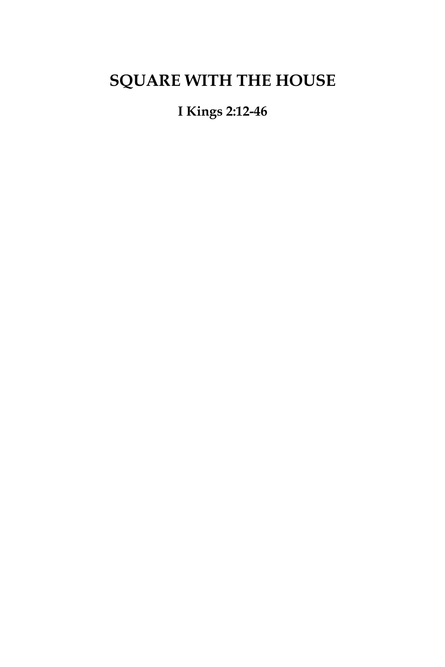# **SQUARE WITH THE HOUSE**

**I Kings 2:12-46**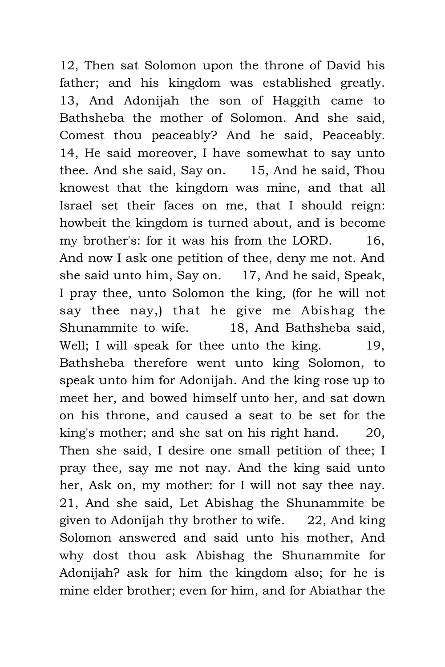12, Then sat Solomon upon the throne of David his father; and his kingdom was established greatly. 13, And Adonijah the son of Haggith came to Bathsheba the mother of Solomon. And she said, Comest thou peaceably? And he said, Peaceably. 14, He said moreover, I have somewhat to say unto thee. And she said, Say on. 15, And he said, Thou knowest that the kingdom was mine, and that all Israel set their faces on me, that I should reign: howbeit the kingdom is turned about, and is become my brother's: for it was his from the LORD. 16, And now I ask one petition of thee, deny me not. And she said unto him, Say on. 17, And he said, Speak, I pray thee, unto Solomon the king, (for he will not say thee nay,) that he give me Abishag the Shunammite to wife. 18, And Bathsheba said, Well; I will speak for thee unto the king. 19, Bathsheba therefore went unto king Solomon, to speak unto him for Adonijah. And the king rose up to meet her, and bowed himself unto her, and sat down on his throne, and caused a seat to be set for the king's mother; and she sat on his right hand. 20, Then she said, I desire one small petition of thee; I pray thee, say me not nay. And the king said unto her, Ask on, my mother: for I will not say thee nay. 21, And she said, Let Abishag the Shunammite be given to Adonijah thy brother to wife. 22, And king Solomon answered and said unto his mother, And why dost thou ask Abishag the Shunammite for Adonijah? ask for him the kingdom also; for he is mine elder brother; even for him, and for Abiathar the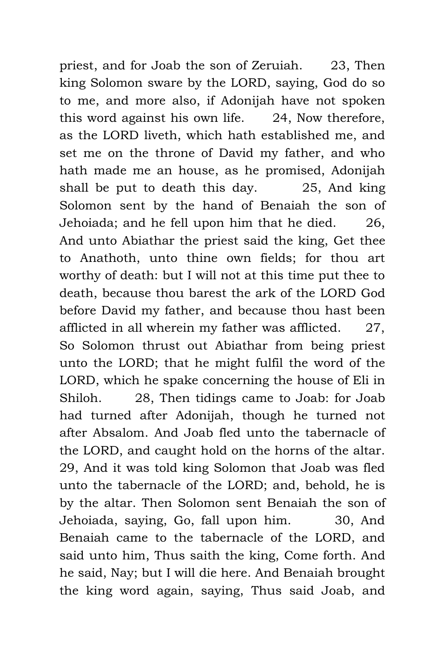priest, and for Joab the son of Zeruiah. 23, Then king Solomon sware by the LORD, saying, God do so to me, and more also, if Adonijah have not spoken this word against his own life. 24, Now therefore, as the LORD liveth, which hath established me, and set me on the throne of David my father, and who hath made me an house, as he promised, Adonijah shall be put to death this day. 25, And king Solomon sent by the hand of Benaiah the son of Jehoiada; and he fell upon him that he died. 26, And unto Abiathar the priest said the king, Get thee to Anathoth, unto thine own fields; for thou art worthy of death: but I will not at this time put thee to death, because thou barest the ark of the LORD God before David my father, and because thou hast been afflicted in all wherein my father was afflicted. 27, So Solomon thrust out Abiathar from being priest unto the LORD; that he might fulfil the word of the LORD, which he spake concerning the house of Eli in Shiloh. 28, Then tidings came to Joab: for Joab had turned after Adonijah, though he turned not after Absalom. And Joab fled unto the tabernacle of the LORD, and caught hold on the horns of the altar. 29, And it was told king Solomon that Joab was fled unto the tabernacle of the LORD; and, behold, he is by the altar. Then Solomon sent Benaiah the son of Jehoiada, saying, Go, fall upon him. 30, And Benaiah came to the tabernacle of the LORD, and said unto him, Thus saith the king, Come forth. And he said, Nay; but I will die here. And Benaiah brought the king word again, saying, Thus said Joab, and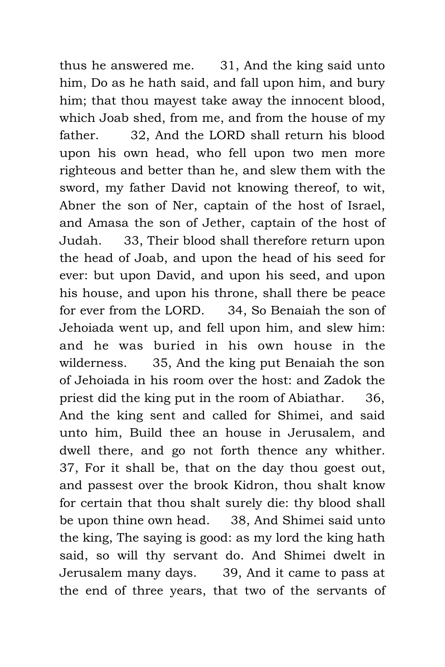thus he answered me. 31, And the king said unto him, Do as he hath said, and fall upon him, and bury him; that thou mayest take away the innocent blood, which Joab shed, from me, and from the house of my father. 32, And the LORD shall return his blood upon his own head, who fell upon two men more righteous and better than he, and slew them with the sword, my father David not knowing thereof, to wit, Abner the son of Ner, captain of the host of Israel, and Amasa the son of Jether, captain of the host of Judah. 33, Their blood shall therefore return upon the head of Joab, and upon the head of his seed for ever: but upon David, and upon his seed, and upon his house, and upon his throne, shall there be peace for ever from the LORD. 34, So Benaiah the son of Jehoiada went up, and fell upon him, and slew him: and he was buried in his own house in the wilderness. 35, And the king put Benaiah the son of Jehoiada in his room over the host: and Zadok the priest did the king put in the room of Abiathar. 36, And the king sent and called for Shimei, and said unto him, Build thee an house in Jerusalem, and dwell there, and go not forth thence any whither. 37, For it shall be, that on the day thou goest out, and passest over the brook Kidron, thou shalt know for certain that thou shalt surely die: thy blood shall be upon thine own head. 38, And Shimei said unto the king, The saying is good: as my lord the king hath said, so will thy servant do. And Shimei dwelt in Jerusalem many days. 39, And it came to pass at the end of three years, that two of the servants of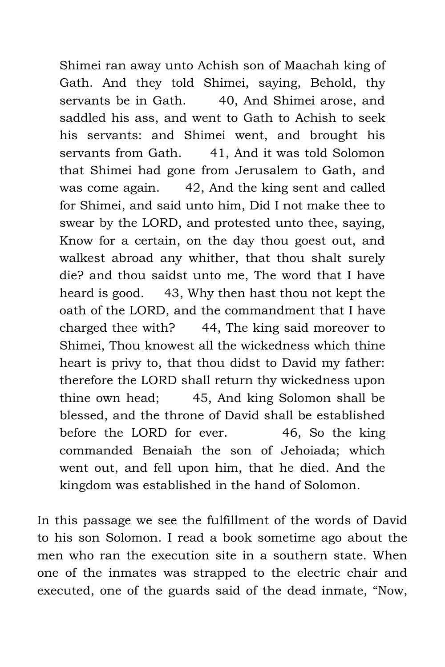Shimei ran away unto Achish son of Maachah king of Gath. And they told Shimei, saying, Behold, thy servants be in Gath. 40, And Shimei arose, and saddled his ass, and went to Gath to Achish to seek his servants: and Shimei went, and brought his servants from Gath. 41, And it was told Solomon that Shimei had gone from Jerusalem to Gath, and was come again. 42, And the king sent and called for Shimei, and said unto him, Did I not make thee to swear by the LORD, and protested unto thee, saying, Know for a certain, on the day thou goest out, and walkest abroad any whither, that thou shalt surely die? and thou saidst unto me, The word that I have heard is good. 43, Why then hast thou not kept the oath of the LORD, and the commandment that I have charged thee with? 44, The king said moreover to Shimei, Thou knowest all the wickedness which thine heart is privy to, that thou didst to David my father: therefore the LORD shall return thy wickedness upon thine own head; 45, And king Solomon shall be blessed, and the throne of David shall be established before the LORD for ever. 46, So the king commanded Benaiah the son of Jehoiada; which went out, and fell upon him, that he died. And the kingdom was established in the hand of Solomon.

In this passage we see the fulfillment of the words of David to his son Solomon. I read a book sometime ago about the men who ran the execution site in a southern state. When one of the inmates was strapped to the electric chair and executed, one of the guards said of the dead inmate, "Now,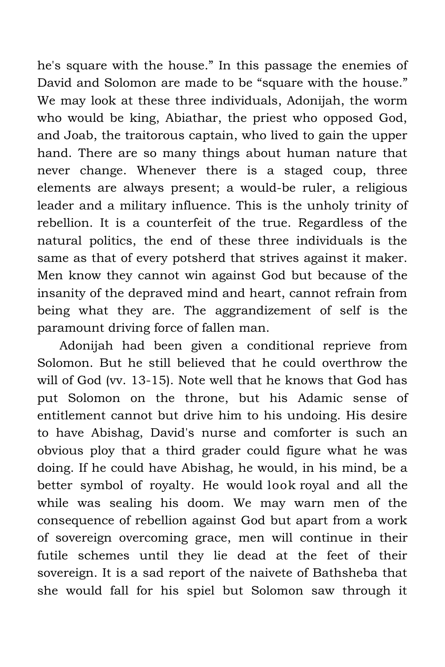he's square with the house." In this passage the enemies of David and Solomon are made to be "square with the house." We may look at these three individuals, Adonijah, the worm who would be king, Abiathar, the priest who opposed God, and Joab, the traitorous captain, who lived to gain the upper hand. There are so many things about human nature that never change. Whenever there is a staged coup, three elements are always present; a would-be ruler, a religious leader and a military influence. This is the unholy trinity of rebellion. It is a counterfeit of the true. Regardless of the natural politics, the end of these three individuals is the same as that of every potsherd that strives against it maker. Men know they cannot win against God but because of the insanity of the depraved mind and heart, cannot refrain from being what they are. The aggrandizement of self is the paramount driving force of fallen man.

Adonijah had been given a conditional reprieve from Solomon. But he still believed that he could overthrow the will of God (vv. 13-15). Note well that he knows that God has put Solomon on the throne, but his Adamic sense of entitlement cannot but drive him to his undoing. His desire to have Abishag, David's nurse and comforter is such an obvious ploy that a third grader could figure what he was doing. If he could have Abishag, he would, in his mind, be a better symbol of royalty. He would look royal and all the while was sealing his doom. We may warn men of the consequence of rebellion against God but apart from a work of sovereign overcoming grace, men will continue in their futile schemes until they lie dead at the feet of their sovereign. It is a sad report of the naivete of Bathsheba that she would fall for his spiel but Solomon saw through it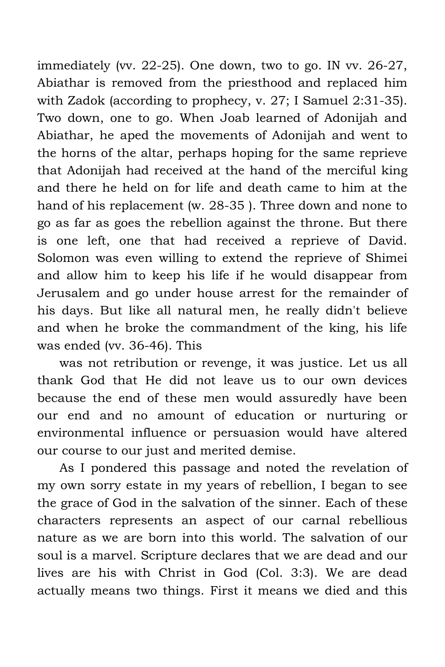immediately (vv. 22-25). One down, two to go. IN vv. 26-27, Abiathar is removed from the priesthood and replaced him with Zadok (according to prophecy, v. 27; I Samuel 2:31-35). Two down, one to go. When Joab learned of Adonijah and Abiathar, he aped the movements of Adonijah and went to the horns of the altar, perhaps hoping for the same reprieve that Adonijah had received at the hand of the merciful king and there he held on for life and death came to him at the hand of his replacement (w. 28-35 ). Three down and none to go as far as goes the rebellion against the throne. But there is one left, one that had received a reprieve of David. Solomon was even willing to extend the reprieve of Shimei and allow him to keep his life if he would disappear from Jerusalem and go under house arrest for the remainder of his days. But like all natural men, he really didn't believe and when he broke the commandment of the king, his life was ended (vv. 36-46). This

was not retribution or revenge, it was justice. Let us all thank God that He did not leave us to our own devices because the end of these men would assuredly have been our end and no amount of education or nurturing or environmental influence or persuasion would have altered our course to our just and merited demise.

As I pondered this passage and noted the revelation of my own sorry estate in my years of rebellion, I began to see the grace of God in the salvation of the sinner. Each of these characters represents an aspect of our carnal rebellious nature as we are born into this world. The salvation of our soul is a marvel. Scripture declares that we are dead and our lives are his with Christ in God (Col. 3:3). We are dead actually means two things. First it means we died and this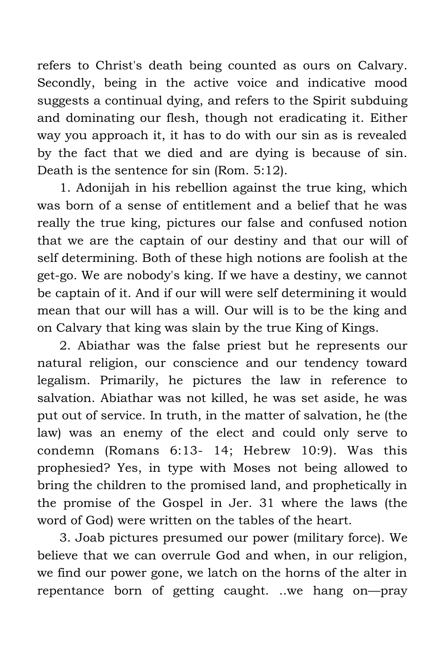refers to Christ's death being counted as ours on Calvary. Secondly, being in the active voice and indicative mood suggests a continual dying, and refers to the Spirit subduing and dominating our flesh, though not eradicating it. Either way you approach it, it has to do with our sin as is revealed by the fact that we died and are dying is because of sin. Death is the sentence for sin (Rom. 5:12).

1. Adonijah in his rebellion against the true king, which was born of a sense of entitlement and a belief that he was really the true king, pictures our false and confused notion that we are the captain of our destiny and that our will of self determining. Both of these high notions are foolish at the get-go. We are nobody's king. If we have a destiny, we cannot be captain of it. And if our will were self determining it would mean that our will has a will. Our will is to be the king and on Calvary that king was slain by the true King of Kings.

2. Abiathar was the false priest but he represents our natural religion, our conscience and our tendency toward legalism. Primarily, he pictures the law in reference to salvation. Abiathar was not killed, he was set aside, he was put out of service. In truth, in the matter of salvation, he (the law) was an enemy of the elect and could only serve to condemn (Romans 6:13- 14; Hebrew 10:9). Was this prophesied? Yes, in type with Moses not being allowed to bring the children to the promised land, and prophetically in the promise of the Gospel in Jer. 31 where the laws (the word of God) were written on the tables of the heart.

3. Joab pictures presumed our power (military force). We believe that we can overrule God and when, in our religion, we find our power gone, we latch on the horns of the alter in repentance born of getting caught. ..we hang on—pray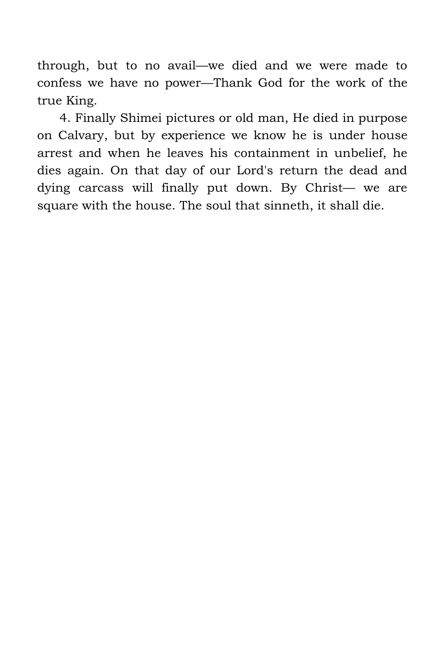through, but to no avail—we died and we were made to confess we have no power—Thank God for the work of the true King.

4. Finally Shimei pictures or old man, He died in purpose on Calvary, but by experience we know he is under house arrest and when he leaves his containment in unbelief, he dies again. On that day of our Lord's return the dead and dying carcass will finally put down. By Christ— we are square with the house. The soul that sinneth, it shall die.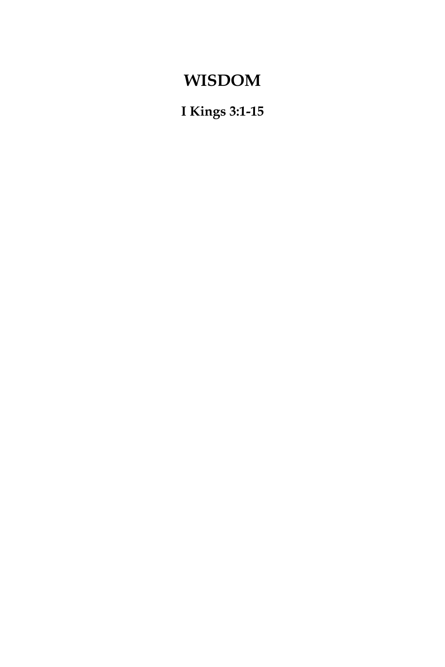### **WISDOM**

**I Kings 3:1-15**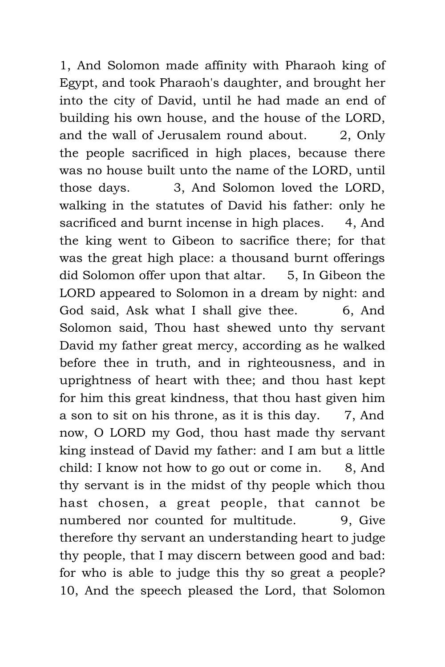1, And Solomon made affinity with Pharaoh king of Egypt, and took Pharaoh's daughter, and brought her into the city of David, until he had made an end of building his own house, and the house of the LORD, and the wall of Jerusalem round about. 2, Only the people sacrificed in high places, because there was no house built unto the name of the LORD, until those days. 3, And Solomon loved the LORD, walking in the statutes of David his father: only he sacrificed and burnt incense in high places. 4, And the king went to Gibeon to sacrifice there; for that was the great high place: a thousand burnt offerings did Solomon offer upon that altar. 5, In Gibeon the LORD appeared to Solomon in a dream by night: and God said, Ask what I shall give thee. 6, And Solomon said, Thou hast shewed unto thy servant David my father great mercy, according as he walked before thee in truth, and in righteousness, and in uprightness of heart with thee; and thou hast kept for him this great kindness, that thou hast given him a son to sit on his throne, as it is this day. 7, And now, O LORD my God, thou hast made thy servant king instead of David my father: and I am but a little child: I know not how to go out or come in. 8, And thy servant is in the midst of thy people which thou hast chosen, a great people, that cannot be numbered nor counted for multitude. 9. Give therefore thy servant an understanding heart to judge thy people, that I may discern between good and bad: for who is able to judge this thy so great a people? 10, And the speech pleased the Lord, that Solomon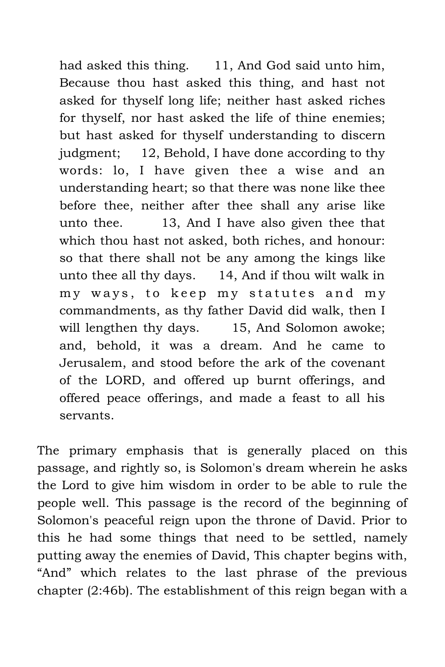had asked this thing. 11, And God said unto him, Because thou hast asked this thing, and hast not asked for thyself long life; neither hast asked riches for thyself, nor hast asked the life of thine enemies; but hast asked for thyself understanding to discern judgment; 12, Behold, I have done according to thy words: lo, I have given thee a wise and an understanding heart; so that there was none like thee before thee, neither after thee shall any arise like unto thee. 13, And I have also given thee that which thou hast not asked, both riches, and honour: so that there shall not be any among the kings like unto thee all thy days. 14, And if thou wilt walk in my ways, to keep my statutes and my commandments, as thy father David did walk, then I will lengthen thy days. 15, And Solomon awoke; and, behold, it was a dream. And he came to Jerusalem, and stood before the ark of the covenant of the LORD, and offered up burnt offerings, and offered peace offerings, and made a feast to all his servants.

The primary emphasis that is generally placed on this passage, and rightly so, is Solomon's dream wherein he asks the Lord to give him wisdom in order to be able to rule the people well. This passage is the record of the beginning of Solomon's peaceful reign upon the throne of David. Prior to this he had some things that need to be settled, namely putting away the enemies of David, This chapter begins with, "And" which relates to the last phrase of the previous chapter (2:46b). The establishment of this reign began with a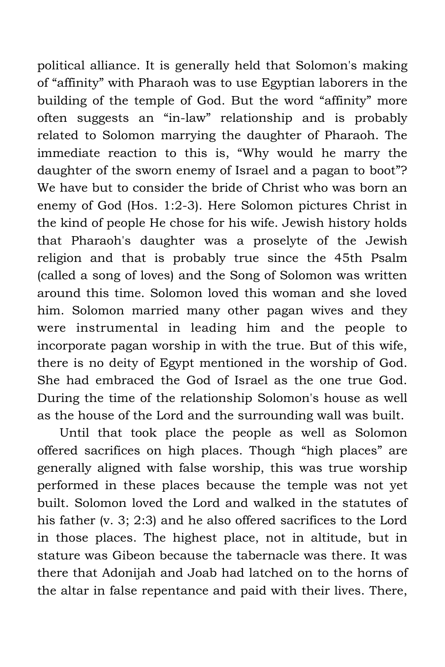political alliance. It is generally held that Solomon's making of "affinity" with Pharaoh was to use Egyptian laborers in the building of the temple of God. But the word "affinity" more often suggests an "in-law" relationship and is probably related to Solomon marrying the daughter of Pharaoh. The immediate reaction to this is, "Why would he marry the daughter of the sworn enemy of Israel and a pagan to boot"? We have but to consider the bride of Christ who was born an enemy of God (Hos. 1:2-3). Here Solomon pictures Christ in the kind of people He chose for his wife. Jewish history holds that Pharaoh's daughter was a proselyte of the Jewish religion and that is probably true since the 45th Psalm (called a song of loves) and the Song of Solomon was written around this time. Solomon loved this woman and she loved him. Solomon married many other pagan wives and they were instrumental in leading him and the people to incorporate pagan worship in with the true. But of this wife, there is no deity of Egypt mentioned in the worship of God. She had embraced the God of Israel as the one true God. During the time of the relationship Solomon's house as well as the house of the Lord and the surrounding wall was built.

Until that took place the people as well as Solomon offered sacrifices on high places. Though "high places" are generally aligned with false worship, this was true worship performed in these places because the temple was not yet built. Solomon loved the Lord and walked in the statutes of his father (v. 3; 2:3) and he also offered sacrifices to the Lord in those places. The highest place, not in altitude, but in stature was Gibeon because the tabernacle was there. It was there that Adonijah and Joab had latched on to the horns of the altar in false repentance and paid with their lives. There,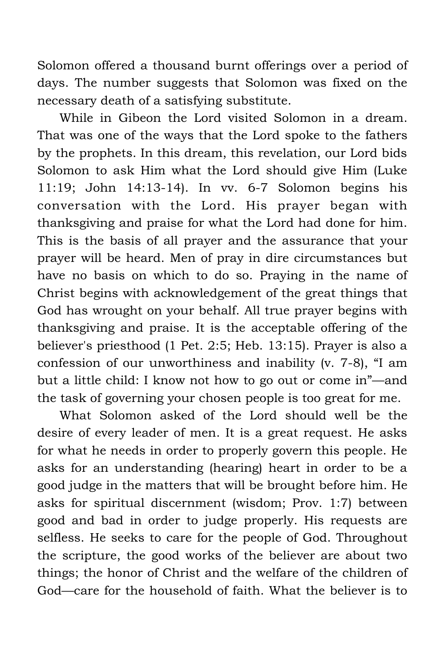Solomon offered a thousand burnt offerings over a period of days. The number suggests that Solomon was fixed on the necessary death of a satisfying substitute.

While in Gibeon the Lord visited Solomon in a dream. That was one of the ways that the Lord spoke to the fathers by the prophets. In this dream, this revelation, our Lord bids Solomon to ask Him what the Lord should give Him (Luke 11:19; John 14:13-14). In vv. 6-7 Solomon begins his conversation with the Lord. His prayer began with thanksgiving and praise for what the Lord had done for him. This is the basis of all prayer and the assurance that your prayer will be heard. Men of pray in dire circumstances but have no basis on which to do so. Praying in the name of Christ begins with acknowledgement of the great things that God has wrought on your behalf. All true prayer begins with thanksgiving and praise. It is the acceptable offering of the believer's priesthood (1 Pet. 2:5; Heb. 13:15). Prayer is also a confession of our unworthiness and inability (v. 7-8), "I am but a little child: I know not how to go out or come in"—and the task of governing your chosen people is too great for me.

What Solomon asked of the Lord should well be the desire of every leader of men. It is a great request. He asks for what he needs in order to properly govern this people. He asks for an understanding (hearing) heart in order to be a good judge in the matters that will be brought before him. He asks for spiritual discernment (wisdom; Prov. 1:7) between good and bad in order to judge properly. His requests are selfless. He seeks to care for the people of God. Throughout the scripture, the good works of the believer are about two things; the honor of Christ and the welfare of the children of God—care for the household of faith. What the believer is to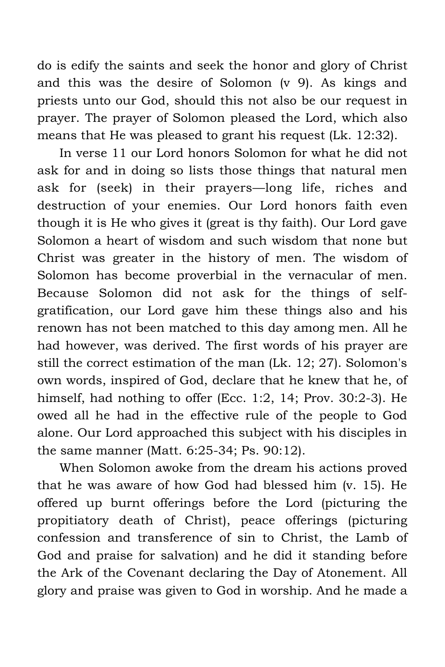do is edify the saints and seek the honor and glory of Christ and this was the desire of Solomon (v 9). As kings and priests unto our God, should this not also be our request in prayer. The prayer of Solomon pleased the Lord, which also means that He was pleased to grant his request (Lk. 12:32).

In verse 11 our Lord honors Solomon for what he did not ask for and in doing so lists those things that natural men ask for (seek) in their prayers—long life, riches and destruction of your enemies. Our Lord honors faith even though it is He who gives it (great is thy faith). Our Lord gave Solomon a heart of wisdom and such wisdom that none but Christ was greater in the history of men. The wisdom of Solomon has become proverbial in the vernacular of men. Because Solomon did not ask for the things of selfgratification, our Lord gave him these things also and his renown has not been matched to this day among men. All he had however, was derived. The first words of his prayer are still the correct estimation of the man (Lk. 12; 27). Solomon's own words, inspired of God, declare that he knew that he, of himself, had nothing to offer (Ecc. 1:2, 14; Prov. 30:2-3). He owed all he had in the effective rule of the people to God alone. Our Lord approached this subject with his disciples in the same manner (Matt. 6:25-34; Ps. 90:12).

When Solomon awoke from the dream his actions proved that he was aware of how God had blessed him (v. 15). He offered up burnt offerings before the Lord (picturing the propitiatory death of Christ), peace offerings (picturing confession and transference of sin to Christ, the Lamb of God and praise for salvation) and he did it standing before the Ark of the Covenant declaring the Day of Atonement. All glory and praise was given to God in worship. And he made a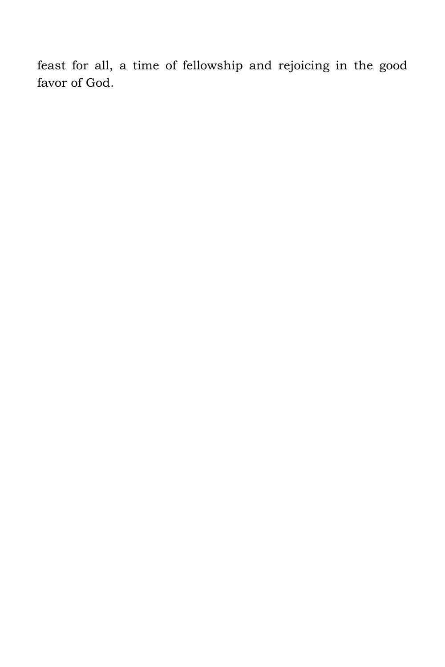feast for all, a time of fellowship and rejoicing in the good favor of God.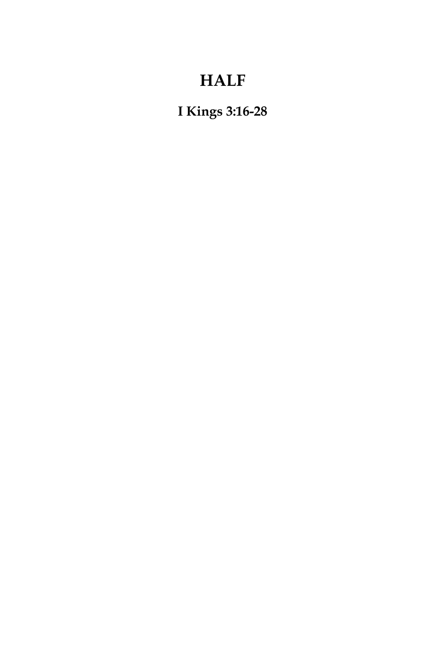## **HALF**

**I Kings 3:16-28**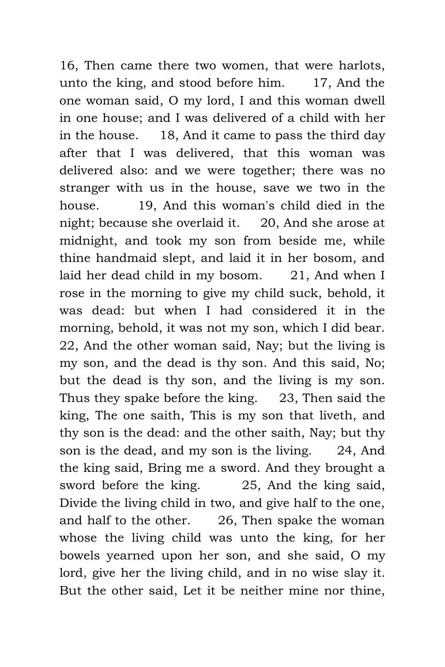16, Then came there two women, that were harlots, unto the king, and stood before him. 17, And the one woman said, O my lord, I and this woman dwell in one house; and I was delivered of a child with her in the house. 18, And it came to pass the third day after that I was delivered, that this woman was delivered also: and we were together; there was no stranger with us in the house, save we two in the house. 19, And this woman's child died in the night; because she overlaid it. 20, And she arose at midnight, and took my son from beside me, while thine handmaid slept, and laid it in her bosom, and laid her dead child in my bosom. 21, And when I rose in the morning to give my child suck, behold, it was dead: but when I had considered it in the morning, behold, it was not my son, which I did bear. 22, And the other woman said, Nay; but the living is my son, and the dead is thy son. And this said, No; but the dead is thy son, and the living is my son. Thus they spake before the king. 23, Then said the king, The one saith, This is my son that liveth, and thy son is the dead: and the other saith, Nay; but thy son is the dead, and my son is the living. 24, And the king said, Bring me a sword. And they brought a sword before the king. 25, And the king said, Divide the living child in two, and give half to the one, and half to the other. 26, Then spake the woman whose the living child was unto the king, for her bowels yearned upon her son, and she said, O my lord, give her the living child, and in no wise slay it. But the other said, Let it be neither mine nor thine,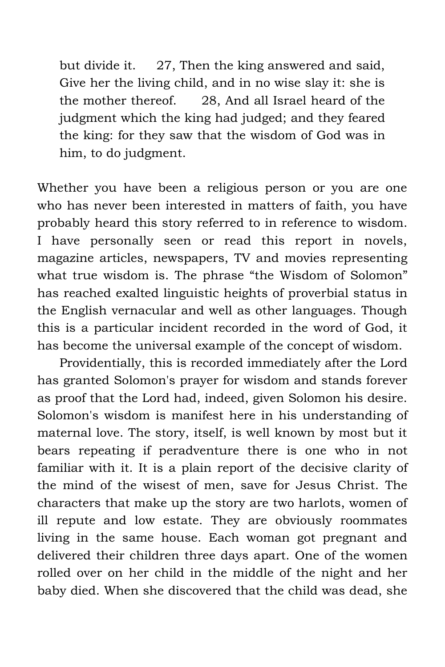but divide it. 27, Then the king answered and said, Give her the living child, and in no wise slay it: she is the mother thereof. 28, And all Israel heard of the judgment which the king had judged; and they feared the king: for they saw that the wisdom of God was in him, to do judgment.

Whether you have been a religious person or you are one who has never been interested in matters of faith, you have probably heard this story referred to in reference to wisdom. I have personally seen or read this report in novels, magazine articles, newspapers, TV and movies representing what true wisdom is. The phrase "the Wisdom of Solomon" has reached exalted linguistic heights of proverbial status in the English vernacular and well as other languages. Though this is a particular incident recorded in the word of God, it has become the universal example of the concept of wisdom.

Providentially, this is recorded immediately after the Lord has granted Solomon's prayer for wisdom and stands forever as proof that the Lord had, indeed, given Solomon his desire. Solomon's wisdom is manifest here in his understanding of maternal love. The story, itself, is well known by most but it bears repeating if peradventure there is one who in not familiar with it. It is a plain report of the decisive clarity of the mind of the wisest of men, save for Jesus Christ. The characters that make up the story are two harlots, women of ill repute and low estate. They are obviously roommates living in the same house. Each woman got pregnant and delivered their children three days apart. One of the women rolled over on her child in the middle of the night and her baby died. When she discovered that the child was dead, she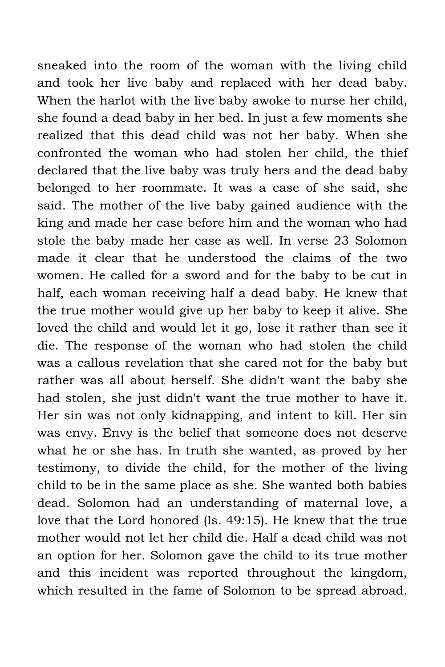sneaked into the room of the woman with the living child and took her live baby and replaced with her dead baby. When the harlot with the live baby awoke to nurse her child, she found a dead baby in her bed. In just a few moments she realized that this dead child was not her baby. When she confronted the woman who had stolen her child, the thief declared that the live baby was truly hers and the dead baby belonged to her roommate. It was a case of she said, she said. The mother of the live baby gained audience with the king and made her case before him and the woman who had stole the baby made her case as well. In verse 23 Solomon made it clear that he understood the claims of the two women. He called for a sword and for the baby to be cut in half, each woman receiving half a dead baby. He knew that the true mother would give up her baby to keep it alive. She loved the child and would let it go, lose it rather than see it die. The response of the woman who had stolen the child was a callous revelation that she cared not for the baby but rather was all about herself. She didn't want the baby she had stolen, she just didn't want the true mother to have it. Her sin was not only kidnapping, and intent to kill. Her sin was envy. Envy is the belief that someone does not deserve what he or she has. In truth she wanted, as proved by her testimony, to divide the child, for the mother of the living child to be in the same place as she. She wanted both babies dead. Solomon had an understanding of maternal love, a love that the Lord honored (Is. 49:15). He knew that the true mother would not let her child die. Half a dead child was not an option for her. Solomon gave the child to its true mother and this incident was reported throughout the kingdom, which resulted in the fame of Solomon to be spread abroad.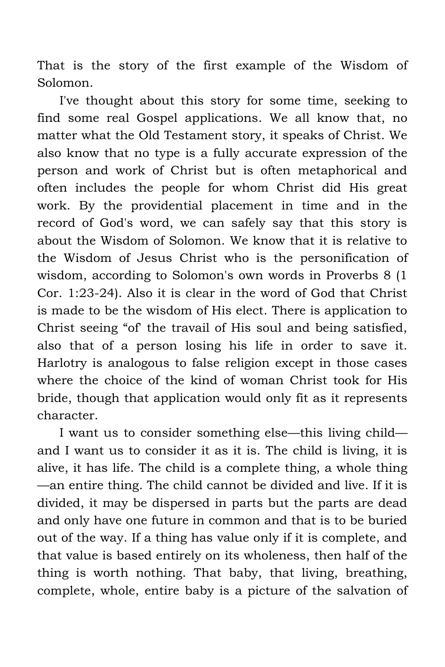That is the story of the first example of the Wisdom of Solomon.

I've thought about this story for some time, seeking to find some real Gospel applications. We all know that, no matter what the Old Testament story, it speaks of Christ. We also know that no type is a fully accurate expression of the person and work of Christ but is often metaphorical and often includes the people for whom Christ did His great work. By the providential placement in time and in the record of God's word, we can safely say that this story is about the Wisdom of Solomon. We know that it is relative to the Wisdom of Jesus Christ who is the personification of wisdom, according to Solomon's own words in Proverbs 8 (1 Cor. 1:23-24). Also it is clear in the word of God that Christ is made to be the wisdom of His elect. There is application to Christ seeing "of' the travail of His soul and being satisfied, also that of a person losing his life in order to save it. Harlotry is analogous to false religion except in those cases where the choice of the kind of woman Christ took for His bride, though that application would only fit as it represents character.

I want us to consider something else—this living child and I want us to consider it as it is. The child is living, it is alive, it has life. The child is a complete thing, a whole thing —an entire thing. The child cannot be divided and live. If it is divided, it may be dispersed in parts but the parts are dead and only have one future in common and that is to be buried out of the way. If a thing has value only if it is complete, and that value is based entirely on its wholeness, then half of the thing is worth nothing. That baby, that living, breathing, complete, whole, entire baby is a picture of the salvation of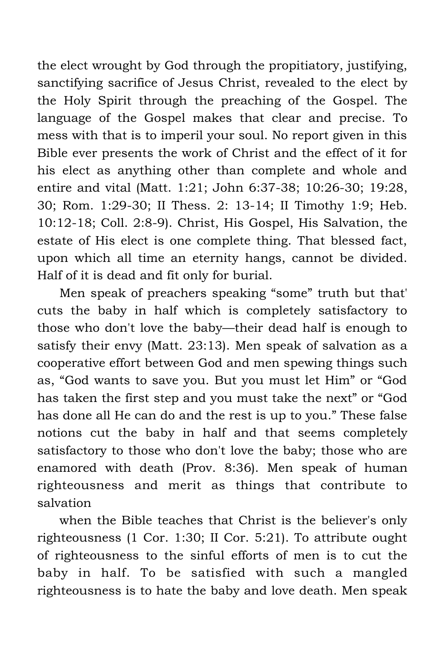the elect wrought by God through the propitiatory, justifying, sanctifying sacrifice of Jesus Christ, revealed to the elect by the Holy Spirit through the preaching of the Gospel. The language of the Gospel makes that clear and precise. To mess with that is to imperil your soul. No report given in this Bible ever presents the work of Christ and the effect of it for his elect as anything other than complete and whole and entire and vital (Matt. 1:21; John 6:37-38; 10:26-30; 19:28, 30; Rom. 1:29-30; II Thess. 2: 13-14; II Timothy 1:9; Heb. 10:12-18; Coll. 2:8-9). Christ, His Gospel, His Salvation, the estate of His elect is one complete thing. That blessed fact, upon which all time an eternity hangs, cannot be divided. Half of it is dead and fit only for burial.

Men speak of preachers speaking "some" truth but that' cuts the baby in half which is completely satisfactory to those who don't love the baby—their dead half is enough to satisfy their envy (Matt. 23:13). Men speak of salvation as a cooperative effort between God and men spewing things such as, "God wants to save you. But you must let Him" or "God has taken the first step and you must take the next" or "God has done all He can do and the rest is up to you." These false notions cut the baby in half and that seems completely satisfactory to those who don't love the baby; those who are enamored with death (Prov. 8:36). Men speak of human righteousness and merit as things that contribute to salvation

when the Bible teaches that Christ is the believer's only righteousness (1 Cor. 1:30; II Cor. 5:21). To attribute ought of righteousness to the sinful efforts of men is to cut the baby in half. To be satisfied with such a mangled righteousness is to hate the baby and love death. Men speak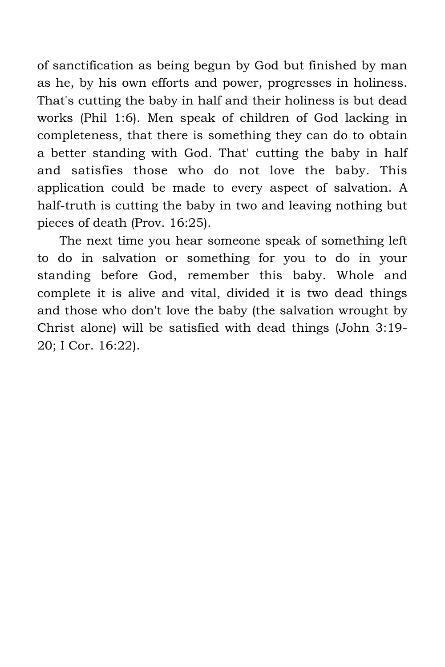of sanctification as being begun by God but finished by man as he, by his own efforts and power, progresses in holiness. That's cutting the baby in half and their holiness is but dead works (Phil 1:6). Men speak of children of God lacking in completeness, that there is something they can do to obtain a better standing with God. That' cutting the baby in half and satisfies those who do not love the baby. This application could be made to every aspect of salvation. A half-truth is cutting the baby in two and leaving nothing but pieces of death (Prov. 16:25).

The next time you hear someone speak of something left to do in salvation or something for you to do in your standing before God, remember this baby. Whole and complete it is alive and vital, divided it is two dead things and those who don't love the baby (the salvation wrought by Christ alone) will be satisfied with dead things (John 3:19- 20; I Cor. 16:22).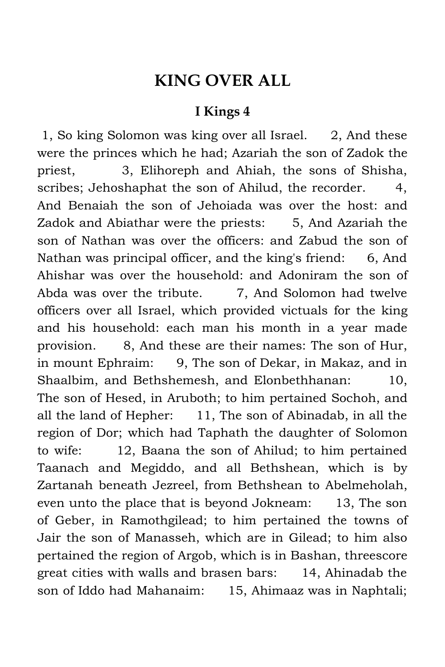#### **KING OVER ALL**

#### **I Kings 4**

 1, So king Solomon was king over all Israel. 2, And these were the princes which he had; Azariah the son of Zadok the priest, 3, Elihoreph and Ahiah, the sons of Shisha, scribes; Jehoshaphat the son of Ahilud, the recorder. 4, And Benaiah the son of Jehoiada was over the host: and Zadok and Abiathar were the priests: 5, And Azariah the son of Nathan was over the officers: and Zabud the son of Nathan was principal officer, and the king's friend: 6, And Ahishar was over the household: and Adoniram the son of Abda was over the tribute. **7.** And Solomon had twelve officers over all Israel, which provided victuals for the king and his household: each man his month in a year made provision. 8, And these are their names: The son of Hur, in mount Ephraim: 9, The son of Dekar, in Makaz, and in Shaalbim, and Bethshemesh, and Elonbethhanan: 10, The son of Hesed, in Aruboth; to him pertained Sochoh, and all the land of Hepher: 11, The son of Abinadab, in all the region of Dor; which had Taphath the daughter of Solomon to wife: 12, Baana the son of Ahilud; to him pertained Taanach and Megiddo, and all Bethshean, which is by Zartanah beneath Jezreel, from Bethshean to Abelmeholah, even unto the place that is beyond Jokneam: 13, The son of Geber, in Ramothgilead; to him pertained the towns of Jair the son of Manasseh, which are in Gilead; to him also pertained the region of Argob, which is in Bashan, threescore great cities with walls and brasen bars: 14, Ahinadab the son of Iddo had Mahanaim: 15, Ahimaaz was in Naphtali;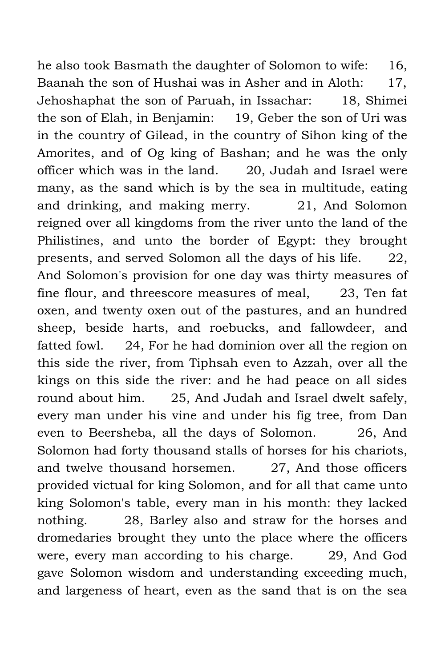he also took Basmath the daughter of Solomon to wife: 16, Baanah the son of Hushai was in Asher and in Aloth: 17, Jehoshaphat the son of Paruah, in Issachar: 18, Shimei the son of Elah, in Benjamin: 19, Geber the son of Uri was in the country of Gilead, in the country of Sihon king of the Amorites, and of Og king of Bashan; and he was the only officer which was in the land. 20, Judah and Israel were many, as the sand which is by the sea in multitude, eating and drinking, and making merry. 21, And Solomon reigned over all kingdoms from the river unto the land of the Philistines, and unto the border of Egypt: they brought presents, and served Solomon all the days of his life. 22, And Solomon's provision for one day was thirty measures of fine flour, and threescore measures of meal, 23, Ten fat oxen, and twenty oxen out of the pastures, and an hundred sheep, beside harts, and roebucks, and fallowdeer, and fatted fowl. 24, For he had dominion over all the region on this side the river, from Tiphsah even to Azzah, over all the kings on this side the river: and he had peace on all sides round about him. 25, And Judah and Israel dwelt safely, every man under his vine and under his fig tree, from Dan even to Beersheba, all the days of Solomon. 26, And Solomon had forty thousand stalls of horses for his chariots, and twelve thousand horsemen. 27, And those officers provided victual for king Solomon, and for all that came unto king Solomon's table, every man in his month: they lacked nothing. 28, Barley also and straw for the horses and dromedaries brought they unto the place where the officers were, every man according to his charge. 29, And God gave Solomon wisdom and understanding exceeding much, and largeness of heart, even as the sand that is on the sea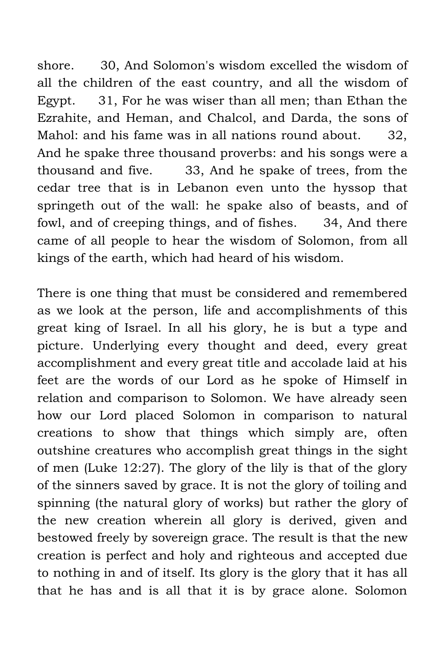shore. 30, And Solomon's wisdom excelled the wisdom of all the children of the east country, and all the wisdom of Egypt. 31, For he was wiser than all men; than Ethan the Ezrahite, and Heman, and Chalcol, and Darda, the sons of Mahol: and his fame was in all nations round about. 32, And he spake three thousand proverbs: and his songs were a thousand and five. 33, And he spake of trees, from the cedar tree that is in Lebanon even unto the hyssop that springeth out of the wall: he spake also of beasts, and of fowl, and of creeping things, and of fishes. 34, And there came of all people to hear the wisdom of Solomon, from all kings of the earth, which had heard of his wisdom.

There is one thing that must be considered and remembered as we look at the person, life and accomplishments of this great king of Israel. In all his glory, he is but a type and picture. Underlying every thought and deed, every great accomplishment and every great title and accolade laid at his feet are the words of our Lord as he spoke of Himself in relation and comparison to Solomon. We have already seen how our Lord placed Solomon in comparison to natural creations to show that things which simply are, often outshine creatures who accomplish great things in the sight of men (Luke 12:27). The glory of the lily is that of the glory of the sinners saved by grace. It is not the glory of toiling and spinning (the natural glory of works) but rather the glory of the new creation wherein all glory is derived, given and bestowed freely by sovereign grace. The result is that the new creation is perfect and holy and righteous and accepted due to nothing in and of itself. Its glory is the glory that it has all that he has and is all that it is by grace alone. Solomon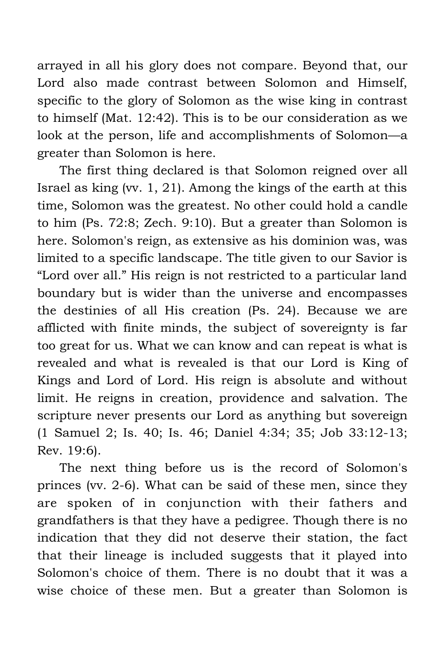arrayed in all his glory does not compare. Beyond that, our Lord also made contrast between Solomon and Himself, specific to the glory of Solomon as the wise king in contrast to himself (Mat. 12:42). This is to be our consideration as we look at the person, life and accomplishments of Solomon—a greater than Solomon is here.

The first thing declared is that Solomon reigned over all Israel as king (vv. 1, 21). Among the kings of the earth at this time, Solomon was the greatest. No other could hold a candle to him (Ps. 72:8; Zech. 9:10). But a greater than Solomon is here. Solomon's reign, as extensive as his dominion was, was limited to a specific landscape. The title given to our Savior is "Lord over all." His reign is not restricted to a particular land boundary but is wider than the universe and encompasses the destinies of all His creation (Ps. 24). Because we are afflicted with finite minds, the subject of sovereignty is far too great for us. What we can know and can repeat is what is revealed and what is revealed is that our Lord is King of Kings and Lord of Lord. His reign is absolute and without limit. He reigns in creation, providence and salvation. The scripture never presents our Lord as anything but sovereign (1 Samuel 2; Is. 40; Is. 46; Daniel 4:34; 35; Job 33:12-13; Rev. 19:6).

The next thing before us is the record of Solomon's princes (vv. 2-6). What can be said of these men, since they are spoken of in conjunction with their fathers and grandfathers is that they have a pedigree. Though there is no indication that they did not deserve their station, the fact that their lineage is included suggests that it played into Solomon's choice of them. There is no doubt that it was a wise choice of these men. But a greater than Solomon is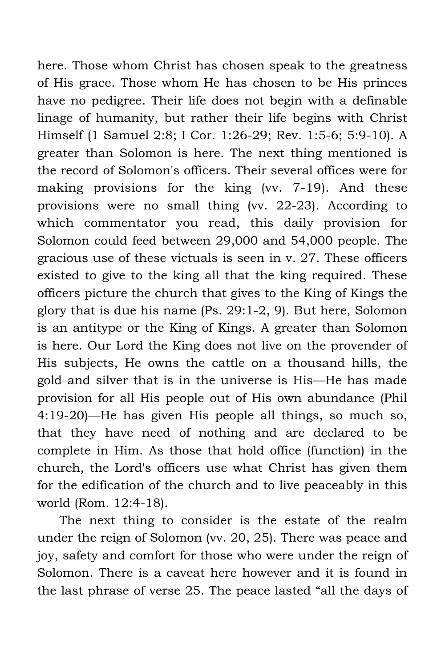here. Those whom Christ has chosen speak to the greatness of His grace. Those whom He has chosen to be His princes have no pedigree. Their life does not begin with a definable linage of humanity, but rather their life begins with Christ Himself (1 Samuel 2:8; I Cor. 1:26-29; Rev. 1:5-6; 5:9-10). A greater than Solomon is here. The next thing mentioned is the record of Solomon's officers. Their several offices were for making provisions for the king (vv. 7-19). And these provisions were no small thing (vv. 22-23). According to which commentator you read, this daily provision for Solomon could feed between 29,000 and 54,000 people. The gracious use of these victuals is seen in v. 27. These officers existed to give to the king all that the king required. These officers picture the church that gives to the King of Kings the glory that is due his name (Ps. 29:1-2, 9). But here, Solomon is an antitype or the King of Kings. A greater than Solomon is here. Our Lord the King does not live on the provender of His subjects, He owns the cattle on a thousand hills, the gold and silver that is in the universe is His—He has made provision for all His people out of His own abundance (Phil 4:19-20)—He has given His people all things, so much so, that they have need of nothing and are declared to be complete in Him. As those that hold office (function) in the church, the Lord's officers use what Christ has given them for the edification of the church and to live peaceably in this world (Rom. 12:4-18).

The next thing to consider is the estate of the realm under the reign of Solomon (vv. 20, 25). There was peace and joy, safety and comfort for those who were under the reign of Solomon. There is a caveat here however and it is found in the last phrase of verse 25. The peace lasted "all the days of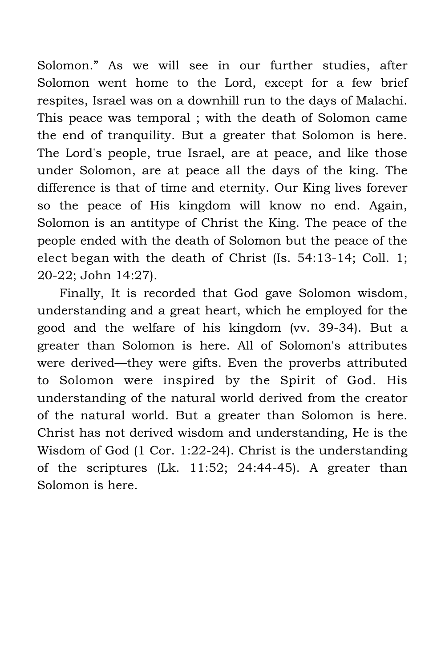Solomon." As we will see in our further studies, after Solomon went home to the Lord, except for a few brief respites, Israel was on a downhill run to the days of Malachi. This peace was temporal ; with the death of Solomon came the end of tranquility. But a greater that Solomon is here. The Lord's people, true Israel, are at peace, and like those under Solomon, are at peace all the days of the king. The difference is that of time and eternity. Our King lives forever so the peace of His kingdom will know no end. Again, Solomon is an antitype of Christ the King. The peace of the people ended with the death of Solomon but the peace of the elect began with the death of Christ (Is. 54:13-14; Coll. 1; 20-22; John 14:27).

Finally, It is recorded that God gave Solomon wisdom, understanding and a great heart, which he employed for the good and the welfare of his kingdom (vv. 39-34). But a greater than Solomon is here. All of Solomon's attributes were derived—they were gifts. Even the proverbs attributed to Solomon were inspired by the Spirit of God. His understanding of the natural world derived from the creator of the natural world. But a greater than Solomon is here. Christ has not derived wisdom and understanding, He is the Wisdom of God (1 Cor. 1:22-24). Christ is the understanding of the scriptures (Lk. 11:52; 24:44-45). A greater than Solomon is here.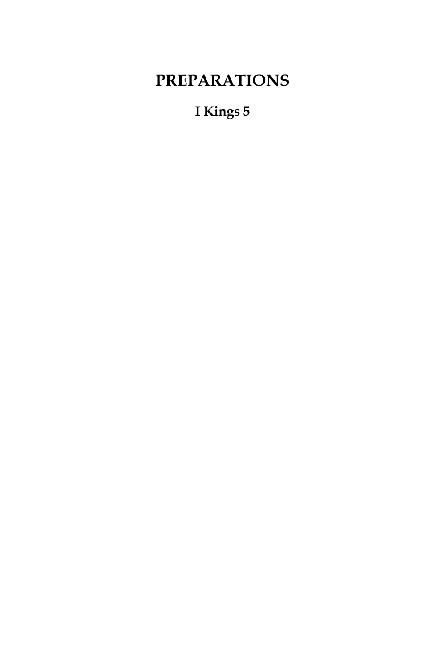## **PREPARATIONS**

**I Kings 5**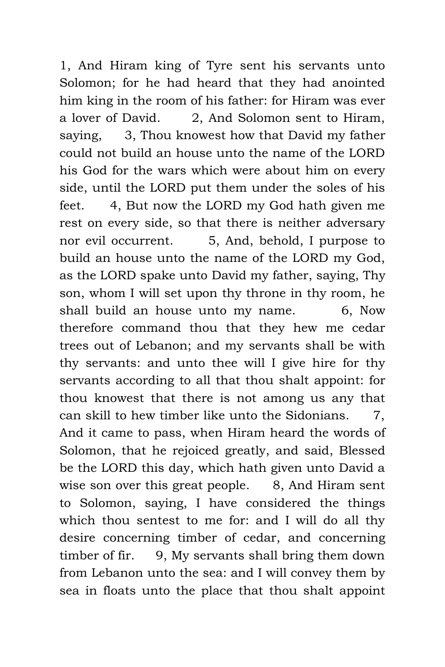1, And Hiram king of Tyre sent his servants unto Solomon; for he had heard that they had anointed him king in the room of his father: for Hiram was ever a lover of David. 2, And Solomon sent to Hiram, saying, 3, Thou knowest how that David my father could not build an house unto the name of the LORD his God for the wars which were about him on every side, until the LORD put them under the soles of his feet. 4, But now the LORD my God hath given me rest on every side, so that there is neither adversary nor evil occurrent. 5, And, behold, I purpose to build an house unto the name of the LORD my God, as the LORD spake unto David my father, saying, Thy son, whom I will set upon thy throne in thy room, he shall build an house unto my name. 6, Now therefore command thou that they hew me cedar trees out of Lebanon; and my servants shall be with thy servants: and unto thee will I give hire for thy servants according to all that thou shalt appoint: for thou knowest that there is not among us any that can skill to hew timber like unto the Sidonians. 7, And it came to pass, when Hiram heard the words of Solomon, that he rejoiced greatly, and said, Blessed be the LORD this day, which hath given unto David a wise son over this great people. 8, And Hiram sent to Solomon, saying, I have considered the things which thou sentest to me for: and I will do all thy desire concerning timber of cedar, and concerning timber of fir. 9, My servants shall bring them down from Lebanon unto the sea: and I will convey them by sea in floats unto the place that thou shalt appoint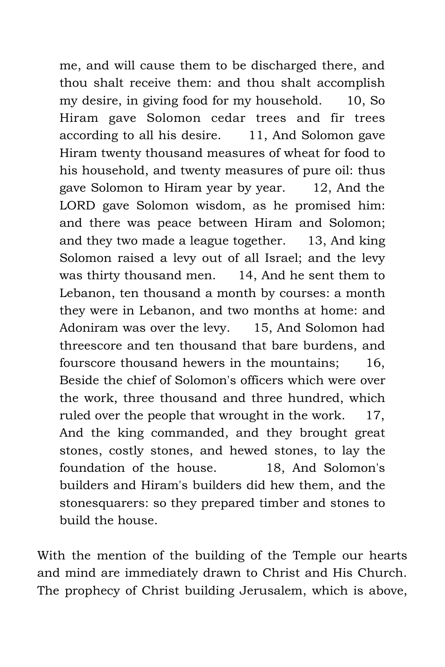me, and will cause them to be discharged there, and thou shalt receive them: and thou shalt accomplish my desire, in giving food for my household. 10, So Hiram gave Solomon cedar trees and fir trees according to all his desire. 11, And Solomon gave Hiram twenty thousand measures of wheat for food to his household, and twenty measures of pure oil: thus gave Solomon to Hiram year by year. 12, And the LORD gave Solomon wisdom, as he promised him: and there was peace between Hiram and Solomon; and they two made a league together. 13, And king Solomon raised a levy out of all Israel; and the levy was thirty thousand men. 14, And he sent them to Lebanon, ten thousand a month by courses: a month they were in Lebanon, and two months at home: and Adoniram was over the levy. 15, And Solomon had threescore and ten thousand that bare burdens, and fourscore thousand hewers in the mountains; 16, Beside the chief of Solomon's officers which were over the work, three thousand and three hundred, which ruled over the people that wrought in the work. 17, And the king commanded, and they brought great stones, costly stones, and hewed stones, to lay the foundation of the house. 18, And Solomon's builders and Hiram's builders did hew them, and the stonesquarers: so they prepared timber and stones to build the house.

With the mention of the building of the Temple our hearts and mind are immediately drawn to Christ and His Church. The prophecy of Christ building Jerusalem, which is above,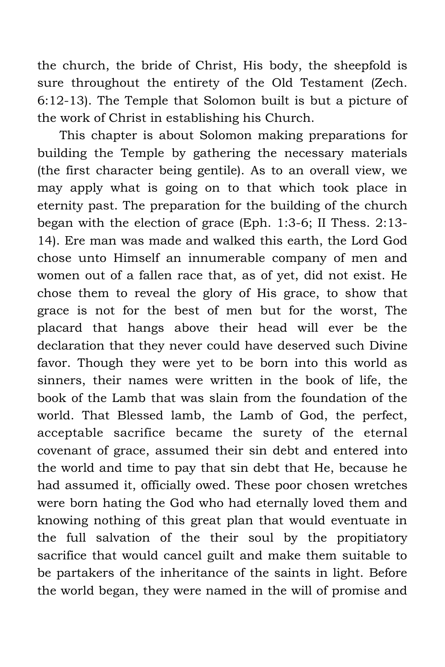the church, the bride of Christ, His body, the sheepfold is sure throughout the entirety of the Old Testament (Zech. 6:12-13). The Temple that Solomon built is but a picture of the work of Christ in establishing his Church.

This chapter is about Solomon making preparations for building the Temple by gathering the necessary materials (the first character being gentile). As to an overall view, we may apply what is going on to that which took place in eternity past. The preparation for the building of the church began with the election of grace (Eph. 1:3-6; II Thess. 2:13- 14). Ere man was made and walked this earth, the Lord God chose unto Himself an innumerable company of men and women out of a fallen race that, as of yet, did not exist. He chose them to reveal the glory of His grace, to show that grace is not for the best of men but for the worst, The placard that hangs above their head will ever be the declaration that they never could have deserved such Divine favor. Though they were yet to be born into this world as sinners, their names were written in the book of life, the book of the Lamb that was slain from the foundation of the world. That Blessed lamb, the Lamb of God, the perfect, acceptable sacrifice became the surety of the eternal covenant of grace, assumed their sin debt and entered into the world and time to pay that sin debt that He, because he had assumed it, officially owed. These poor chosen wretches were born hating the God who had eternally loved them and knowing nothing of this great plan that would eventuate in the full salvation of the their soul by the propitiatory sacrifice that would cancel guilt and make them suitable to be partakers of the inheritance of the saints in light. Before the world began, they were named in the will of promise and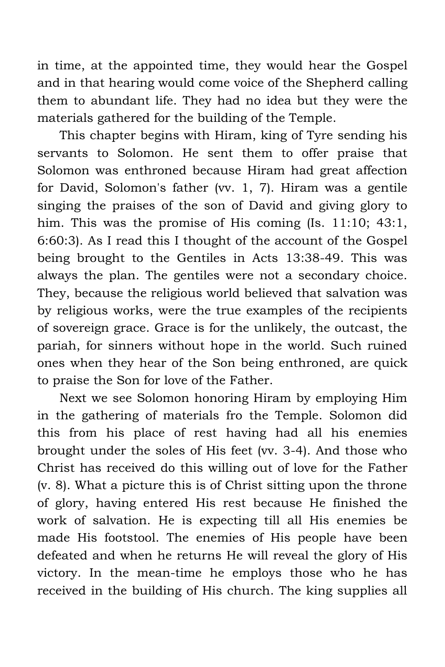in time, at the appointed time, they would hear the Gospel and in that hearing would come voice of the Shepherd calling them to abundant life. They had no idea but they were the materials gathered for the building of the Temple.

This chapter begins with Hiram, king of Tyre sending his servants to Solomon. He sent them to offer praise that Solomon was enthroned because Hiram had great affection for David, Solomon's father (vv. 1, 7). Hiram was a gentile singing the praises of the son of David and giving glory to him. This was the promise of His coming (Is. 11:10; 43:1, 6:60:3). As I read this I thought of the account of the Gospel being brought to the Gentiles in Acts 13:38-49. This was always the plan. The gentiles were not a secondary choice. They, because the religious world believed that salvation was by religious works, were the true examples of the recipients of sovereign grace. Grace is for the unlikely, the outcast, the pariah, for sinners without hope in the world. Such ruined ones when they hear of the Son being enthroned, are quick to praise the Son for love of the Father.

Next we see Solomon honoring Hiram by employing Him in the gathering of materials fro the Temple. Solomon did this from his place of rest having had all his enemies brought under the soles of His feet (vv. 3-4). And those who Christ has received do this willing out of love for the Father (v. 8). What a picture this is of Christ sitting upon the throne of glory, having entered His rest because He finished the work of salvation. He is expecting till all His enemies be made His footstool. The enemies of His people have been defeated and when he returns He will reveal the glory of His victory. In the mean-time he employs those who he has received in the building of His church. The king supplies all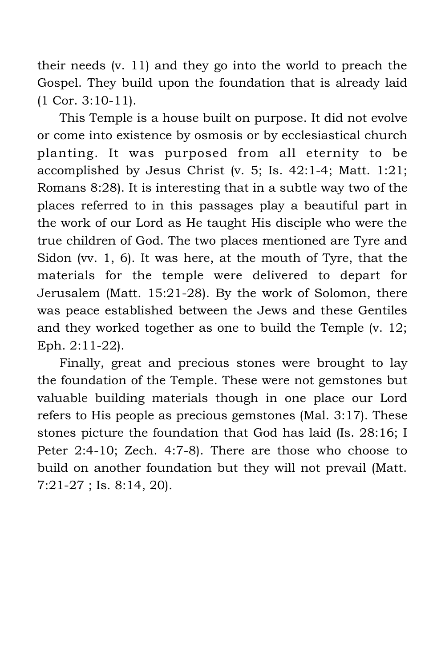their needs (v. 11) and they go into the world to preach the Gospel. They build upon the foundation that is already laid (1 Cor. 3:10-11).

This Temple is a house built on purpose. It did not evolve or come into existence by osmosis or by ecclesiastical church planting. It was purposed from all eternity to be accomplished by Jesus Christ (v. 5; Is. 42:1-4; Matt. 1:21; Romans 8:28). It is interesting that in a subtle way two of the places referred to in this passages play a beautiful part in the work of our Lord as He taught His disciple who were the true children of God. The two places mentioned are Tyre and Sidon (vv. 1, 6). It was here, at the mouth of Tyre, that the materials for the temple were delivered to depart for Jerusalem (Matt. 15:21-28). By the work of Solomon, there was peace established between the Jews and these Gentiles and they worked together as one to build the Temple (v. 12; Eph. 2:11-22).

Finally, great and precious stones were brought to lay the foundation of the Temple. These were not gemstones but valuable building materials though in one place our Lord refers to His people as precious gemstones (Mal. 3:17). These stones picture the foundation that God has laid (Is. 28:16; I Peter 2:4-10; Zech. 4:7-8). There are those who choose to build on another foundation but they will not prevail (Matt. 7:21-27 ; Is. 8:14, 20).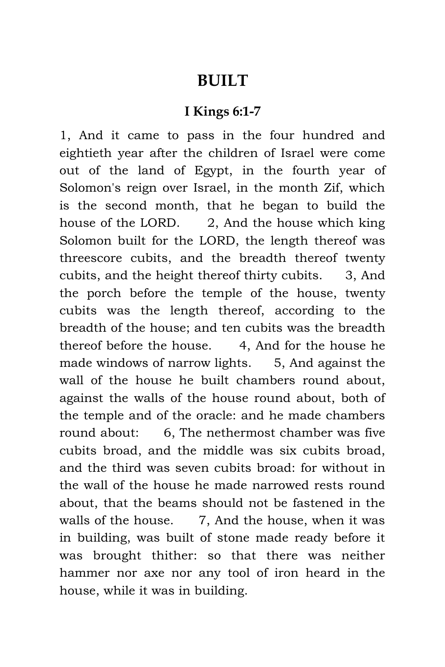#### **BUILT**

#### **I Kings 6:1-7**

1, And it came to pass in the four hundred and eightieth year after the children of Israel were come out of the land of Egypt, in the fourth year of Solomon's reign over Israel, in the month Zif, which is the second month, that he began to build the house of the LORD. 2, And the house which king Solomon built for the LORD, the length thereof was threescore cubits, and the breadth thereof twenty cubits, and the height thereof thirty cubits. 3, And the porch before the temple of the house, twenty cubits was the length thereof, according to the breadth of the house; and ten cubits was the breadth thereof before the house. 4, And for the house he made windows of narrow lights. 5, And against the wall of the house he built chambers round about, against the walls of the house round about, both of the temple and of the oracle: and he made chambers round about: 6, The nethermost chamber was five cubits broad, and the middle was six cubits broad, and the third was seven cubits broad: for without in the wall of the house he made narrowed rests round about, that the beams should not be fastened in the walls of the house. 7, And the house, when it was in building, was built of stone made ready before it was brought thither: so that there was neither hammer nor axe nor any tool of iron heard in the house, while it was in building.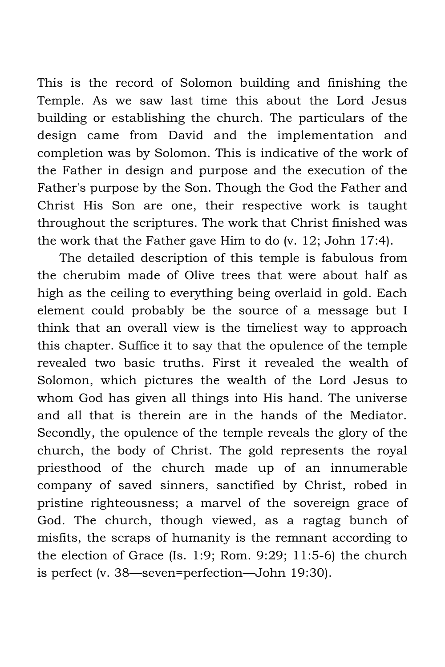This is the record of Solomon building and finishing the Temple. As we saw last time this about the Lord Jesus building or establishing the church. The particulars of the design came from David and the implementation and completion was by Solomon. This is indicative of the work of the Father in design and purpose and the execution of the Father's purpose by the Son. Though the God the Father and Christ His Son are one, their respective work is taught throughout the scriptures. The work that Christ finished was the work that the Father gave Him to do (v. 12; John 17:4).

The detailed description of this temple is fabulous from the cherubim made of Olive trees that were about half as high as the ceiling to everything being overlaid in gold. Each element could probably be the source of a message but I think that an overall view is the timeliest way to approach this chapter. Suffice it to say that the opulence of the temple revealed two basic truths. First it revealed the wealth of Solomon, which pictures the wealth of the Lord Jesus to whom God has given all things into His hand. The universe and all that is therein are in the hands of the Mediator. Secondly, the opulence of the temple reveals the glory of the church, the body of Christ. The gold represents the royal priesthood of the church made up of an innumerable company of saved sinners, sanctified by Christ, robed in pristine righteousness; a marvel of the sovereign grace of God. The church, though viewed, as a ragtag bunch of misfits, the scraps of humanity is the remnant according to the election of Grace (Is. 1:9; Rom. 9:29; 11:5-6) the church is perfect (v. 38—seven=perfection—John 19:30).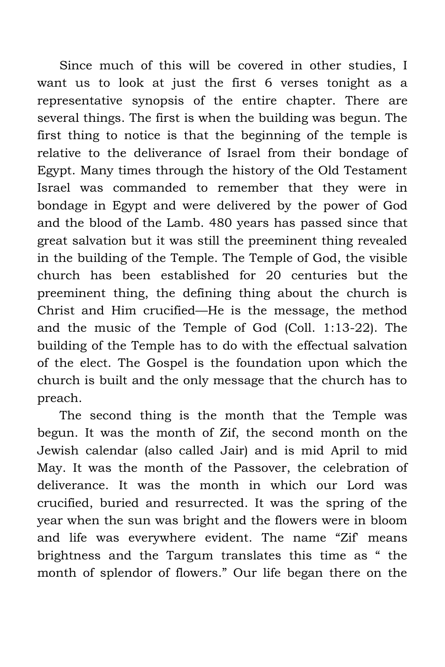Since much of this will be covered in other studies, I want us to look at just the first 6 verses tonight as a representative synopsis of the entire chapter. There are several things. The first is when the building was begun. The first thing to notice is that the beginning of the temple is relative to the deliverance of Israel from their bondage of Egypt. Many times through the history of the Old Testament Israel was commanded to remember that they were in bondage in Egypt and were delivered by the power of God and the blood of the Lamb. 480 years has passed since that great salvation but it was still the preeminent thing revealed in the building of the Temple. The Temple of God, the visible church has been established for 20 centuries but the preeminent thing, the defining thing about the church is Christ and Him crucified—He is the message, the method and the music of the Temple of God (Coll. 1:13-22). The building of the Temple has to do with the effectual salvation of the elect. The Gospel is the foundation upon which the church is built and the only message that the church has to preach.

The second thing is the month that the Temple was begun. It was the month of Zif, the second month on the Jewish calendar (also called Jair) and is mid April to mid May. It was the month of the Passover, the celebration of deliverance. It was the month in which our Lord was crucified, buried and resurrected. It was the spring of the year when the sun was bright and the flowers were in bloom and life was everywhere evident. The name "Zif' means brightness and the Targum translates this time as " the month of splendor of flowers." Our life began there on the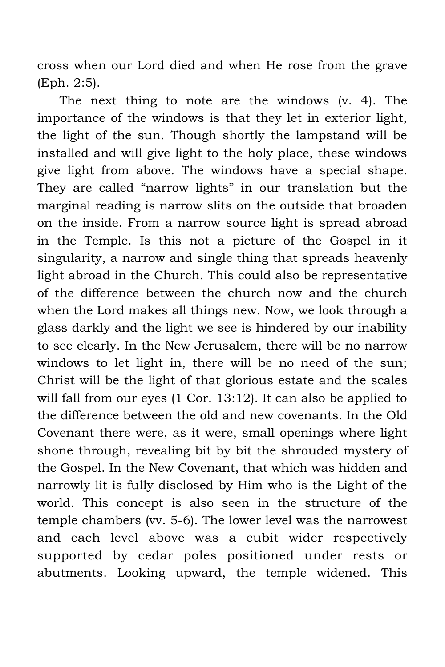cross when our Lord died and when He rose from the grave (Eph. 2:5).

The next thing to note are the windows (v. 4). The importance of the windows is that they let in exterior light, the light of the sun. Though shortly the lampstand will be installed and will give light to the holy place, these windows give light from above. The windows have a special shape. They are called "narrow lights" in our translation but the marginal reading is narrow slits on the outside that broaden on the inside. From a narrow source light is spread abroad in the Temple. Is this not a picture of the Gospel in it singularity, a narrow and single thing that spreads heavenly light abroad in the Church. This could also be representative of the difference between the church now and the church when the Lord makes all things new. Now, we look through a glass darkly and the light we see is hindered by our inability to see clearly. In the New Jerusalem, there will be no narrow windows to let light in, there will be no need of the sun; Christ will be the light of that glorious estate and the scales will fall from our eyes (1 Cor. 13:12). It can also be applied to the difference between the old and new covenants. In the Old Covenant there were, as it were, small openings where light shone through, revealing bit by bit the shrouded mystery of the Gospel. In the New Covenant, that which was hidden and narrowly lit is fully disclosed by Him who is the Light of the world. This concept is also seen in the structure of the temple chambers (vv. 5-6). The lower level was the narrowest and each level above was a cubit wider respectively supported by cedar poles positioned under rests or abutments. Looking upward, the temple widened. This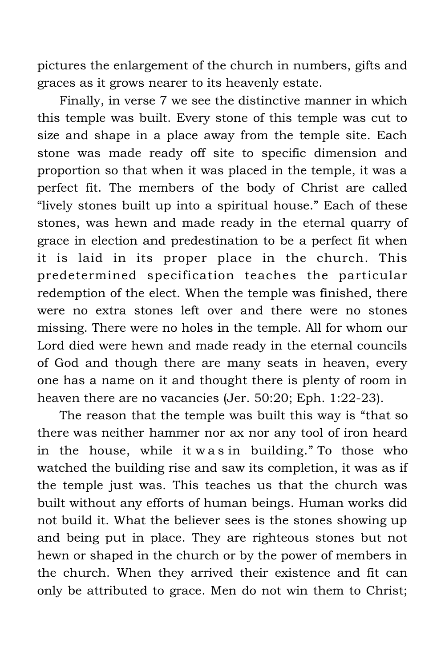pictures the enlargement of the church in numbers, gifts and graces as it grows nearer to its heavenly estate.

Finally, in verse 7 we see the distinctive manner in which this temple was built. Every stone of this temple was cut to size and shape in a place away from the temple site. Each stone was made ready off site to specific dimension and proportion so that when it was placed in the temple, it was a perfect fit. The members of the body of Christ are called "lively stones built up into a spiritual house." Each of these stones, was hewn and made ready in the eternal quarry of grace in election and predestination to be a perfect fit when it is laid in its proper place in the church. This predetermined specification teaches the particular redemption of the elect. When the temple was finished, there were no extra stones left over and there were no stones missing. There were no holes in the temple. All for whom our Lord died were hewn and made ready in the eternal councils of God and though there are many seats in heaven, every one has a name on it and thought there is plenty of room in heaven there are no vacancies (Jer. 50:20; Eph. 1:22-23).

The reason that the temple was built this way is "that so there was neither hammer nor ax nor any tool of iron heard in the house, while it w a s in building." To those who watched the building rise and saw its completion, it was as if the temple just was. This teaches us that the church was built without any efforts of human beings. Human works did not build it. What the believer sees is the stones showing up and being put in place. They are righteous stones but not hewn or shaped in the church or by the power of members in the church. When they arrived their existence and fit can only be attributed to grace. Men do not win them to Christ;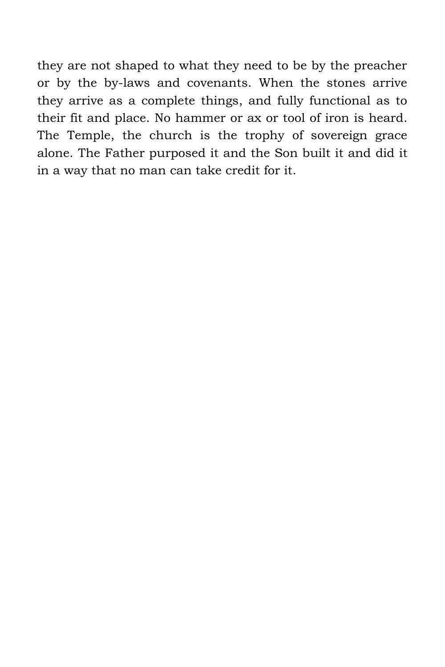they are not shaped to what they need to be by the preacher or by the by-laws and covenants. When the stones arrive they arrive as a complete things, and fully functional as to their fit and place. No hammer or ax or tool of iron is heard. The Temple, the church is the trophy of sovereign grace alone. The Father purposed it and the Son built it and did it in a way that no man can take credit for it.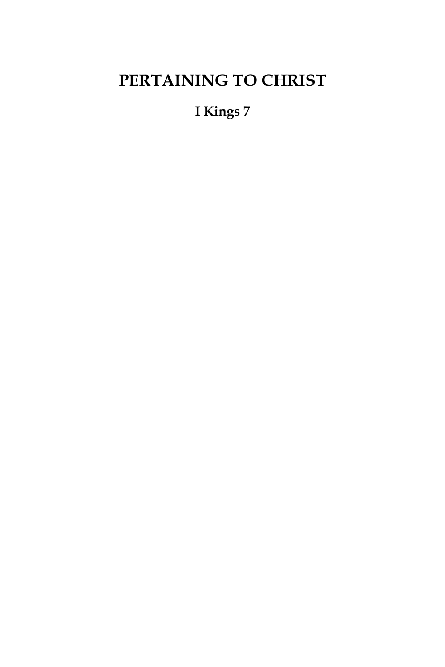# **PERTAINING TO CHRIST**

**I Kings 7**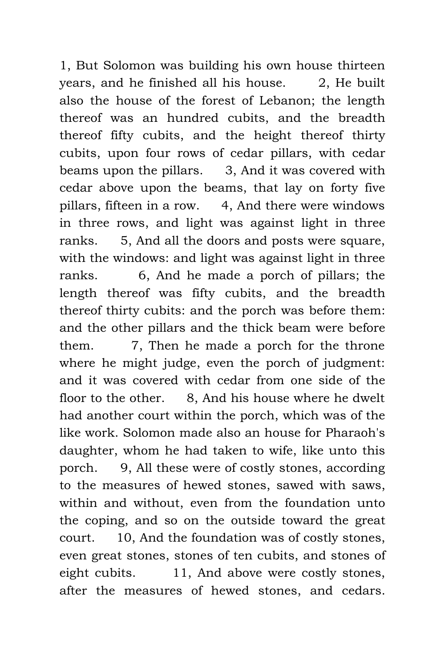1, But Solomon was building his own house thirteen years, and he finished all his house. 2, He built also the house of the forest of Lebanon; the length thereof was an hundred cubits, and the breadth thereof fifty cubits, and the height thereof thirty cubits, upon four rows of cedar pillars, with cedar beams upon the pillars. 3, And it was covered with cedar above upon the beams, that lay on forty five pillars, fifteen in a row. 4, And there were windows in three rows, and light was against light in three ranks. 5, And all the doors and posts were square, with the windows: and light was against light in three ranks. 6, And he made a porch of pillars; the length thereof was fifty cubits, and the breadth thereof thirty cubits: and the porch was before them: and the other pillars and the thick beam were before them. 7, Then he made a porch for the throne where he might judge, even the porch of judgment: and it was covered with cedar from one side of the floor to the other. 8, And his house where he dwelt had another court within the porch, which was of the like work. Solomon made also an house for Pharaoh's daughter, whom he had taken to wife, like unto this porch. 9, All these were of costly stones, according to the measures of hewed stones, sawed with saws, within and without, even from the foundation unto the coping, and so on the outside toward the great court. 10, And the foundation was of costly stones, even great stones, stones of ten cubits, and stones of eight cubits. 11, And above were costly stones, after the measures of hewed stones, and cedars.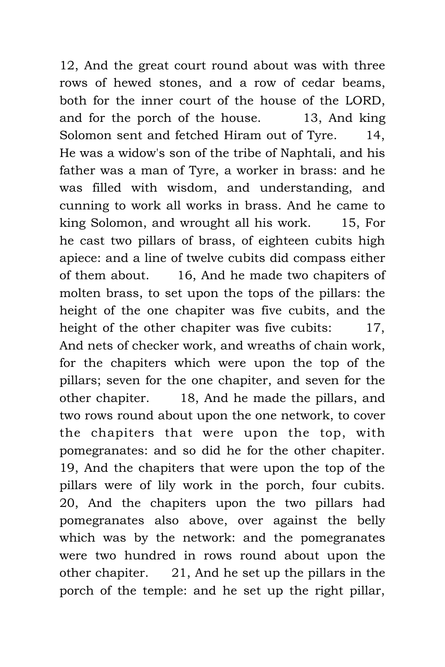12, And the great court round about was with three rows of hewed stones, and a row of cedar beams, both for the inner court of the house of the LORD, and for the porch of the house. 13, And king Solomon sent and fetched Hiram out of Tyre. 14, He was a widow's son of the tribe of Naphtali, and his father was a man of Tyre, a worker in brass: and he was filled with wisdom, and understanding, and cunning to work all works in brass. And he came to king Solomon, and wrought all his work. 15, For he cast two pillars of brass, of eighteen cubits high apiece: and a line of twelve cubits did compass either of them about. 16, And he made two chapiters of molten brass, to set upon the tops of the pillars: the height of the one chapiter was five cubits, and the height of the other chapiter was five cubits: 17, And nets of checker work, and wreaths of chain work, for the chapiters which were upon the top of the pillars; seven for the one chapiter, and seven for the other chapiter. 18, And he made the pillars, and two rows round about upon the one network, to cover the chapiters that were upon the top, with pomegranates: and so did he for the other chapiter. 19, And the chapiters that were upon the top of the pillars were of lily work in the porch, four cubits. 20, And the chapiters upon the two pillars had pomegranates also above, over against the belly which was by the network: and the pomegranates were two hundred in rows round about upon the other chapiter. 21, And he set up the pillars in the porch of the temple: and he set up the right pillar,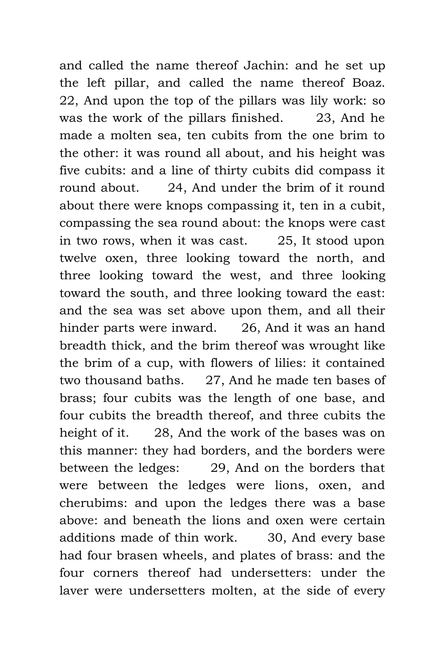and called the name thereof Jachin: and he set up the left pillar, and called the name thereof Boaz. 22, And upon the top of the pillars was lily work: so was the work of the pillars finished. 23, And he made a molten sea, ten cubits from the one brim to the other: it was round all about, and his height was five cubits: and a line of thirty cubits did compass it round about. 24, And under the brim of it round about there were knops compassing it, ten in a cubit, compassing the sea round about: the knops were cast in two rows, when it was cast. 25, It stood upon twelve oxen, three looking toward the north, and three looking toward the west, and three looking toward the south, and three looking toward the east: and the sea was set above upon them, and all their hinder parts were inward. 26, And it was an hand breadth thick, and the brim thereof was wrought like the brim of a cup, with flowers of lilies: it contained two thousand baths. 27, And he made ten bases of brass; four cubits was the length of one base, and four cubits the breadth thereof, and three cubits the height of it. 28, And the work of the bases was on this manner: they had borders, and the borders were between the ledges: 29, And on the borders that were between the ledges were lions, oxen, and cherubims: and upon the ledges there was a base above: and beneath the lions and oxen were certain additions made of thin work. 30, And every base had four brasen wheels, and plates of brass: and the four corners thereof had undersetters: under the laver were undersetters molten, at the side of every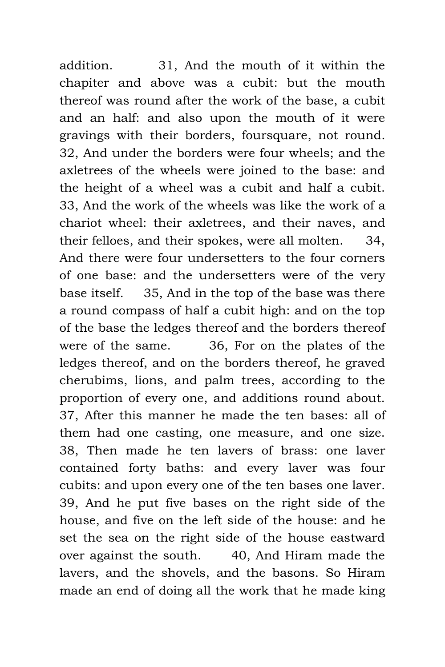addition. 31, And the mouth of it within the chapiter and above was a cubit: but the mouth thereof was round after the work of the base, a cubit and an half: and also upon the mouth of it were gravings with their borders, foursquare, not round. 32, And under the borders were four wheels; and the axletrees of the wheels were joined to the base: and the height of a wheel was a cubit and half a cubit. 33, And the work of the wheels was like the work of a chariot wheel: their axletrees, and their naves, and their felloes, and their spokes, were all molten. 34, And there were four undersetters to the four corners of one base: and the undersetters were of the very base itself. 35, And in the top of the base was there a round compass of half a cubit high: and on the top of the base the ledges thereof and the borders thereof were of the same. 36, For on the plates of the ledges thereof, and on the borders thereof, he graved cherubims, lions, and palm trees, according to the proportion of every one, and additions round about. 37, After this manner he made the ten bases: all of them had one casting, one measure, and one size. 38, Then made he ten lavers of brass: one laver contained forty baths: and every laver was four cubits: and upon every one of the ten bases one laver. 39, And he put five bases on the right side of the house, and five on the left side of the house: and he set the sea on the right side of the house eastward over against the south. 40, And Hiram made the lavers, and the shovels, and the basons. So Hiram made an end of doing all the work that he made king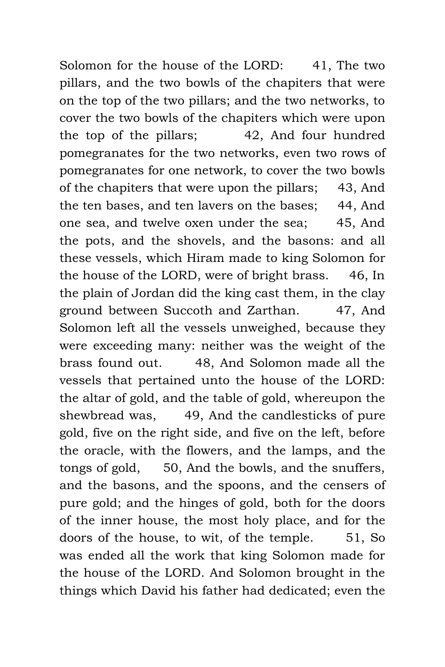Solomon for the house of the LORD: 41, The two pillars, and the two bowls of the chapiters that were on the top of the two pillars; and the two networks, to cover the two bowls of the chapiters which were upon the top of the pillars; 42, And four hundred pomegranates for the two networks, even two rows of pomegranates for one network, to cover the two bowls of the chapiters that were upon the pillars; 43, And the ten bases, and ten lavers on the bases; 44, And one sea, and twelve oxen under the sea; 45, And the pots, and the shovels, and the basons: and all these vessels, which Hiram made to king Solomon for the house of the LORD, were of bright brass. 46, In the plain of Jordan did the king cast them, in the clay ground between Succoth and Zarthan. 47, And Solomon left all the vessels unweighed, because they were exceeding many: neither was the weight of the brass found out. 48, And Solomon made all the vessels that pertained unto the house of the LORD: the altar of gold, and the table of gold, whereupon the shewbread was, 49, And the candlesticks of pure gold, five on the right side, and five on the left, before the oracle, with the flowers, and the lamps, and the tongs of gold, 50, And the bowls, and the snuffers, and the basons, and the spoons, and the censers of pure gold; and the hinges of gold, both for the doors of the inner house, the most holy place, and for the doors of the house, to wit, of the temple. 51, So was ended all the work that king Solomon made for the house of the LORD. And Solomon brought in the things which David his father had dedicated; even the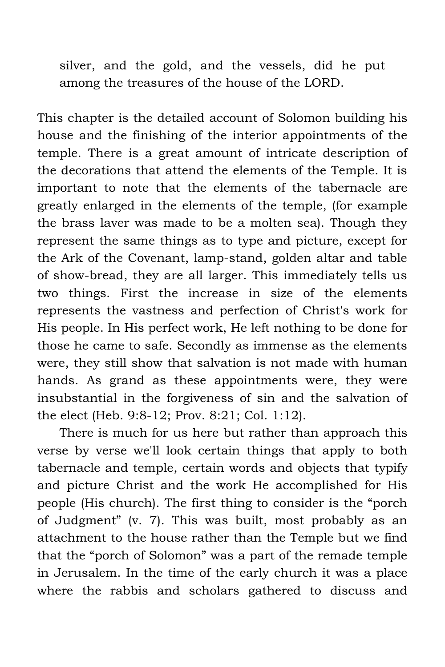silver, and the gold, and the vessels, did he put among the treasures of the house of the LORD.

This chapter is the detailed account of Solomon building his house and the finishing of the interior appointments of the temple. There is a great amount of intricate description of the decorations that attend the elements of the Temple. It is important to note that the elements of the tabernacle are greatly enlarged in the elements of the temple, (for example the brass laver was made to be a molten sea). Though they represent the same things as to type and picture, except for the Ark of the Covenant, lamp-stand, golden altar and table of show-bread, they are all larger. This immediately tells us two things. First the increase in size of the elements represents the vastness and perfection of Christ's work for His people. In His perfect work, He left nothing to be done for those he came to safe. Secondly as immense as the elements were, they still show that salvation is not made with human hands. As grand as these appointments were, they were insubstantial in the forgiveness of sin and the salvation of the elect (Heb. 9:8-12; Prov. 8:21; Col. 1:12).

There is much for us here but rather than approach this verse by verse we'll look certain things that apply to both tabernacle and temple, certain words and objects that typify and picture Christ and the work He accomplished for His people (His church). The first thing to consider is the "porch of Judgment" (v. 7). This was built, most probably as an attachment to the house rather than the Temple but we find that the "porch of Solomon" was a part of the remade temple in Jerusalem. In the time of the early church it was a place where the rabbis and scholars gathered to discuss and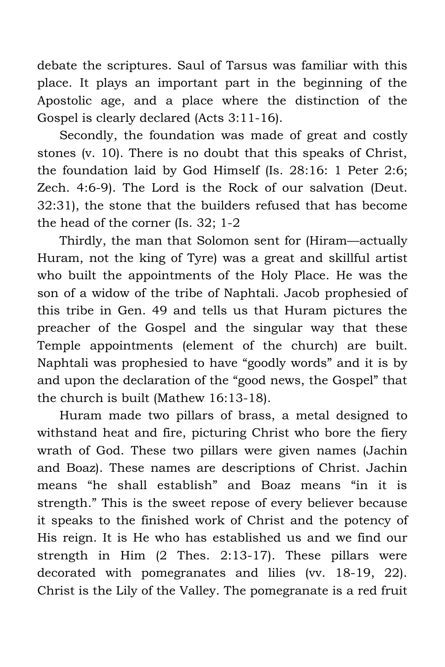debate the scriptures. Saul of Tarsus was familiar with this place. It plays an important part in the beginning of the Apostolic age, and a place where the distinction of the Gospel is clearly declared (Acts 3:11-16).

Secondly, the foundation was made of great and costly stones (v. 10). There is no doubt that this speaks of Christ, the foundation laid by God Himself (Is. 28:16: 1 Peter 2:6; Zech. 4:6-9). The Lord is the Rock of our salvation (Deut. 32:31), the stone that the builders refused that has become the head of the corner (Is. 32; 1-2

Thirdly, the man that Solomon sent for (Hiram—actually Huram, not the king of Tyre) was a great and skillful artist who built the appointments of the Holy Place. He was the son of a widow of the tribe of Naphtali. Jacob prophesied of this tribe in Gen. 49 and tells us that Huram pictures the preacher of the Gospel and the singular way that these Temple appointments (element of the church) are built. Naphtali was prophesied to have "goodly words" and it is by and upon the declaration of the "good news, the Gospel" that the church is built (Mathew 16:13-18).

Huram made two pillars of brass, a metal designed to withstand heat and fire, picturing Christ who bore the fiery wrath of God. These two pillars were given names (Jachin and Boaz). These names are descriptions of Christ. Jachin means "he shall establish" and Boaz means "in it is strength." This is the sweet repose of every believer because it speaks to the finished work of Christ and the potency of His reign. It is He who has established us and we find our strength in Him (2 Thes. 2:13-17). These pillars were decorated with pomegranates and lilies (vv. 18-19, 22). Christ is the Lily of the Valley. The pomegranate is a red fruit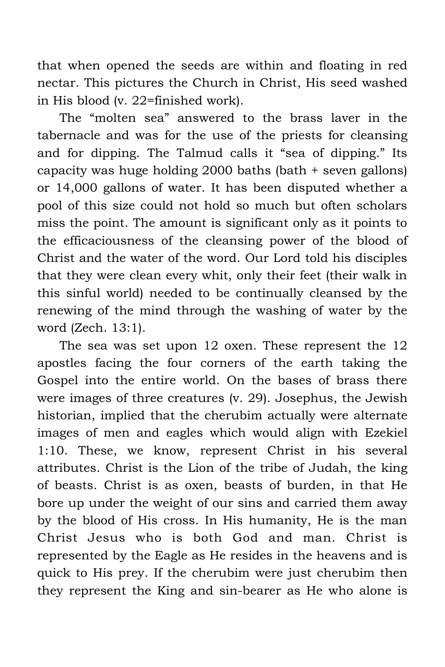that when opened the seeds are within and floating in red nectar. This pictures the Church in Christ, His seed washed in His blood (v. 22=finished work).

The "molten sea" answered to the brass laver in the tabernacle and was for the use of the priests for cleansing and for dipping. The Talmud calls it "sea of dipping." Its capacity was huge holding 2000 baths (bath + seven gallons) or 14,000 gallons of water. It has been disputed whether a pool of this size could not hold so much but often scholars miss the point. The amount is significant only as it points to the efficaciousness of the cleansing power of the blood of Christ and the water of the word. Our Lord told his disciples that they were clean every whit, only their feet (their walk in this sinful world) needed to be continually cleansed by the renewing of the mind through the washing of water by the word (Zech. 13:1).

The sea was set upon 12 oxen. These represent the 12 apostles facing the four corners of the earth taking the Gospel into the entire world. On the bases of brass there were images of three creatures (v. 29). Josephus, the Jewish historian, implied that the cherubim actually were alternate images of men and eagles which would align with Ezekiel 1:10. These, we know, represent Christ in his several attributes. Christ is the Lion of the tribe of Judah, the king of beasts. Christ is as oxen, beasts of burden, in that He bore up under the weight of our sins and carried them away by the blood of His cross. In His humanity, He is the man Christ Jesus who is both God and man. Christ is represented by the Eagle as He resides in the heavens and is quick to His prey. If the cherubim were just cherubim then they represent the King and sin-bearer as He who alone is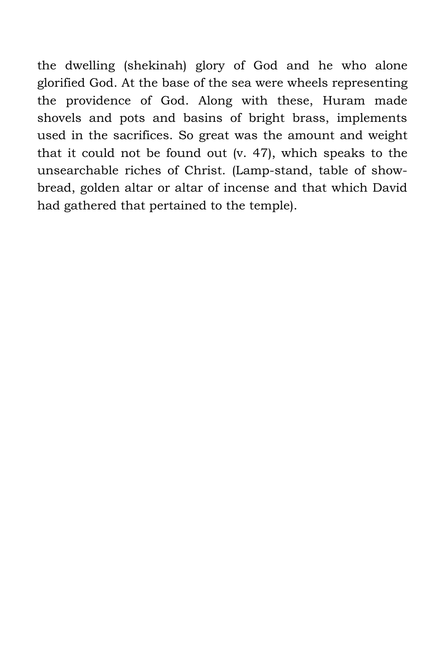the dwelling (shekinah) glory of God and he who alone glorified God. At the base of the sea were wheels representing the providence of God. Along with these, Huram made shovels and pots and basins of bright brass, implements used in the sacrifices. So great was the amount and weight that it could not be found out (v. 47), which speaks to the unsearchable riches of Christ. (Lamp-stand, table of showbread, golden altar or altar of incense and that which David had gathered that pertained to the temple).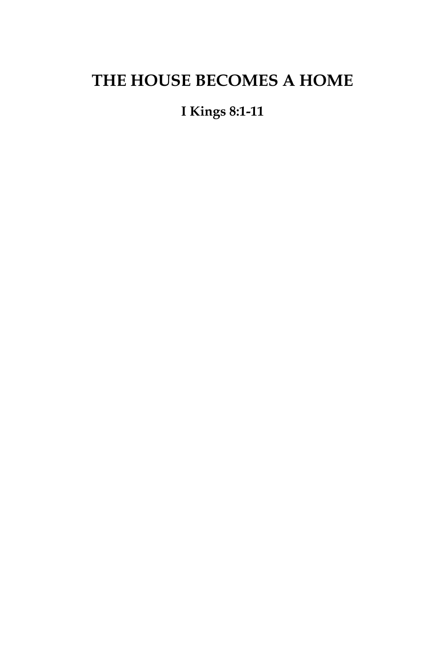# **THE HOUSE BECOMES A HOME**

## **I Kings 8:1-11**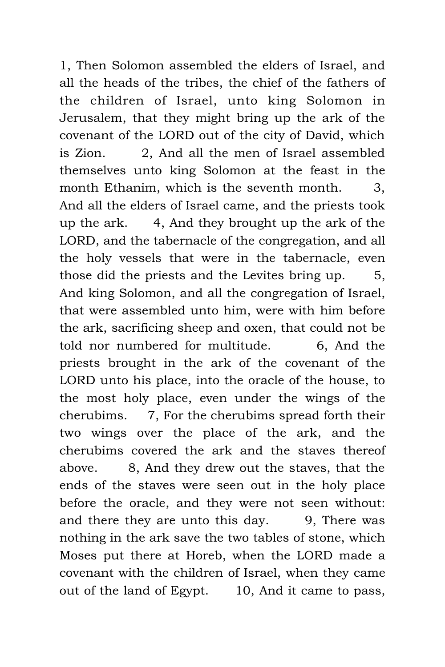1, Then Solomon assembled the elders of Israel, and all the heads of the tribes, the chief of the fathers of the children of Israel, unto king Solomon in Jerusalem, that they might bring up the ark of the covenant of the LORD out of the city of David, which is Zion. 2, And all the men of Israel assembled themselves unto king Solomon at the feast in the month Ethanim, which is the seventh month. 3, And all the elders of Israel came, and the priests took up the ark. 4, And they brought up the ark of the LORD, and the tabernacle of the congregation, and all the holy vessels that were in the tabernacle, even those did the priests and the Levites bring up. 5, And king Solomon, and all the congregation of Israel, that were assembled unto him, were with him before the ark, sacrificing sheep and oxen, that could not be told nor numbered for multitude. 6, And the priests brought in the ark of the covenant of the LORD unto his place, into the oracle of the house, to the most holy place, even under the wings of the cherubims. 7, For the cherubims spread forth their two wings over the place of the ark, and the cherubims covered the ark and the staves thereof above. 8, And they drew out the staves, that the ends of the staves were seen out in the holy place before the oracle, and they were not seen without: and there they are unto this day. 9, There was nothing in the ark save the two tables of stone, which Moses put there at Horeb, when the LORD made a covenant with the children of Israel, when they came out of the land of Egypt. 10, And it came to pass,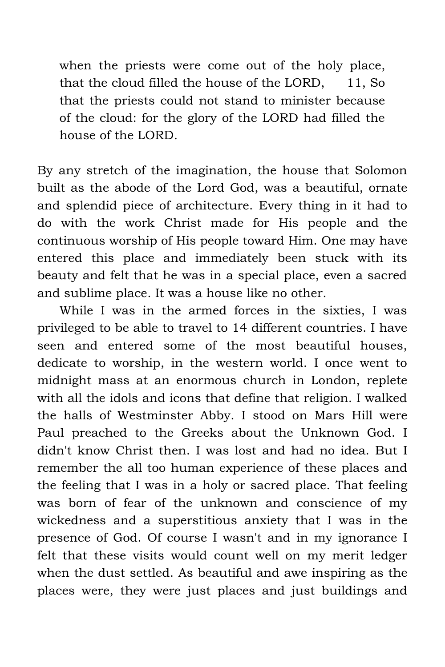when the priests were come out of the holy place, that the cloud filled the house of the LORD, 11, So that the priests could not stand to minister because of the cloud: for the glory of the LORD had filled the house of the LORD.

By any stretch of the imagination, the house that Solomon built as the abode of the Lord God, was a beautiful, ornate and splendid piece of architecture. Every thing in it had to do with the work Christ made for His people and the continuous worship of His people toward Him. One may have entered this place and immediately been stuck with its beauty and felt that he was in a special place, even a sacred and sublime place. It was a house like no other.

While I was in the armed forces in the sixties, I was privileged to be able to travel to 14 different countries. I have seen and entered some of the most beautiful houses, dedicate to worship, in the western world. I once went to midnight mass at an enormous church in London, replete with all the idols and icons that define that religion. I walked the halls of Westminster Abby. I stood on Mars Hill were Paul preached to the Greeks about the Unknown God. I didn't know Christ then. I was lost and had no idea. But I remember the all too human experience of these places and the feeling that I was in a holy or sacred place. That feeling was born of fear of the unknown and conscience of my wickedness and a superstitious anxiety that I was in the presence of God. Of course I wasn't and in my ignorance I felt that these visits would count well on my merit ledger when the dust settled. As beautiful and awe inspiring as the places were, they were just places and just buildings and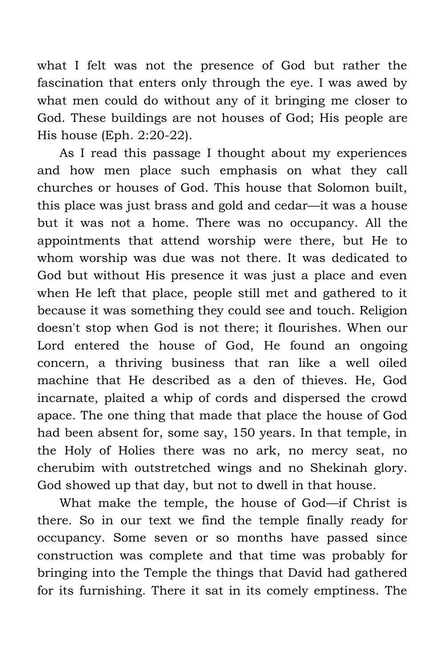what I felt was not the presence of God but rather the fascination that enters only through the eye. I was awed by what men could do without any of it bringing me closer to God. These buildings are not houses of God; His people are His house (Eph. 2:20-22).

As I read this passage I thought about my experiences and how men place such emphasis on what they call churches or houses of God. This house that Solomon built, this place was just brass and gold and cedar—it was a house but it was not a home. There was no occupancy. All the appointments that attend worship were there, but He to whom worship was due was not there. It was dedicated to God but without His presence it was just a place and even when He left that place, people still met and gathered to it because it was something they could see and touch. Religion doesn't stop when God is not there; it flourishes. When our Lord entered the house of God, He found an ongoing concern, a thriving business that ran like a well oiled machine that He described as a den of thieves. He, God incarnate, plaited a whip of cords and dispersed the crowd apace. The one thing that made that place the house of God had been absent for, some say, 150 years. In that temple, in the Holy of Holies there was no ark, no mercy seat, no cherubim with outstretched wings and no Shekinah glory. God showed up that day, but not to dwell in that house.

What make the temple, the house of God—if Christ is there. So in our text we find the temple finally ready for occupancy. Some seven or so months have passed since construction was complete and that time was probably for bringing into the Temple the things that David had gathered for its furnishing. There it sat in its comely emptiness. The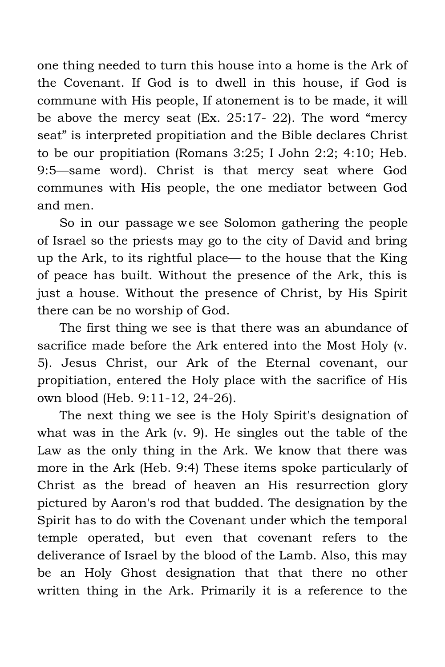one thing needed to turn this house into a home is the Ark of the Covenant. If God is to dwell in this house, if God is commune with His people, If atonement is to be made, it will be above the mercy seat (Ex. 25:17- 22). The word "mercy seat" is interpreted propitiation and the Bible declares Christ to be our propitiation (Romans 3:25; I John 2:2; 4:10; Heb. 9:5—same word). Christ is that mercy seat where God communes with His people, the one mediator between God and men.

So in our passage we see Solomon gathering the people of Israel so the priests may go to the city of David and bring up the Ark, to its rightful place— to the house that the King of peace has built. Without the presence of the Ark, this is just a house. Without the presence of Christ, by His Spirit there can be no worship of God.

The first thing we see is that there was an abundance of sacrifice made before the Ark entered into the Most Holy (v. 5). Jesus Christ, our Ark of the Eternal covenant, our propitiation, entered the Holy place with the sacrifice of His own blood (Heb. 9:11-12, 24-26).

The next thing we see is the Holy Spirit's designation of what was in the Ark (v. 9). He singles out the table of the Law as the only thing in the Ark. We know that there was more in the Ark (Heb. 9:4) These items spoke particularly of Christ as the bread of heaven an His resurrection glory pictured by Aaron's rod that budded. The designation by the Spirit has to do with the Covenant under which the temporal temple operated, but even that covenant refers to the deliverance of Israel by the blood of the Lamb. Also, this may be an Holy Ghost designation that that there no other written thing in the Ark. Primarily it is a reference to the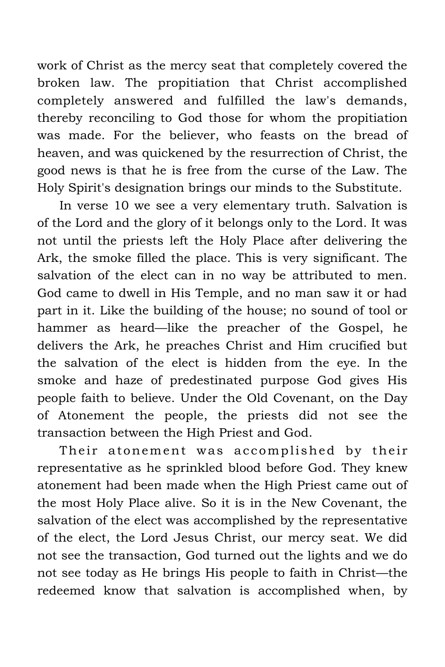work of Christ as the mercy seat that completely covered the broken law. The propitiation that Christ accomplished completely answered and fulfilled the law's demands, thereby reconciling to God those for whom the propitiation was made. For the believer, who feasts on the bread of heaven, and was quickened by the resurrection of Christ, the good news is that he is free from the curse of the Law. The Holy Spirit's designation brings our minds to the Substitute.

In verse 10 we see a very elementary truth. Salvation is of the Lord and the glory of it belongs only to the Lord. It was not until the priests left the Holy Place after delivering the Ark, the smoke filled the place. This is very significant. The salvation of the elect can in no way be attributed to men. God came to dwell in His Temple, and no man saw it or had part in it. Like the building of the house; no sound of tool or hammer as heard—like the preacher of the Gospel, he delivers the Ark, he preaches Christ and Him crucified but the salvation of the elect is hidden from the eye. In the smoke and haze of predestinated purpose God gives His people faith to believe. Under the Old Covenant, on the Day of Atonement the people, the priests did not see the transaction between the High Priest and God.

Their atonement was accomplished by their representative as he sprinkled blood before God. They knew atonement had been made when the High Priest came out of the most Holy Place alive. So it is in the New Covenant, the salvation of the elect was accomplished by the representative of the elect, the Lord Jesus Christ, our mercy seat. We did not see the transaction, God turned out the lights and we do not see today as He brings His people to faith in Christ—the redeemed know that salvation is accomplished when, by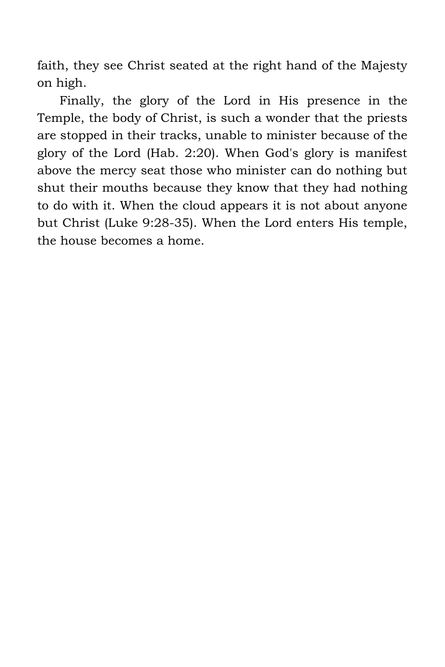faith, they see Christ seated at the right hand of the Majesty on high.

Finally, the glory of the Lord in His presence in the Temple, the body of Christ, is such a wonder that the priests are stopped in their tracks, unable to minister because of the glory of the Lord (Hab. 2:20). When God's glory is manifest above the mercy seat those who minister can do nothing but shut their mouths because they know that they had nothing to do with it. When the cloud appears it is not about anyone but Christ (Luke 9:28-35). When the Lord enters His temple, the house becomes a home.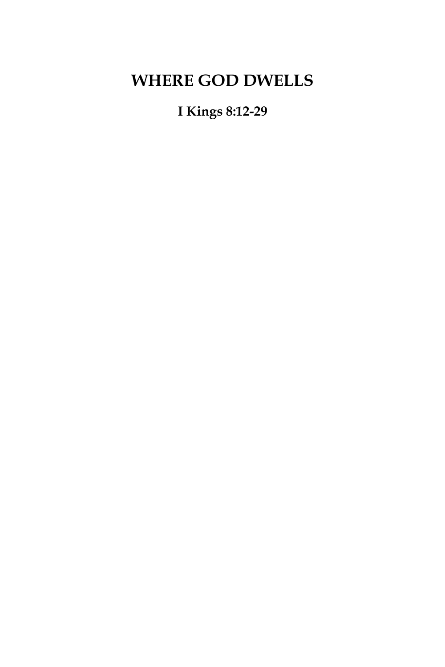# **WHERE GOD DWELLS**

**I Kings 8:12-29**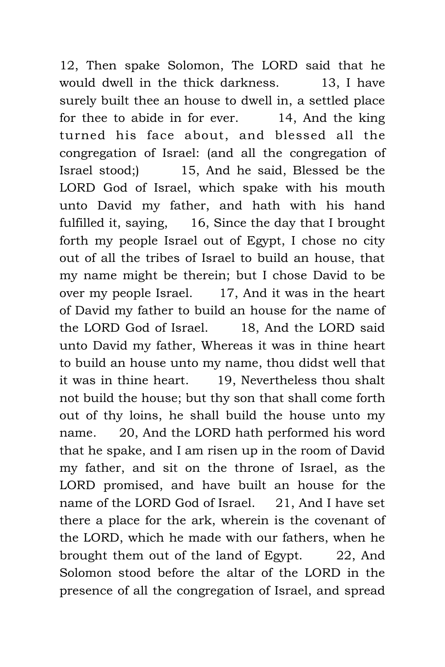12, Then spake Solomon, The LORD said that he would dwell in the thick darkness. 13, I have surely built thee an house to dwell in, a settled place for thee to abide in for ever. 14, And the king turned his face about, and blessed all the congregation of Israel: (and all the congregation of Israel stood;) 15, And he said, Blessed be the LORD God of Israel, which spake with his mouth unto David my father, and hath with his hand fulfilled it, saying, 16, Since the day that I brought forth my people Israel out of Egypt, I chose no city out of all the tribes of Israel to build an house, that my name might be therein; but I chose David to be over my people Israel. 17, And it was in the heart of David my father to build an house for the name of the LORD God of Israel. 18, And the LORD said unto David my father, Whereas it was in thine heart to build an house unto my name, thou didst well that it was in thine heart. 19, Nevertheless thou shalt not build the house; but thy son that shall come forth out of thy loins, he shall build the house unto my name. 20, And the LORD hath performed his word that he spake, and I am risen up in the room of David my father, and sit on the throne of Israel, as the LORD promised, and have built an house for the name of the LORD God of Israel. 21, And I have set there a place for the ark, wherein is the covenant of the LORD, which he made with our fathers, when he brought them out of the land of Egypt. 22, And Solomon stood before the altar of the LORD in the presence of all the congregation of Israel, and spread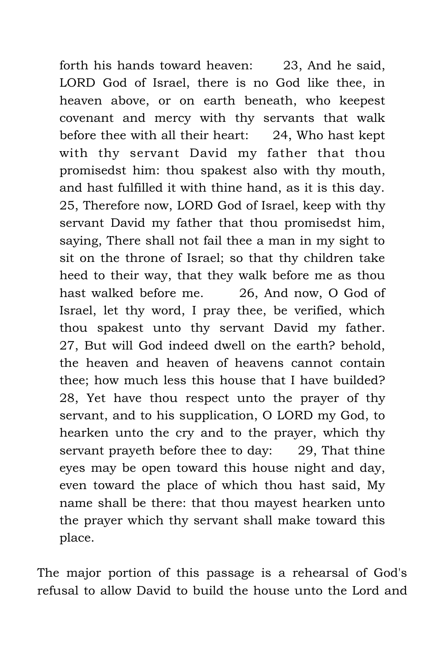forth his hands toward heaven: 23, And he said, LORD God of Israel, there is no God like thee, in heaven above, or on earth beneath, who keepest covenant and mercy with thy servants that walk before thee with all their heart: 24, Who hast kept with thy servant David my father that thou promisedst him: thou spakest also with thy mouth, and hast fulfilled it with thine hand, as it is this day. 25, Therefore now, LORD God of Israel, keep with thy servant David my father that thou promisedst him, saying, There shall not fail thee a man in my sight to sit on the throne of Israel; so that thy children take heed to their way, that they walk before me as thou hast walked before me. 26, And now, O God of Israel, let thy word, I pray thee, be verified, which thou spakest unto thy servant David my father. 27, But will God indeed dwell on the earth? behold, the heaven and heaven of heavens cannot contain thee; how much less this house that I have builded? 28, Yet have thou respect unto the prayer of thy servant, and to his supplication, O LORD my God, to hearken unto the cry and to the prayer, which thy servant prayeth before thee to day: 29, That thine eyes may be open toward this house night and day, even toward the place of which thou hast said, My name shall be there: that thou mayest hearken unto the prayer which thy servant shall make toward this place.

The major portion of this passage is a rehearsal of God's refusal to allow David to build the house unto the Lord and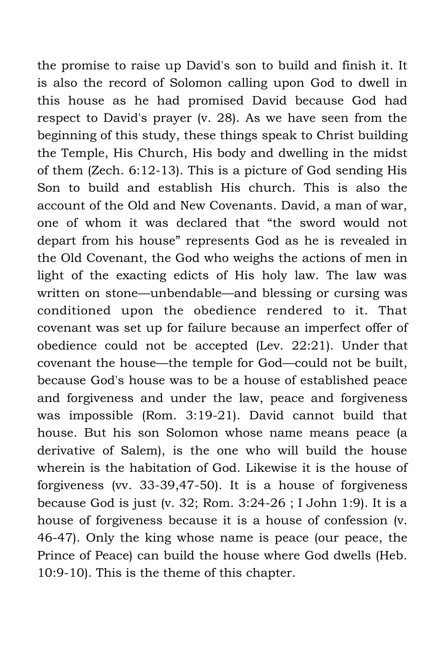the promise to raise up David's son to build and finish it. It is also the record of Solomon calling upon God to dwell in this house as he had promised David because God had respect to David's prayer (v. 28). As we have seen from the beginning of this study, these things speak to Christ building the Temple, His Church, His body and dwelling in the midst of them (Zech. 6:12-13). This is a picture of God sending His Son to build and establish His church. This is also the account of the Old and New Covenants. David, a man of war, one of whom it was declared that "the sword would not depart from his house" represents God as he is revealed in the Old Covenant, the God who weighs the actions of men in light of the exacting edicts of His holy law. The law was written on stone—unbendable—and blessing or cursing was conditioned upon the obedience rendered to it. That covenant was set up for failure because an imperfect offer of obedience could not be accepted (Lev. 22:21). Under that covenant the house—the temple for God—could not be built, because God's house was to be a house of established peace and forgiveness and under the law, peace and forgiveness was impossible (Rom. 3:19-21). David cannot build that house. But his son Solomon whose name means peace (a derivative of Salem), is the one who will build the house wherein is the habitation of God. Likewise it is the house of forgiveness (vv. 33-39,47-50). It is a house of forgiveness because God is just (v. 32; Rom. 3:24-26 ; I John 1:9). It is a house of forgiveness because it is a house of confession (v. 46-47). Only the king whose name is peace (our peace, the Prince of Peace) can build the house where God dwells (Heb. 10:9-10). This is the theme of this chapter.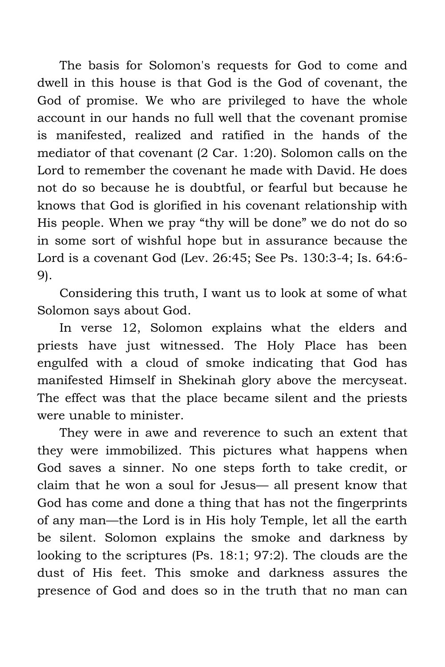The basis for Solomon's requests for God to come and dwell in this house is that God is the God of covenant, the God of promise. We who are privileged to have the whole account in our hands no full well that the covenant promise is manifested, realized and ratified in the hands of the mediator of that covenant (2 Car. 1:20). Solomon calls on the Lord to remember the covenant he made with David. He does not do so because he is doubtful, or fearful but because he knows that God is glorified in his covenant relationship with His people. When we pray "thy will be done" we do not do so in some sort of wishful hope but in assurance because the Lord is a covenant God (Lev. 26:45; See Ps. 130:3-4; Is. 64:6- 9).

Considering this truth, I want us to look at some of what Solomon says about God.

In verse 12, Solomon explains what the elders and priests have just witnessed. The Holy Place has been engulfed with a cloud of smoke indicating that God has manifested Himself in Shekinah glory above the mercyseat. The effect was that the place became silent and the priests were unable to minister.

They were in awe and reverence to such an extent that they were immobilized. This pictures what happens when God saves a sinner. No one steps forth to take credit, or claim that he won a soul for Jesus— all present know that God has come and done a thing that has not the fingerprints of any man—the Lord is in His holy Temple, let all the earth be silent. Solomon explains the smoke and darkness by looking to the scriptures (Ps. 18:1; 97:2). The clouds are the dust of His feet. This smoke and darkness assures the presence of God and does so in the truth that no man can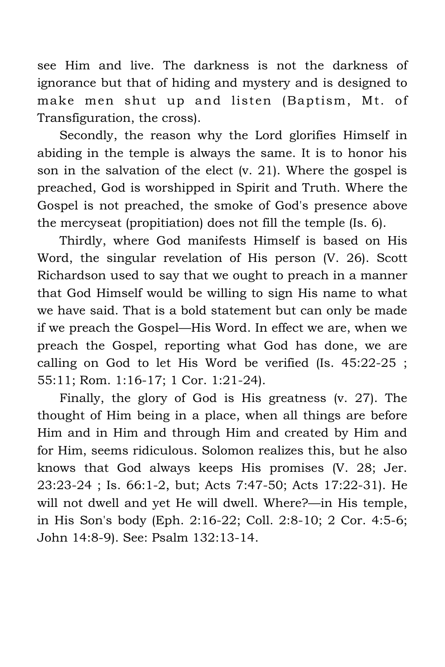see Him and live. The darkness is not the darkness of ignorance but that of hiding and mystery and is designed to make men shut up and listen (Baptism, Mt. of Transfiguration, the cross).

Secondly, the reason why the Lord glorifies Himself in abiding in the temple is always the same. It is to honor his son in the salvation of the elect (v. 21). Where the gospel is preached, God is worshipped in Spirit and Truth. Where the Gospel is not preached, the smoke of God's presence above the mercyseat (propitiation) does not fill the temple (Is. 6).

Thirdly, where God manifests Himself is based on His Word, the singular revelation of His person (V. 26). Scott Richardson used to say that we ought to preach in a manner that God Himself would be willing to sign His name to what we have said. That is a bold statement but can only be made if we preach the Gospel—His Word. In effect we are, when we preach the Gospel, reporting what God has done, we are calling on God to let His Word be verified (Is. 45:22-25 ; 55:11; Rom. 1:16-17; 1 Cor. 1:21-24).

Finally, the glory of God is His greatness (v. 27). The thought of Him being in a place, when all things are before Him and in Him and through Him and created by Him and for Him, seems ridiculous. Solomon realizes this, but he also knows that God always keeps His promises (V. 28; Jer. 23:23-24 ; Is. 66:1-2, but; Acts 7:47-50; Acts 17:22-31). He will not dwell and yet He will dwell. Where?—in His temple, in His Son's body (Eph. 2:16-22; Coll. 2:8-10; 2 Cor. 4:5-6; John 14:8-9). See: Psalm 132:13-14.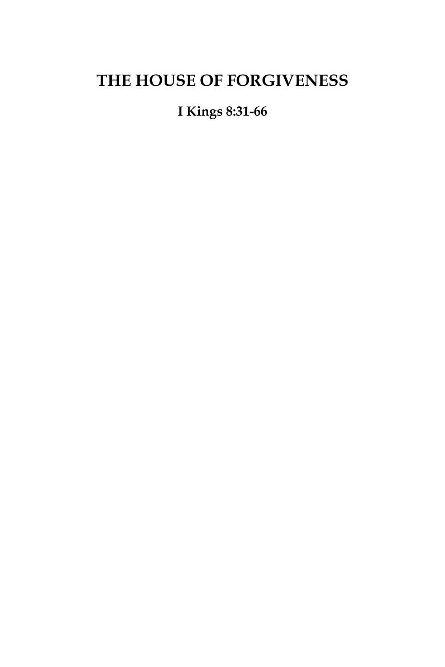## **THE HOUSE OF FORGIVENESS**

**I Kings 8:31-66**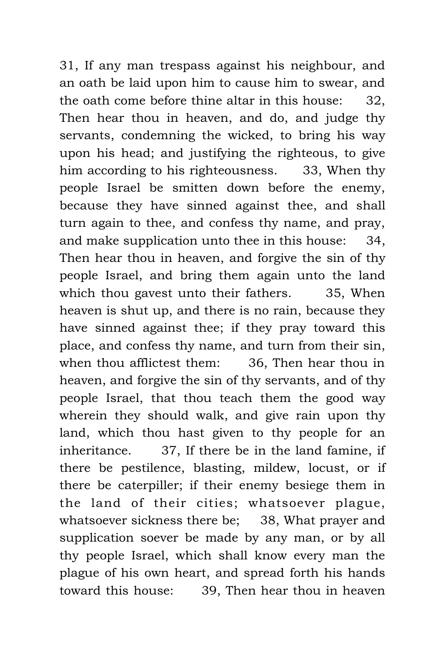31, If any man trespass against his neighbour, and an oath be laid upon him to cause him to swear, and the oath come before thine altar in this house: 32, Then hear thou in heaven, and do, and judge thy servants, condemning the wicked, to bring his way upon his head; and justifying the righteous, to give him according to his righteousness. 33, When thy people Israel be smitten down before the enemy, because they have sinned against thee, and shall turn again to thee, and confess thy name, and pray, and make supplication unto thee in this house: 34, Then hear thou in heaven, and forgive the sin of thy people Israel, and bring them again unto the land which thou gavest unto their fathers. 35, When heaven is shut up, and there is no rain, because they have sinned against thee; if they pray toward this place, and confess thy name, and turn from their sin, when thou afflictest them: 36, Then hear thou in heaven, and forgive the sin of thy servants, and of thy people Israel, that thou teach them the good way wherein they should walk, and give rain upon thy land, which thou hast given to thy people for an inheritance. 37, If there be in the land famine, if there be pestilence, blasting, mildew, locust, or if there be caterpiller; if their enemy besiege them in the land of their cities; whatsoever plague, whatsoever sickness there be; 38, What prayer and supplication soever be made by any man, or by all thy people Israel, which shall know every man the plague of his own heart, and spread forth his hands toward this house: 39, Then hear thou in heaven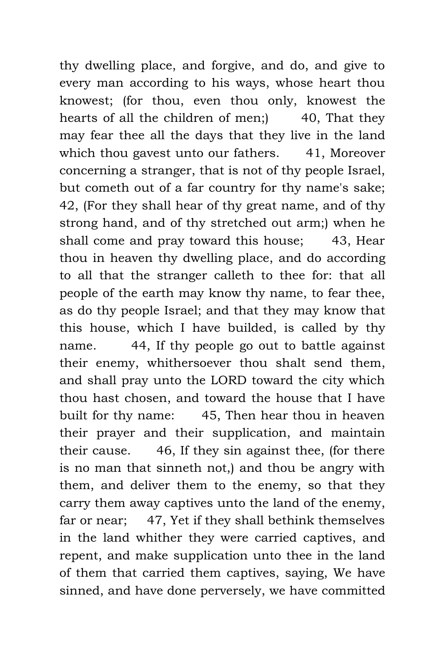thy dwelling place, and forgive, and do, and give to every man according to his ways, whose heart thou knowest; (for thou, even thou only, knowest the hearts of all the children of men; 40, That they may fear thee all the days that they live in the land which thou gavest unto our fathers. 41, Moreover concerning a stranger, that is not of thy people Israel, but cometh out of a far country for thy name's sake; 42, (For they shall hear of thy great name, and of thy strong hand, and of thy stretched out arm;) when he shall come and pray toward this house; 43, Hear thou in heaven thy dwelling place, and do according to all that the stranger calleth to thee for: that all people of the earth may know thy name, to fear thee, as do thy people Israel; and that they may know that this house, which I have builded, is called by thy name. 44, If thy people go out to battle against their enemy, whithersoever thou shalt send them, and shall pray unto the LORD toward the city which thou hast chosen, and toward the house that I have built for thy name: 45, Then hear thou in heaven their prayer and their supplication, and maintain their cause. 46, If they sin against thee, (for there is no man that sinneth not,) and thou be angry with them, and deliver them to the enemy, so that they carry them away captives unto the land of the enemy, far or near; 47, Yet if they shall bethink themselves in the land whither they were carried captives, and repent, and make supplication unto thee in the land of them that carried them captives, saying, We have sinned, and have done perversely, we have committed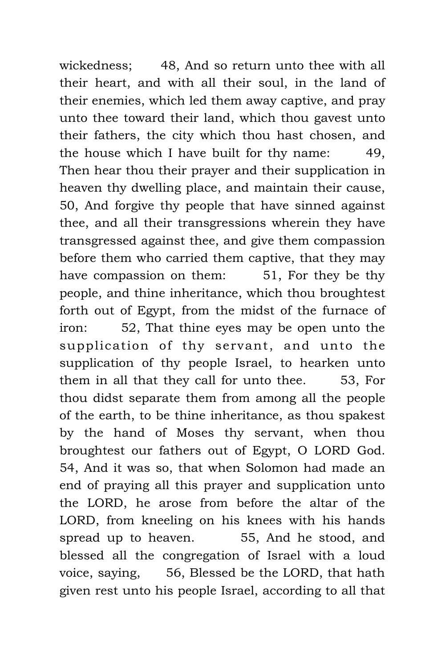wickedness; 48, And so return unto thee with all their heart, and with all their soul, in the land of their enemies, which led them away captive, and pray unto thee toward their land, which thou gavest unto their fathers, the city which thou hast chosen, and the house which I have built for thy name: 49, Then hear thou their prayer and their supplication in heaven thy dwelling place, and maintain their cause, 50, And forgive thy people that have sinned against thee, and all their transgressions wherein they have transgressed against thee, and give them compassion before them who carried them captive, that they may have compassion on them: 51, For they be thy people, and thine inheritance, which thou broughtest forth out of Egypt, from the midst of the furnace of iron: 52, That thine eyes may be open unto the supplication of thy servant, and unto the supplication of thy people Israel, to hearken unto them in all that they call for unto thee. 53, For thou didst separate them from among all the people of the earth, to be thine inheritance, as thou spakest by the hand of Moses thy servant, when thou broughtest our fathers out of Egypt, O LORD God. 54, And it was so, that when Solomon had made an end of praying all this prayer and supplication unto the LORD, he arose from before the altar of the LORD, from kneeling on his knees with his hands spread up to heaven. 55, And he stood, and blessed all the congregation of Israel with a loud voice, saying, 56, Blessed be the LORD, that hath given rest unto his people Israel, according to all that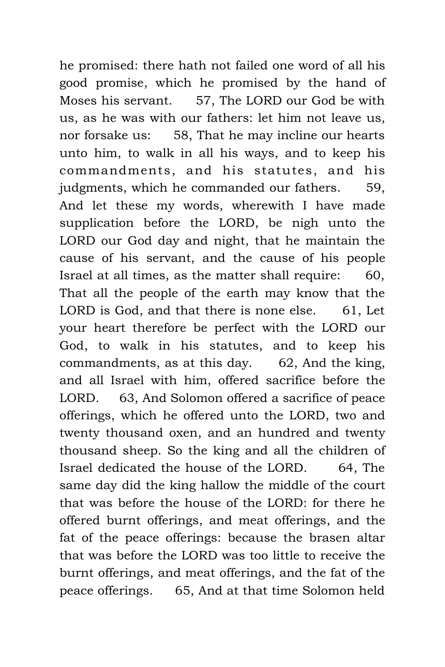he promised: there hath not failed one word of all his good promise, which he promised by the hand of Moses his servant. 57, The LORD our God be with us, as he was with our fathers: let him not leave us, nor forsake us: 58, That he may incline our hearts unto him, to walk in all his ways, and to keep his commandments, and his statutes, and his judgments, which he commanded our fathers. 59, And let these my words, wherewith I have made supplication before the LORD, be nigh unto the LORD our God day and night, that he maintain the cause of his servant, and the cause of his people Israel at all times, as the matter shall require: 60, That all the people of the earth may know that the LORD is God, and that there is none else. 61, Let your heart therefore be perfect with the LORD our God, to walk in his statutes, and to keep his commandments, as at this day. 62, And the king, and all Israel with him, offered sacrifice before the LORD. 63, And Solomon offered a sacrifice of peace offerings, which he offered unto the LORD, two and twenty thousand oxen, and an hundred and twenty thousand sheep. So the king and all the children of Israel dedicated the house of the LORD. 64, The same day did the king hallow the middle of the court that was before the house of the LORD: for there he offered burnt offerings, and meat offerings, and the fat of the peace offerings: because the brasen altar that was before the LORD was too little to receive the burnt offerings, and meat offerings, and the fat of the peace offerings. 65, And at that time Solomon held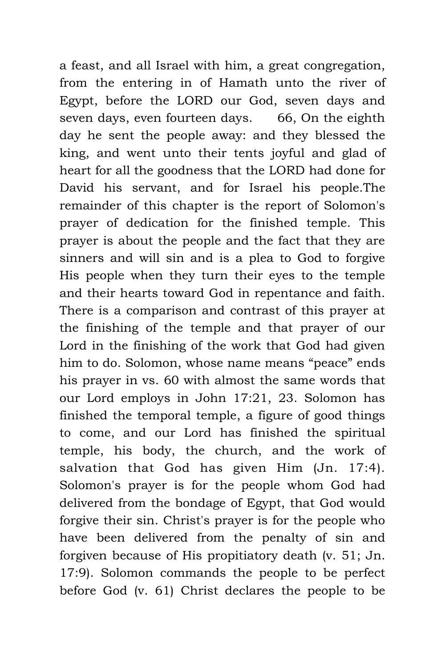a feast, and all Israel with him, a great congregation, from the entering in of Hamath unto the river of Egypt, before the LORD our God, seven days and seven days, even fourteen days. 66, On the eighth day he sent the people away: and they blessed the king, and went unto their tents joyful and glad of heart for all the goodness that the LORD had done for David his servant, and for Israel his people.The remainder of this chapter is the report of Solomon's prayer of dedication for the finished temple. This prayer is about the people and the fact that they are sinners and will sin and is a plea to God to forgive His people when they turn their eyes to the temple and their hearts toward God in repentance and faith. There is a comparison and contrast of this prayer at the finishing of the temple and that prayer of our Lord in the finishing of the work that God had given him to do. Solomon, whose name means "peace" ends his prayer in vs. 60 with almost the same words that our Lord employs in John 17:21, 23. Solomon has finished the temporal temple, a figure of good things to come, and our Lord has finished the spiritual temple, his body, the church, and the work of salvation that God has given Him (Jn. 17:4). Solomon's prayer is for the people whom God had delivered from the bondage of Egypt, that God would forgive their sin. Christ's prayer is for the people who have been delivered from the penalty of sin and forgiven because of His propitiatory death (v. 51; Jn. 17:9). Solomon commands the people to be perfect before God (v. 61) Christ declares the people to be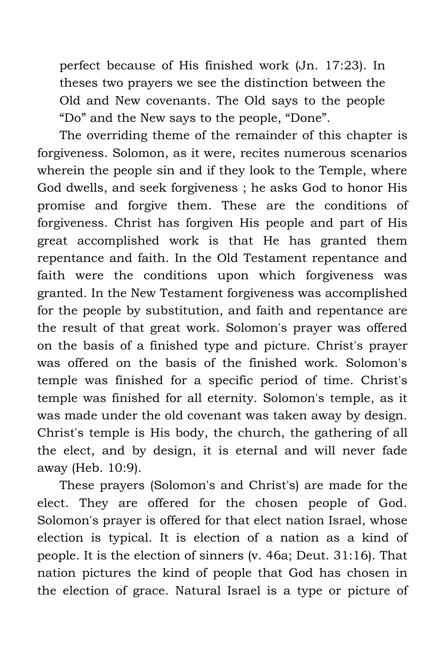perfect because of His finished work (Jn. 17:23). In theses two prayers we see the distinction between the Old and New covenants. The Old says to the people "Do" and the New says to the people, "Done".

The overriding theme of the remainder of this chapter is forgiveness. Solomon, as it were, recites numerous scenarios wherein the people sin and if they look to the Temple, where God dwells, and seek forgiveness ; he asks God to honor His promise and forgive them. These are the conditions of forgiveness. Christ has forgiven His people and part of His great accomplished work is that He has granted them repentance and faith. In the Old Testament repentance and faith were the conditions upon which forgiveness was granted. In the New Testament forgiveness was accomplished for the people by substitution, and faith and repentance are the result of that great work. Solomon's prayer was offered on the basis of a finished type and picture. Christ's prayer was offered on the basis of the finished work. Solomon's temple was finished for a specific period of time. Christ's temple was finished for all eternity. Solomon's temple, as it was made under the old covenant was taken away by design. Christ's temple is His body, the church, the gathering of all the elect, and by design, it is eternal and will never fade away (Heb. 10:9).

These prayers (Solomon's and Christ's) are made for the elect. They are offered for the chosen people of God. Solomon's prayer is offered for that elect nation Israel, whose election is typical. It is election of a nation as a kind of people. It is the election of sinners (v. 46a; Deut. 31:16). That nation pictures the kind of people that God has chosen in the election of grace. Natural Israel is a type or picture of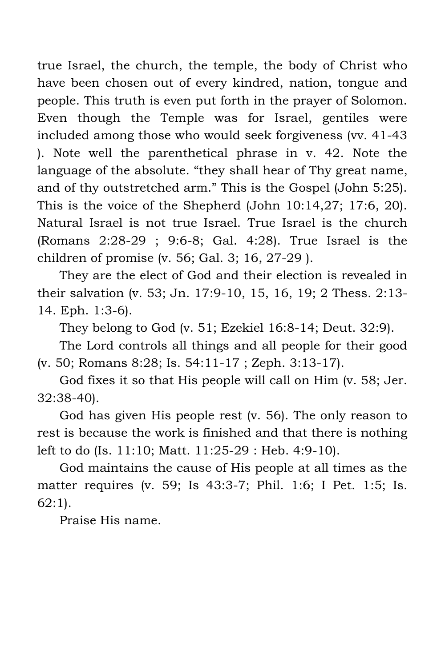true Israel, the church, the temple, the body of Christ who have been chosen out of every kindred, nation, tongue and people. This truth is even put forth in the prayer of Solomon. Even though the Temple was for Israel, gentiles were included among those who would seek forgiveness (vv. 41-43 ). Note well the parenthetical phrase in v. 42. Note the language of the absolute. "they shall hear of Thy great name, and of thy outstretched arm." This is the Gospel (John 5:25). This is the voice of the Shepherd (John 10:14,27; 17:6, 20). Natural Israel is not true Israel. True Israel is the church (Romans 2:28-29 ; 9:6-8; Gal. 4:28). True Israel is the children of promise (v. 56; Gal. 3; 16, 27-29 ).

They are the elect of God and their election is revealed in their salvation (v. 53; Jn. 17:9-10, 15, 16, 19; 2 Thess. 2:13- 14. Eph. 1:3-6).

They belong to God (v. 51; Ezekiel 16:8-14; Deut. 32:9).

The Lord controls all things and all people for their good (v. 50; Romans 8:28; Is. 54:11-17 ; Zeph. 3:13-17).

God fixes it so that His people will call on Him (v. 58; Jer. 32:38-40).

God has given His people rest (v. 56). The only reason to rest is because the work is finished and that there is nothing left to do (Is. 11:10; Matt. 11:25-29 : Heb. 4:9-10).

God maintains the cause of His people at all times as the matter requires (v. 59; Is 43:3-7; Phil. 1:6; I Pet. 1:5; Is. 62:1).

Praise His name.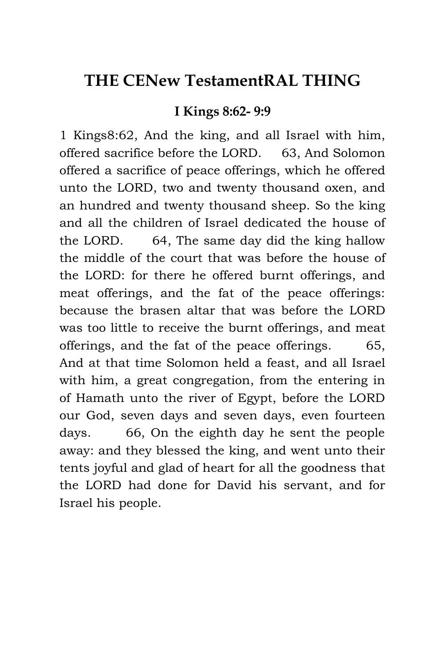### **THE CENew TestamentRAL THING**

#### **I Kings 8:62- 9:9**

1 Kings8:62, And the king, and all Israel with him, offered sacrifice before the LORD. 63, And Solomon offered a sacrifice of peace offerings, which he offered unto the LORD, two and twenty thousand oxen, and an hundred and twenty thousand sheep. So the king and all the children of Israel dedicated the house of the LORD. 64, The same day did the king hallow the middle of the court that was before the house of the LORD: for there he offered burnt offerings, and meat offerings, and the fat of the peace offerings: because the brasen altar that was before the LORD was too little to receive the burnt offerings, and meat offerings, and the fat of the peace offerings. 65, And at that time Solomon held a feast, and all Israel with him, a great congregation, from the entering in of Hamath unto the river of Egypt, before the LORD our God, seven days and seven days, even fourteen days. 66, On the eighth day he sent the people away: and they blessed the king, and went unto their tents joyful and glad of heart for all the goodness that the LORD had done for David his servant, and for Israel his people.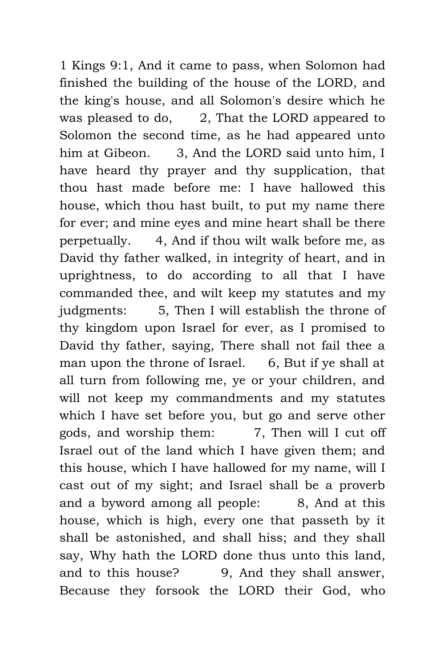1 Kings 9:1, And it came to pass, when Solomon had finished the building of the house of the LORD, and the king's house, and all Solomon's desire which he was pleased to do, 2, That the LORD appeared to Solomon the second time, as he had appeared unto him at Gibeon. 3, And the LORD said unto him, I have heard thy prayer and thy supplication, that thou hast made before me: I have hallowed this house, which thou hast built, to put my name there for ever; and mine eyes and mine heart shall be there perpetually. 4, And if thou wilt walk before me, as David thy father walked, in integrity of heart, and in uprightness, to do according to all that I have commanded thee, and wilt keep my statutes and my judgments: 5, Then I will establish the throne of thy kingdom upon Israel for ever, as I promised to David thy father, saying, There shall not fail thee a man upon the throne of Israel. 6, But if ye shall at all turn from following me, ye or your children, and will not keep my commandments and my statutes which I have set before you, but go and serve other gods, and worship them: 7, Then will I cut off Israel out of the land which I have given them; and this house, which I have hallowed for my name, will I cast out of my sight; and Israel shall be a proverb and a byword among all people: 8, And at this house, which is high, every one that passeth by it shall be astonished, and shall hiss; and they shall say, Why hath the LORD done thus unto this land, and to this house? 9, And they shall answer, Because they forsook the LORD their God, who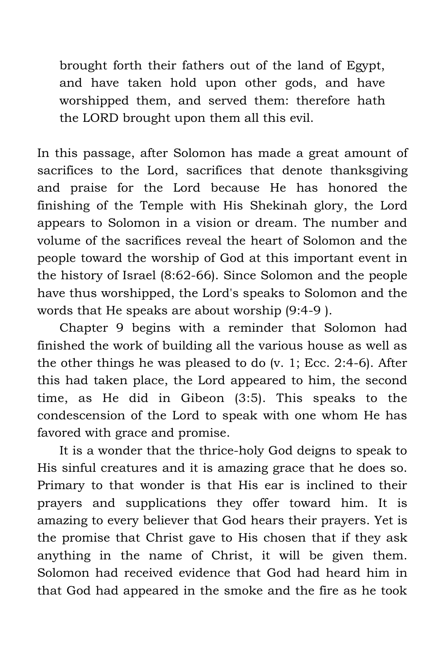brought forth their fathers out of the land of Egypt, and have taken hold upon other gods, and have worshipped them, and served them: therefore hath the LORD brought upon them all this evil.

In this passage, after Solomon has made a great amount of sacrifices to the Lord, sacrifices that denote thanksgiving and praise for the Lord because He has honored the finishing of the Temple with His Shekinah glory, the Lord appears to Solomon in a vision or dream. The number and volume of the sacrifices reveal the heart of Solomon and the people toward the worship of God at this important event in the history of Israel (8:62-66). Since Solomon and the people have thus worshipped, the Lord's speaks to Solomon and the words that He speaks are about worship (9:4-9 ).

Chapter 9 begins with a reminder that Solomon had finished the work of building all the various house as well as the other things he was pleased to do (v. 1; Ecc. 2:4-6). After this had taken place, the Lord appeared to him, the second time, as He did in Gibeon (3:5). This speaks to the condescension of the Lord to speak with one whom He has favored with grace and promise.

It is a wonder that the thrice-holy God deigns to speak to His sinful creatures and it is amazing grace that he does so. Primary to that wonder is that His ear is inclined to their prayers and supplications they offer toward him. It is amazing to every believer that God hears their prayers. Yet is the promise that Christ gave to His chosen that if they ask anything in the name of Christ, it will be given them. Solomon had received evidence that God had heard him in that God had appeared in the smoke and the fire as he took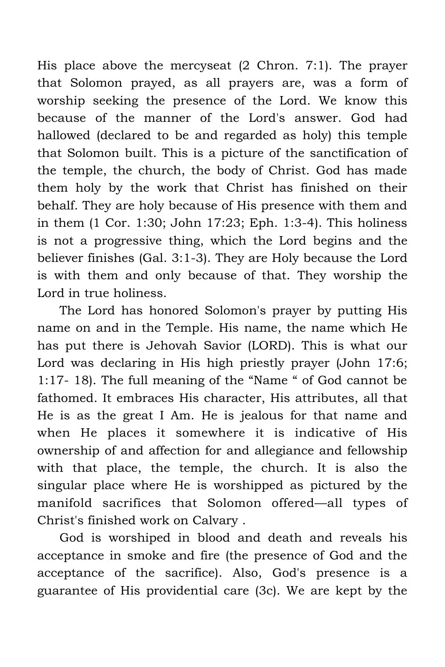His place above the mercyseat (2 Chron. 7:1). The prayer that Solomon prayed, as all prayers are, was a form of worship seeking the presence of the Lord. We know this because of the manner of the Lord's answer. God had hallowed (declared to be and regarded as holy) this temple that Solomon built. This is a picture of the sanctification of the temple, the church, the body of Christ. God has made them holy by the work that Christ has finished on their behalf. They are holy because of His presence with them and in them (1 Cor. 1:30; John 17:23; Eph. 1:3-4). This holiness is not a progressive thing, which the Lord begins and the believer finishes (Gal. 3:1-3). They are Holy because the Lord is with them and only because of that. They worship the Lord in true holiness.

The Lord has honored Solomon's prayer by putting His name on and in the Temple. His name, the name which He has put there is Jehovah Savior (LORD). This is what our Lord was declaring in His high priestly prayer (John 17:6; 1:17- 18). The full meaning of the "Name " of God cannot be fathomed. It embraces His character, His attributes, all that He is as the great I Am. He is jealous for that name and when He places it somewhere it is indicative of His ownership of and affection for and allegiance and fellowship with that place, the temple, the church. It is also the singular place where He is worshipped as pictured by the manifold sacrifices that Solomon offered—all types of Christ's finished work on Calvary .

God is worshiped in blood and death and reveals his acceptance in smoke and fire (the presence of God and the acceptance of the sacrifice). Also, God's presence is a guarantee of His providential care (3c). We are kept by the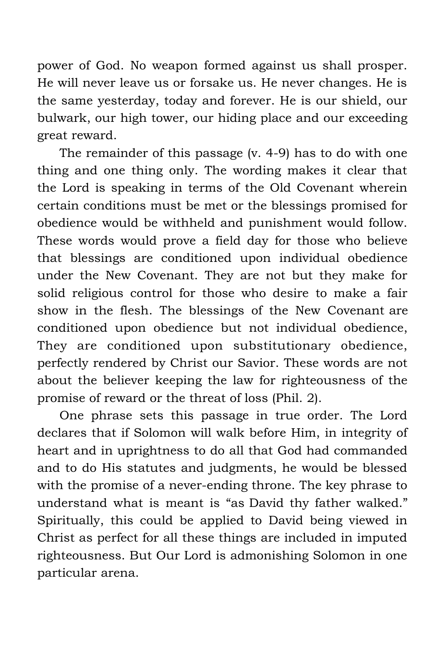power of God. No weapon formed against us shall prosper. He will never leave us or forsake us. He never changes. He is the same yesterday, today and forever. He is our shield, our bulwark, our high tower, our hiding place and our exceeding great reward.

The remainder of this passage (v. 4-9) has to do with one thing and one thing only. The wording makes it clear that the Lord is speaking in terms of the Old Covenant wherein certain conditions must be met or the blessings promised for obedience would be withheld and punishment would follow. These words would prove a field day for those who believe that blessings are conditioned upon individual obedience under the New Covenant. They are not but they make for solid religious control for those who desire to make a fair show in the flesh. The blessings of the New Covenant are conditioned upon obedience but not individual obedience, They are conditioned upon substitutionary obedience, perfectly rendered by Christ our Savior. These words are not about the believer keeping the law for righteousness of the promise of reward or the threat of loss (Phil. 2).

One phrase sets this passage in true order. The Lord declares that if Solomon will walk before Him, in integrity of heart and in uprightness to do all that God had commanded and to do His statutes and judgments, he would be blessed with the promise of a never-ending throne. The key phrase to understand what is meant is "as David thy father walked." Spiritually, this could be applied to David being viewed in Christ as perfect for all these things are included in imputed righteousness. But Our Lord is admonishing Solomon in one particular arena.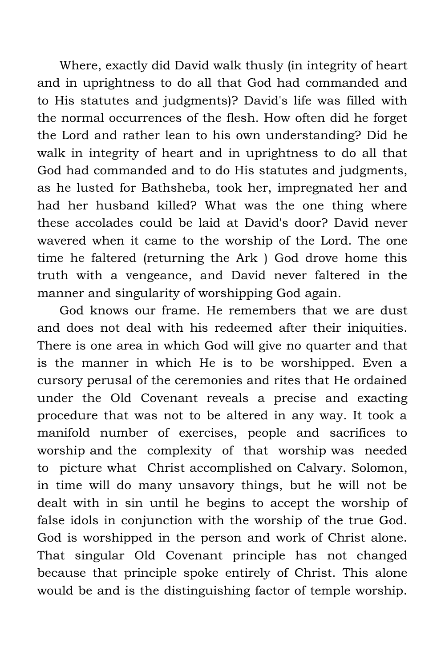Where, exactly did David walk thusly (in integrity of heart and in uprightness to do all that God had commanded and to His statutes and judgments)? David's life was filled with the normal occurrences of the flesh. How often did he forget the Lord and rather lean to his own understanding? Did he walk in integrity of heart and in uprightness to do all that God had commanded and to do His statutes and judgments, as he lusted for Bathsheba, took her, impregnated her and had her husband killed? What was the one thing where these accolades could be laid at David's door? David never wavered when it came to the worship of the Lord. The one time he faltered (returning the Ark ) God drove home this truth with a vengeance, and David never faltered in the manner and singularity of worshipping God again.

God knows our frame. He remembers that we are dust and does not deal with his redeemed after their iniquities. There is one area in which God will give no quarter and that is the manner in which He is to be worshipped. Even a cursory perusal of the ceremonies and rites that He ordained under the Old Covenant reveals a precise and exacting procedure that was not to be altered in any way. It took a manifold number of exercises, people and sacrifices to worship and the complexity of that worship was needed to picture what Christ accomplished on Calvary. Solomon, in time will do many unsavory things, but he will not be dealt with in sin until he begins to accept the worship of false idols in conjunction with the worship of the true God. God is worshipped in the person and work of Christ alone. That singular Old Covenant principle has not changed because that principle spoke entirely of Christ. This alone would be and is the distinguishing factor of temple worship.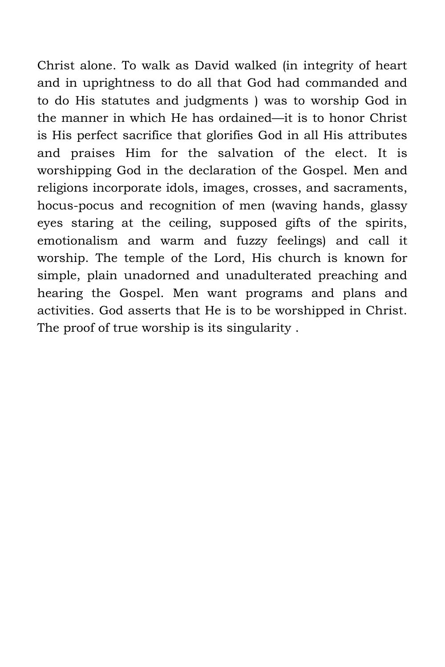Christ alone. To walk as David walked (in integrity of heart and in uprightness to do all that God had commanded and to do His statutes and judgments ) was to worship God in the manner in which He has ordained—it is to honor Christ is His perfect sacrifice that glorifies God in all His attributes and praises Him for the salvation of the elect. It is worshipping God in the declaration of the Gospel. Men and religions incorporate idols, images, crosses, and sacraments, hocus-pocus and recognition of men (waving hands, glassy eyes staring at the ceiling, supposed gifts of the spirits, emotionalism and warm and fuzzy feelings) and call it worship. The temple of the Lord, His church is known for simple, plain unadorned and unadulterated preaching and hearing the Gospel. Men want programs and plans and activities. God asserts that He is to be worshipped in Christ. The proof of true worship is its singularity .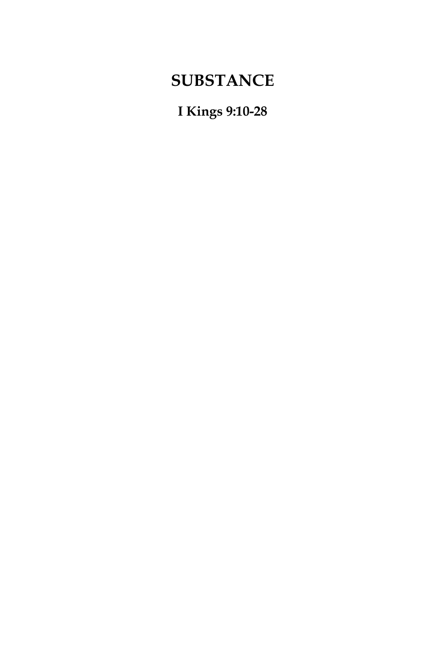## **SUBSTANCE**

**I Kings 9:10-28**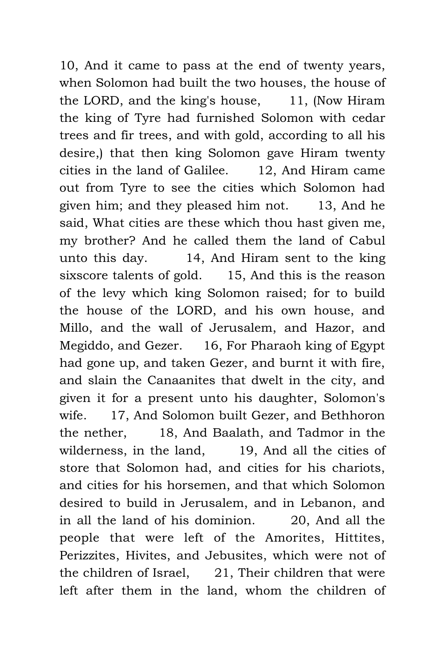10, And it came to pass at the end of twenty years, when Solomon had built the two houses, the house of the LORD, and the king's house, 11, (Now Hiram the king of Tyre had furnished Solomon with cedar trees and fir trees, and with gold, according to all his desire,) that then king Solomon gave Hiram twenty cities in the land of Galilee. 12, And Hiram came out from Tyre to see the cities which Solomon had given him; and they pleased him not. 13, And he said, What cities are these which thou hast given me, my brother? And he called them the land of Cabul unto this day. 14, And Hiram sent to the king sixscore talents of gold. 15, And this is the reason of the levy which king Solomon raised; for to build the house of the LORD, and his own house, and Millo, and the wall of Jerusalem, and Hazor, and Megiddo, and Gezer. 16, For Pharaoh king of Egypt had gone up, and taken Gezer, and burnt it with fire, and slain the Canaanites that dwelt in the city, and given it for a present unto his daughter, Solomon's wife. 17, And Solomon built Gezer, and Bethhoron the nether, 18, And Baalath, and Tadmor in the wilderness, in the land, 19, And all the cities of store that Solomon had, and cities for his chariots, and cities for his horsemen, and that which Solomon desired to build in Jerusalem, and in Lebanon, and in all the land of his dominion. 20, And all the people that were left of the Amorites, Hittites, Perizzites, Hivites, and Jebusites, which were not of the children of Israel, 21, Their children that were left after them in the land, whom the children of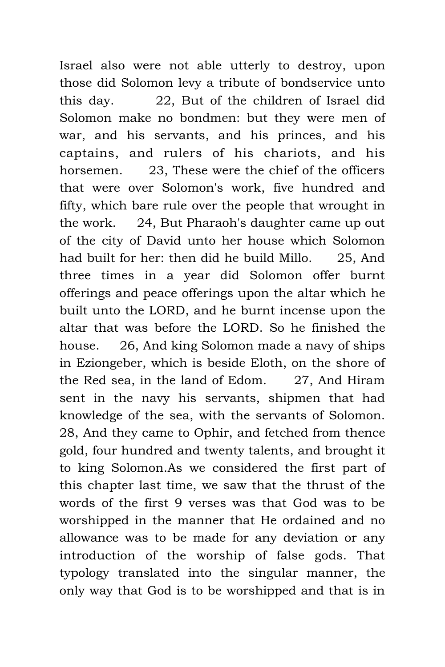Israel also were not able utterly to destroy, upon those did Solomon levy a tribute of bondservice unto this day. 22, But of the children of Israel did Solomon make no bondmen: but they were men of war, and his servants, and his princes, and his captains, and rulers of his chariots, and his horsemen. 23, These were the chief of the officers that were over Solomon's work, five hundred and fifty, which bare rule over the people that wrought in the work. 24, But Pharaoh's daughter came up out of the city of David unto her house which Solomon had built for her: then did he build Millo. 25, And three times in a year did Solomon offer burnt offerings and peace offerings upon the altar which he built unto the LORD, and he burnt incense upon the altar that was before the LORD. So he finished the house. 26, And king Solomon made a navy of ships in Eziongeber, which is beside Eloth, on the shore of the Red sea, in the land of Edom. 27, And Hiram sent in the navy his servants, shipmen that had knowledge of the sea, with the servants of Solomon. 28, And they came to Ophir, and fetched from thence gold, four hundred and twenty talents, and brought it to king Solomon.As we considered the first part of this chapter last time, we saw that the thrust of the words of the first 9 verses was that God was to be worshipped in the manner that He ordained and no allowance was to be made for any deviation or any introduction of the worship of false gods. That typology translated into the singular manner, the only way that God is to be worshipped and that is in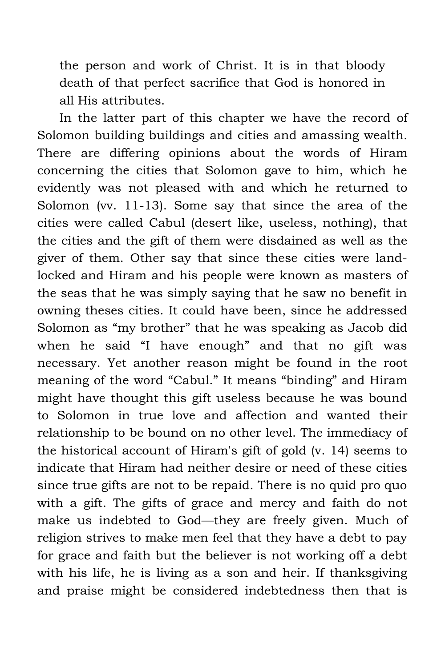the person and work of Christ. It is in that bloody death of that perfect sacrifice that God is honored in all His attributes.

In the latter part of this chapter we have the record of Solomon building buildings and cities and amassing wealth. There are differing opinions about the words of Hiram concerning the cities that Solomon gave to him, which he evidently was not pleased with and which he returned to Solomon (vv. 11-13). Some say that since the area of the cities were called Cabul (desert like, useless, nothing), that the cities and the gift of them were disdained as well as the giver of them. Other say that since these cities were landlocked and Hiram and his people were known as masters of the seas that he was simply saying that he saw no benefit in owning theses cities. It could have been, since he addressed Solomon as "my brother" that he was speaking as Jacob did when he said "I have enough" and that no gift was necessary. Yet another reason might be found in the root meaning of the word "Cabul." It means "binding" and Hiram might have thought this gift useless because he was bound to Solomon in true love and affection and wanted their relationship to be bound on no other level. The immediacy of the historical account of Hiram's gift of gold (v. 14) seems to indicate that Hiram had neither desire or need of these cities since true gifts are not to be repaid. There is no quid pro quo with a gift. The gifts of grace and mercy and faith do not make us indebted to God—they are freely given. Much of religion strives to make men feel that they have a debt to pay for grace and faith but the believer is not working off a debt with his life, he is living as a son and heir. If thanksgiving and praise might be considered indebtedness then that is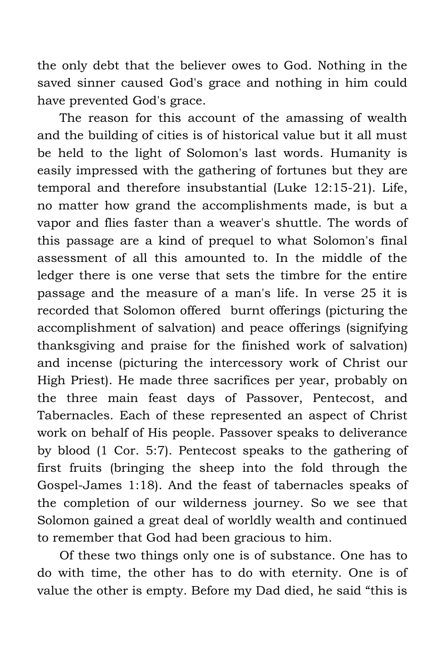the only debt that the believer owes to God. Nothing in the saved sinner caused God's grace and nothing in him could have prevented God's grace.

The reason for this account of the amassing of wealth and the building of cities is of historical value but it all must be held to the light of Solomon's last words. Humanity is easily impressed with the gathering of fortunes but they are temporal and therefore insubstantial (Luke 12:15-21). Life, no matter how grand the accomplishments made, is but a vapor and flies faster than a weaver's shuttle. The words of this passage are a kind of prequel to what Solomon's final assessment of all this amounted to. In the middle of the ledger there is one verse that sets the timbre for the entire passage and the measure of a man's life. In verse 25 it is recorded that Solomon offered burnt offerings (picturing the accomplishment of salvation) and peace offerings (signifying thanksgiving and praise for the finished work of salvation) and incense (picturing the intercessory work of Christ our High Priest). He made three sacrifices per year, probably on the three main feast days of Passover, Pentecost, and Tabernacles. Each of these represented an aspect of Christ work on behalf of His people. Passover speaks to deliverance by blood (1 Cor. 5:7). Pentecost speaks to the gathering of first fruits (bringing the sheep into the fold through the Gospel-James 1:18). And the feast of tabernacles speaks of the completion of our wilderness journey. So we see that Solomon gained a great deal of worldly wealth and continued to remember that God had been gracious to him.

Of these two things only one is of substance. One has to do with time, the other has to do with eternity. One is of value the other is empty. Before my Dad died, he said "this is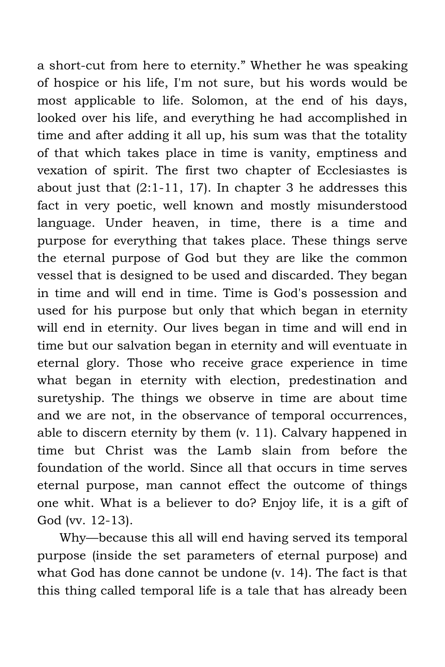a short-cut from here to eternity." Whether he was speaking of hospice or his life, I'm not sure, but his words would be most applicable to life. Solomon, at the end of his days, looked over his life, and everything he had accomplished in time and after adding it all up, his sum was that the totality of that which takes place in time is vanity, emptiness and vexation of spirit. The first two chapter of Ecclesiastes is about just that  $(2:1-11, 17)$ . In chapter 3 he addresses this fact in very poetic, well known and mostly misunderstood language. Under heaven, in time, there is a time and purpose for everything that takes place. These things serve the eternal purpose of God but they are like the common vessel that is designed to be used and discarded. They began in time and will end in time. Time is God's possession and used for his purpose but only that which began in eternity will end in eternity. Our lives began in time and will end in time but our salvation began in eternity and will eventuate in eternal glory. Those who receive grace experience in time what began in eternity with election, predestination and suretyship. The things we observe in time are about time and we are not, in the observance of temporal occurrences, able to discern eternity by them (v. 11). Calvary happened in time but Christ was the Lamb slain from before the foundation of the world. Since all that occurs in time serves eternal purpose, man cannot effect the outcome of things one whit. What is a believer to do? Enjoy life, it is a gift of God (vv. 12-13).

Why—because this all will end having served its temporal purpose (inside the set parameters of eternal purpose) and what God has done cannot be undone (v. 14). The fact is that this thing called temporal life is a tale that has already been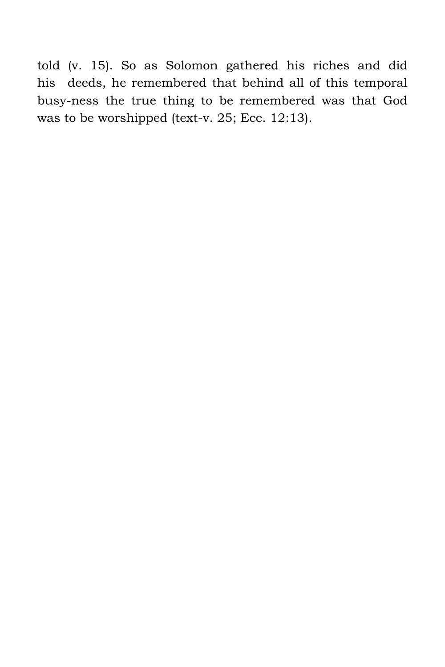told (v. 15). So as Solomon gathered his riches and did his deeds, he remembered that behind all of this temporal busy-ness the true thing to be remembered was that God was to be worshipped (text-v. 25; Ecc. 12:13).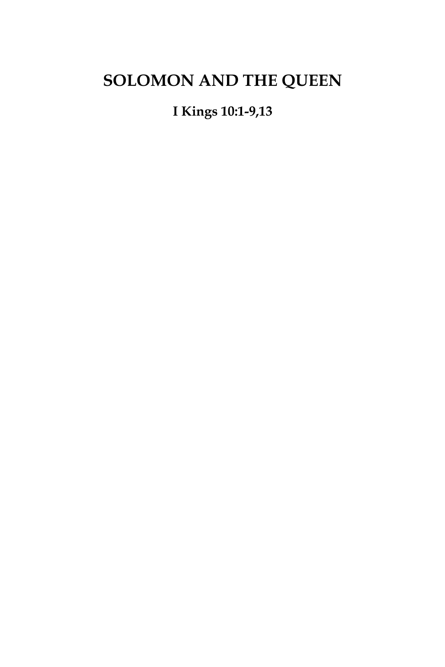## **SOLOMON AND THE QUEEN**

**I Kings 10:1-9,13**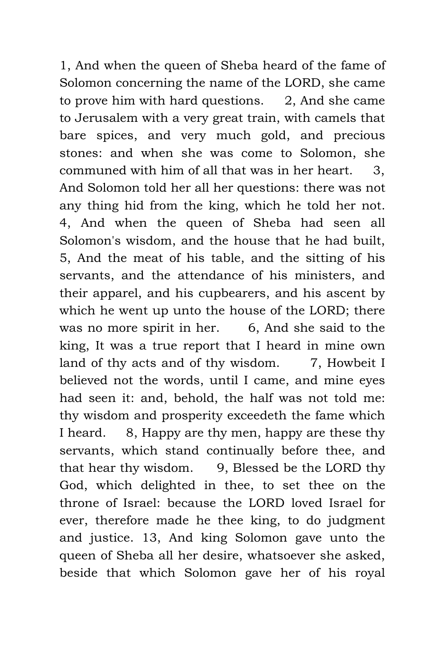1, And when the queen of Sheba heard of the fame of Solomon concerning the name of the LORD, she came to prove him with hard questions. 2, And she came to Jerusalem with a very great train, with camels that bare spices, and very much gold, and precious stones: and when she was come to Solomon, she communed with him of all that was in her heart. 3, And Solomon told her all her questions: there was not any thing hid from the king, which he told her not. 4, And when the queen of Sheba had seen all Solomon's wisdom, and the house that he had built, 5, And the meat of his table, and the sitting of his servants, and the attendance of his ministers, and their apparel, and his cupbearers, and his ascent by which he went up unto the house of the LORD; there was no more spirit in her. 6, And she said to the king, It was a true report that I heard in mine own land of thy acts and of thy wisdom.  $7$ , Howbeit I believed not the words, until I came, and mine eyes had seen it: and, behold, the half was not told me: thy wisdom and prosperity exceedeth the fame which I heard. 8, Happy are thy men, happy are these thy servants, which stand continually before thee, and that hear thy wisdom. 9, Blessed be the LORD thy God, which delighted in thee, to set thee on the throne of Israel: because the LORD loved Israel for ever, therefore made he thee king, to do judgment and justice. 13, And king Solomon gave unto the queen of Sheba all her desire, whatsoever she asked, beside that which Solomon gave her of his royal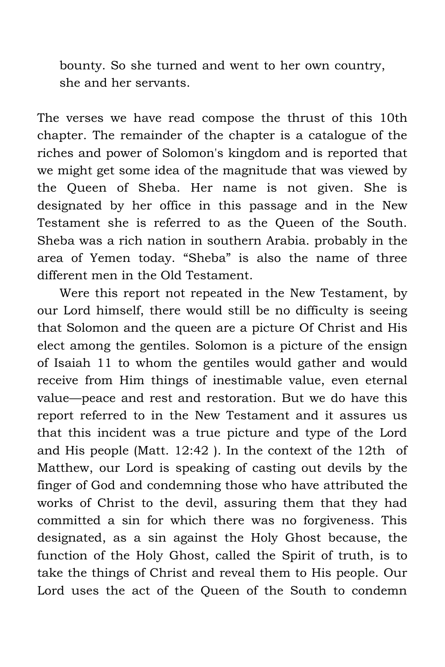bounty. So she turned and went to her own country, she and her servants.

The verses we have read compose the thrust of this 10th chapter. The remainder of the chapter is a catalogue of the riches and power of Solomon's kingdom and is reported that we might get some idea of the magnitude that was viewed by the Queen of Sheba. Her name is not given. She is designated by her office in this passage and in the New Testament she is referred to as the Queen of the South. Sheba was a rich nation in southern Arabia. probably in the area of Yemen today. "Sheba" is also the name of three different men in the Old Testament.

Were this report not repeated in the New Testament, by our Lord himself, there would still be no difficulty is seeing that Solomon and the queen are a picture Of Christ and His elect among the gentiles. Solomon is a picture of the ensign of Isaiah 11 to whom the gentiles would gather and would receive from Him things of inestimable value, even eternal value—peace and rest and restoration. But we do have this report referred to in the New Testament and it assures us that this incident was a true picture and type of the Lord and His people (Matt. 12:42 ). In the context of the 12th of Matthew, our Lord is speaking of casting out devils by the finger of God and condemning those who have attributed the works of Christ to the devil, assuring them that they had committed a sin for which there was no forgiveness. This designated, as a sin against the Holy Ghost because, the function of the Holy Ghost, called the Spirit of truth, is to take the things of Christ and reveal them to His people. Our Lord uses the act of the Queen of the South to condemn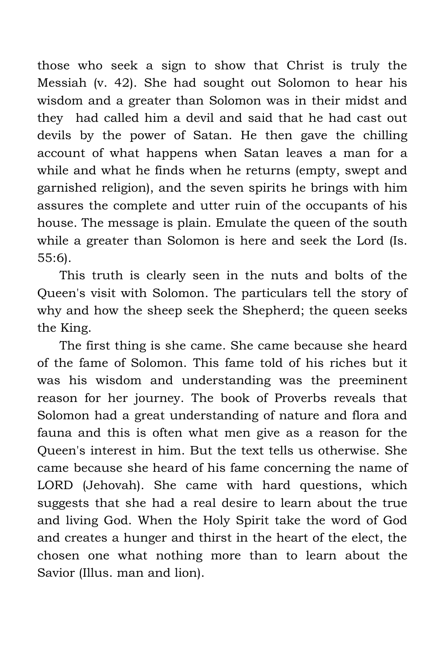those who seek a sign to show that Christ is truly the Messiah (v. 42). She had sought out Solomon to hear his wisdom and a greater than Solomon was in their midst and they had called him a devil and said that he had cast out devils by the power of Satan. He then gave the chilling account of what happens when Satan leaves a man for a while and what he finds when he returns (empty, swept and garnished religion), and the seven spirits he brings with him assures the complete and utter ruin of the occupants of his house. The message is plain. Emulate the queen of the south while a greater than Solomon is here and seek the Lord (Is. 55:6).

This truth is clearly seen in the nuts and bolts of the Queen's visit with Solomon. The particulars tell the story of why and how the sheep seek the Shepherd; the queen seeks the King.

The first thing is she came. She came because she heard of the fame of Solomon. This fame told of his riches but it was his wisdom and understanding was the preeminent reason for her journey. The book of Proverbs reveals that Solomon had a great understanding of nature and flora and fauna and this is often what men give as a reason for the Queen's interest in him. But the text tells us otherwise. She came because she heard of his fame concerning the name of LORD (Jehovah). She came with hard questions, which suggests that she had a real desire to learn about the true and living God. When the Holy Spirit take the word of God and creates a hunger and thirst in the heart of the elect, the chosen one what nothing more than to learn about the Savior (Illus. man and lion).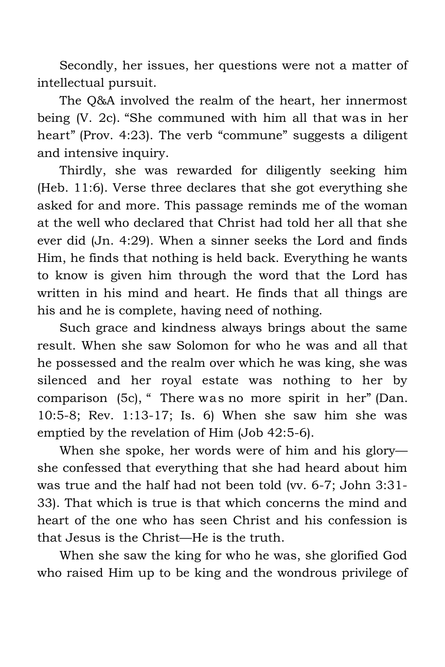Secondly, her issues, her questions were not a matter of intellectual pursuit.

The Q&A involved the realm of the heart, her innermost being (V. 2c). "She communed with him all that was in her heart" (Prov. 4:23). The verb "commune" suggests a diligent and intensive inquiry.

Thirdly, she was rewarded for diligently seeking him (Heb. 11:6). Verse three declares that she got everything she asked for and more. This passage reminds me of the woman at the well who declared that Christ had told her all that she ever did (Jn. 4:29). When a sinner seeks the Lord and finds Him, he finds that nothing is held back. Everything he wants to know is given him through the word that the Lord has written in his mind and heart. He finds that all things are his and he is complete, having need of nothing.

Such grace and kindness always brings about the same result. When she saw Solomon for who he was and all that he possessed and the realm over which he was king, she was silenced and her royal estate was nothing to her by comparison (5c), " There was no more spirit in her" (Dan. 10:5-8; Rev. 1:13-17; Is. 6) When she saw him she was emptied by the revelation of Him (Job 42:5-6).

When she spoke, her words were of him and his glory she confessed that everything that she had heard about him was true and the half had not been told (vv. 6-7; John 3:31- 33). That which is true is that which concerns the mind and heart of the one who has seen Christ and his confession is that Jesus is the Christ—He is the truth.

When she saw the king for who he was, she glorified God who raised Him up to be king and the wondrous privilege of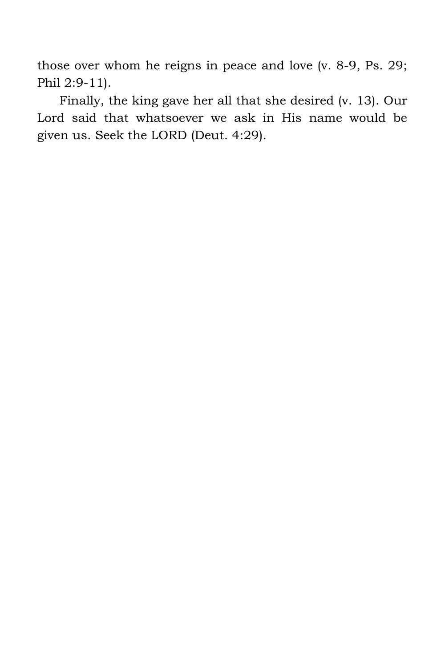those over whom he reigns in peace and love (v. 8-9, Ps. 29; Phil 2:9-11).

Finally, the king gave her all that she desired (v. 13). Our Lord said that whatsoever we ask in His name would be given us. Seek the LORD (Deut. 4:29).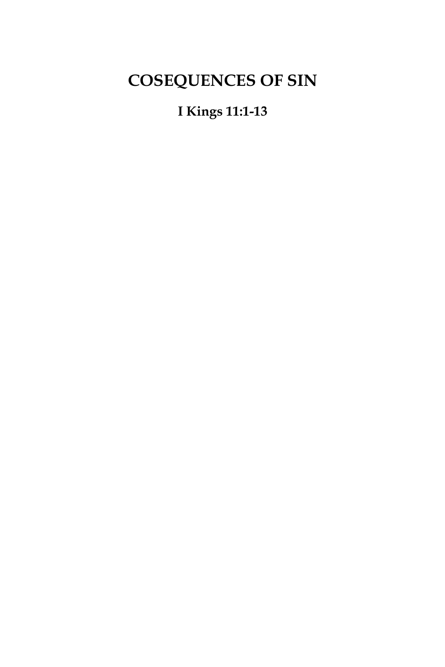# **COSEQUENCES OF SIN**

### **I Kings 11:1-13**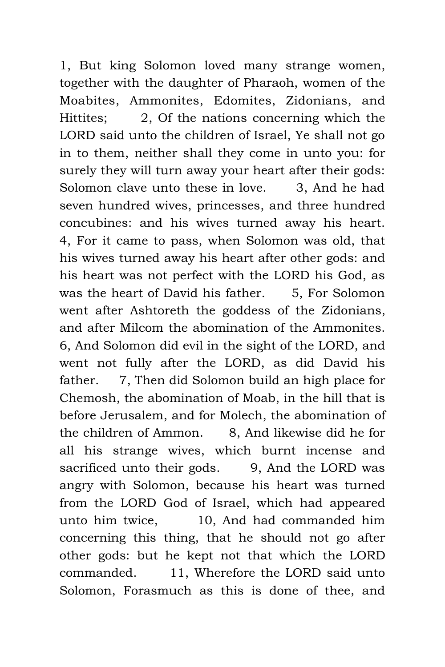1, But king Solomon loved many strange women, together with the daughter of Pharaoh, women of the Moabites, Ammonites, Edomites, Zidonians, and Hittites; 2, Of the nations concerning which the LORD said unto the children of Israel, Ye shall not go in to them, neither shall they come in unto you: for surely they will turn away your heart after their gods: Solomon clave unto these in love. 3, And he had seven hundred wives, princesses, and three hundred concubines: and his wives turned away his heart. 4, For it came to pass, when Solomon was old, that his wives turned away his heart after other gods: and his heart was not perfect with the LORD his God, as was the heart of David his father. 5, For Solomon went after Ashtoreth the goddess of the Zidonians, and after Milcom the abomination of the Ammonites. 6, And Solomon did evil in the sight of the LORD, and went not fully after the LORD, as did David his father. 7, Then did Solomon build an high place for Chemosh, the abomination of Moab, in the hill that is before Jerusalem, and for Molech, the abomination of the children of Ammon. 8, And likewise did he for all his strange wives, which burnt incense and sacrificed unto their gods. 9, And the LORD was angry with Solomon, because his heart was turned from the LORD God of Israel, which had appeared unto him twice, 10, And had commanded him concerning this thing, that he should not go after other gods: but he kept not that which the LORD commanded. 11, Wherefore the LORD said unto Solomon, Forasmuch as this is done of thee, and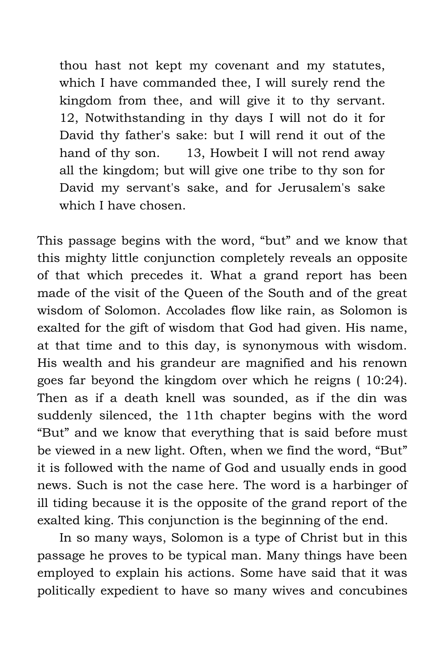thou hast not kept my covenant and my statutes, which I have commanded thee, I will surely rend the kingdom from thee, and will give it to thy servant. 12, Notwithstanding in thy days I will not do it for David thy father's sake: but I will rend it out of the hand of thy son. 13, Howbeit I will not rend away all the kingdom; but will give one tribe to thy son for David my servant's sake, and for Jerusalem's sake which I have chosen.

This passage begins with the word, "but" and we know that this mighty little conjunction completely reveals an opposite of that which precedes it. What a grand report has been made of the visit of the Queen of the South and of the great wisdom of Solomon. Accolades flow like rain, as Solomon is exalted for the gift of wisdom that God had given. His name, at that time and to this day, is synonymous with wisdom. His wealth and his grandeur are magnified and his renown goes far beyond the kingdom over which he reigns ( 10:24). Then as if a death knell was sounded, as if the din was suddenly silenced, the 11th chapter begins with the word "But" and we know that everything that is said before must be viewed in a new light. Often, when we find the word, "But" it is followed with the name of God and usually ends in good news. Such is not the case here. The word is a harbinger of ill tiding because it is the opposite of the grand report of the exalted king. This conjunction is the beginning of the end.

In so many ways, Solomon is a type of Christ but in this passage he proves to be typical man. Many things have been employed to explain his actions. Some have said that it was politically expedient to have so many wives and concubines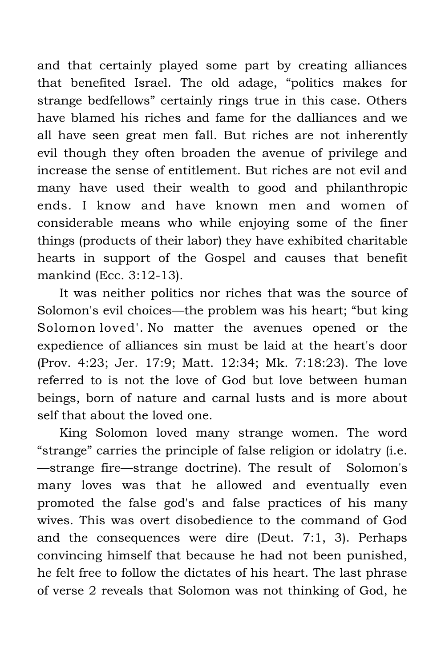and that certainly played some part by creating alliances that benefited Israel. The old adage, "politics makes for strange bedfellows" certainly rings true in this case. Others have blamed his riches and fame for the dalliances and we all have seen great men fall. But riches are not inherently evil though they often broaden the avenue of privilege and increase the sense of entitlement. But riches are not evil and many have used their wealth to good and philanthropic ends. I know and have known men and women of considerable means who while enjoying some of the finer things (products of their labor) they have exhibited charitable hearts in support of the Gospel and causes that benefit mankind (Ecc. 3:12-13).

It was neither politics nor riches that was the source of Solomon's evil choices—the problem was his heart; "but king Solomon loved'. No matter the avenues opened or the expedience of alliances sin must be laid at the heart's door (Prov. 4:23; Jer. 17:9; Matt. 12:34; Mk. 7:18:23). The love referred to is not the love of God but love between human beings, born of nature and carnal lusts and is more about self that about the loved one.

King Solomon loved many strange women. The word "strange" carries the principle of false religion or idolatry (i.e. —strange fire—strange doctrine). The result of Solomon's many loves was that he allowed and eventually even promoted the false god's and false practices of his many wives. This was overt disobedience to the command of God and the consequences were dire (Deut. 7:1, 3). Perhaps convincing himself that because he had not been punished, he felt free to follow the dictates of his heart. The last phrase of verse 2 reveals that Solomon was not thinking of God, he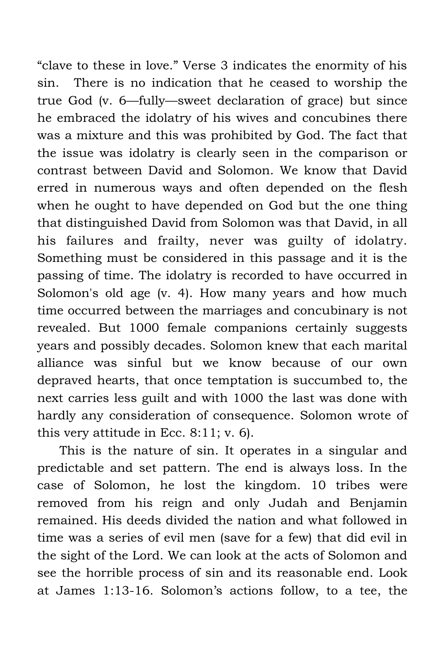"clave to these in love." Verse 3 indicates the enormity of his sin. There is no indication that he ceased to worship the true God (v. 6—fully—sweet declaration of grace) but since he embraced the idolatry of his wives and concubines there was a mixture and this was prohibited by God. The fact that the issue was idolatry is clearly seen in the comparison or contrast between David and Solomon. We know that David erred in numerous ways and often depended on the flesh when he ought to have depended on God but the one thing that distinguished David from Solomon was that David, in all his failures and frailty, never was guilty of idolatry. Something must be considered in this passage and it is the passing of time. The idolatry is recorded to have occurred in Solomon's old age (v. 4). How many years and how much time occurred between the marriages and concubinary is not revealed. But 1000 female companions certainly suggests years and possibly decades. Solomon knew that each marital alliance was sinful but we know because of our own depraved hearts, that once temptation is succumbed to, the next carries less guilt and with 1000 the last was done with hardly any consideration of consequence. Solomon wrote of this very attitude in Ecc. 8:11; v. 6).

This is the nature of sin. It operates in a singular and predictable and set pattern. The end is always loss. In the case of Solomon, he lost the kingdom. 10 tribes were removed from his reign and only Judah and Benjamin remained. His deeds divided the nation and what followed in time was a series of evil men (save for a few) that did evil in the sight of the Lord. We can look at the acts of Solomon and see the horrible process of sin and its reasonable end. Look at James 1:13-16. Solomon's actions follow, to a tee, the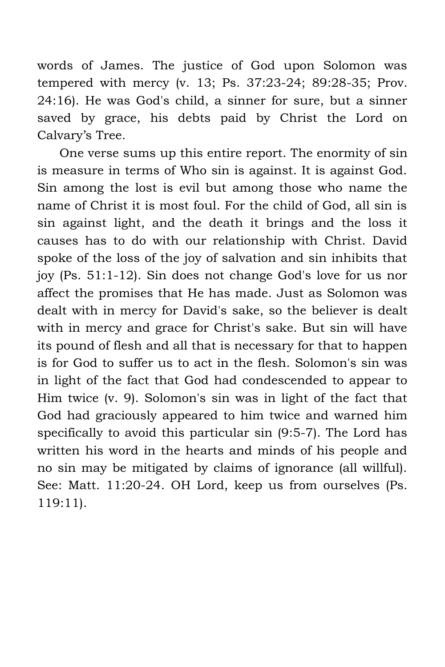words of James. The justice of God upon Solomon was tempered with mercy (v. 13; Ps. 37:23-24; 89:28-35; Prov. 24:16). He was God's child, a sinner for sure, but a sinner saved by grace, his debts paid by Christ the Lord on Calvary's Tree.

One verse sums up this entire report. The enormity of sin is measure in terms of Who sin is against. It is against God. Sin among the lost is evil but among those who name the name of Christ it is most foul. For the child of God, all sin is sin against light, and the death it brings and the loss it causes has to do with our relationship with Christ. David spoke of the loss of the joy of salvation and sin inhibits that joy (Ps. 51:1-12). Sin does not change God's love for us nor affect the promises that He has made. Just as Solomon was dealt with in mercy for David's sake, so the believer is dealt with in mercy and grace for Christ's sake. But sin will have its pound of flesh and all that is necessary for that to happen is for God to suffer us to act in the flesh. Solomon's sin was in light of the fact that God had condescended to appear to Him twice (v. 9). Solomon's sin was in light of the fact that God had graciously appeared to him twice and warned him specifically to avoid this particular sin (9:5-7). The Lord has written his word in the hearts and minds of his people and no sin may be mitigated by claims of ignorance (all willful). See: Matt. 11:20-24. OH Lord, keep us from ourselves (Ps. 119:11).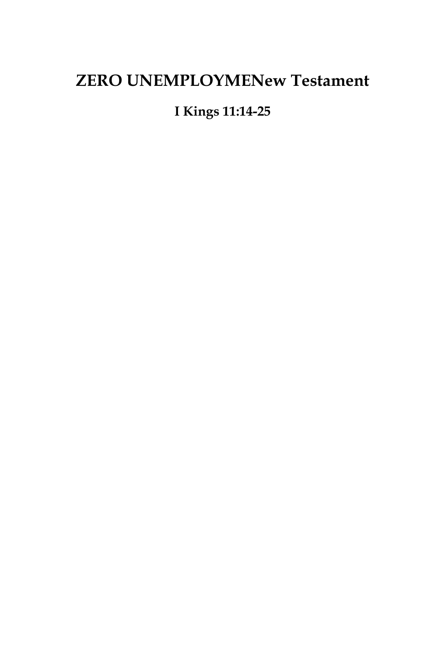#### **ZERO UNEMPLOYMENew Testament**

#### **I Kings 11:14-25**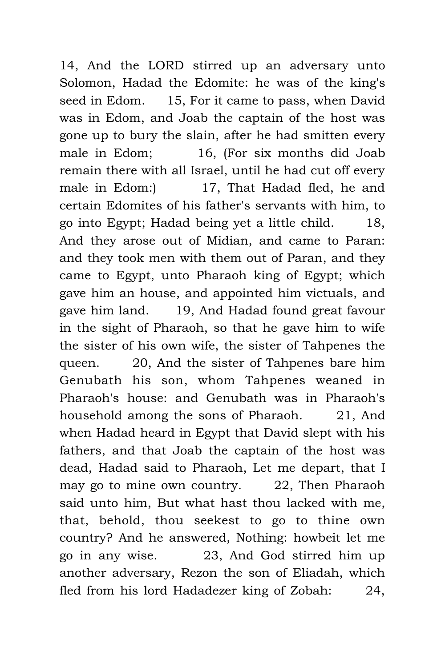14, And the LORD stirred up an adversary unto Solomon, Hadad the Edomite: he was of the king's seed in Edom. 15, For it came to pass, when David was in Edom, and Joab the captain of the host was gone up to bury the slain, after he had smitten every male in Edom; 16, (For six months did Joab remain there with all Israel, until he had cut off every male in Edom:) 17, That Hadad fled, he and certain Edomites of his father's servants with him, to go into Egypt; Hadad being yet a little child. 18, And they arose out of Midian, and came to Paran: and they took men with them out of Paran, and they came to Egypt, unto Pharaoh king of Egypt; which gave him an house, and appointed him victuals, and gave him land. 19, And Hadad found great favour in the sight of Pharaoh, so that he gave him to wife the sister of his own wife, the sister of Tahpenes the queen. 20, And the sister of Tahpenes bare him Genubath his son, whom Tahpenes weaned in Pharaoh's house: and Genubath was in Pharaoh's household among the sons of Pharaoh. 21, And when Hadad heard in Egypt that David slept with his fathers, and that Joab the captain of the host was dead, Hadad said to Pharaoh, Let me depart, that I may go to mine own country. 22, Then Pharaoh said unto him, But what hast thou lacked with me, that, behold, thou seekest to go to thine own country? And he answered, Nothing: howbeit let me go in any wise. 23, And God stirred him up another adversary, Rezon the son of Eliadah, which fled from his lord Hadadezer king of Zobah: 24,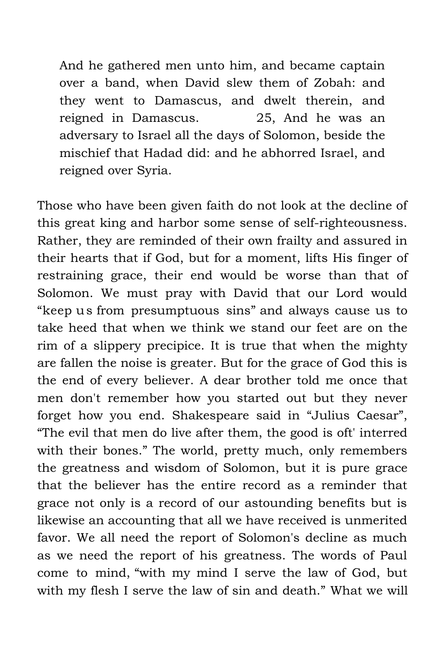And he gathered men unto him, and became captain over a band, when David slew them of Zobah: and they went to Damascus, and dwelt therein, and reigned in Damascus. 25, And he was an adversary to Israel all the days of Solomon, beside the mischief that Hadad did: and he abhorred Israel, and reigned over Syria.

Those who have been given faith do not look at the decline of this great king and harbor some sense of self-righteousness. Rather, they are reminded of their own frailty and assured in their hearts that if God, but for a moment, lifts His finger of restraining grace, their end would be worse than that of Solomon. We must pray with David that our Lord would "keep us from presumptuous sins" and always cause us to take heed that when we think we stand our feet are on the rim of a slippery precipice. It is true that when the mighty are fallen the noise is greater. But for the grace of God this is the end of every believer. A dear brother told me once that men don't remember how you started out but they never forget how you end. Shakespeare said in "Julius Caesar", "The evil that men do live after them, the good is oft' interred with their bones." The world, pretty much, only remembers the greatness and wisdom of Solomon, but it is pure grace that the believer has the entire record as a reminder that grace not only is a record of our astounding benefits but is likewise an accounting that all we have received is unmerited favor. We all need the report of Solomon's decline as much as we need the report of his greatness. The words of Paul come to mind, "with my mind I serve the law of God, but with my flesh I serve the law of sin and death." What we will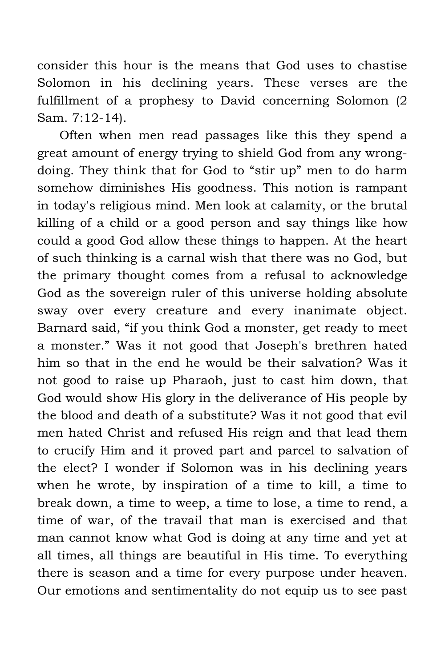consider this hour is the means that God uses to chastise Solomon in his declining years. These verses are the fulfillment of a prophesy to David concerning Solomon (2 Sam. 7:12-14).

Often when men read passages like this they spend a great amount of energy trying to shield God from any wrongdoing. They think that for God to "stir up" men to do harm somehow diminishes His goodness. This notion is rampant in today's religious mind. Men look at calamity, or the brutal killing of a child or a good person and say things like how could a good God allow these things to happen. At the heart of such thinking is a carnal wish that there was no God, but the primary thought comes from a refusal to acknowledge God as the sovereign ruler of this universe holding absolute sway over every creature and every inanimate object. Barnard said, "if you think God a monster, get ready to meet a monster." Was it not good that Joseph's brethren hated him so that in the end he would be their salvation? Was it not good to raise up Pharaoh, just to cast him down, that God would show His glory in the deliverance of His people by the blood and death of a substitute? Was it not good that evil men hated Christ and refused His reign and that lead them to crucify Him and it proved part and parcel to salvation of the elect? I wonder if Solomon was in his declining years when he wrote, by inspiration of a time to kill, a time to break down, a time to weep, a time to lose, a time to rend, a time of war, of the travail that man is exercised and that man cannot know what God is doing at any time and yet at all times, all things are beautiful in His time. To everything there is season and a time for every purpose under heaven. Our emotions and sentimentality do not equip us to see past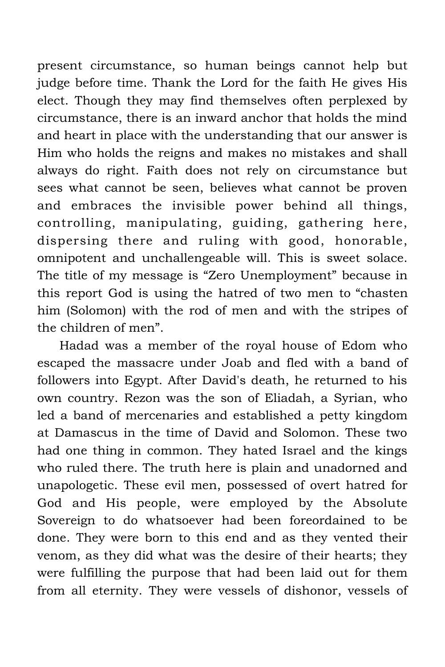present circumstance, so human beings cannot help but judge before time. Thank the Lord for the faith He gives His elect. Though they may find themselves often perplexed by circumstance, there is an inward anchor that holds the mind and heart in place with the understanding that our answer is Him who holds the reigns and makes no mistakes and shall always do right. Faith does not rely on circumstance but sees what cannot be seen, believes what cannot be proven and embraces the invisible power behind all things, controlling, manipulating, guiding, gathering here, dispersing there and ruling with good, honorable, omnipotent and unchallengeable will. This is sweet solace. The title of my message is "Zero Unemployment" because in this report God is using the hatred of two men to "chasten him (Solomon) with the rod of men and with the stripes of the children of men".

Hadad was a member of the royal house of Edom who escaped the massacre under Joab and fled with a band of followers into Egypt. After David's death, he returned to his own country. Rezon was the son of Eliadah, a Syrian, who led a band of mercenaries and established a petty kingdom at Damascus in the time of David and Solomon. These two had one thing in common. They hated Israel and the kings who ruled there. The truth here is plain and unadorned and unapologetic. These evil men, possessed of overt hatred for God and His people, were employed by the Absolute Sovereign to do whatsoever had been foreordained to be done. They were born to this end and as they vented their venom, as they did what was the desire of their hearts; they were fulfilling the purpose that had been laid out for them from all eternity. They were vessels of dishonor, vessels of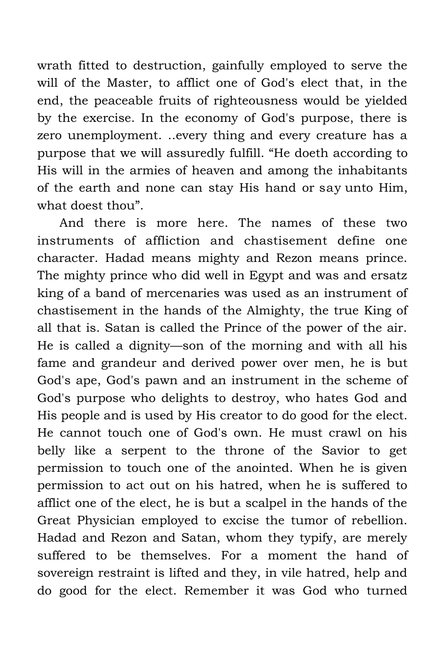wrath fitted to destruction, gainfully employed to serve the will of the Master, to afflict one of God's elect that, in the end, the peaceable fruits of righteousness would be yielded by the exercise. In the economy of God's purpose, there is zero unemployment. ..every thing and every creature has a purpose that we will assuredly fulfill. "He doeth according to His will in the armies of heaven and among the inhabitants of the earth and none can stay His hand or say unto Him, what doest thou".

And there is more here. The names of these two instruments of affliction and chastisement define one character. Hadad means mighty and Rezon means prince. The mighty prince who did well in Egypt and was and ersatz king of a band of mercenaries was used as an instrument of chastisement in the hands of the Almighty, the true King of all that is. Satan is called the Prince of the power of the air. He is called a dignity—son of the morning and with all his fame and grandeur and derived power over men, he is but God's ape, God's pawn and an instrument in the scheme of God's purpose who delights to destroy, who hates God and His people and is used by His creator to do good for the elect. He cannot touch one of God's own. He must crawl on his belly like a serpent to the throne of the Savior to get permission to touch one of the anointed. When he is given permission to act out on his hatred, when he is suffered to afflict one of the elect, he is but a scalpel in the hands of the Great Physician employed to excise the tumor of rebellion. Hadad and Rezon and Satan, whom they typify, are merely suffered to be themselves. For a moment the hand of sovereign restraint is lifted and they, in vile hatred, help and do good for the elect. Remember it was God who turned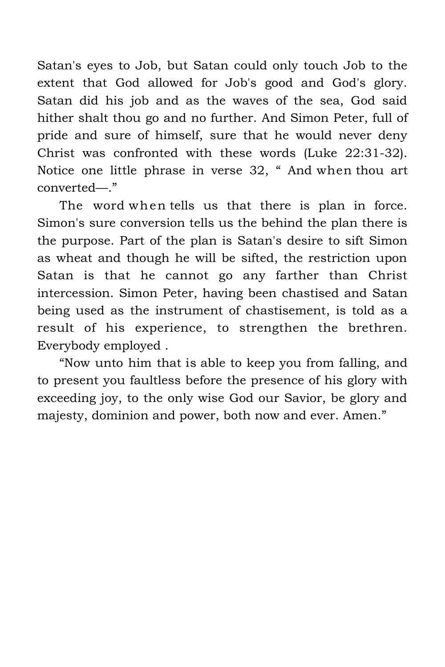Satan's eyes to Job, but Satan could only touch Job to the extent that God allowed for Job's good and God's glory. Satan did his job and as the waves of the sea, God said hither shalt thou go and no further. And Simon Peter, full of pride and sure of himself, sure that he would never deny Christ was confronted with these words (Luke 22:31-32). Notice one little phrase in verse 32, " And when thou art converted—."

The word when tells us that there is plan in force. Simon's sure conversion tells us the behind the plan there is the purpose. Part of the plan is Satan's desire to sift Simon as wheat and though he will be sifted, the restriction upon Satan is that he cannot go any farther than Christ intercession. Simon Peter, having been chastised and Satan being used as the instrument of chastisement, is told as a result of his experience, to strengthen the brethren. Everybody employed .

"Now unto him that is able to keep you from falling, and to present you faultless before the presence of his glory with exceeding joy, to the only wise God our Savior, be glory and majesty, dominion and power, both now and ever. Amen."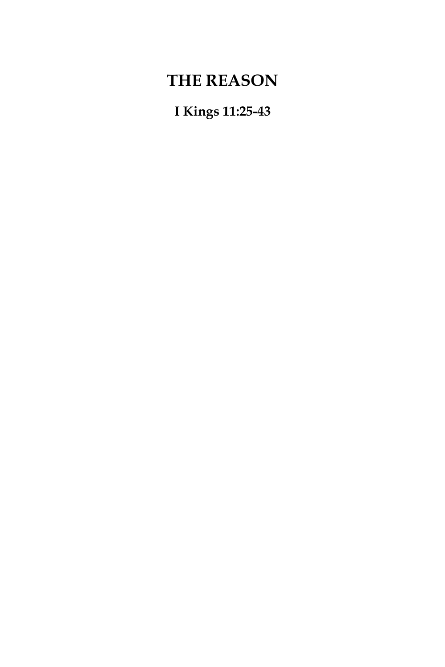## **THE REASON**

**I Kings 11:25-43**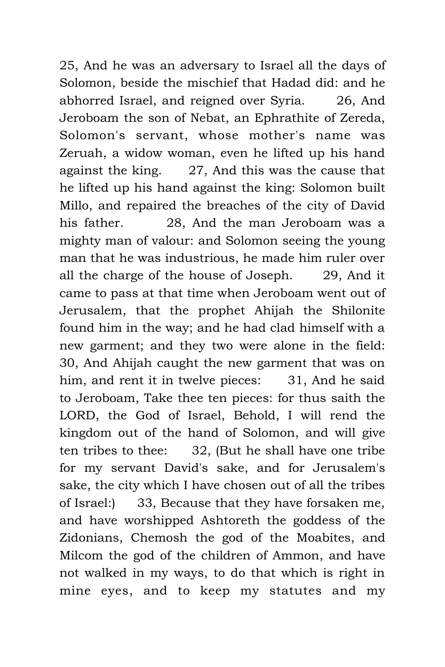25, And he was an adversary to Israel all the days of Solomon, beside the mischief that Hadad did: and he abhorred Israel, and reigned over Syria. 26, And Jeroboam the son of Nebat, an Ephrathite of Zereda, Solomon's servant, whose mother's name was Zeruah, a widow woman, even he lifted up his hand against the king. 27, And this was the cause that he lifted up his hand against the king: Solomon built Millo, and repaired the breaches of the city of David his father. 28, And the man Jeroboam was a mighty man of valour: and Solomon seeing the young man that he was industrious, he made him ruler over all the charge of the house of Joseph. 29, And it came to pass at that time when Jeroboam went out of Jerusalem, that the prophet Ahijah the Shilonite found him in the way; and he had clad himself with a new garment; and they two were alone in the field: 30, And Ahijah caught the new garment that was on him, and rent it in twelve pieces: 31, And he said to Jeroboam, Take thee ten pieces: for thus saith the LORD, the God of Israel, Behold, I will rend the kingdom out of the hand of Solomon, and will give ten tribes to thee: 32, (But he shall have one tribe for my servant David's sake, and for Jerusalem's sake, the city which I have chosen out of all the tribes of Israel:) 33, Because that they have forsaken me, and have worshipped Ashtoreth the goddess of the Zidonians, Chemosh the god of the Moabites, and Milcom the god of the children of Ammon, and have not walked in my ways, to do that which is right in mine eyes, and to keep my statutes and my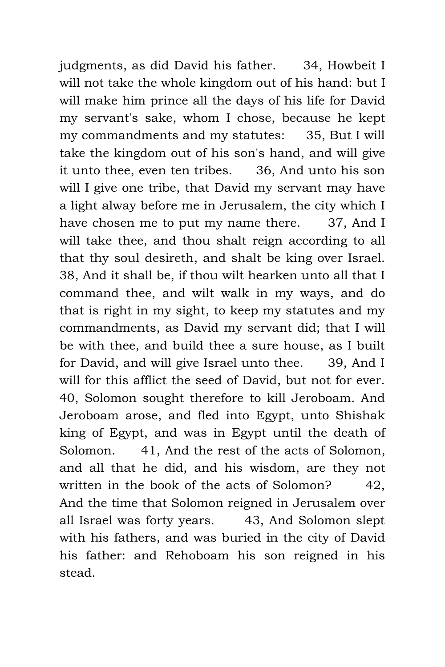judgments, as did David his father. 34, Howbeit I will not take the whole kingdom out of his hand: but I will make him prince all the days of his life for David my servant's sake, whom I chose, because he kept my commandments and my statutes: 35, But I will take the kingdom out of his son's hand, and will give it unto thee, even ten tribes. 36, And unto his son will I give one tribe, that David my servant may have a light alway before me in Jerusalem, the city which I have chosen me to put my name there. 37, And I will take thee, and thou shalt reign according to all that thy soul desireth, and shalt be king over Israel. 38, And it shall be, if thou wilt hearken unto all that I command thee, and wilt walk in my ways, and do that is right in my sight, to keep my statutes and my commandments, as David my servant did; that I will be with thee, and build thee a sure house, as I built for David, and will give Israel unto thee. 39, And I will for this afflict the seed of David, but not for ever. 40, Solomon sought therefore to kill Jeroboam. And Jeroboam arose, and fled into Egypt, unto Shishak king of Egypt, and was in Egypt until the death of Solomon. 41, And the rest of the acts of Solomon, and all that he did, and his wisdom, are they not written in the book of the acts of Solomon? 42, And the time that Solomon reigned in Jerusalem over all Israel was forty years. 43, And Solomon slept with his fathers, and was buried in the city of David his father: and Rehoboam his son reigned in his stead.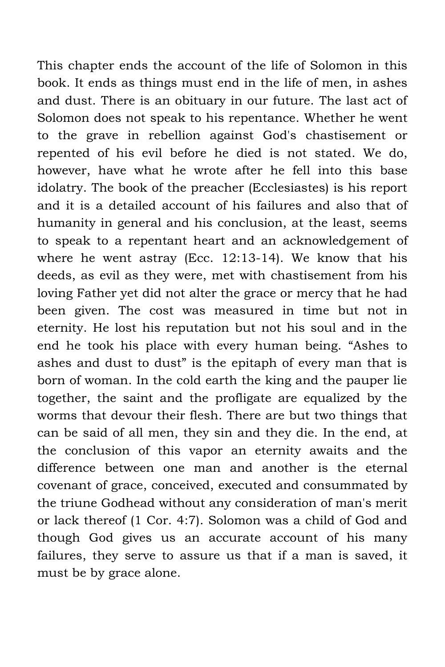This chapter ends the account of the life of Solomon in this book. It ends as things must end in the life of men, in ashes and dust. There is an obituary in our future. The last act of Solomon does not speak to his repentance. Whether he went to the grave in rebellion against God's chastisement or repented of his evil before he died is not stated. We do, however, have what he wrote after he fell into this base idolatry. The book of the preacher (Ecclesiastes) is his report and it is a detailed account of his failures and also that of humanity in general and his conclusion, at the least, seems to speak to a repentant heart and an acknowledgement of where he went astray (Ecc. 12:13-14). We know that his deeds, as evil as they were, met with chastisement from his loving Father yet did not alter the grace or mercy that he had been given. The cost was measured in time but not in eternity. He lost his reputation but not his soul and in the end he took his place with every human being. "Ashes to ashes and dust to dust" is the epitaph of every man that is born of woman. In the cold earth the king and the pauper lie together, the saint and the profligate are equalized by the worms that devour their flesh. There are but two things that can be said of all men, they sin and they die. In the end, at the conclusion of this vapor an eternity awaits and the difference between one man and another is the eternal covenant of grace, conceived, executed and consummated by the triune Godhead without any consideration of man's merit or lack thereof (1 Cor. 4:7). Solomon was a child of God and though God gives us an accurate account of his many failures, they serve to assure us that if a man is saved, it must be by grace alone.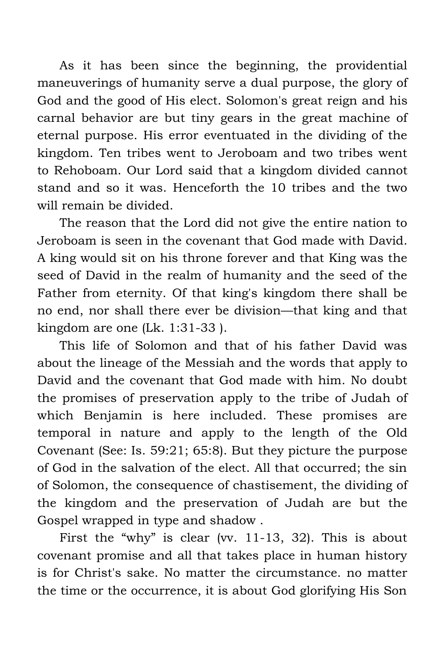As it has been since the beginning, the providential maneuverings of humanity serve a dual purpose, the glory of God and the good of His elect. Solomon's great reign and his carnal behavior are but tiny gears in the great machine of eternal purpose. His error eventuated in the dividing of the kingdom. Ten tribes went to Jeroboam and two tribes went to Rehoboam. Our Lord said that a kingdom divided cannot stand and so it was. Henceforth the 10 tribes and the two will remain be divided.

The reason that the Lord did not give the entire nation to Jeroboam is seen in the covenant that God made with David. A king would sit on his throne forever and that King was the seed of David in the realm of humanity and the seed of the Father from eternity. Of that king's kingdom there shall be no end, nor shall there ever be division—that king and that kingdom are one (Lk. 1:31-33 ).

This life of Solomon and that of his father David was about the lineage of the Messiah and the words that apply to David and the covenant that God made with him. No doubt the promises of preservation apply to the tribe of Judah of which Benjamin is here included. These promises are temporal in nature and apply to the length of the Old Covenant (See: Is. 59:21; 65:8). But they picture the purpose of God in the salvation of the elect. All that occurred; the sin of Solomon, the consequence of chastisement, the dividing of the kingdom and the preservation of Judah are but the Gospel wrapped in type and shadow .

First the "why" is clear (vv. 11-13, 32). This is about covenant promise and all that takes place in human history is for Christ's sake. No matter the circumstance. no matter the time or the occurrence, it is about God glorifying His Son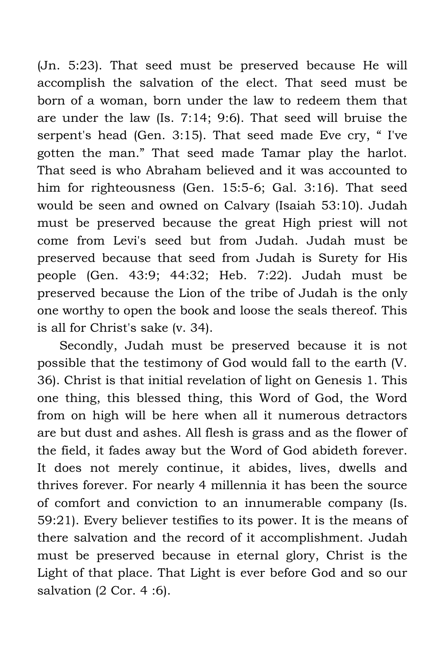(Jn. 5:23). That seed must be preserved because He will accomplish the salvation of the elect. That seed must be born of a woman, born under the law to redeem them that are under the law (Is. 7:14; 9:6). That seed will bruise the serpent's head (Gen. 3:15). That seed made Eve cry, " I've gotten the man." That seed made Tamar play the harlot. That seed is who Abraham believed and it was accounted to him for righteousness (Gen. 15:5-6; Gal. 3:16). That seed would be seen and owned on Calvary (Isaiah 53:10). Judah must be preserved because the great High priest will not come from Levi's seed but from Judah. Judah must be preserved because that seed from Judah is Surety for His people (Gen. 43:9; 44:32; Heb. 7:22). Judah must be preserved because the Lion of the tribe of Judah is the only one worthy to open the book and loose the seals thereof. This is all for Christ's sake (v. 34).

Secondly, Judah must be preserved because it is not possible that the testimony of God would fall to the earth (V. 36). Christ is that initial revelation of light on Genesis 1. This one thing, this blessed thing, this Word of God, the Word from on high will be here when all it numerous detractors are but dust and ashes. All flesh is grass and as the flower of the field, it fades away but the Word of God abideth forever. It does not merely continue, it abides, lives, dwells and thrives forever. For nearly 4 millennia it has been the source of comfort and conviction to an innumerable company (Is. 59:21). Every believer testifies to its power. It is the means of there salvation and the record of it accomplishment. Judah must be preserved because in eternal glory, Christ is the Light of that place. That Light is ever before God and so our salvation (2 Cor. 4 :6).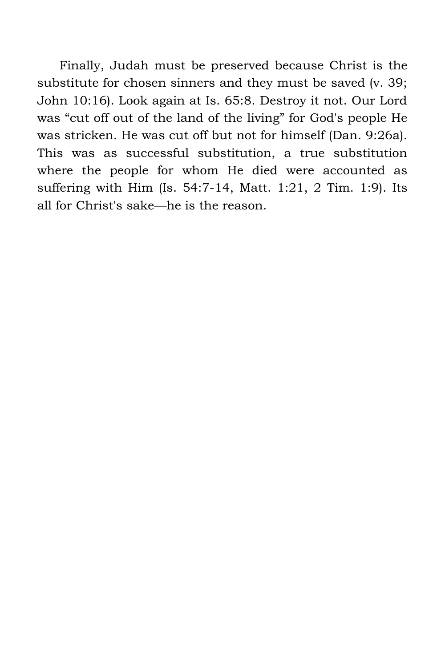Finally, Judah must be preserved because Christ is the substitute for chosen sinners and they must be saved (v. 39; John 10:16). Look again at Is. 65:8. Destroy it not. Our Lord was "cut off out of the land of the living" for God's people He was stricken. He was cut off but not for himself (Dan. 9:26a). This was as successful substitution, a true substitution where the people for whom He died were accounted as suffering with Him (Is. 54:7-14, Matt. 1:21, 2 Tim. 1:9). Its all for Christ's sake—he is the reason.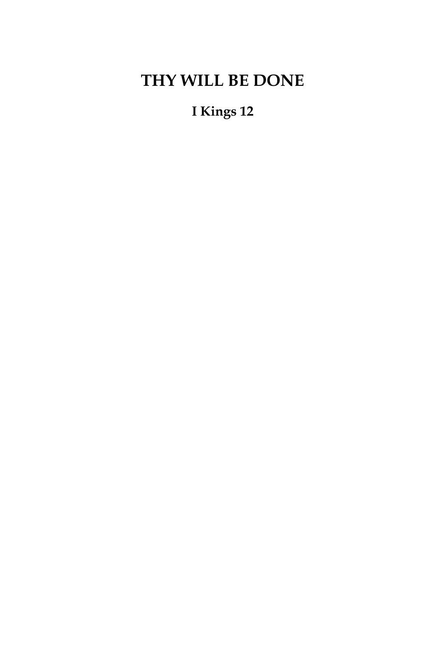## **THY WILL BE DONE**

### **I Kings 12**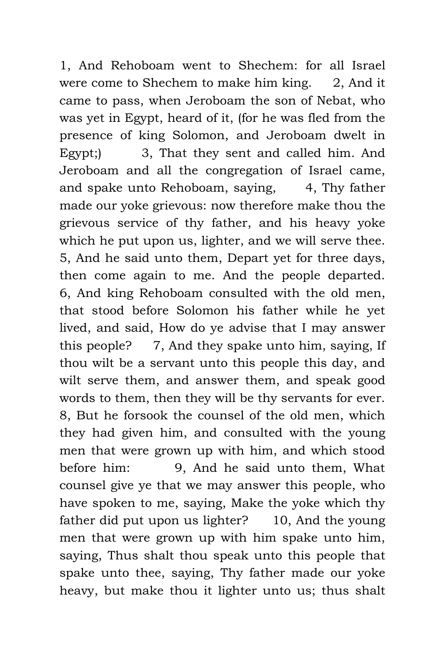1, And Rehoboam went to Shechem: for all Israel were come to Shechem to make him king. 2, And it came to pass, when Jeroboam the son of Nebat, who was yet in Egypt, heard of it, (for he was fled from the presence of king Solomon, and Jeroboam dwelt in Egypt;) 3, That they sent and called him. And Jeroboam and all the congregation of Israel came, and spake unto Rehoboam, saying, 4, Thy father made our yoke grievous: now therefore make thou the grievous service of thy father, and his heavy yoke which he put upon us, lighter, and we will serve thee. 5, And he said unto them, Depart yet for three days, then come again to me. And the people departed. 6, And king Rehoboam consulted with the old men, that stood before Solomon his father while he yet lived, and said, How do ye advise that I may answer this people? 7, And they spake unto him, saying, If thou wilt be a servant unto this people this day, and wilt serve them, and answer them, and speak good words to them, then they will be thy servants for ever. 8, But he forsook the counsel of the old men, which they had given him, and consulted with the young men that were grown up with him, and which stood before him: 9, And he said unto them, What counsel give ye that we may answer this people, who have spoken to me, saying, Make the yoke which thy father did put upon us lighter? 10, And the young men that were grown up with him spake unto him, saying, Thus shalt thou speak unto this people that spake unto thee, saying, Thy father made our yoke heavy, but make thou it lighter unto us; thus shalt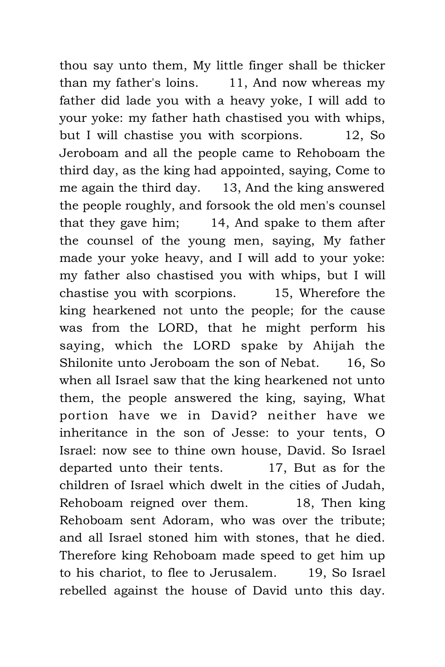thou say unto them, My little finger shall be thicker than my father's loins. 11, And now whereas my father did lade you with a heavy yoke, I will add to your yoke: my father hath chastised you with whips, but I will chastise you with scorpions. 12, So Jeroboam and all the people came to Rehoboam the third day, as the king had appointed, saying, Come to me again the third day. 13, And the king answered the people roughly, and forsook the old men's counsel that they gave him; 14, And spake to them after the counsel of the young men, saying, My father made your yoke heavy, and I will add to your yoke: my father also chastised you with whips, but I will chastise you with scorpions. 15, Wherefore the king hearkened not unto the people; for the cause was from the LORD, that he might perform his saying, which the LORD spake by Ahijah the Shilonite unto Jeroboam the son of Nebat. 16, So when all Israel saw that the king hearkened not unto them, the people answered the king, saying, What portion have we in David? neither have we inheritance in the son of Jesse: to your tents, O Israel: now see to thine own house, David. So Israel departed unto their tents. 17, But as for the children of Israel which dwelt in the cities of Judah, Rehoboam reigned over them. 18, Then king Rehoboam sent Adoram, who was over the tribute; and all Israel stoned him with stones, that he died. Therefore king Rehoboam made speed to get him up to his chariot, to flee to Jerusalem. 19, So Israel rebelled against the house of David unto this day.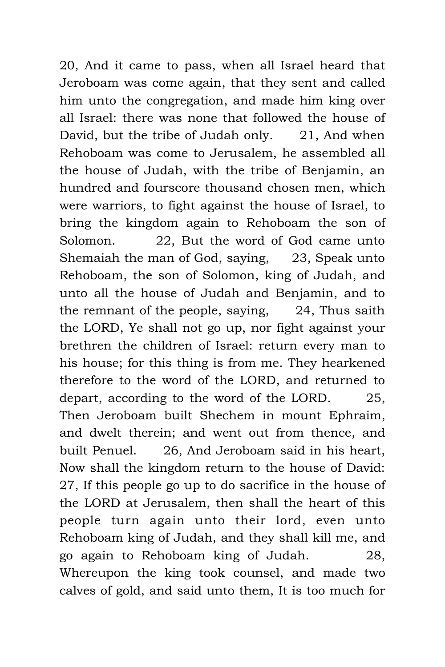20, And it came to pass, when all Israel heard that Jeroboam was come again, that they sent and called him unto the congregation, and made him king over all Israel: there was none that followed the house of David, but the tribe of Judah only. 21, And when Rehoboam was come to Jerusalem, he assembled all the house of Judah, with the tribe of Benjamin, an hundred and fourscore thousand chosen men, which were warriors, to fight against the house of Israel, to bring the kingdom again to Rehoboam the son of Solomon. 22, But the word of God came unto Shemaiah the man of God, saying, 23, Speak unto Rehoboam, the son of Solomon, king of Judah, and unto all the house of Judah and Benjamin, and to the remnant of the people, saying, 24, Thus saith the LORD, Ye shall not go up, nor fight against your brethren the children of Israel: return every man to his house; for this thing is from me. They hearkened therefore to the word of the LORD, and returned to depart, according to the word of the LORD. 25, Then Jeroboam built Shechem in mount Ephraim, and dwelt therein; and went out from thence, and built Penuel. 26, And Jeroboam said in his heart, Now shall the kingdom return to the house of David: 27, If this people go up to do sacrifice in the house of the LORD at Jerusalem, then shall the heart of this people turn again unto their lord, even unto Rehoboam king of Judah, and they shall kill me, and go again to Rehoboam king of Judah. 28, Whereupon the king took counsel, and made two calves of gold, and said unto them, It is too much for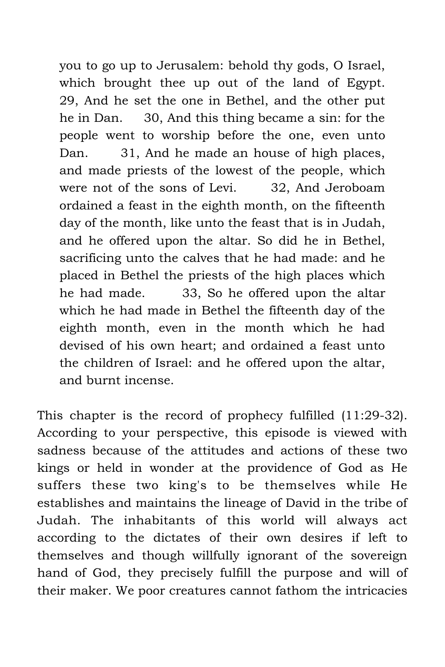you to go up to Jerusalem: behold thy gods, O Israel, which brought thee up out of the land of Egypt. 29, And he set the one in Bethel, and the other put he in Dan. 30, And this thing became a sin: for the people went to worship before the one, even unto Dan. 31, And he made an house of high places, and made priests of the lowest of the people, which were not of the sons of Levi. 32, And Jeroboam ordained a feast in the eighth month, on the fifteenth day of the month, like unto the feast that is in Judah, and he offered upon the altar. So did he in Bethel, sacrificing unto the calves that he had made: and he placed in Bethel the priests of the high places which he had made. 33, So he offered upon the altar which he had made in Bethel the fifteenth day of the eighth month, even in the month which he had devised of his own heart; and ordained a feast unto the children of Israel: and he offered upon the altar, and burnt incense.

This chapter is the record of prophecy fulfilled (11:29-32). According to your perspective, this episode is viewed with sadness because of the attitudes and actions of these two kings or held in wonder at the providence of God as He suffers these two king's to be themselves while He establishes and maintains the lineage of David in the tribe of Judah. The inhabitants of this world will always act according to the dictates of their own desires if left to themselves and though willfully ignorant of the sovereign hand of God, they precisely fulfill the purpose and will of their maker. We poor creatures cannot fathom the intricacies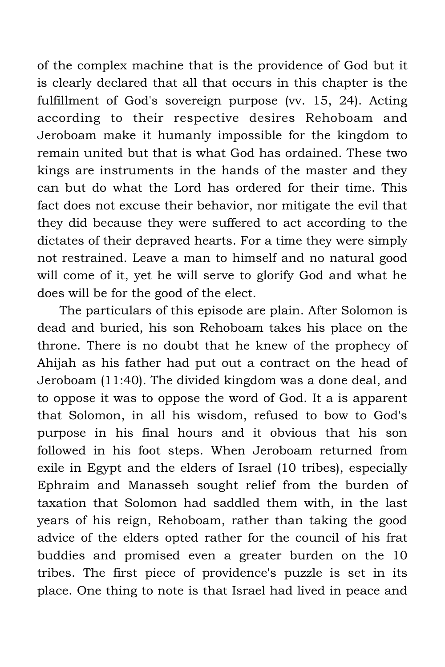of the complex machine that is the providence of God but it is clearly declared that all that occurs in this chapter is the fulfillment of God's sovereign purpose (vv. 15, 24). Acting according to their respective desires Rehoboam and Jeroboam make it humanly impossible for the kingdom to remain united but that is what God has ordained. These two kings are instruments in the hands of the master and they can but do what the Lord has ordered for their time. This fact does not excuse their behavior, nor mitigate the evil that they did because they were suffered to act according to the dictates of their depraved hearts. For a time they were simply not restrained. Leave a man to himself and no natural good will come of it, yet he will serve to glorify God and what he does will be for the good of the elect.

The particulars of this episode are plain. After Solomon is dead and buried, his son Rehoboam takes his place on the throne. There is no doubt that he knew of the prophecy of Ahijah as his father had put out a contract on the head of Jeroboam (11:40). The divided kingdom was a done deal, and to oppose it was to oppose the word of God. It a is apparent that Solomon, in all his wisdom, refused to bow to God's purpose in his final hours and it obvious that his son followed in his foot steps. When Jeroboam returned from exile in Egypt and the elders of Israel (10 tribes), especially Ephraim and Manasseh sought relief from the burden of taxation that Solomon had saddled them with, in the last years of his reign, Rehoboam, rather than taking the good advice of the elders opted rather for the council of his frat buddies and promised even a greater burden on the 10 tribes. The first piece of providence's puzzle is set in its place. One thing to note is that Israel had lived in peace and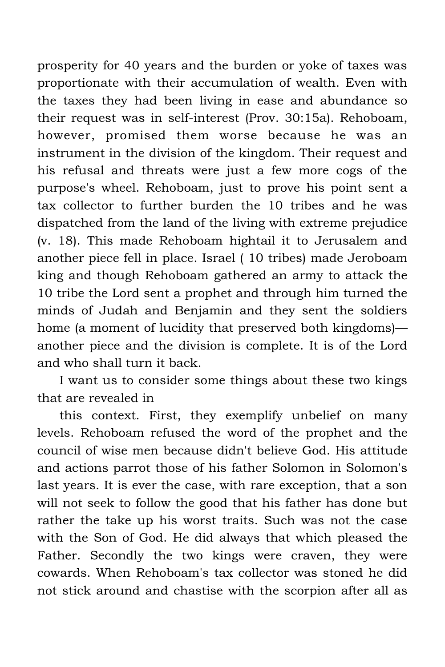prosperity for 40 years and the burden or yoke of taxes was proportionate with their accumulation of wealth. Even with the taxes they had been living in ease and abundance so their request was in self-interest (Prov. 30:15a). Rehoboam, however, promised them worse because he was an instrument in the division of the kingdom. Their request and his refusal and threats were just a few more cogs of the purpose's wheel. Rehoboam, just to prove his point sent a tax collector to further burden the 10 tribes and he was dispatched from the land of the living with extreme prejudice (v. 18). This made Rehoboam hightail it to Jerusalem and another piece fell in place. Israel ( 10 tribes) made Jeroboam king and though Rehoboam gathered an army to attack the 10 tribe the Lord sent a prophet and through him turned the minds of Judah and Benjamin and they sent the soldiers home (a moment of lucidity that preserved both kingdoms) another piece and the division is complete. It is of the Lord and who shall turn it back.

I want us to consider some things about these two kings that are revealed in

this context. First, they exemplify unbelief on many levels. Rehoboam refused the word of the prophet and the council of wise men because didn't believe God. His attitude and actions parrot those of his father Solomon in Solomon's last years. It is ever the case, with rare exception, that a son will not seek to follow the good that his father has done but rather the take up his worst traits. Such was not the case with the Son of God. He did always that which pleased the Father. Secondly the two kings were craven, they were cowards. When Rehoboam's tax collector was stoned he did not stick around and chastise with the scorpion after all as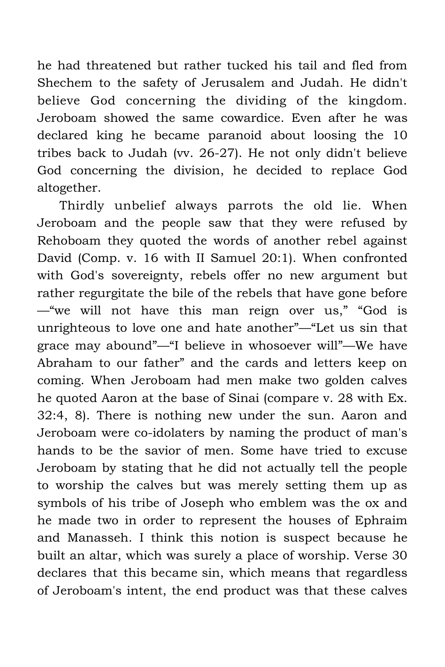he had threatened but rather tucked his tail and fled from Shechem to the safety of Jerusalem and Judah. He didn't believe God concerning the dividing of the kingdom. Jeroboam showed the same cowardice. Even after he was declared king he became paranoid about loosing the 10 tribes back to Judah (vv. 26-27). He not only didn't believe God concerning the division, he decided to replace God altogether.

Thirdly unbelief always parrots the old lie. When Jeroboam and the people saw that they were refused by Rehoboam they quoted the words of another rebel against David (Comp. v. 16 with II Samuel 20:1). When confronted with God's sovereignty, rebels offer no new argument but rather regurgitate the bile of the rebels that have gone before —"we will not have this man reign over us," "God is unrighteous to love one and hate another"—"Let us sin that grace may abound"—"I believe in whosoever will"—We have Abraham to our father" and the cards and letters keep on coming. When Jeroboam had men make two golden calves he quoted Aaron at the base of Sinai (compare v. 28 with Ex. 32:4, 8). There is nothing new under the sun. Aaron and Jeroboam were co-idolaters by naming the product of man's hands to be the savior of men. Some have tried to excuse Jeroboam by stating that he did not actually tell the people to worship the calves but was merely setting them up as symbols of his tribe of Joseph who emblem was the ox and he made two in order to represent the houses of Ephraim and Manasseh. I think this notion is suspect because he built an altar, which was surely a place of worship. Verse 30 declares that this became sin, which means that regardless of Jeroboam's intent, the end product was that these calves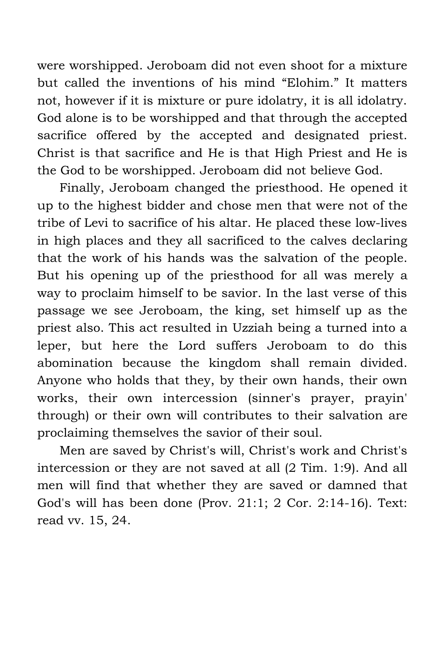were worshipped. Jeroboam did not even shoot for a mixture but called the inventions of his mind "Elohim." It matters not, however if it is mixture or pure idolatry, it is all idolatry. God alone is to be worshipped and that through the accepted sacrifice offered by the accepted and designated priest. Christ is that sacrifice and He is that High Priest and He is the God to be worshipped. Jeroboam did not believe God.

Finally, Jeroboam changed the priesthood. He opened it up to the highest bidder and chose men that were not of the tribe of Levi to sacrifice of his altar. He placed these low-lives in high places and they all sacrificed to the calves declaring that the work of his hands was the salvation of the people. But his opening up of the priesthood for all was merely a way to proclaim himself to be savior. In the last verse of this passage we see Jeroboam, the king, set himself up as the priest also. This act resulted in Uzziah being a turned into a leper, but here the Lord suffers Jeroboam to do this abomination because the kingdom shall remain divided. Anyone who holds that they, by their own hands, their own works, their own intercession (sinner's prayer, prayin' through) or their own will contributes to their salvation are proclaiming themselves the savior of their soul.

Men are saved by Christ's will, Christ's work and Christ's intercession or they are not saved at all (2 Tim. 1:9). And all men will find that whether they are saved or damned that God's will has been done (Prov. 21:1; 2 Cor. 2:14-16). Text: read vv. 15, 24.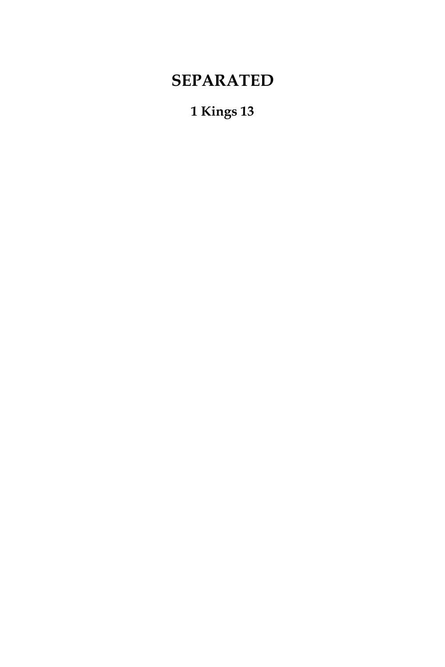## **SEPARATED**

#### **1 Kings 13**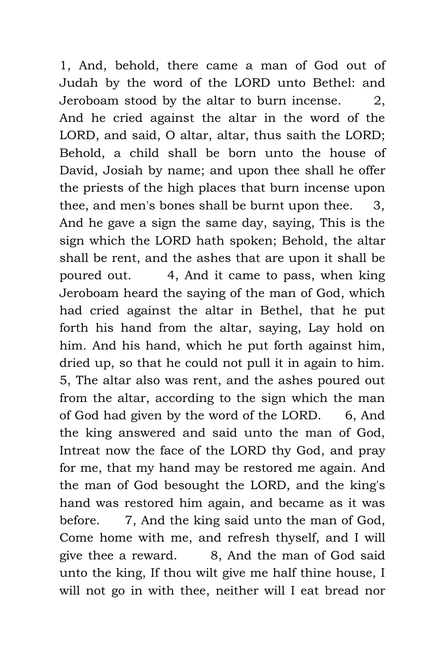1, And, behold, there came a man of God out of Judah by the word of the LORD unto Bethel: and Jeroboam stood by the altar to burn incense. 2, And he cried against the altar in the word of the LORD, and said, O altar, altar, thus saith the LORD; Behold, a child shall be born unto the house of David, Josiah by name; and upon thee shall he offer the priests of the high places that burn incense upon thee, and men's bones shall be burnt upon thee. 3, And he gave a sign the same day, saying, This is the sign which the LORD hath spoken; Behold, the altar shall be rent, and the ashes that are upon it shall be poured out. 4, And it came to pass, when king Jeroboam heard the saying of the man of God, which had cried against the altar in Bethel, that he put forth his hand from the altar, saying, Lay hold on him. And his hand, which he put forth against him, dried up, so that he could not pull it in again to him. 5, The altar also was rent, and the ashes poured out from the altar, according to the sign which the man of God had given by the word of the LORD. 6, And the king answered and said unto the man of God, Intreat now the face of the LORD thy God, and pray for me, that my hand may be restored me again. And the man of God besought the LORD, and the king's hand was restored him again, and became as it was before. 7, And the king said unto the man of God, Come home with me, and refresh thyself, and I will give thee a reward. 8, And the man of God said unto the king, If thou wilt give me half thine house, I will not go in with thee, neither will I eat bread nor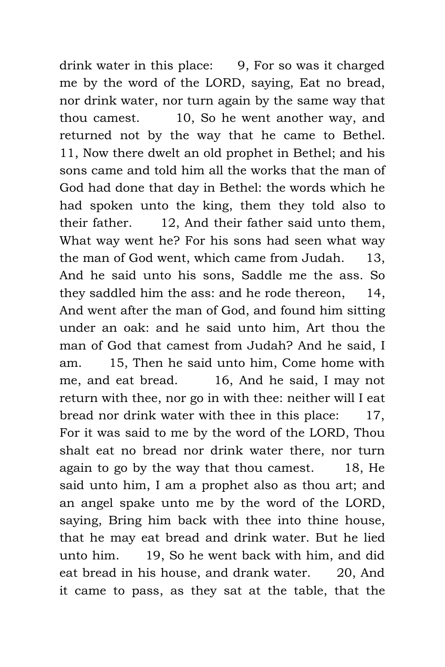drink water in this place: 9, For so was it charged me by the word of the LORD, saying, Eat no bread, nor drink water, nor turn again by the same way that thou camest. 10, So he went another way, and returned not by the way that he came to Bethel. 11, Now there dwelt an old prophet in Bethel; and his sons came and told him all the works that the man of God had done that day in Bethel: the words which he had spoken unto the king, them they told also to their father. 12, And their father said unto them, What way went he? For his sons had seen what way the man of God went, which came from Judah. 13, And he said unto his sons, Saddle me the ass. So they saddled him the ass: and he rode thereon, 14, And went after the man of God, and found him sitting under an oak: and he said unto him, Art thou the man of God that camest from Judah? And he said, I am. 15, Then he said unto him, Come home with me, and eat bread. 16, And he said, I may not return with thee, nor go in with thee: neither will I eat bread nor drink water with thee in this place: 17, For it was said to me by the word of the LORD, Thou shalt eat no bread nor drink water there, nor turn again to go by the way that thou camest. 18, He said unto him, I am a prophet also as thou art; and an angel spake unto me by the word of the LORD, saying, Bring him back with thee into thine house, that he may eat bread and drink water. But he lied unto him. 19, So he went back with him, and did eat bread in his house, and drank water. 20, And it came to pass, as they sat at the table, that the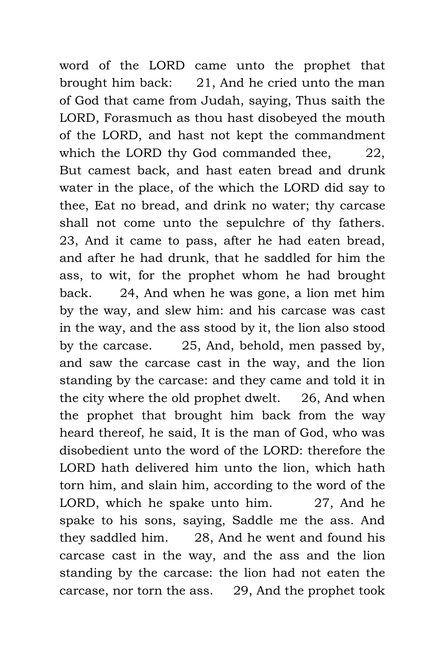word of the LORD came unto the prophet that brought him back: 21, And he cried unto the man of God that came from Judah, saying, Thus saith the LORD, Forasmuch as thou hast disobeyed the mouth of the LORD, and hast not kept the commandment which the LORD thy God commanded thee, 22, But camest back, and hast eaten bread and drunk water in the place, of the which the LORD did say to thee, Eat no bread, and drink no water; thy carcase shall not come unto the sepulchre of thy fathers. 23, And it came to pass, after he had eaten bread, and after he had drunk, that he saddled for him the ass, to wit, for the prophet whom he had brought back. 24, And when he was gone, a lion met him by the way, and slew him: and his carcase was cast in the way, and the ass stood by it, the lion also stood by the carcase. 25, And, behold, men passed by, and saw the carcase cast in the way, and the lion standing by the carcase: and they came and told it in the city where the old prophet dwelt. 26, And when the prophet that brought him back from the way heard thereof, he said, It is the man of God, who was disobedient unto the word of the LORD: therefore the LORD hath delivered him unto the lion, which hath torn him, and slain him, according to the word of the LORD, which he spake unto him. 27, And he spake to his sons, saying, Saddle me the ass. And they saddled him. 28, And he went and found his carcase cast in the way, and the ass and the lion standing by the carcase: the lion had not eaten the carcase, nor torn the ass. 29, And the prophet took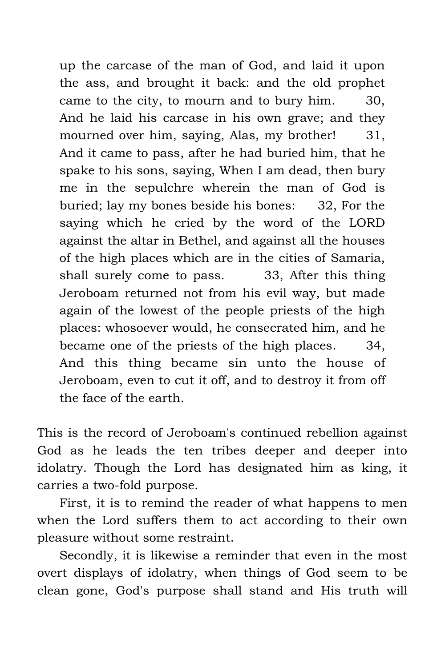up the carcase of the man of God, and laid it upon the ass, and brought it back: and the old prophet came to the city, to mourn and to bury him. 30, And he laid his carcase in his own grave; and they mourned over him, saying, Alas, my brother! 31, And it came to pass, after he had buried him, that he spake to his sons, saying, When I am dead, then bury me in the sepulchre wherein the man of God is buried; lay my bones beside his bones: 32, For the saying which he cried by the word of the LORD against the altar in Bethel, and against all the houses of the high places which are in the cities of Samaria, shall surely come to pass. 33, After this thing Jeroboam returned not from his evil way, but made again of the lowest of the people priests of the high places: whosoever would, he consecrated him, and he became one of the priests of the high places. 34, And this thing became sin unto the house of Jeroboam, even to cut it off, and to destroy it from off the face of the earth.

This is the record of Jeroboam's continued rebellion against God as he leads the ten tribes deeper and deeper into idolatry. Though the Lord has designated him as king, it carries a two-fold purpose.

First, it is to remind the reader of what happens to men when the Lord suffers them to act according to their own pleasure without some restraint.

Secondly, it is likewise a reminder that even in the most overt displays of idolatry, when things of God seem to be clean gone, God's purpose shall stand and His truth will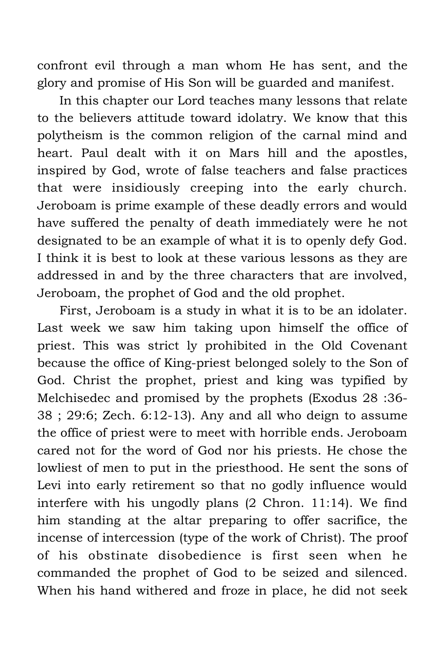confront evil through a man whom He has sent, and the glory and promise of His Son will be guarded and manifest.

In this chapter our Lord teaches many lessons that relate to the believers attitude toward idolatry. We know that this polytheism is the common religion of the carnal mind and heart. Paul dealt with it on Mars hill and the apostles, inspired by God, wrote of false teachers and false practices that were insidiously creeping into the early church. Jeroboam is prime example of these deadly errors and would have suffered the penalty of death immediately were he not designated to be an example of what it is to openly defy God. I think it is best to look at these various lessons as they are addressed in and by the three characters that are involved, Jeroboam, the prophet of God and the old prophet.

First, Jeroboam is a study in what it is to be an idolater. Last week we saw him taking upon himself the office of priest. This was strict ly prohibited in the Old Covenant because the office of King-priest belonged solely to the Son of God. Christ the prophet, priest and king was typified by Melchisedec and promised by the prophets (Exodus 28 :36- 38 ; 29:6; Zech. 6:12-13). Any and all who deign to assume the office of priest were to meet with horrible ends. Jeroboam cared not for the word of God nor his priests. He chose the lowliest of men to put in the priesthood. He sent the sons of Levi into early retirement so that no godly influence would interfere with his ungodly plans (2 Chron. 11:14). We find him standing at the altar preparing to offer sacrifice, the incense of intercession (type of the work of Christ). The proof of his obstinate disobedience is first seen when he commanded the prophet of God to be seized and silenced. When his hand withered and froze in place, he did not seek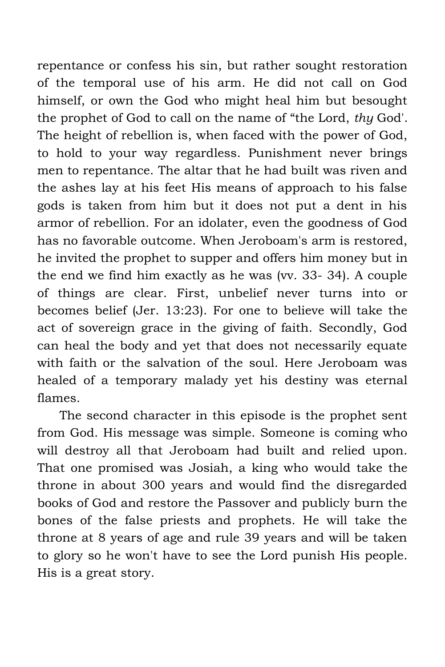repentance or confess his sin, but rather sought restoration of the temporal use of his arm. He did not call on God himself, or own the God who might heal him but besought the prophet of God to call on the name of "the Lord, *thy* God'. The height of rebellion is, when faced with the power of God, to hold to your way regardless. Punishment never brings men to repentance. The altar that he had built was riven and the ashes lay at his feet His means of approach to his false gods is taken from him but it does not put a dent in his armor of rebellion. For an idolater, even the goodness of God has no favorable outcome. When Jeroboam's arm is restored, he invited the prophet to supper and offers him money but in the end we find him exactly as he was (vv. 33- 34). A couple of things are clear. First, unbelief never turns into or becomes belief (Jer. 13:23). For one to believe will take the act of sovereign grace in the giving of faith. Secondly, God can heal the body and yet that does not necessarily equate with faith or the salvation of the soul. Here Jeroboam was healed of a temporary malady yet his destiny was eternal flames.

The second character in this episode is the prophet sent from God. His message was simple. Someone is coming who will destroy all that Jeroboam had built and relied upon. That one promised was Josiah, a king who would take the throne in about 300 years and would find the disregarded books of God and restore the Passover and publicly burn the bones of the false priests and prophets. He will take the throne at 8 years of age and rule 39 years and will be taken to glory so he won't have to see the Lord punish His people. His is a great story.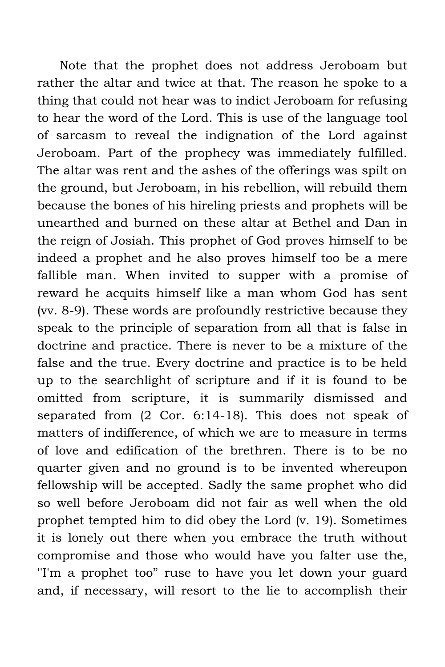Note that the prophet does not address Jeroboam but rather the altar and twice at that. The reason he spoke to a thing that could not hear was to indict Jeroboam for refusing to hear the word of the Lord. This is use of the language tool of sarcasm to reveal the indignation of the Lord against Jeroboam. Part of the prophecy was immediately fulfilled. The altar was rent and the ashes of the offerings was spilt on the ground, but Jeroboam, in his rebellion, will rebuild them because the bones of his hireling priests and prophets will be unearthed and burned on these altar at Bethel and Dan in the reign of Josiah. This prophet of God proves himself to be indeed a prophet and he also proves himself too be a mere fallible man. When invited to supper with a promise of reward he acquits himself like a man whom God has sent (vv. 8-9). These words are profoundly restrictive because they speak to the principle of separation from all that is false in doctrine and practice. There is never to be a mixture of the false and the true. Every doctrine and practice is to be held up to the searchlight of scripture and if it is found to be omitted from scripture, it is summarily dismissed and separated from (2 Cor. 6:14-18). This does not speak of matters of indifference, of which we are to measure in terms of love and edification of the brethren. There is to be no quarter given and no ground is to be invented whereupon fellowship will be accepted. Sadly the same prophet who did so well before Jeroboam did not fair as well when the old prophet tempted him to did obey the Lord (v. 19). Sometimes it is lonely out there when you embrace the truth without compromise and those who would have you falter use the, ''I'm a prophet too" ruse to have you let down your guard and, if necessary, will resort to the lie to accomplish their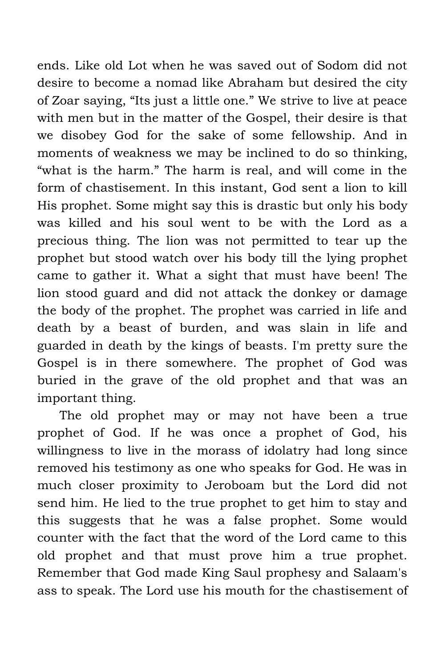ends. Like old Lot when he was saved out of Sodom did not desire to become a nomad like Abraham but desired the city of Zoar saying, "Its just a little one." We strive to live at peace with men but in the matter of the Gospel, their desire is that we disobey God for the sake of some fellowship. And in moments of weakness we may be inclined to do so thinking, "what is the harm." The harm is real, and will come in the form of chastisement. In this instant, God sent a lion to kill His prophet. Some might say this is drastic but only his body was killed and his soul went to be with the Lord as a precious thing. The lion was not permitted to tear up the prophet but stood watch over his body till the lying prophet came to gather it. What a sight that must have been! The lion stood guard and did not attack the donkey or damage the body of the prophet. The prophet was carried in life and death by a beast of burden, and was slain in life and guarded in death by the kings of beasts. I'm pretty sure the Gospel is in there somewhere. The prophet of God was buried in the grave of the old prophet and that was an important thing.

The old prophet may or may not have been a true prophet of God. If he was once a prophet of God, his willingness to live in the morass of idolatry had long since removed his testimony as one who speaks for God. He was in much closer proximity to Jeroboam but the Lord did not send him. He lied to the true prophet to get him to stay and this suggests that he was a false prophet. Some would counter with the fact that the word of the Lord came to this old prophet and that must prove him a true prophet. Remember that God made King Saul prophesy and Salaam's ass to speak. The Lord use his mouth for the chastisement of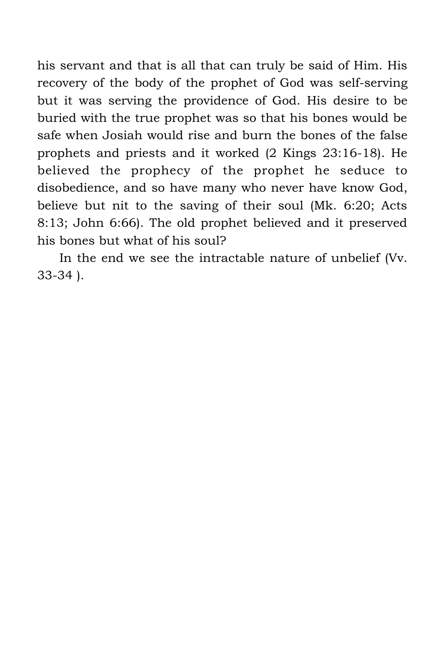his servant and that is all that can truly be said of Him. His recovery of the body of the prophet of God was self-serving but it was serving the providence of God. His desire to be buried with the true prophet was so that his bones would be safe when Josiah would rise and burn the bones of the false prophets and priests and it worked (2 Kings 23:16-18). He believed the prophecy of the prophet he seduce to disobedience, and so have many who never have know God, believe but nit to the saving of their soul (Mk. 6:20; Acts 8:13; John 6:66). The old prophet believed and it preserved his bones but what of his soul?

In the end we see the intractable nature of unbelief (Vv. 33-34 ).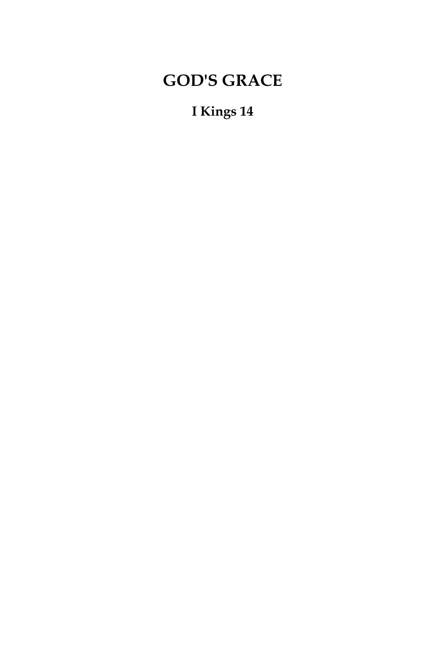# **GOD'S GRACE**

## **I Kings 14**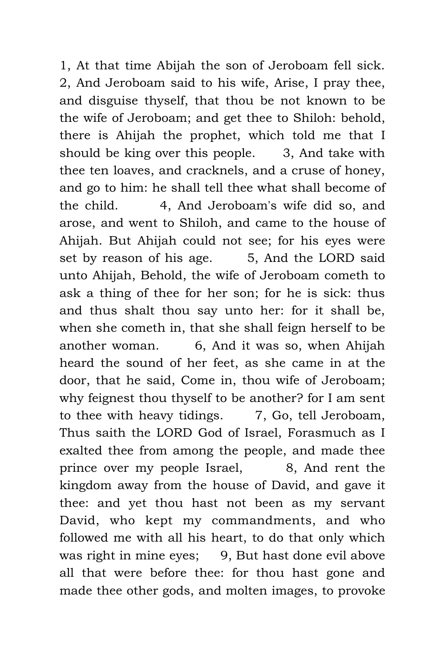1, At that time Abijah the son of Jeroboam fell sick. 2, And Jeroboam said to his wife, Arise, I pray thee, and disguise thyself, that thou be not known to be the wife of Jeroboam; and get thee to Shiloh: behold, there is Ahijah the prophet, which told me that I should be king over this people. 3, And take with thee ten loaves, and cracknels, and a cruse of honey, and go to him: he shall tell thee what shall become of the child. 4, And Jeroboam's wife did so, and arose, and went to Shiloh, and came to the house of Ahijah. But Ahijah could not see; for his eyes were set by reason of his age. 5, And the LORD said unto Ahijah, Behold, the wife of Jeroboam cometh to ask a thing of thee for her son; for he is sick: thus and thus shalt thou say unto her: for it shall be, when she cometh in, that she shall feign herself to be another woman. 6, And it was so, when Ahijah heard the sound of her feet, as she came in at the door, that he said, Come in, thou wife of Jeroboam; why feignest thou thyself to be another? for I am sent to thee with heavy tidings.  $\qquad$  7, Go, tell Jeroboam, Thus saith the LORD God of Israel, Forasmuch as I exalted thee from among the people, and made thee prince over my people Israel, 8, And rent the kingdom away from the house of David, and gave it thee: and yet thou hast not been as my servant David, who kept my commandments, and who followed me with all his heart, to do that only which was right in mine eyes; 9, But hast done evil above all that were before thee: for thou hast gone and made thee other gods, and molten images, to provoke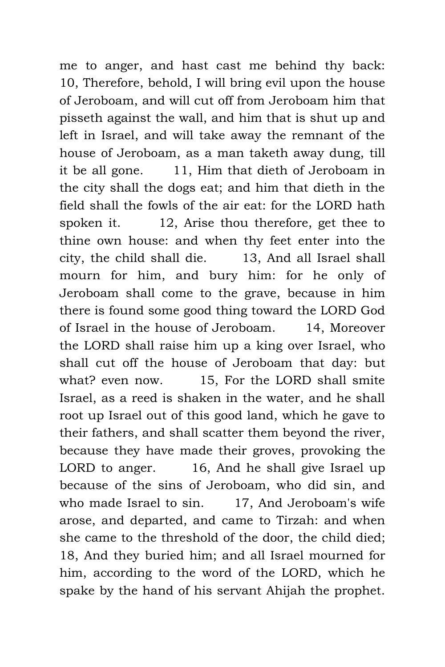me to anger, and hast cast me behind thy back: 10, Therefore, behold, I will bring evil upon the house of Jeroboam, and will cut off from Jeroboam him that pisseth against the wall, and him that is shut up and left in Israel, and will take away the remnant of the house of Jeroboam, as a man taketh away dung, till it be all gone. 11, Him that dieth of Jeroboam in the city shall the dogs eat; and him that dieth in the field shall the fowls of the air eat: for the LORD hath spoken it. 12, Arise thou therefore, get thee to thine own house: and when thy feet enter into the city, the child shall die. 13, And all Israel shall mourn for him, and bury him: for he only of Jeroboam shall come to the grave, because in him there is found some good thing toward the LORD God of Israel in the house of Jeroboam. 14, Moreover the LORD shall raise him up a king over Israel, who shall cut off the house of Jeroboam that day: but what? even now. 15, For the LORD shall smite Israel, as a reed is shaken in the water, and he shall root up Israel out of this good land, which he gave to their fathers, and shall scatter them beyond the river, because they have made their groves, provoking the LORD to anger. 16, And he shall give Israel up because of the sins of Jeroboam, who did sin, and who made Israel to sin. 17, And Jeroboam's wife arose, and departed, and came to Tirzah: and when she came to the threshold of the door, the child died; 18, And they buried him; and all Israel mourned for him, according to the word of the LORD, which he spake by the hand of his servant Ahijah the prophet.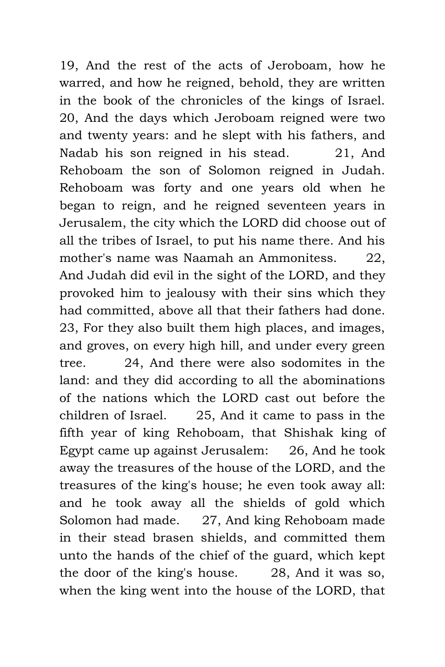19, And the rest of the acts of Jeroboam, how he warred, and how he reigned, behold, they are written in the book of the chronicles of the kings of Israel. 20, And the days which Jeroboam reigned were two and twenty years: and he slept with his fathers, and Nadab his son reigned in his stead. 21, And Rehoboam the son of Solomon reigned in Judah. Rehoboam was forty and one years old when he began to reign, and he reigned seventeen years in Jerusalem, the city which the LORD did choose out of all the tribes of Israel, to put his name there. And his mother's name was Naamah an Ammonitess. 22, And Judah did evil in the sight of the LORD, and they provoked him to jealousy with their sins which they had committed, above all that their fathers had done. 23, For they also built them high places, and images, and groves, on every high hill, and under every green tree. 24, And there were also sodomites in the land: and they did according to all the abominations of the nations which the LORD cast out before the children of Israel. 25, And it came to pass in the fifth year of king Rehoboam, that Shishak king of Egypt came up against Jerusalem: 26, And he took away the treasures of the house of the LORD, and the treasures of the king's house; he even took away all: and he took away all the shields of gold which Solomon had made. 27, And king Rehoboam made in their stead brasen shields, and committed them unto the hands of the chief of the guard, which kept the door of the king's house. 28, And it was so, when the king went into the house of the LORD, that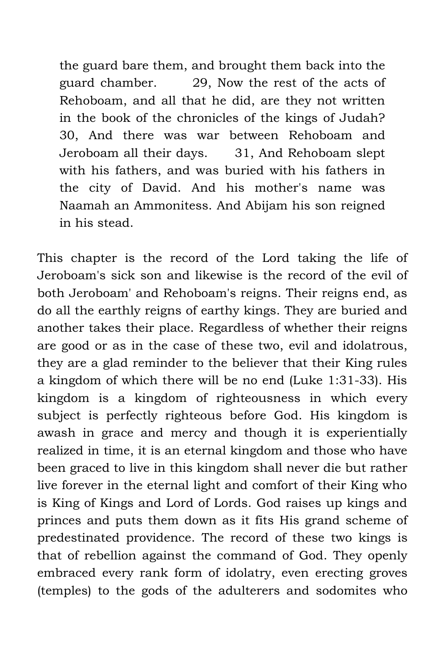the guard bare them, and brought them back into the guard chamber. 29, Now the rest of the acts of Rehoboam, and all that he did, are they not written in the book of the chronicles of the kings of Judah? 30, And there was war between Rehoboam and Jeroboam all their days. 31, And Rehoboam slept with his fathers, and was buried with his fathers in the city of David. And his mother's name was Naamah an Ammonitess. And Abijam his son reigned in his stead.

This chapter is the record of the Lord taking the life of Jeroboam's sick son and likewise is the record of the evil of both Jeroboam' and Rehoboam's reigns. Their reigns end, as do all the earthly reigns of earthy kings. They are buried and another takes their place. Regardless of whether their reigns are good or as in the case of these two, evil and idolatrous, they are a glad reminder to the believer that their King rules a kingdom of which there will be no end (Luke 1:31-33). His kingdom is a kingdom of righteousness in which every subject is perfectly righteous before God. His kingdom is awash in grace and mercy and though it is experientially realized in time, it is an eternal kingdom and those who have been graced to live in this kingdom shall never die but rather live forever in the eternal light and comfort of their King who is King of Kings and Lord of Lords. God raises up kings and princes and puts them down as it fits His grand scheme of predestinated providence. The record of these two kings is that of rebellion against the command of God. They openly embraced every rank form of idolatry, even erecting groves (temples) to the gods of the adulterers and sodomites who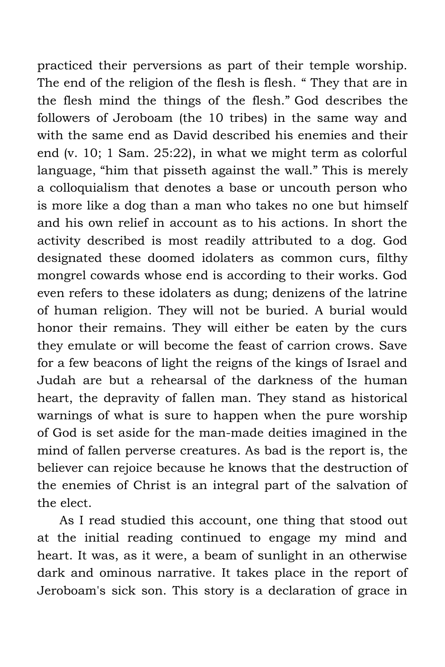practiced their perversions as part of their temple worship. The end of the religion of the flesh is flesh. " They that are in the flesh mind the things of the flesh." God describes the followers of Jeroboam (the 10 tribes) in the same way and with the same end as David described his enemies and their end (v. 10; 1 Sam. 25:22), in what we might term as colorful language, "him that pisseth against the wall." This is merely a colloquialism that denotes a base or uncouth person who is more like a dog than a man who takes no one but himself and his own relief in account as to his actions. In short the activity described is most readily attributed to a dog. God designated these doomed idolaters as common curs, filthy mongrel cowards whose end is according to their works. God even refers to these idolaters as dung; denizens of the latrine of human religion. They will not be buried. A burial would honor their remains. They will either be eaten by the curs they emulate or will become the feast of carrion crows. Save for a few beacons of light the reigns of the kings of Israel and Judah are but a rehearsal of the darkness of the human heart, the depravity of fallen man. They stand as historical warnings of what is sure to happen when the pure worship of God is set aside for the man-made deities imagined in the mind of fallen perverse creatures. As bad is the report is, the believer can rejoice because he knows that the destruction of the enemies of Christ is an integral part of the salvation of the elect.

As I read studied this account, one thing that stood out at the initial reading continued to engage my mind and heart. It was, as it were, a beam of sunlight in an otherwise dark and ominous narrative. It takes place in the report of Jeroboam's sick son. This story is a declaration of grace in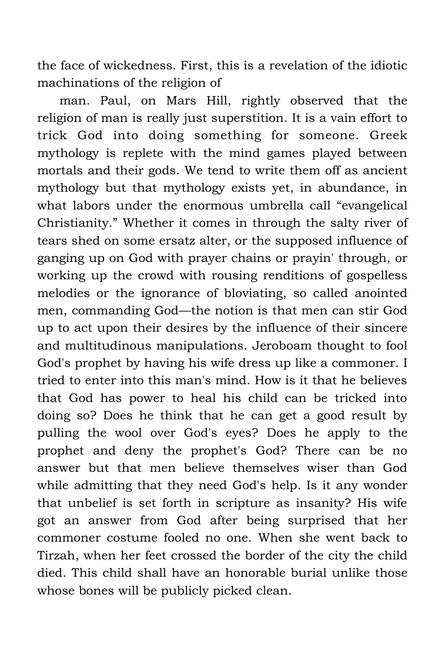the face of wickedness. First, this is a revelation of the idiotic machinations of the religion of

man. Paul, on Mars Hill, rightly observed that the religion of man is really just superstition. It is a vain effort to trick God into doing something for someone. Greek mythology is replete with the mind games played between mortals and their gods. We tend to write them off as ancient mythology but that mythology exists yet, in abundance, in what labors under the enormous umbrella call "evangelical Christianity." Whether it comes in through the salty river of tears shed on some ersatz alter, or the supposed influence of ganging up on God with prayer chains or prayin' through, or working up the crowd with rousing renditions of gospelless melodies or the ignorance of bloviating, so called anointed men, commanding God—the notion is that men can stir God up to act upon their desires by the influence of their sincere and multitudinous manipulations. Jeroboam thought to fool God's prophet by having his wife dress up like a commoner. I tried to enter into this man's mind. How is it that he believes that God has power to heal his child can be tricked into doing so? Does he think that he can get a good result by pulling the wool over God's eyes? Does he apply to the prophet and deny the prophet's God? There can be no answer but that men believe themselves wiser than God while admitting that they need God's help. Is it any wonder that unbelief is set forth in scripture as insanity? His wife got an answer from God after being surprised that her commoner costume fooled no one. When she went back to Tirzah, when her feet crossed the border of the city the child died. This child shall have an honorable burial unlike those whose bones will be publicly picked clean.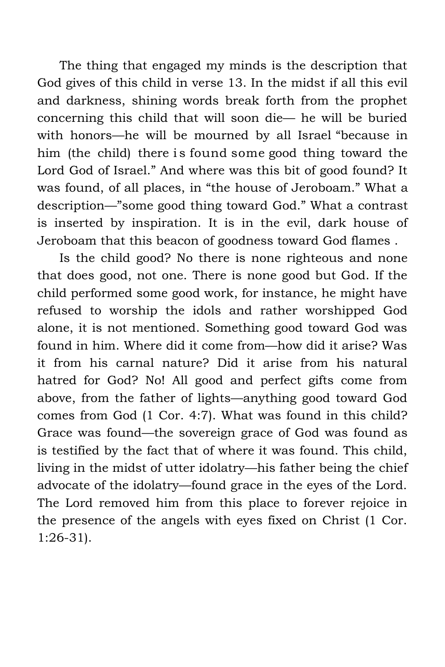The thing that engaged my minds is the description that God gives of this child in verse 13. In the midst if all this evil and darkness, shining words break forth from the prophet concerning this child that will soon die— he will be buried with honors—he will be mourned by all Israel "because in him (the child) there is found some good thing toward the Lord God of Israel." And where was this bit of good found? It was found, of all places, in "the house of Jeroboam." What a description—"some good thing toward God." What a contrast is inserted by inspiration. It is in the evil, dark house of Jeroboam that this beacon of goodness toward God flames .

Is the child good? No there is none righteous and none that does good, not one. There is none good but God. If the child performed some good work, for instance, he might have refused to worship the idols and rather worshipped God alone, it is not mentioned. Something good toward God was found in him. Where did it come from—how did it arise? Was it from his carnal nature? Did it arise from his natural hatred for God? No! All good and perfect gifts come from above, from the father of lights—anything good toward God comes from God (1 Cor. 4:7). What was found in this child? Grace was found—the sovereign grace of God was found as is testified by the fact that of where it was found. This child, living in the midst of utter idolatry—his father being the chief advocate of the idolatry—found grace in the eyes of the Lord. The Lord removed him from this place to forever rejoice in the presence of the angels with eyes fixed on Christ (1 Cor. 1:26-31).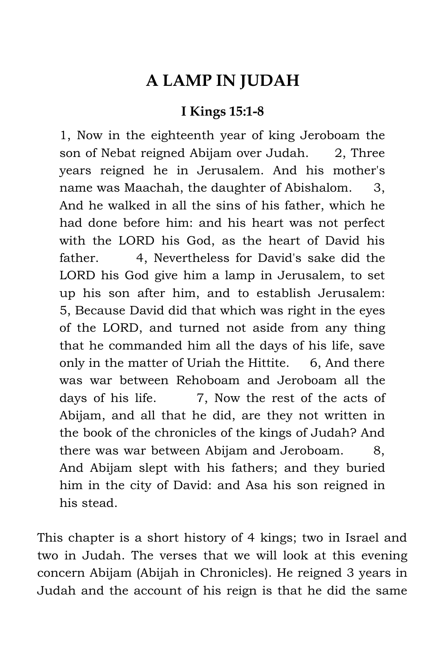### **A LAMP IN JUDAH**

#### **I Kings 15:1-8**

1, Now in the eighteenth year of king Jeroboam the son of Nebat reigned Abijam over Judah. 2, Three years reigned he in Jerusalem. And his mother's name was Maachah, the daughter of Abishalom. 3, And he walked in all the sins of his father, which he had done before him: and his heart was not perfect with the LORD his God, as the heart of David his father. 4, Nevertheless for David's sake did the LORD his God give him a lamp in Jerusalem, to set up his son after him, and to establish Jerusalem: 5, Because David did that which was right in the eyes of the LORD, and turned not aside from any thing that he commanded him all the days of his life, save only in the matter of Uriah the Hittite. 6, And there was war between Rehoboam and Jeroboam all the days of his life. 7, Now the rest of the acts of Abijam, and all that he did, are they not written in the book of the chronicles of the kings of Judah? And there was war between Abijam and Jeroboam. 8, And Abijam slept with his fathers; and they buried him in the city of David: and Asa his son reigned in his stead.

This chapter is a short history of 4 kings; two in Israel and two in Judah. The verses that we will look at this evening concern Abijam (Abijah in Chronicles). He reigned 3 years in Judah and the account of his reign is that he did the same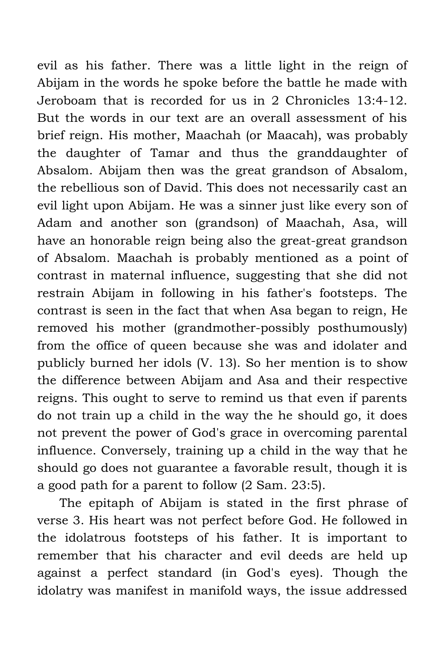evil as his father. There was a little light in the reign of Abijam in the words he spoke before the battle he made with Jeroboam that is recorded for us in 2 Chronicles 13:4-12. But the words in our text are an overall assessment of his brief reign. His mother, Maachah (or Maacah), was probably the daughter of Tamar and thus the granddaughter of Absalom. Abijam then was the great grandson of Absalom, the rebellious son of David. This does not necessarily cast an evil light upon Abijam. He was a sinner just like every son of Adam and another son (grandson) of Maachah, Asa, will have an honorable reign being also the great-great grandson of Absalom. Maachah is probably mentioned as a point of contrast in maternal influence, suggesting that she did not restrain Abijam in following in his father's footsteps. The contrast is seen in the fact that when Asa began to reign, He removed his mother (grandmother-possibly posthumously) from the office of queen because she was and idolater and publicly burned her idols (V. 13). So her mention is to show the difference between Abijam and Asa and their respective reigns. This ought to serve to remind us that even if parents do not train up a child in the way the he should go, it does not prevent the power of God's grace in overcoming parental influence. Conversely, training up a child in the way that he should go does not guarantee a favorable result, though it is a good path for a parent to follow (2 Sam. 23:5).

The epitaph of Abijam is stated in the first phrase of verse 3. His heart was not perfect before God. He followed in the idolatrous footsteps of his father. It is important to remember that his character and evil deeds are held up against a perfect standard (in God's eyes). Though the idolatry was manifest in manifold ways, the issue addressed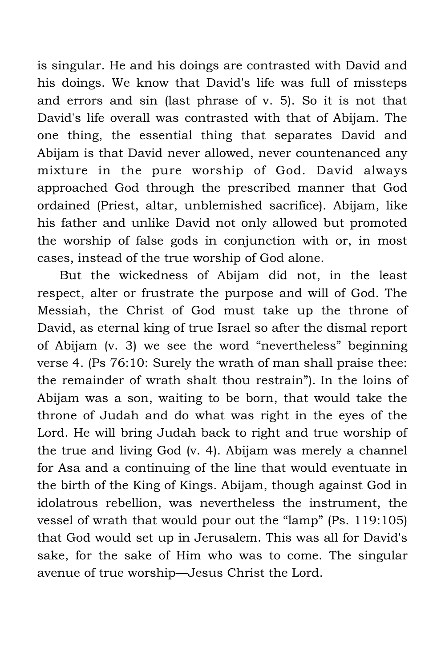is singular. He and his doings are contrasted with David and his doings. We know that David's life was full of missteps and errors and sin (last phrase of v. 5). So it is not that David's life overall was contrasted with that of Abijam. The one thing, the essential thing that separates David and Abijam is that David never allowed, never countenanced any mixture in the pure worship of God. David always approached God through the prescribed manner that God ordained (Priest, altar, unblemished sacrifice). Abijam, like his father and unlike David not only allowed but promoted the worship of false gods in conjunction with or, in most cases, instead of the true worship of God alone.

But the wickedness of Abijam did not, in the least respect, alter or frustrate the purpose and will of God. The Messiah, the Christ of God must take up the throne of David, as eternal king of true Israel so after the dismal report of Abijam (v. 3) we see the word "nevertheless" beginning verse 4. (Ps 76:10: Surely the wrath of man shall praise thee: the remainder of wrath shalt thou restrain"). In the loins of Abijam was a son, waiting to be born, that would take the throne of Judah and do what was right in the eyes of the Lord. He will bring Judah back to right and true worship of the true and living God (v. 4). Abijam was merely a channel for Asa and a continuing of the line that would eventuate in the birth of the King of Kings. Abijam, though against God in idolatrous rebellion, was nevertheless the instrument, the vessel of wrath that would pour out the "lamp" (Ps. 119:105) that God would set up in Jerusalem. This was all for David's sake, for the sake of Him who was to come. The singular avenue of true worship—Jesus Christ the Lord.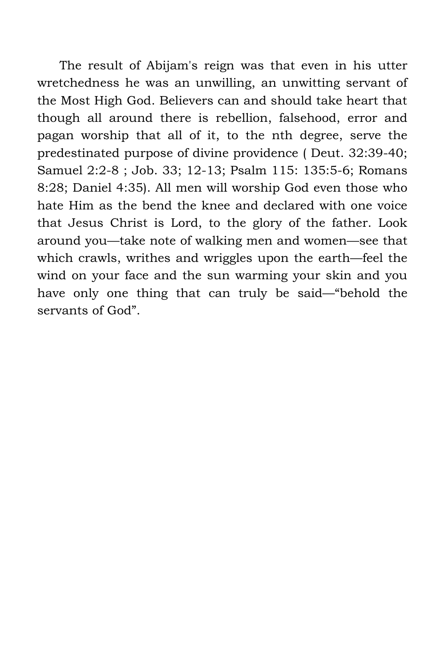The result of Abijam's reign was that even in his utter wretchedness he was an unwilling, an unwitting servant of the Most High God. Believers can and should take heart that though all around there is rebellion, falsehood, error and pagan worship that all of it, to the nth degree, serve the predestinated purpose of divine providence ( Deut. 32:39-40; Samuel 2:2-8 ; Job. 33; 12-13; Psalm 115: 135:5-6; Romans 8:28; Daniel 4:35). All men will worship God even those who hate Him as the bend the knee and declared with one voice that Jesus Christ is Lord, to the glory of the father. Look around you—take note of walking men and women—see that which crawls, writhes and wriggles upon the earth—feel the wind on your face and the sun warming your skin and you have only one thing that can truly be said—"behold the servants of God".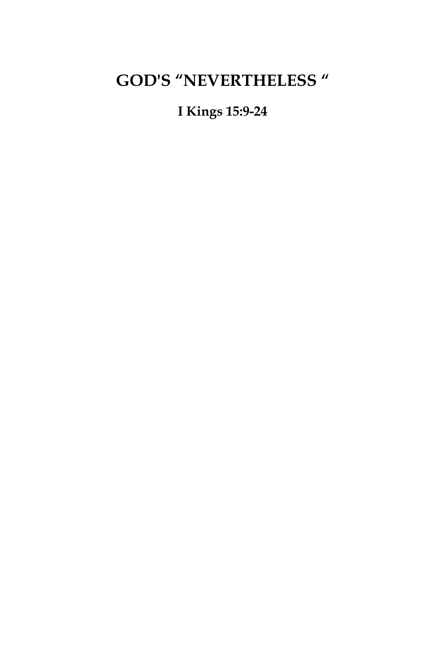# **GOD'S "NEVERTHELESS "**

#### **I Kings 15:9-24**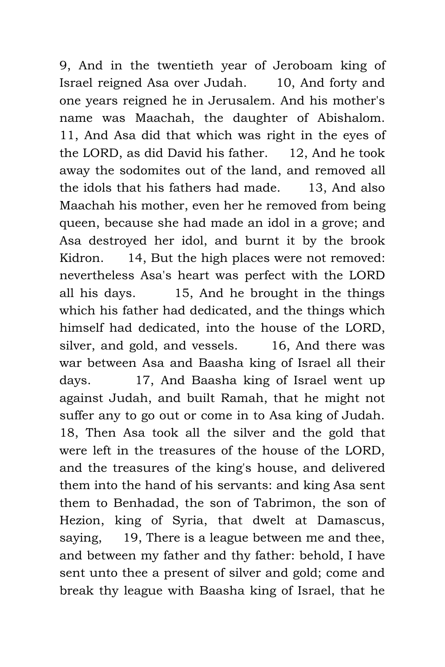9, And in the twentieth year of Jeroboam king of Israel reigned Asa over Judah. 10, And forty and one years reigned he in Jerusalem. And his mother's name was Maachah, the daughter of Abishalom. 11, And Asa did that which was right in the eyes of the LORD, as did David his father. 12, And he took away the sodomites out of the land, and removed all the idols that his fathers had made. 13, And also Maachah his mother, even her he removed from being queen, because she had made an idol in a grove; and Asa destroyed her idol, and burnt it by the brook Kidron. 14, But the high places were not removed: nevertheless Asa's heart was perfect with the LORD all his days. 15, And he brought in the things which his father had dedicated, and the things which himself had dedicated, into the house of the LORD, silver, and gold, and vessels. 16, And there was war between Asa and Baasha king of Israel all their days. 17, And Baasha king of Israel went up against Judah, and built Ramah, that he might not suffer any to go out or come in to Asa king of Judah. 18, Then Asa took all the silver and the gold that were left in the treasures of the house of the LORD, and the treasures of the king's house, and delivered them into the hand of his servants: and king Asa sent them to Benhadad, the son of Tabrimon, the son of Hezion, king of Syria, that dwelt at Damascus, saying, 19, There is a league between me and thee, and between my father and thy father: behold, I have sent unto thee a present of silver and gold; come and break thy league with Baasha king of Israel, that he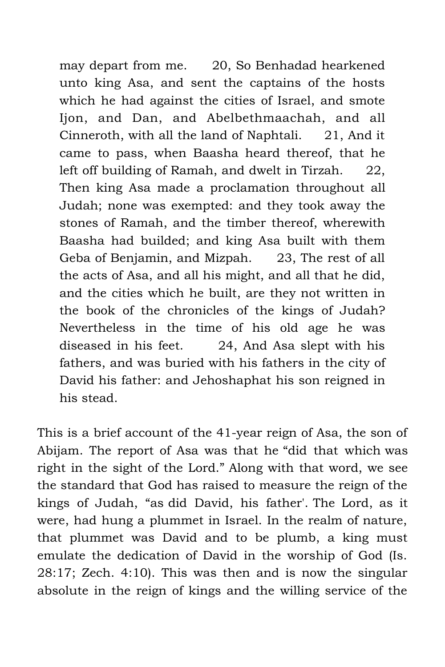may depart from me. 20, So Benhadad hearkened unto king Asa, and sent the captains of the hosts which he had against the cities of Israel, and smote Ijon, and Dan, and Abelbethmaachah, and all Cinneroth, with all the land of Naphtali. 21, And it came to pass, when Baasha heard thereof, that he left off building of Ramah, and dwelt in Tirzah. 22, Then king Asa made a proclamation throughout all Judah; none was exempted: and they took away the stones of Ramah, and the timber thereof, wherewith Baasha had builded; and king Asa built with them Geba of Benjamin, and Mizpah. 23, The rest of all the acts of Asa, and all his might, and all that he did, and the cities which he built, are they not written in the book of the chronicles of the kings of Judah? Nevertheless in the time of his old age he was diseased in his feet. 24, And Asa slept with his fathers, and was buried with his fathers in the city of David his father: and Jehoshaphat his son reigned in his stead.

This is a brief account of the 41-year reign of Asa, the son of Abijam. The report of Asa was that he "did that which was right in the sight of the Lord." Along with that word, we see the standard that God has raised to measure the reign of the kings of Judah, "as did David, his father'. The Lord, as it were, had hung a plummet in Israel. In the realm of nature, that plummet was David and to be plumb, a king must emulate the dedication of David in the worship of God (Is. 28:17; Zech. 4:10). This was then and is now the singular absolute in the reign of kings and the willing service of the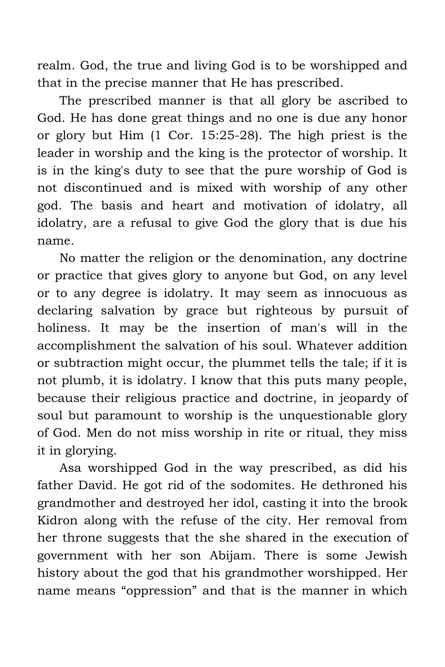realm. God, the true and living God is to be worshipped and that in the precise manner that He has prescribed.

The prescribed manner is that all glory be ascribed to God. He has done great things and no one is due any honor or glory but Him (1 Cor. 15:25-28). The high priest is the leader in worship and the king is the protector of worship. It is in the king's duty to see that the pure worship of God is not discontinued and is mixed with worship of any other god. The basis and heart and motivation of idolatry, all idolatry, are a refusal to give God the glory that is due his name.

No matter the religion or the denomination, any doctrine or practice that gives glory to anyone but God, on any level or to any degree is idolatry. It may seem as innocuous as declaring salvation by grace but righteous by pursuit of holiness. It may be the insertion of man's will in the accomplishment the salvation of his soul. Whatever addition or subtraction might occur, the plummet tells the tale; if it is not plumb, it is idolatry. I know that this puts many people, because their religious practice and doctrine, in jeopardy of soul but paramount to worship is the unquestionable glory of God. Men do not miss worship in rite or ritual, they miss it in glorying.

Asa worshipped God in the way prescribed, as did his father David. He got rid of the sodomites. He dethroned his grandmother and destroyed her idol, casting it into the brook Kidron along with the refuse of the city. Her removal from her throne suggests that the she shared in the execution of government with her son Abijam. There is some Jewish history about the god that his grandmother worshipped. Her name means "oppression" and that is the manner in which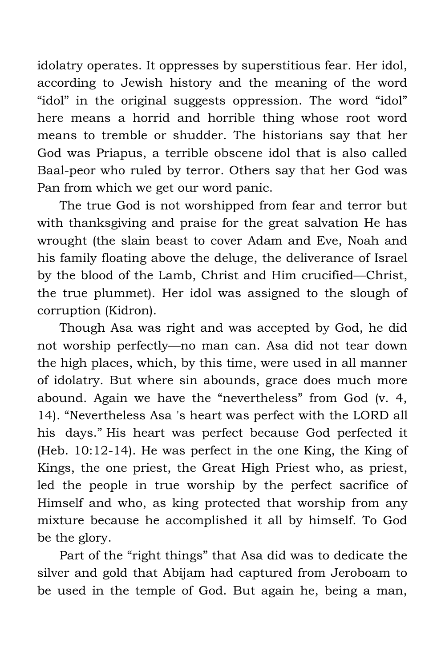idolatry operates. It oppresses by superstitious fear. Her idol, according to Jewish history and the meaning of the word "idol" in the original suggests oppression. The word "idol" here means a horrid and horrible thing whose root word means to tremble or shudder. The historians say that her God was Priapus, a terrible obscene idol that is also called Baal-peor who ruled by terror. Others say that her God was Pan from which we get our word panic.

The true God is not worshipped from fear and terror but with thanksgiving and praise for the great salvation He has wrought (the slain beast to cover Adam and Eve, Noah and his family floating above the deluge, the deliverance of Israel by the blood of the Lamb, Christ and Him crucified—Christ, the true plummet). Her idol was assigned to the slough of corruption (Kidron).

Though Asa was right and was accepted by God, he did not worship perfectly—no man can. Asa did not tear down the high places, which, by this time, were used in all manner of idolatry. But where sin abounds, grace does much more abound. Again we have the "nevertheless" from God (v. 4, 14). "Nevertheless Asa 's heart was perfect with the LORD all his days." His heart was perfect because God perfected it (Heb. 10:12-14). He was perfect in the one King, the King of Kings, the one priest, the Great High Priest who, as priest, led the people in true worship by the perfect sacrifice of Himself and who, as king protected that worship from any mixture because he accomplished it all by himself. To God be the glory.

Part of the "right things" that Asa did was to dedicate the silver and gold that Abijam had captured from Jeroboam to be used in the temple of God. But again he, being a man,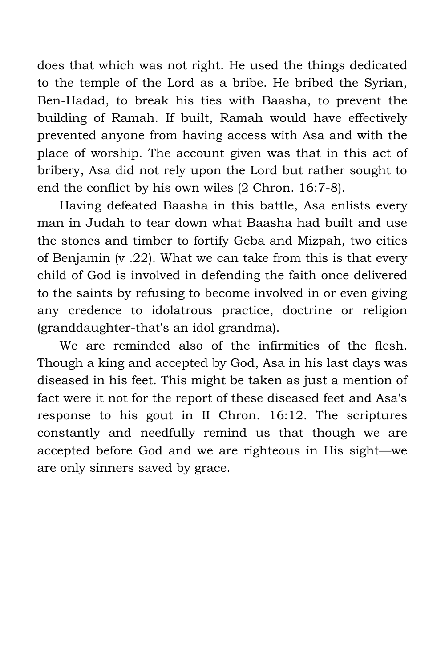does that which was not right. He used the things dedicated to the temple of the Lord as a bribe. He bribed the Syrian, Ben-Hadad, to break his ties with Baasha, to prevent the building of Ramah. If built, Ramah would have effectively prevented anyone from having access with Asa and with the place of worship. The account given was that in this act of bribery, Asa did not rely upon the Lord but rather sought to end the conflict by his own wiles (2 Chron. 16:7-8).

Having defeated Baasha in this battle, Asa enlists every man in Judah to tear down what Baasha had built and use the stones and timber to fortify Geba and Mizpah, two cities of Benjamin (v .22). What we can take from this is that every child of God is involved in defending the faith once delivered to the saints by refusing to become involved in or even giving any credence to idolatrous practice, doctrine or religion (granddaughter-that's an idol grandma).

We are reminded also of the infirmities of the flesh. Though a king and accepted by God, Asa in his last days was diseased in his feet. This might be taken as just a mention of fact were it not for the report of these diseased feet and Asa's response to his gout in II Chron. 16:12. The scriptures constantly and needfully remind us that though we are accepted before God and we are righteous in His sight—we are only sinners saved by grace.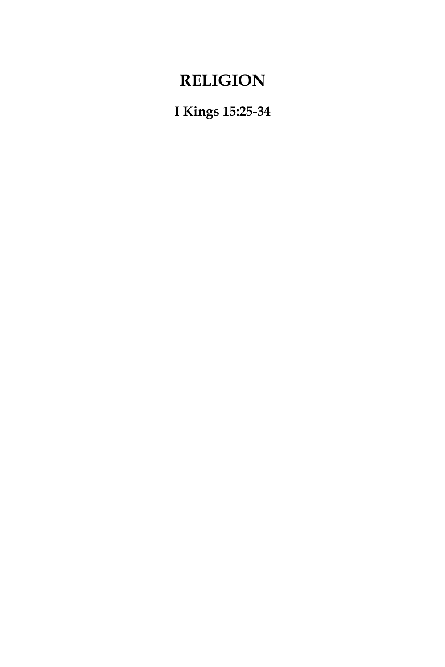# **RELIGION**

**I Kings 15:25-34**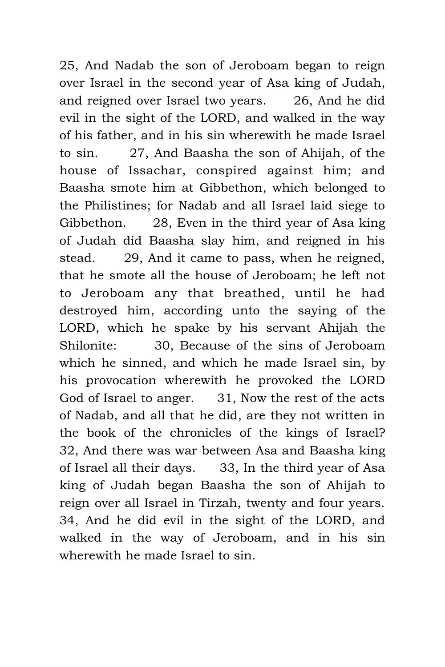25, And Nadab the son of Jeroboam began to reign over Israel in the second year of Asa king of Judah, and reigned over Israel two years. 26, And he did evil in the sight of the LORD, and walked in the way of his father, and in his sin wherewith he made Israel to sin. 27, And Baasha the son of Ahijah, of the house of Issachar, conspired against him; and Baasha smote him at Gibbethon, which belonged to the Philistines; for Nadab and all Israel laid siege to Gibbethon. 28, Even in the third year of Asa king of Judah did Baasha slay him, and reigned in his stead. 29, And it came to pass, when he reigned, that he smote all the house of Jeroboam; he left not to Jeroboam any that breathed, until he had destroyed him, according unto the saying of the LORD, which he spake by his servant Ahijah the Shilonite: 30, Because of the sins of Jeroboam which he sinned, and which he made Israel sin, by his provocation wherewith he provoked the LORD God of Israel to anger. 31, Now the rest of the acts of Nadab, and all that he did, are they not written in the book of the chronicles of the kings of Israel? 32, And there was war between Asa and Baasha king of Israel all their days. 33, In the third year of Asa king of Judah began Baasha the son of Ahijah to reign over all Israel in Tirzah, twenty and four years. 34, And he did evil in the sight of the LORD, and walked in the way of Jeroboam, and in his sin wherewith he made Israel to sin.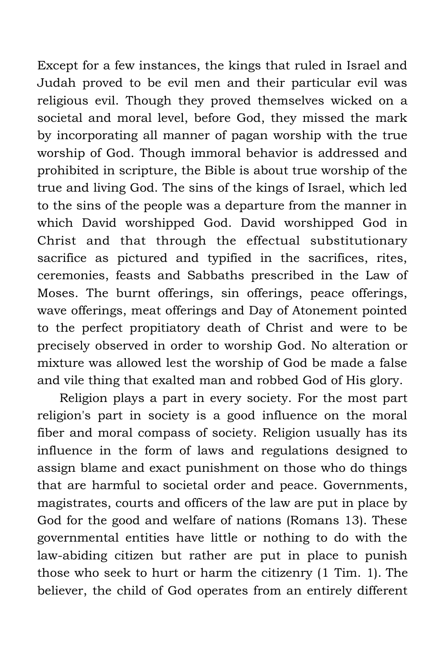Except for a few instances, the kings that ruled in Israel and Judah proved to be evil men and their particular evil was religious evil. Though they proved themselves wicked on a societal and moral level, before God, they missed the mark by incorporating all manner of pagan worship with the true worship of God. Though immoral behavior is addressed and prohibited in scripture, the Bible is about true worship of the true and living God. The sins of the kings of Israel, which led to the sins of the people was a departure from the manner in which David worshipped God. David worshipped God in Christ and that through the effectual substitutionary sacrifice as pictured and typified in the sacrifices, rites, ceremonies, feasts and Sabbaths prescribed in the Law of Moses. The burnt offerings, sin offerings, peace offerings, wave offerings, meat offerings and Day of Atonement pointed to the perfect propitiatory death of Christ and were to be precisely observed in order to worship God. No alteration or mixture was allowed lest the worship of God be made a false and vile thing that exalted man and robbed God of His glory.

Religion plays a part in every society. For the most part religion's part in society is a good influence on the moral fiber and moral compass of society. Religion usually has its influence in the form of laws and regulations designed to assign blame and exact punishment on those who do things that are harmful to societal order and peace. Governments, magistrates, courts and officers of the law are put in place by God for the good and welfare of nations (Romans 13). These governmental entities have little or nothing to do with the law-abiding citizen but rather are put in place to punish those who seek to hurt or harm the citizenry (1 Tim. 1). The believer, the child of God operates from an entirely different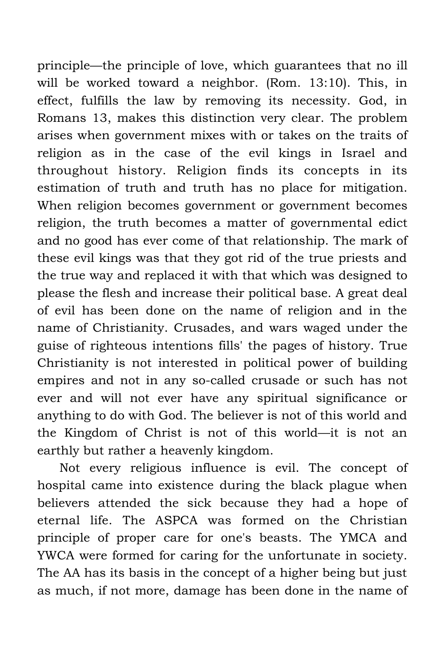principle—the principle of love, which guarantees that no ill will be worked toward a neighbor. (Rom. 13:10). This, in effect, fulfills the law by removing its necessity. God, in Romans 13, makes this distinction very clear. The problem arises when government mixes with or takes on the traits of religion as in the case of the evil kings in Israel and throughout history. Religion finds its concepts in its estimation of truth and truth has no place for mitigation. When religion becomes government or government becomes religion, the truth becomes a matter of governmental edict and no good has ever come of that relationship. The mark of these evil kings was that they got rid of the true priests and the true way and replaced it with that which was designed to please the flesh and increase their political base. A great deal of evil has been done on the name of religion and in the name of Christianity. Crusades, and wars waged under the guise of righteous intentions fills' the pages of history. True Christianity is not interested in political power of building empires and not in any so-called crusade or such has not ever and will not ever have any spiritual significance or anything to do with God. The believer is not of this world and the Kingdom of Christ is not of this world—it is not an earthly but rather a heavenly kingdom.

Not every religious influence is evil. The concept of hospital came into existence during the black plague when believers attended the sick because they had a hope of eternal life. The ASPCA was formed on the Christian principle of proper care for one's beasts. The YMCA and YWCA were formed for caring for the unfortunate in society. The AA has its basis in the concept of a higher being but just as much, if not more, damage has been done in the name of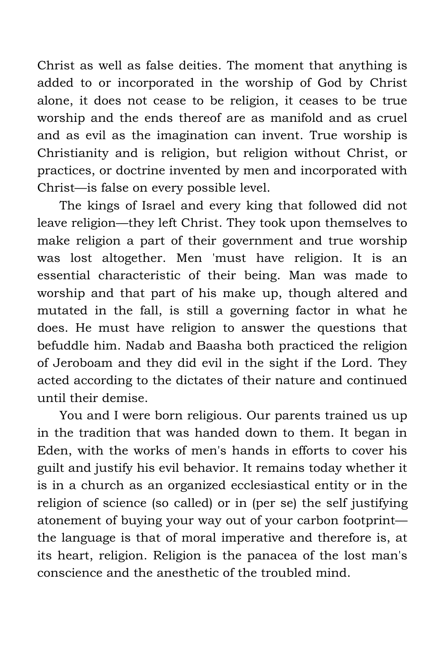Christ as well as false deities. The moment that anything is added to or incorporated in the worship of God by Christ alone, it does not cease to be religion, it ceases to be true worship and the ends thereof are as manifold and as cruel and as evil as the imagination can invent. True worship is Christianity and is religion, but religion without Christ, or practices, or doctrine invented by men and incorporated with Christ—is false on every possible level.

The kings of Israel and every king that followed did not leave religion—they left Christ. They took upon themselves to make religion a part of their government and true worship was lost altogether. Men 'must have religion. It is an essential characteristic of their being. Man was made to worship and that part of his make up, though altered and mutated in the fall, is still a governing factor in what he does. He must have religion to answer the questions that befuddle him. Nadab and Baasha both practiced the religion of Jeroboam and they did evil in the sight if the Lord. They acted according to the dictates of their nature and continued until their demise.

You and I were born religious. Our parents trained us up in the tradition that was handed down to them. It began in Eden, with the works of men's hands in efforts to cover his guilt and justify his evil behavior. It remains today whether it is in a church as an organized ecclesiastical entity or in the religion of science (so called) or in (per se) the self justifying atonement of buying your way out of your carbon footprint the language is that of moral imperative and therefore is, at its heart, religion. Religion is the panacea of the lost man's conscience and the anesthetic of the troubled mind.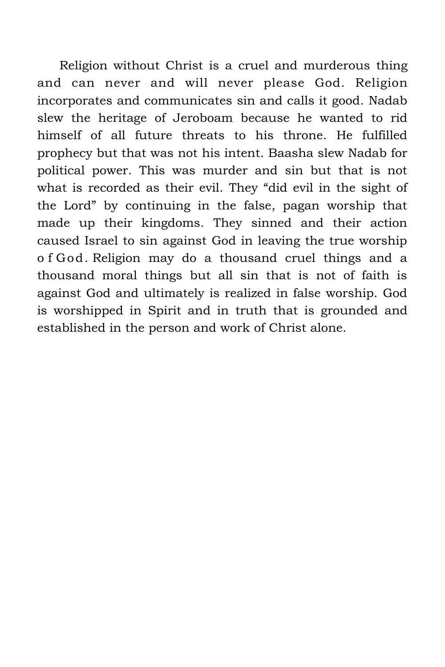Religion without Christ is a cruel and murderous thing and can never and will never please God. Religion incorporates and communicates sin and calls it good. Nadab slew the heritage of Jeroboam because he wanted to rid himself of all future threats to his throne. He fulfilled prophecy but that was not his intent. Baasha slew Nadab for political power. This was murder and sin but that is not what is recorded as their evil. They "did evil in the sight of the Lord" by continuing in the false, pagan worship that made up their kingdoms. They sinned and their action caused Israel to sin against God in leaving the true worship o f God. Religion may do a thousand cruel things and a thousand moral things but all sin that is not of faith is against God and ultimately is realized in false worship. God is worshipped in Spirit and in truth that is grounded and established in the person and work of Christ alone.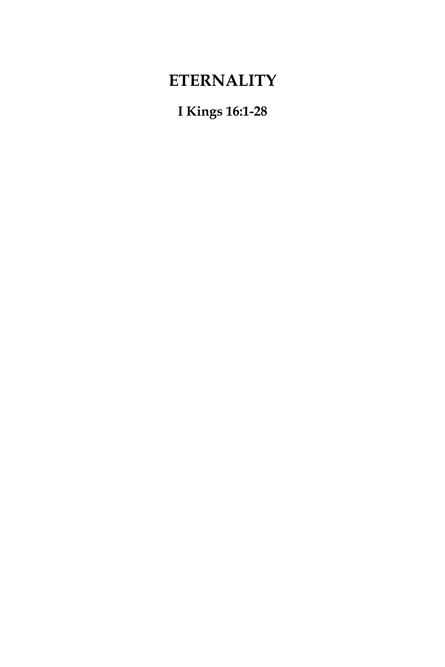# **ETERNALITY**

**I Kings 16:1-28**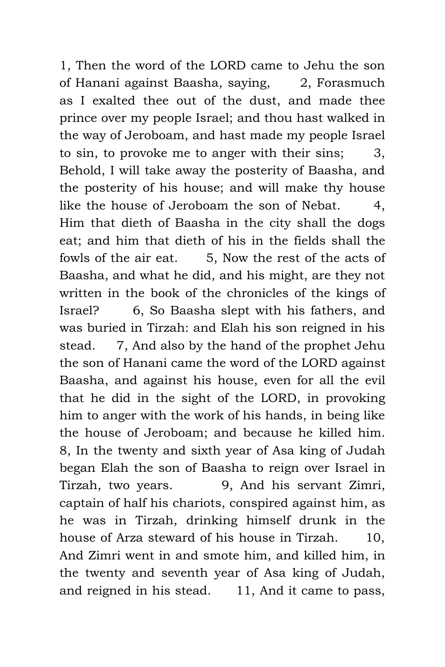1, Then the word of the LORD came to Jehu the son of Hanani against Baasha, saying, 2, Forasmuch as I exalted thee out of the dust, and made thee prince over my people Israel; and thou hast walked in the way of Jeroboam, and hast made my people Israel to sin, to provoke me to anger with their sins; 3, Behold, I will take away the posterity of Baasha, and the posterity of his house; and will make thy house like the house of Jeroboam the son of Nebat. 4, Him that dieth of Baasha in the city shall the dogs eat; and him that dieth of his in the fields shall the fowls of the air eat. 5, Now the rest of the acts of Baasha, and what he did, and his might, are they not written in the book of the chronicles of the kings of Israel? 6, So Baasha slept with his fathers, and was buried in Tirzah: and Elah his son reigned in his stead. 7, And also by the hand of the prophet Jehu the son of Hanani came the word of the LORD against Baasha, and against his house, even for all the evil that he did in the sight of the LORD, in provoking him to anger with the work of his hands, in being like the house of Jeroboam; and because he killed him. 8, In the twenty and sixth year of Asa king of Judah began Elah the son of Baasha to reign over Israel in Tirzah, two years. 9, And his servant Zimri, captain of half his chariots, conspired against him, as he was in Tirzah, drinking himself drunk in the house of Arza steward of his house in Tirzah. 10, And Zimri went in and smote him, and killed him, in the twenty and seventh year of Asa king of Judah, and reigned in his stead. 11, And it came to pass,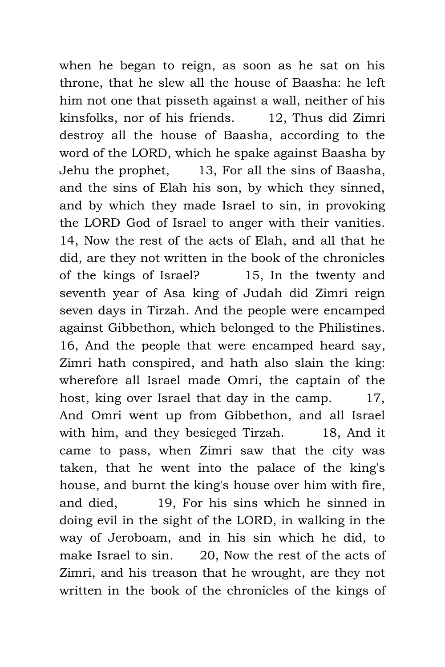when he began to reign, as soon as he sat on his throne, that he slew all the house of Baasha: he left him not one that pisseth against a wall, neither of his kinsfolks, nor of his friends. 12, Thus did Zimri destroy all the house of Baasha, according to the word of the LORD, which he spake against Baasha by Jehu the prophet, 13, For all the sins of Baasha, and the sins of Elah his son, by which they sinned, and by which they made Israel to sin, in provoking the LORD God of Israel to anger with their vanities. 14, Now the rest of the acts of Elah, and all that he did, are they not written in the book of the chronicles of the kings of Israel? 15, In the twenty and seventh year of Asa king of Judah did Zimri reign seven days in Tirzah. And the people were encamped against Gibbethon, which belonged to the Philistines. 16, And the people that were encamped heard say, Zimri hath conspired, and hath also slain the king: wherefore all Israel made Omri, the captain of the host, king over Israel that day in the camp. 17, And Omri went up from Gibbethon, and all Israel with him, and they besieged Tirzah. 18, And it came to pass, when Zimri saw that the city was taken, that he went into the palace of the king's house, and burnt the king's house over him with fire, and died, 19, For his sins which he sinned in doing evil in the sight of the LORD, in walking in the way of Jeroboam, and in his sin which he did, to make Israel to sin. 20. Now the rest of the acts of Zimri, and his treason that he wrought, are they not written in the book of the chronicles of the kings of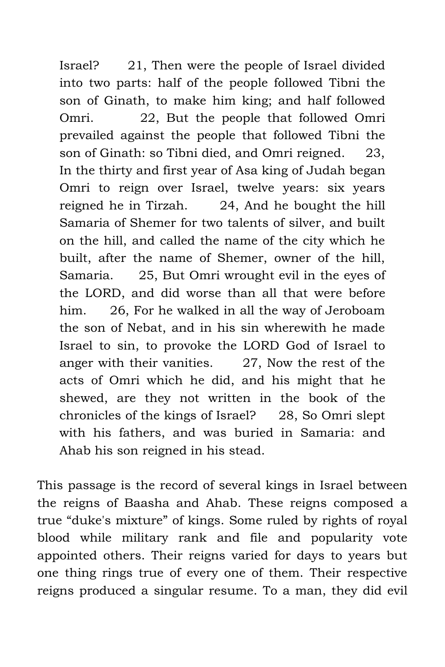Israel? 21, Then were the people of Israel divided into two parts: half of the people followed Tibni the son of Ginath, to make him king; and half followed Omri. 22, But the people that followed Omri prevailed against the people that followed Tibni the son of Ginath: so Tibni died, and Omri reigned. 23, In the thirty and first year of Asa king of Judah began Omri to reign over Israel, twelve years: six years reigned he in Tirzah. 24, And he bought the hill Samaria of Shemer for two talents of silver, and built on the hill, and called the name of the city which he built, after the name of Shemer, owner of the hill, Samaria. 25, But Omri wrought evil in the eyes of the LORD, and did worse than all that were before him. 26, For he walked in all the way of Jeroboam the son of Nebat, and in his sin wherewith he made Israel to sin, to provoke the LORD God of Israel to anger with their vanities. 27, Now the rest of the acts of Omri which he did, and his might that he shewed, are they not written in the book of the chronicles of the kings of Israel? 28, So Omri slept with his fathers, and was buried in Samaria: and Ahab his son reigned in his stead.

This passage is the record of several kings in Israel between the reigns of Baasha and Ahab. These reigns composed a true "duke's mixture" of kings. Some ruled by rights of royal blood while military rank and file and popularity vote appointed others. Their reigns varied for days to years but one thing rings true of every one of them. Their respective reigns produced a singular resume. To a man, they did evil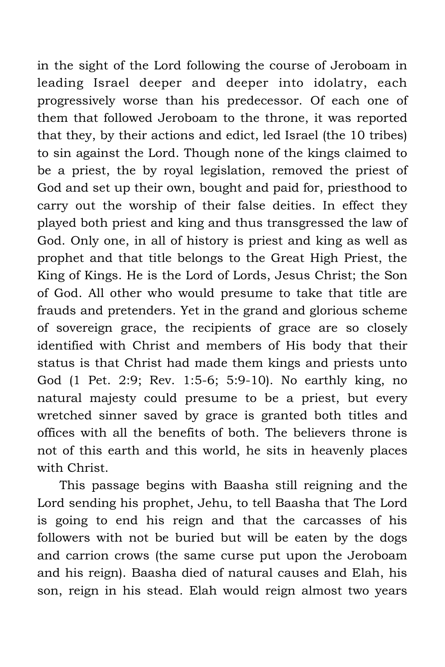in the sight of the Lord following the course of Jeroboam in leading Israel deeper and deeper into idolatry, each progressively worse than his predecessor. Of each one of them that followed Jeroboam to the throne, it was reported that they, by their actions and edict, led Israel (the 10 tribes) to sin against the Lord. Though none of the kings claimed to be a priest, the by royal legislation, removed the priest of God and set up their own, bought and paid for, priesthood to carry out the worship of their false deities. In effect they played both priest and king and thus transgressed the law of God. Only one, in all of history is priest and king as well as prophet and that title belongs to the Great High Priest, the King of Kings. He is the Lord of Lords, Jesus Christ; the Son of God. All other who would presume to take that title are frauds and pretenders. Yet in the grand and glorious scheme of sovereign grace, the recipients of grace are so closely identified with Christ and members of His body that their status is that Christ had made them kings and priests unto God (1 Pet. 2:9; Rev. 1:5-6; 5:9-10). No earthly king, no natural majesty could presume to be a priest, but every wretched sinner saved by grace is granted both titles and offices with all the benefits of both. The believers throne is not of this earth and this world, he sits in heavenly places with Christ.

This passage begins with Baasha still reigning and the Lord sending his prophet, Jehu, to tell Baasha that The Lord is going to end his reign and that the carcasses of his followers with not be buried but will be eaten by the dogs and carrion crows (the same curse put upon the Jeroboam and his reign). Baasha died of natural causes and Elah, his son, reign in his stead. Elah would reign almost two years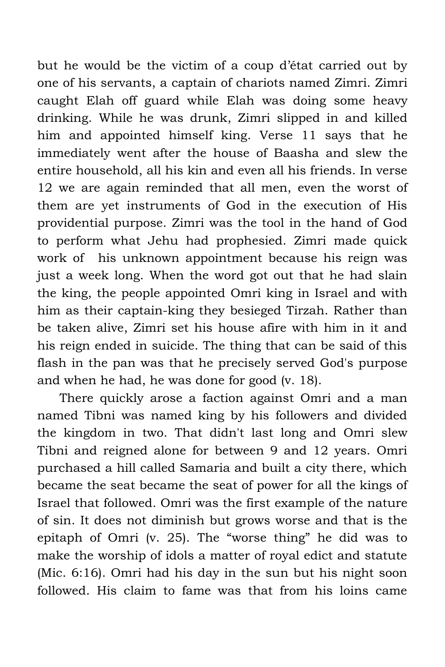but he would be the victim of a coup d'état carried out by one of his servants, a captain of chariots named Zimri. Zimri caught Elah off guard while Elah was doing some heavy drinking. While he was drunk, Zimri slipped in and killed him and appointed himself king. Verse 11 says that he immediately went after the house of Baasha and slew the entire household, all his kin and even all his friends. In verse 12 we are again reminded that all men, even the worst of them are yet instruments of God in the execution of His providential purpose. Zimri was the tool in the hand of God to perform what Jehu had prophesied. Zimri made quick work of his unknown appointment because his reign was just a week long. When the word got out that he had slain the king, the people appointed Omri king in Israel and with him as their captain-king they besieged Tirzah. Rather than be taken alive, Zimri set his house afire with him in it and his reign ended in suicide. The thing that can be said of this flash in the pan was that he precisely served God's purpose and when he had, he was done for good (v. 18).

There quickly arose a faction against Omri and a man named Tibni was named king by his followers and divided the kingdom in two. That didn't last long and Omri slew Tibni and reigned alone for between 9 and 12 years. Omri purchased a hill called Samaria and built a city there, which became the seat became the seat of power for all the kings of Israel that followed. Omri was the first example of the nature of sin. It does not diminish but grows worse and that is the epitaph of Omri (v. 25). The "worse thing" he did was to make the worship of idols a matter of royal edict and statute (Mic. 6:16). Omri had his day in the sun but his night soon followed. His claim to fame was that from his loins came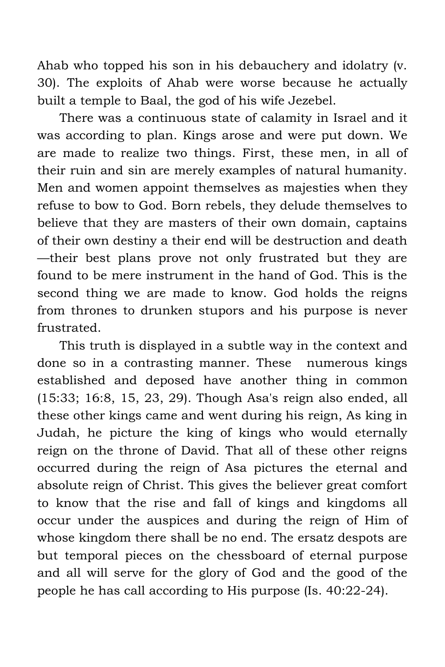Ahab who topped his son in his debauchery and idolatry (v. 30). The exploits of Ahab were worse because he actually built a temple to Baal, the god of his wife Jezebel.

There was a continuous state of calamity in Israel and it was according to plan. Kings arose and were put down. We are made to realize two things. First, these men, in all of their ruin and sin are merely examples of natural humanity. Men and women appoint themselves as majesties when they refuse to bow to God. Born rebels, they delude themselves to believe that they are masters of their own domain, captains of their own destiny a their end will be destruction and death —their best plans prove not only frustrated but they are found to be mere instrument in the hand of God. This is the second thing we are made to know. God holds the reigns from thrones to drunken stupors and his purpose is never frustrated.

This truth is displayed in a subtle way in the context and done so in a contrasting manner. These numerous kings established and deposed have another thing in common (15:33; 16:8, 15, 23, 29). Though Asa's reign also ended, all these other kings came and went during his reign, As king in Judah, he picture the king of kings who would eternally reign on the throne of David. That all of these other reigns occurred during the reign of Asa pictures the eternal and absolute reign of Christ. This gives the believer great comfort to know that the rise and fall of kings and kingdoms all occur under the auspices and during the reign of Him of whose kingdom there shall be no end. The ersatz despots are but temporal pieces on the chessboard of eternal purpose and all will serve for the glory of God and the good of the people he has call according to His purpose (Is. 40:22-24).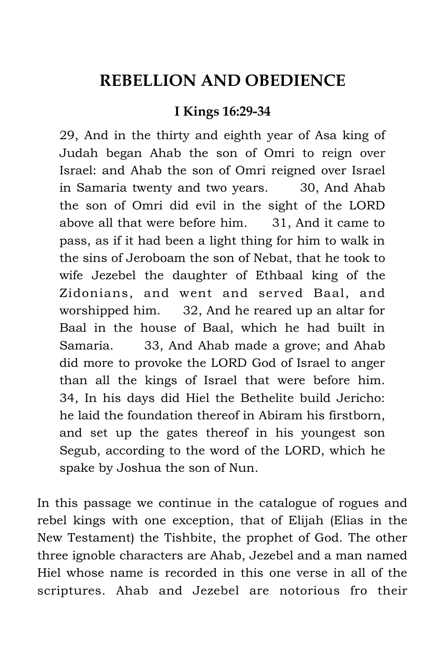## **REBELLION AND OBEDIENCE**

### **I Kings 16:29-34**

29, And in the thirty and eighth year of Asa king of Judah began Ahab the son of Omri to reign over Israel: and Ahab the son of Omri reigned over Israel in Samaria twenty and two years. 30, And Ahab the son of Omri did evil in the sight of the LORD above all that were before him. 31, And it came to pass, as if it had been a light thing for him to walk in the sins of Jeroboam the son of Nebat, that he took to wife Jezebel the daughter of Ethbaal king of the Zidonians, and went and served Baal, and worshipped him. 32, And he reared up an altar for Baal in the house of Baal, which he had built in Samaria. 33, And Ahab made a grove; and Ahab did more to provoke the LORD God of Israel to anger than all the kings of Israel that were before him. 34, In his days did Hiel the Bethelite build Jericho: he laid the foundation thereof in Abiram his firstborn, and set up the gates thereof in his youngest son Segub, according to the word of the LORD, which he spake by Joshua the son of Nun.

In this passage we continue in the catalogue of rogues and rebel kings with one exception, that of Elijah (Elias in the New Testament) the Tishbite, the prophet of God. The other three ignoble characters are Ahab, Jezebel and a man named Hiel whose name is recorded in this one verse in all of the scriptures. Ahab and Jezebel are notorious fro their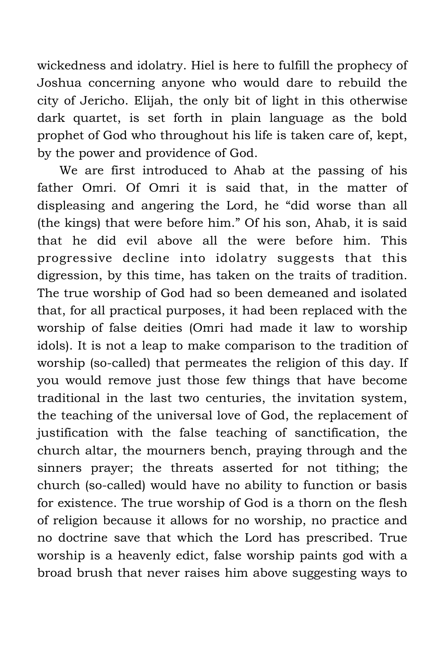wickedness and idolatry. Hiel is here to fulfill the prophecy of Joshua concerning anyone who would dare to rebuild the city of Jericho. Elijah, the only bit of light in this otherwise dark quartet, is set forth in plain language as the bold prophet of God who throughout his life is taken care of, kept, by the power and providence of God.

We are first introduced to Ahab at the passing of his father Omri. Of Omri it is said that, in the matter of displeasing and angering the Lord, he "did worse than all (the kings) that were before him." Of his son, Ahab, it is said that he did evil above all the were before him. This progressive decline into idolatry suggests that this digression, by this time, has taken on the traits of tradition. The true worship of God had so been demeaned and isolated that, for all practical purposes, it had been replaced with the worship of false deities (Omri had made it law to worship idols). It is not a leap to make comparison to the tradition of worship (so-called) that permeates the religion of this day. If you would remove just those few things that have become traditional in the last two centuries, the invitation system, the teaching of the universal love of God, the replacement of justification with the false teaching of sanctification, the church altar, the mourners bench, praying through and the sinners prayer; the threats asserted for not tithing; the church (so-called) would have no ability to function or basis for existence. The true worship of God is a thorn on the flesh of religion because it allows for no worship, no practice and no doctrine save that which the Lord has prescribed. True worship is a heavenly edict, false worship paints god with a broad brush that never raises him above suggesting ways to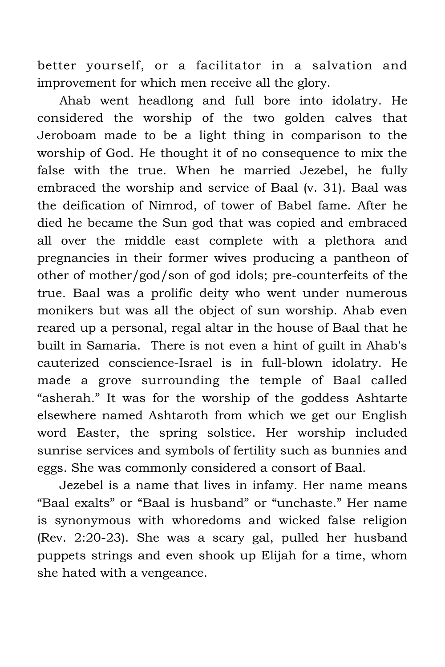better yourself, or a facilitator in a salvation and improvement for which men receive all the glory.

Ahab went headlong and full bore into idolatry. He considered the worship of the two golden calves that Jeroboam made to be a light thing in comparison to the worship of God. He thought it of no consequence to mix the false with the true. When he married Jezebel, he fully embraced the worship and service of Baal (v. 31). Baal was the deification of Nimrod, of tower of Babel fame. After he died he became the Sun god that was copied and embraced all over the middle east complete with a plethora and pregnancies in their former wives producing a pantheon of other of mother/god/son of god idols; pre-counterfeits of the true. Baal was a prolific deity who went under numerous monikers but was all the object of sun worship. Ahab even reared up a personal, regal altar in the house of Baal that he built in Samaria. There is not even a hint of guilt in Ahab's cauterized conscience-Israel is in full-blown idolatry. He made a grove surrounding the temple of Baal called "asherah." It was for the worship of the goddess Ashtarte elsewhere named Ashtaroth from which we get our English word Easter, the spring solstice. Her worship included sunrise services and symbols of fertility such as bunnies and eggs. She was commonly considered a consort of Baal.

Jezebel is a name that lives in infamy. Her name means "Baal exalts" or "Baal is husband" or "unchaste." Her name is synonymous with whoredoms and wicked false religion (Rev. 2:20-23). She was a scary gal, pulled her husband puppets strings and even shook up Elijah for a time, whom she hated with a vengeance.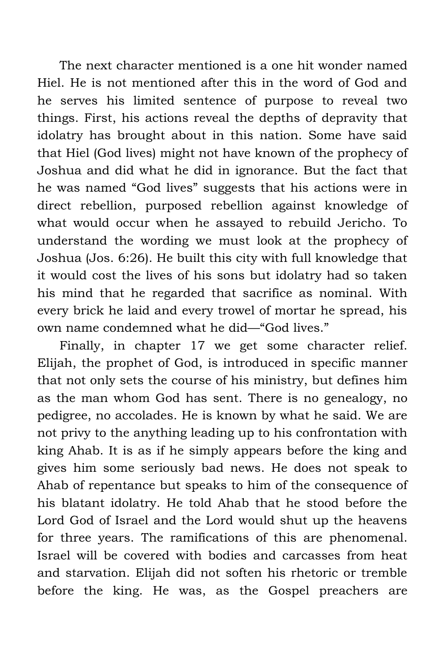The next character mentioned is a one hit wonder named Hiel. He is not mentioned after this in the word of God and he serves his limited sentence of purpose to reveal two things. First, his actions reveal the depths of depravity that idolatry has brought about in this nation. Some have said that Hiel (God lives) might not have known of the prophecy of Joshua and did what he did in ignorance. But the fact that he was named "God lives" suggests that his actions were in direct rebellion, purposed rebellion against knowledge of what would occur when he assayed to rebuild Jericho. To understand the wording we must look at the prophecy of Joshua (Jos. 6:26). He built this city with full knowledge that it would cost the lives of his sons but idolatry had so taken his mind that he regarded that sacrifice as nominal. With every brick he laid and every trowel of mortar he spread, his own name condemned what he did—"God lives."

Finally, in chapter 17 we get some character relief. Elijah, the prophet of God, is introduced in specific manner that not only sets the course of his ministry, but defines him as the man whom God has sent. There is no genealogy, no pedigree, no accolades. He is known by what he said. We are not privy to the anything leading up to his confrontation with king Ahab. It is as if he simply appears before the king and gives him some seriously bad news. He does not speak to Ahab of repentance but speaks to him of the consequence of his blatant idolatry. He told Ahab that he stood before the Lord God of Israel and the Lord would shut up the heavens for three years. The ramifications of this are phenomenal. Israel will be covered with bodies and carcasses from heat and starvation. Elijah did not soften his rhetoric or tremble before the king. He was, as the Gospel preachers are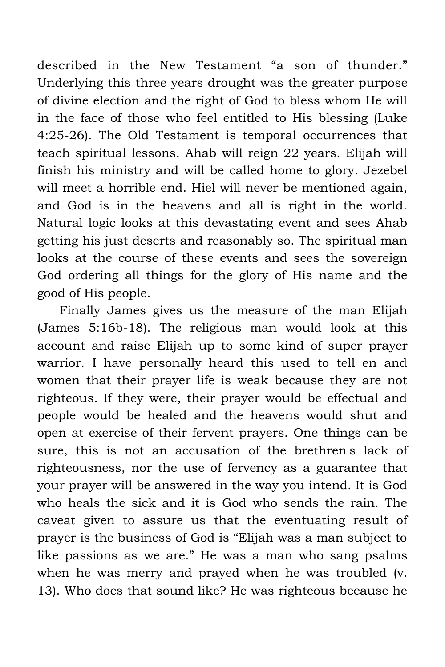described in the New Testament "a son of thunder." Underlying this three years drought was the greater purpose of divine election and the right of God to bless whom He will in the face of those who feel entitled to His blessing (Luke 4:25-26). The Old Testament is temporal occurrences that teach spiritual lessons. Ahab will reign 22 years. Elijah will finish his ministry and will be called home to glory. Jezebel will meet a horrible end. Hiel will never be mentioned again, and God is in the heavens and all is right in the world. Natural logic looks at this devastating event and sees Ahab getting his just deserts and reasonably so. The spiritual man looks at the course of these events and sees the sovereign God ordering all things for the glory of His name and the good of His people.

Finally James gives us the measure of the man Elijah (James 5:16b-18). The religious man would look at this account and raise Elijah up to some kind of super prayer warrior. I have personally heard this used to tell en and women that their prayer life is weak because they are not righteous. If they were, their prayer would be effectual and people would be healed and the heavens would shut and open at exercise of their fervent prayers. One things can be sure, this is not an accusation of the brethren's lack of righteousness, nor the use of fervency as a guarantee that your prayer will be answered in the way you intend. It is God who heals the sick and it is God who sends the rain. The caveat given to assure us that the eventuating result of prayer is the business of God is "Elijah was a man subject to like passions as we are." He was a man who sang psalms when he was merry and prayed when he was troubled (v. 13). Who does that sound like? He was righteous because he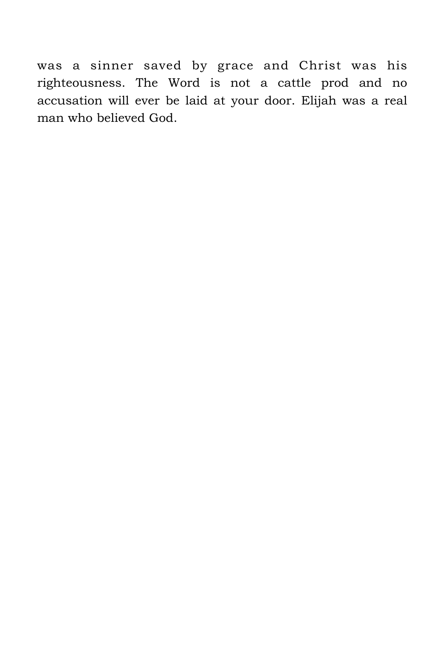was a sinner saved by grace and Christ was his righteousness. The Word is not a cattle prod and no accusation will ever be laid at your door. Elijah was a real man who believed God.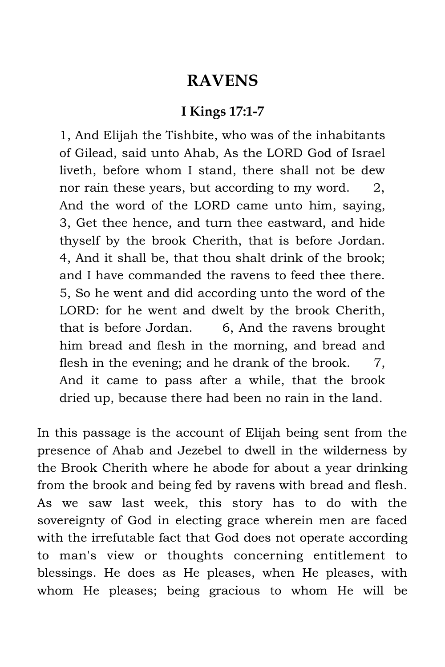### **RAVENS**

#### **I Kings 17:1-7**

1, And Elijah the Tishbite, who was of the inhabitants of Gilead, said unto Ahab, As the LORD God of Israel liveth, before whom I stand, there shall not be dew nor rain these years, but according to my word. 2, And the word of the LORD came unto him, saying, 3, Get thee hence, and turn thee eastward, and hide thyself by the brook Cherith, that is before Jordan. 4, And it shall be, that thou shalt drink of the brook; and I have commanded the ravens to feed thee there. 5, So he went and did according unto the word of the LORD: for he went and dwelt by the brook Cherith, that is before Jordan. 6, And the ravens brought him bread and flesh in the morning, and bread and flesh in the evening; and he drank of the brook.  $\overline{7}$ , And it came to pass after a while, that the brook dried up, because there had been no rain in the land.

In this passage is the account of Elijah being sent from the presence of Ahab and Jezebel to dwell in the wilderness by the Brook Cherith where he abode for about a year drinking from the brook and being fed by ravens with bread and flesh. As we saw last week, this story has to do with the sovereignty of God in electing grace wherein men are faced with the irrefutable fact that God does not operate according to man's view or thoughts concerning entitlement to blessings. He does as He pleases, when He pleases, with whom He pleases; being gracious to whom He will be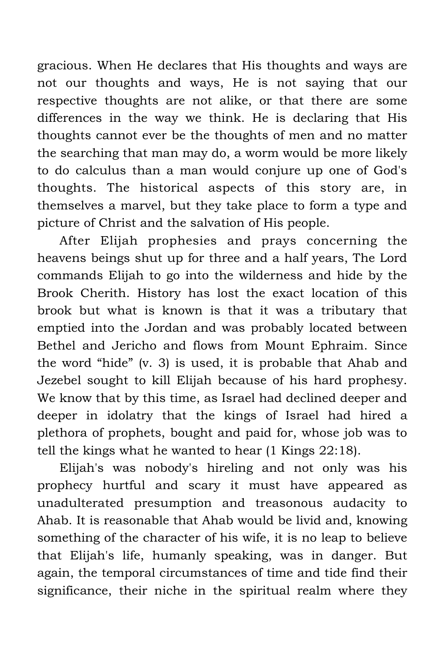gracious. When He declares that His thoughts and ways are not our thoughts and ways, He is not saying that our respective thoughts are not alike, or that there are some differences in the way we think. He is declaring that His thoughts cannot ever be the thoughts of men and no matter the searching that man may do, a worm would be more likely to do calculus than a man would conjure up one of God's thoughts. The historical aspects of this story are, in themselves a marvel, but they take place to form a type and picture of Christ and the salvation of His people.

After Elijah prophesies and prays concerning the heavens beings shut up for three and a half years, The Lord commands Elijah to go into the wilderness and hide by the Brook Cherith. History has lost the exact location of this brook but what is known is that it was a tributary that emptied into the Jordan and was probably located between Bethel and Jericho and flows from Mount Ephraim. Since the word "hide" (v. 3) is used, it is probable that Ahab and Jezebel sought to kill Elijah because of his hard prophesy. We know that by this time, as Israel had declined deeper and deeper in idolatry that the kings of Israel had hired a plethora of prophets, bought and paid for, whose job was to tell the kings what he wanted to hear (1 Kings 22:18).

Elijah's was nobody's hireling and not only was his prophecy hurtful and scary it must have appeared as unadulterated presumption and treasonous audacity to Ahab. It is reasonable that Ahab would be livid and, knowing something of the character of his wife, it is no leap to believe that Elijah's life, humanly speaking, was in danger. But again, the temporal circumstances of time and tide find their significance, their niche in the spiritual realm where they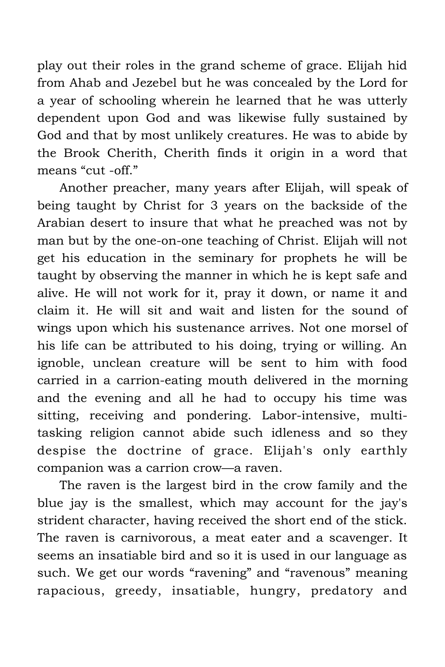play out their roles in the grand scheme of grace. Elijah hid from Ahab and Jezebel but he was concealed by the Lord for a year of schooling wherein he learned that he was utterly dependent upon God and was likewise fully sustained by God and that by most unlikely creatures. He was to abide by the Brook Cherith, Cherith finds it origin in a word that means "cut -off."

Another preacher, many years after Elijah, will speak of being taught by Christ for 3 years on the backside of the Arabian desert to insure that what he preached was not by man but by the one-on-one teaching of Christ. Elijah will not get his education in the seminary for prophets he will be taught by observing the manner in which he is kept safe and alive. He will not work for it, pray it down, or name it and claim it. He will sit and wait and listen for the sound of wings upon which his sustenance arrives. Not one morsel of his life can be attributed to his doing, trying or willing. An ignoble, unclean creature will be sent to him with food carried in a carrion-eating mouth delivered in the morning and the evening and all he had to occupy his time was sitting, receiving and pondering. Labor-intensive, multitasking religion cannot abide such idleness and so they despise the doctrine of grace. Elijah's only earthly companion was a carrion crow—a raven.

The raven is the largest bird in the crow family and the blue jay is the smallest, which may account for the jay's strident character, having received the short end of the stick. The raven is carnivorous, a meat eater and a scavenger. It seems an insatiable bird and so it is used in our language as such. We get our words "ravening" and "ravenous" meaning rapacious, greedy, insatiable, hungry, predatory and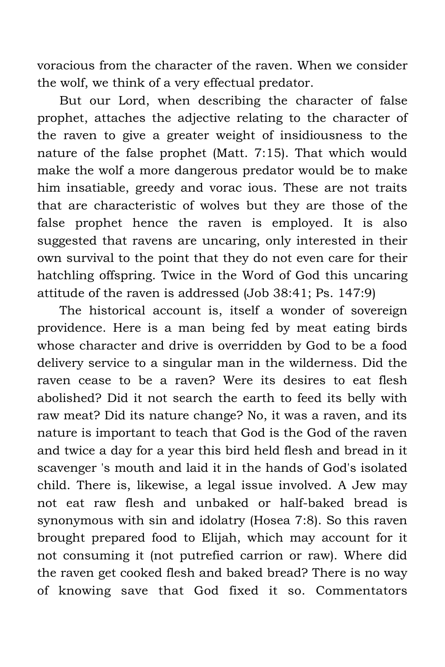voracious from the character of the raven. When we consider the wolf, we think of a very effectual predator.

But our Lord, when describing the character of false prophet, attaches the adjective relating to the character of the raven to give a greater weight of insidiousness to the nature of the false prophet (Matt. 7:15). That which would make the wolf a more dangerous predator would be to make him insatiable, greedy and vorac ious. These are not traits that are characteristic of wolves but they are those of the false prophet hence the raven is employed. It is also suggested that ravens are uncaring, only interested in their own survival to the point that they do not even care for their hatchling offspring. Twice in the Word of God this uncaring attitude of the raven is addressed (Job 38:41; Ps. 147:9)

The historical account is, itself a wonder of sovereign providence. Here is a man being fed by meat eating birds whose character and drive is overridden by God to be a food delivery service to a singular man in the wilderness. Did the raven cease to be a raven? Were its desires to eat flesh abolished? Did it not search the earth to feed its belly with raw meat? Did its nature change? No, it was a raven, and its nature is important to teach that God is the God of the raven and twice a day for a year this bird held flesh and bread in it scavenger 's mouth and laid it in the hands of God's isolated child. There is, likewise, a legal issue involved. A Jew may not eat raw flesh and unbaked or half-baked bread is synonymous with sin and idolatry (Hosea 7:8). So this raven brought prepared food to Elijah, which may account for it not consuming it (not putrefied carrion or raw). Where did the raven get cooked flesh and baked bread? There is no way of knowing save that God fixed it so. Commentators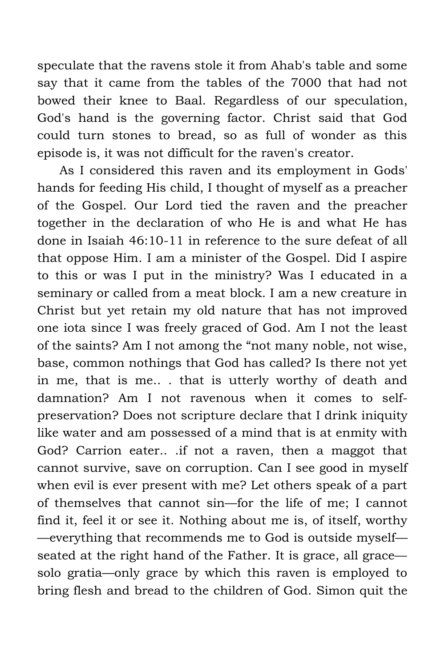speculate that the ravens stole it from Ahab's table and some say that it came from the tables of the 7000 that had not bowed their knee to Baal. Regardless of our speculation, God's hand is the governing factor. Christ said that God could turn stones to bread, so as full of wonder as this episode is, it was not difficult for the raven's creator.

As I considered this raven and its employment in Gods' hands for feeding His child, I thought of myself as a preacher of the Gospel. Our Lord tied the raven and the preacher together in the declaration of who He is and what He has done in Isaiah 46:10-11 in reference to the sure defeat of all that oppose Him. I am a minister of the Gospel. Did I aspire to this or was I put in the ministry? Was I educated in a seminary or called from a meat block. I am a new creature in Christ but yet retain my old nature that has not improved one iota since I was freely graced of God. Am I not the least of the saints? Am I not among the "not many noble, not wise, base, common nothings that God has called? Is there not yet in me, that is me.. . that is utterly worthy of death and damnation? Am I not ravenous when it comes to selfpreservation? Does not scripture declare that I drink iniquity like water and am possessed of a mind that is at enmity with God? Carrion eater.. .if not a raven, then a maggot that cannot survive, save on corruption. Can I see good in myself when evil is ever present with me? Let others speak of a part of themselves that cannot sin—for the life of me; I cannot find it, feel it or see it. Nothing about me is, of itself, worthy —everything that recommends me to God is outside myself seated at the right hand of the Father. It is grace, all grace solo gratia—only grace by which this raven is employed to bring flesh and bread to the children of God. Simon quit the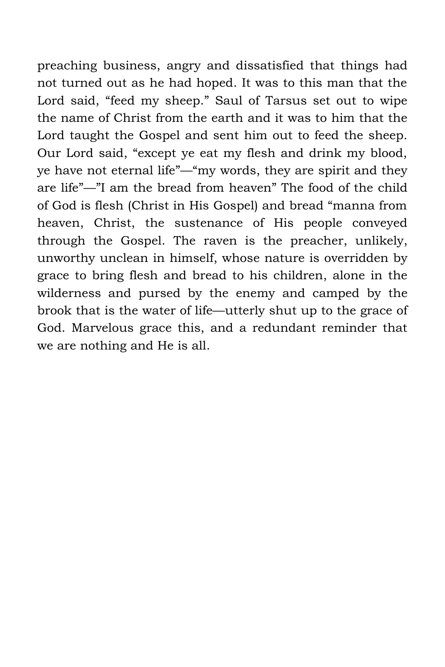preaching business, angry and dissatisfied that things had not turned out as he had hoped. It was to this man that the Lord said, "feed my sheep." Saul of Tarsus set out to wipe the name of Christ from the earth and it was to him that the Lord taught the Gospel and sent him out to feed the sheep. Our Lord said, "except ye eat my flesh and drink my blood, ye have not eternal life"—"my words, they are spirit and they are life"—"I am the bread from heaven" The food of the child of God is flesh (Christ in His Gospel) and bread "manna from heaven, Christ, the sustenance of His people conveyed through the Gospel. The raven is the preacher, unlikely, unworthy unclean in himself, whose nature is overridden by grace to bring flesh and bread to his children, alone in the wilderness and pursed by the enemy and camped by the brook that is the water of life—utterly shut up to the grace of God. Marvelous grace this, and a redundant reminder that we are nothing and He is all.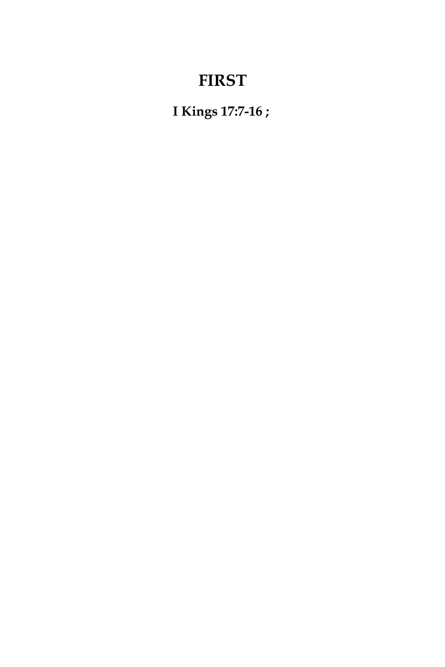# **FIRST**

**I Kings 17:7-16 ;**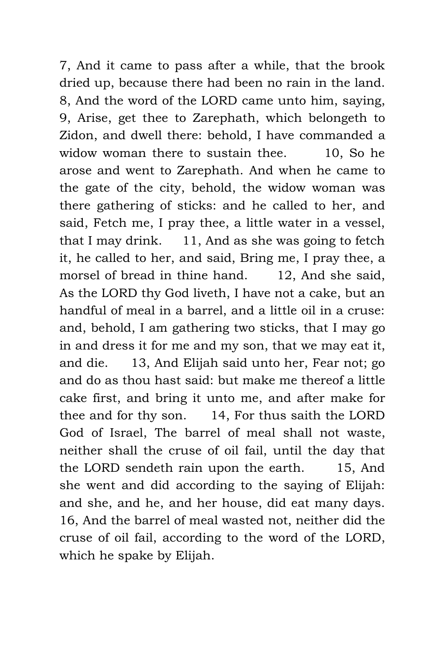7, And it came to pass after a while, that the brook dried up, because there had been no rain in the land. 8, And the word of the LORD came unto him, saying, 9, Arise, get thee to Zarephath, which belongeth to Zidon, and dwell there: behold, I have commanded a widow woman there to sustain thee. 10, So he arose and went to Zarephath. And when he came to the gate of the city, behold, the widow woman was there gathering of sticks: and he called to her, and said, Fetch me, I pray thee, a little water in a vessel, that I may drink. 11, And as she was going to fetch it, he called to her, and said, Bring me, I pray thee, a morsel of bread in thine hand. 12, And she said, As the LORD thy God liveth, I have not a cake, but an handful of meal in a barrel, and a little oil in a cruse: and, behold, I am gathering two sticks, that I may go in and dress it for me and my son, that we may eat it, and die. 13, And Elijah said unto her, Fear not; go and do as thou hast said: but make me thereof a little cake first, and bring it unto me, and after make for thee and for thy son. 14, For thus saith the LORD God of Israel, The barrel of meal shall not waste, neither shall the cruse of oil fail, until the day that the LORD sendeth rain upon the earth. 15, And she went and did according to the saying of Elijah: and she, and he, and her house, did eat many days. 16, And the barrel of meal wasted not, neither did the cruse of oil fail, according to the word of the LORD, which he spake by Elijah.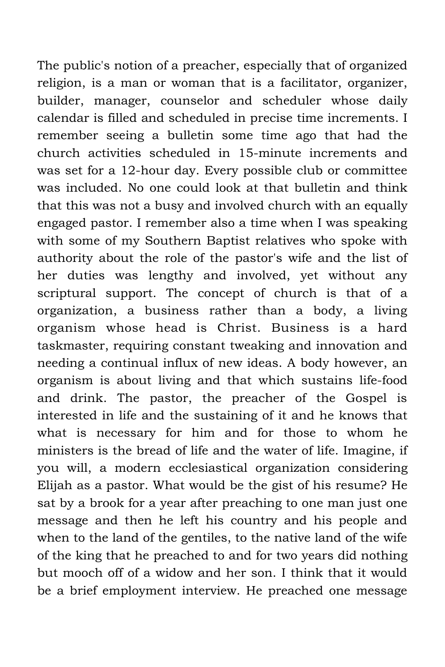The public's notion of a preacher, especially that of organized religion, is a man or woman that is a facilitator, organizer, builder, manager, counselor and scheduler whose daily calendar is filled and scheduled in precise time increments. I remember seeing a bulletin some time ago that had the church activities scheduled in 15-minute increments and was set for a 12-hour day. Every possible club or committee was included. No one could look at that bulletin and think that this was not a busy and involved church with an equally engaged pastor. I remember also a time when I was speaking with some of my Southern Baptist relatives who spoke with authority about the role of the pastor's wife and the list of her duties was lengthy and involved, yet without any scriptural support. The concept of church is that of a organization, a business rather than a body, a living organism whose head is Christ. Business is a hard taskmaster, requiring constant tweaking and innovation and needing a continual influx of new ideas. A body however, an organism is about living and that which sustains life-food and drink. The pastor, the preacher of the Gospel is interested in life and the sustaining of it and he knows that what is necessary for him and for those to whom he ministers is the bread of life and the water of life. Imagine, if you will, a modern ecclesiastical organization considering Elijah as a pastor. What would be the gist of his resume? He sat by a brook for a year after preaching to one man just one message and then he left his country and his people and when to the land of the gentiles, to the native land of the wife of the king that he preached to and for two years did nothing but mooch off of a widow and her son. I think that it would be a brief employment interview. He preached one message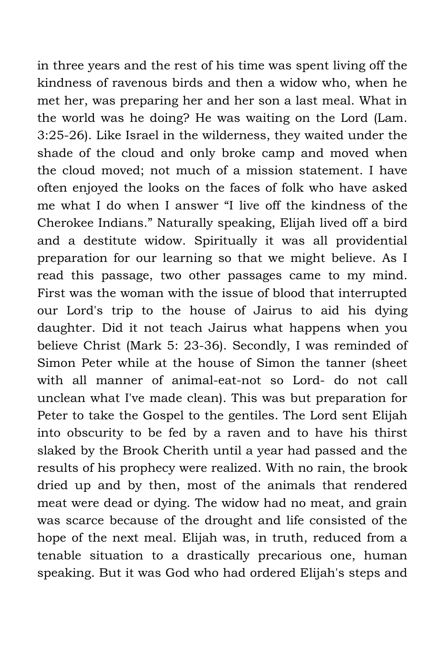in three years and the rest of his time was spent living off the kindness of ravenous birds and then a widow who, when he met her, was preparing her and her son a last meal. What in the world was he doing? He was waiting on the Lord (Lam. 3:25-26). Like Israel in the wilderness, they waited under the shade of the cloud and only broke camp and moved when the cloud moved; not much of a mission statement. I have often enjoyed the looks on the faces of folk who have asked me what I do when I answer "I live off the kindness of the Cherokee Indians." Naturally speaking, Elijah lived off a bird and a destitute widow. Spiritually it was all providential preparation for our learning so that we might believe. As I read this passage, two other passages came to my mind. First was the woman with the issue of blood that interrupted our Lord's trip to the house of Jairus to aid his dying daughter. Did it not teach Jairus what happens when you believe Christ (Mark 5: 23-36). Secondly, I was reminded of Simon Peter while at the house of Simon the tanner (sheet with all manner of animal-eat-not so Lord- do not call unclean what I've made clean). This was but preparation for Peter to take the Gospel to the gentiles. The Lord sent Elijah into obscurity to be fed by a raven and to have his thirst slaked by the Brook Cherith until a year had passed and the results of his prophecy were realized. With no rain, the brook dried up and by then, most of the animals that rendered meat were dead or dying. The widow had no meat, and grain was scarce because of the drought and life consisted of the hope of the next meal. Elijah was, in truth, reduced from a tenable situation to a drastically precarious one, human speaking. But it was God who had ordered Elijah's steps and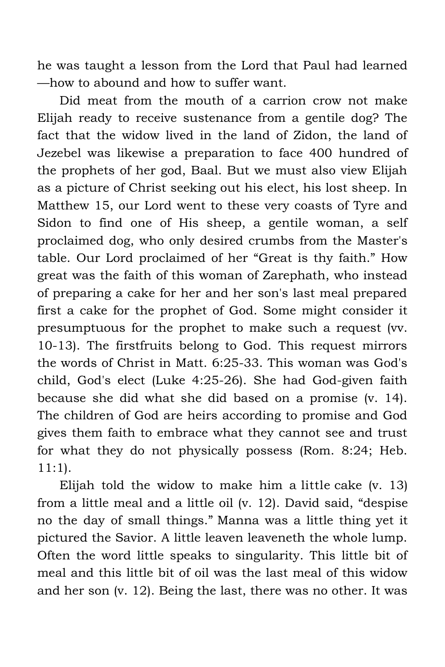he was taught a lesson from the Lord that Paul had learned —how to abound and how to suffer want.

Did meat from the mouth of a carrion crow not make Elijah ready to receive sustenance from a gentile dog? The fact that the widow lived in the land of Zidon, the land of Jezebel was likewise a preparation to face 400 hundred of the prophets of her god, Baal. But we must also view Elijah as a picture of Christ seeking out his elect, his lost sheep. In Matthew 15, our Lord went to these very coasts of Tyre and Sidon to find one of His sheep, a gentile woman, a self proclaimed dog, who only desired crumbs from the Master's table. Our Lord proclaimed of her "Great is thy faith." How great was the faith of this woman of Zarephath, who instead of preparing a cake for her and her son's last meal prepared first a cake for the prophet of God. Some might consider it presumptuous for the prophet to make such a request (vv. 10-13). The firstfruits belong to God. This request mirrors the words of Christ in Matt. 6:25-33. This woman was God's child, God's elect (Luke 4:25-26). She had God-given faith because she did what she did based on a promise (v. 14). The children of God are heirs according to promise and God gives them faith to embrace what they cannot see and trust for what they do not physically possess (Rom. 8:24; Heb. 11:1).

Elijah told the widow to make him a little cake (v. 13) from a little meal and a little oil (v. 12). David said, "despise no the day of small things." Manna was a little thing yet it pictured the Savior. A little leaven leaveneth the whole lump. Often the word little speaks to singularity. This little bit of meal and this little bit of oil was the last meal of this widow and her son (v. 12). Being the last, there was no other. It was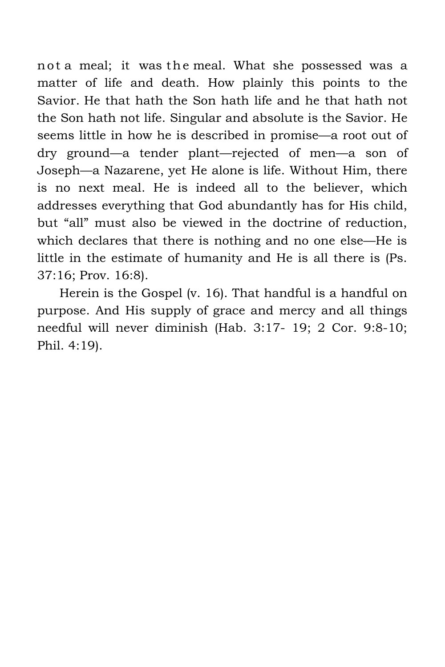not a meal; it was the meal. What she possessed was a matter of life and death. How plainly this points to the Savior. He that hath the Son hath life and he that hath not the Son hath not life. Singular and absolute is the Savior. He seems little in how he is described in promise—a root out of dry ground—a tender plant—rejected of men—a son of Joseph—a Nazarene, yet He alone is life. Without Him, there is no next meal. He is indeed all to the believer, which addresses everything that God abundantly has for His child, but "all" must also be viewed in the doctrine of reduction, which declares that there is nothing and no one else—He is little in the estimate of humanity and He is all there is (Ps. 37:16; Prov. 16:8).

Herein is the Gospel (v. 16). That handful is a handful on purpose. And His supply of grace and mercy and all things needful will never diminish (Hab. 3:17- 19; 2 Cor. 9:8-10; Phil. 4:19).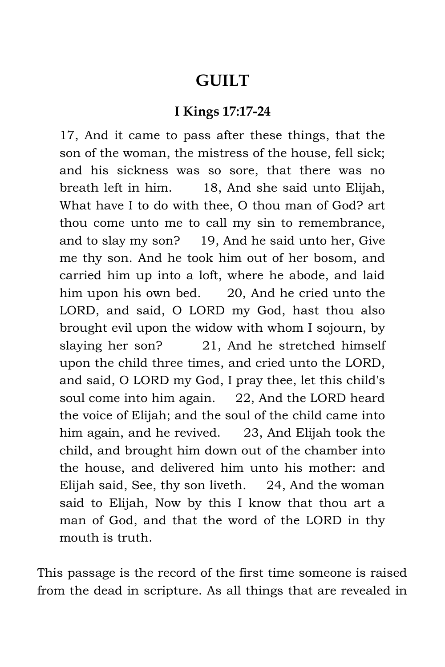### **GUILT**

#### **I Kings 17:17-24**

17, And it came to pass after these things, that the son of the woman, the mistress of the house, fell sick; and his sickness was so sore, that there was no breath left in him. 18, And she said unto Elijah, What have I to do with thee, O thou man of God? art thou come unto me to call my sin to remembrance, and to slay my son? 19, And he said unto her, Give me thy son. And he took him out of her bosom, and carried him up into a loft, where he abode, and laid him upon his own bed. 20, And he cried unto the LORD, and said, O LORD my God, hast thou also brought evil upon the widow with whom I sojourn, by slaying her son? 21, And he stretched himself upon the child three times, and cried unto the LORD, and said, O LORD my God, I pray thee, let this child's soul come into him again. 22, And the LORD heard the voice of Elijah; and the soul of the child came into him again, and he revived. 23, And Elijah took the child, and brought him down out of the chamber into the house, and delivered him unto his mother: and Elijah said, See, thy son liveth. 24, And the woman said to Elijah, Now by this I know that thou art a man of God, and that the word of the LORD in thy mouth is truth.

This passage is the record of the first time someone is raised from the dead in scripture. As all things that are revealed in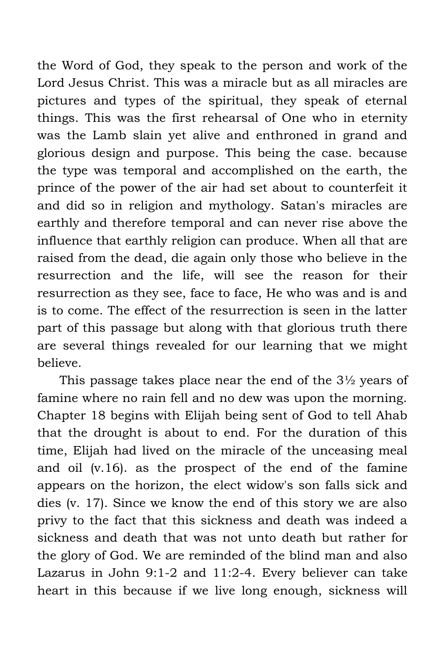the Word of God, they speak to the person and work of the Lord Jesus Christ. This was a miracle but as all miracles are pictures and types of the spiritual, they speak of eternal things. This was the first rehearsal of One who in eternity was the Lamb slain yet alive and enthroned in grand and glorious design and purpose. This being the case. because the type was temporal and accomplished on the earth, the prince of the power of the air had set about to counterfeit it and did so in religion and mythology. Satan's miracles are earthly and therefore temporal and can never rise above the influence that earthly religion can produce. When all that are raised from the dead, die again only those who believe in the resurrection and the life, will see the reason for their resurrection as they see, face to face, He who was and is and is to come. The effect of the resurrection is seen in the latter part of this passage but along with that glorious truth there are several things revealed for our learning that we might believe.

This passage takes place near the end of the 3½ years of famine where no rain fell and no dew was upon the morning. Chapter 18 begins with Elijah being sent of God to tell Ahab that the drought is about to end. For the duration of this time, Elijah had lived on the miracle of the unceasing meal and oil (v.16). as the prospect of the end of the famine appears on the horizon, the elect widow's son falls sick and dies (v. 17). Since we know the end of this story we are also privy to the fact that this sickness and death was indeed a sickness and death that was not unto death but rather for the glory of God. We are reminded of the blind man and also Lazarus in John 9:1-2 and 11:2-4. Every believer can take heart in this because if we live long enough, sickness will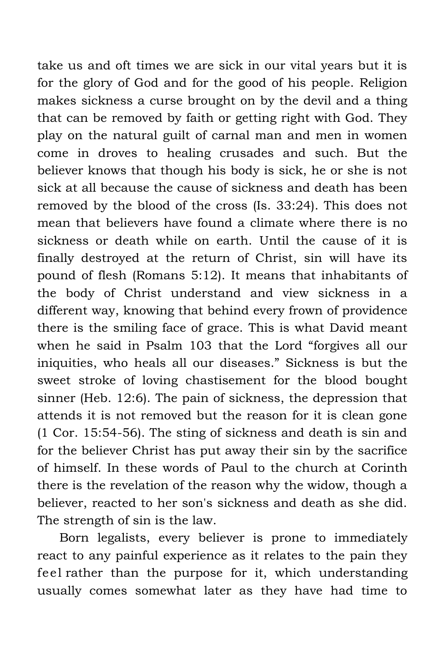take us and oft times we are sick in our vital years but it is for the glory of God and for the good of his people. Religion makes sickness a curse brought on by the devil and a thing that can be removed by faith or getting right with God. They play on the natural guilt of carnal man and men in women come in droves to healing crusades and such. But the believer knows that though his body is sick, he or she is not sick at all because the cause of sickness and death has been removed by the blood of the cross (Is. 33:24). This does not mean that believers have found a climate where there is no sickness or death while on earth. Until the cause of it is finally destroyed at the return of Christ, sin will have its pound of flesh (Romans 5:12). It means that inhabitants of the body of Christ understand and view sickness in a different way, knowing that behind every frown of providence there is the smiling face of grace. This is what David meant when he said in Psalm 103 that the Lord "forgives all our iniquities, who heals all our diseases." Sickness is but the sweet stroke of loving chastisement for the blood bought sinner (Heb. 12:6). The pain of sickness, the depression that attends it is not removed but the reason for it is clean gone (1 Cor. 15:54-56). The sting of sickness and death is sin and for the believer Christ has put away their sin by the sacrifice of himself. In these words of Paul to the church at Corinth there is the revelation of the reason why the widow, though a believer, reacted to her son's sickness and death as she did. The strength of sin is the law.

Born legalists, every believer is prone to immediately react to any painful experience as it relates to the pain they feel rather than the purpose for it, which understanding usually comes somewhat later as they have had time to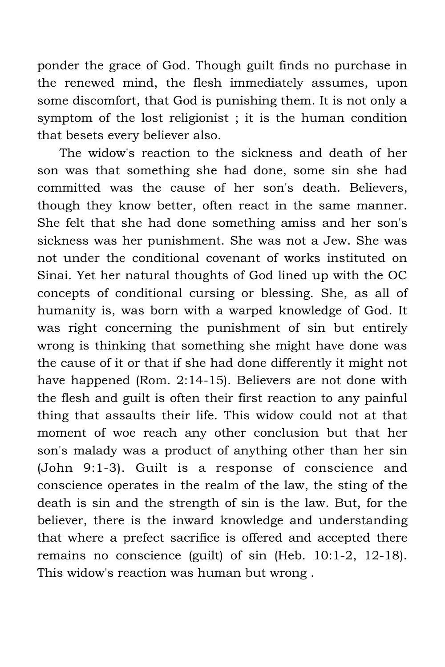ponder the grace of God. Though guilt finds no purchase in the renewed mind, the flesh immediately assumes, upon some discomfort, that God is punishing them. It is not only a symptom of the lost religionist ; it is the human condition that besets every believer also.

The widow's reaction to the sickness and death of her son was that something she had done, some sin she had committed was the cause of her son's death. Believers, though they know better, often react in the same manner. She felt that she had done something amiss and her son's sickness was her punishment. She was not a Jew. She was not under the conditional covenant of works instituted on Sinai. Yet her natural thoughts of God lined up with the OC concepts of conditional cursing or blessing. She, as all of humanity is, was born with a warped knowledge of God. It was right concerning the punishment of sin but entirely wrong is thinking that something she might have done was the cause of it or that if she had done differently it might not have happened (Rom. 2:14-15). Believers are not done with the flesh and guilt is often their first reaction to any painful thing that assaults their life. This widow could not at that moment of woe reach any other conclusion but that her son's malady was a product of anything other than her sin (John 9:1-3). Guilt is a response of conscience and conscience operates in the realm of the law, the sting of the death is sin and the strength of sin is the law. But, for the believer, there is the inward knowledge and understanding that where a prefect sacrifice is offered and accepted there remains no conscience (guilt) of sin (Heb. 10:1-2, 12-18). This widow's reaction was human but wrong .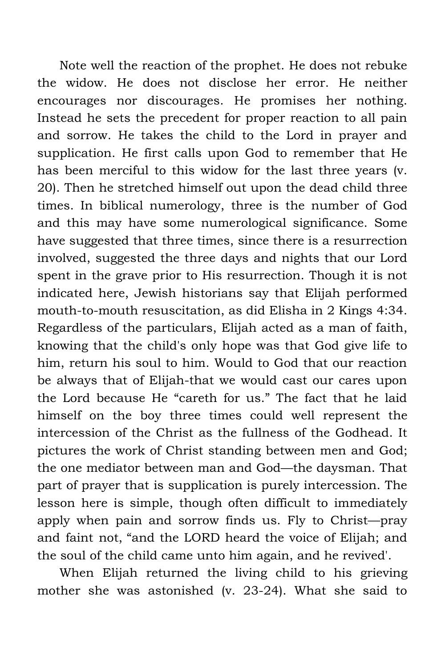Note well the reaction of the prophet. He does not rebuke the widow. He does not disclose her error. He neither encourages nor discourages. He promises her nothing. Instead he sets the precedent for proper reaction to all pain and sorrow. He takes the child to the Lord in prayer and supplication. He first calls upon God to remember that He has been merciful to this widow for the last three years (v. 20). Then he stretched himself out upon the dead child three times. In biblical numerology, three is the number of God and this may have some numerological significance. Some have suggested that three times, since there is a resurrection involved, suggested the three days and nights that our Lord spent in the grave prior to His resurrection. Though it is not indicated here, Jewish historians say that Elijah performed mouth-to-mouth resuscitation, as did Elisha in 2 Kings 4:34. Regardless of the particulars, Elijah acted as a man of faith, knowing that the child's only hope was that God give life to him, return his soul to him. Would to God that our reaction be always that of Elijah-that we would cast our cares upon the Lord because He "careth for us." The fact that he laid himself on the boy three times could well represent the intercession of the Christ as the fullness of the Godhead. It pictures the work of Christ standing between men and God; the one mediator between man and God—the daysman. That part of prayer that is supplication is purely intercession. The lesson here is simple, though often difficult to immediately apply when pain and sorrow finds us. Fly to Christ—pray and faint not, "and the LORD heard the voice of Elijah; and the soul of the child came unto him again, and he revived'.

When Elijah returned the living child to his grieving mother she was astonished (v. 23-24). What she said to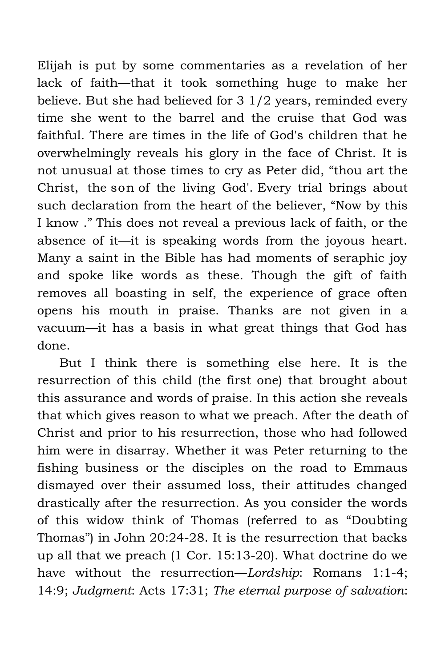Elijah is put by some commentaries as a revelation of her lack of faith—that it took something huge to make her believe. But she had believed for 3 1/2 years, reminded every time she went to the barrel and the cruise that God was faithful. There are times in the life of God's children that he overwhelmingly reveals his glory in the face of Christ. It is not unusual at those times to cry as Peter did, "thou art the Christ, the son of the living God'. Every trial brings about such declaration from the heart of the believer, "Now by this I know ." This does not reveal a previous lack of faith, or the absence of it—it is speaking words from the joyous heart. Many a saint in the Bible has had moments of seraphic joy and spoke like words as these. Though the gift of faith removes all boasting in self, the experience of grace often opens his mouth in praise. Thanks are not given in a vacuum—it has a basis in what great things that God has done.

But I think there is something else here. It is the resurrection of this child (the first one) that brought about this assurance and words of praise. In this action she reveals that which gives reason to what we preach. After the death of Christ and prior to his resurrection, those who had followed him were in disarray. Whether it was Peter returning to the fishing business or the disciples on the road to Emmaus dismayed over their assumed loss, their attitudes changed drastically after the resurrection. As you consider the words of this widow think of Thomas (referred to as "Doubting Thomas") in John 20:24-28. It is the resurrection that backs up all that we preach (1 Cor. 15:13-20). What doctrine do we have without the resurrection—*Lordship*: Romans 1:1-4; 14:9; *Judgment*: Acts 17:31; *The eternal purpose of salvation*: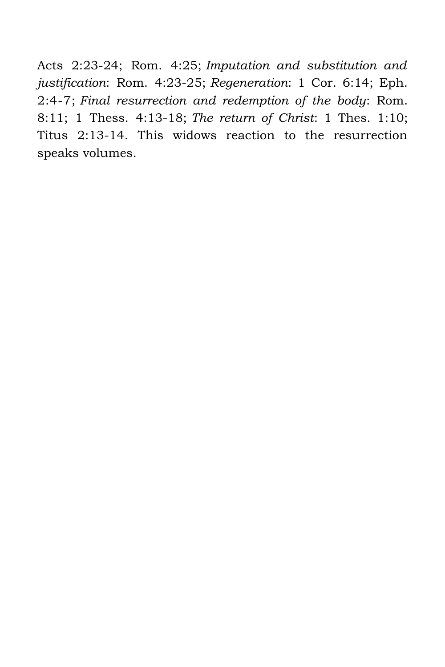Acts 2:23-24; Rom. 4:25; *Imputation and substitution and justification*: Rom. 4:23-25; *Regeneration*: 1 Cor. 6:14; Eph. 2:4-7; *Final resurrection and redemption of the body*: Rom. 8:11; 1 Thess. 4:13-18; *The return of Christ*: 1 Thes. 1:10; Titus 2:13-14. This widows reaction to the resurrection speaks volumes.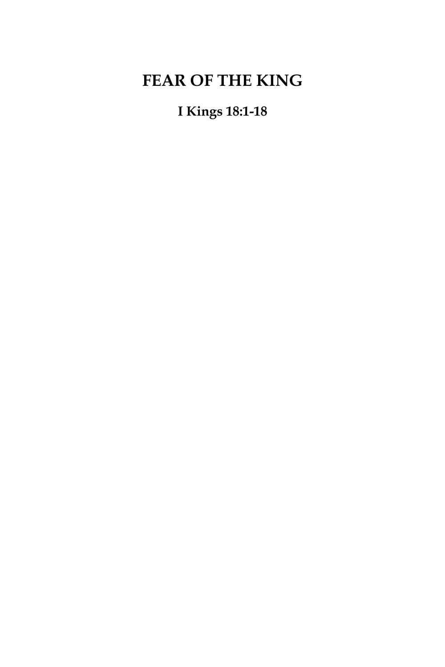# **FEAR OF THE KING**

**I Kings 18:1-18**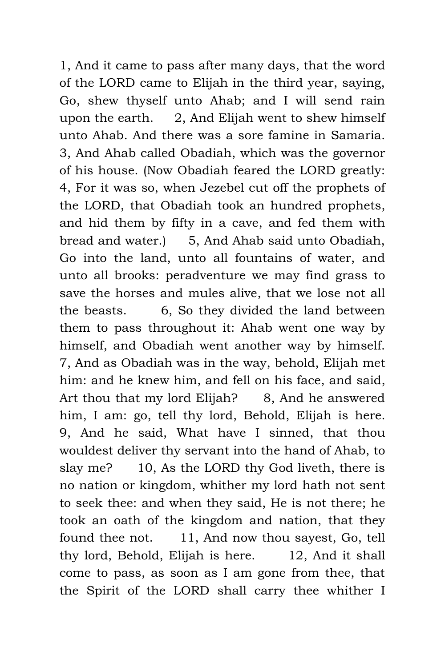1, And it came to pass after many days, that the word of the LORD came to Elijah in the third year, saying, Go, shew thyself unto Ahab; and I will send rain upon the earth. 2, And Elijah went to shew himself unto Ahab. And there was a sore famine in Samaria. 3, And Ahab called Obadiah, which was the governor of his house. (Now Obadiah feared the LORD greatly: 4, For it was so, when Jezebel cut off the prophets of the LORD, that Obadiah took an hundred prophets, and hid them by fifty in a cave, and fed them with bread and water.) 5, And Ahab said unto Obadiah, Go into the land, unto all fountains of water, and unto all brooks: peradventure we may find grass to save the horses and mules alive, that we lose not all the beasts. 6, So they divided the land between them to pass throughout it: Ahab went one way by himself, and Obadiah went another way by himself. 7, And as Obadiah was in the way, behold, Elijah met him: and he knew him, and fell on his face, and said, Art thou that my lord Elijah? 8, And he answered him, I am: go, tell thy lord, Behold, Elijah is here. 9, And he said, What have I sinned, that thou wouldest deliver thy servant into the hand of Ahab, to slay me? 10, As the LORD thy God liveth, there is no nation or kingdom, whither my lord hath not sent to seek thee: and when they said, He is not there; he took an oath of the kingdom and nation, that they found thee not. 11, And now thou sayest, Go, tell thy lord, Behold, Elijah is here. 12, And it shall come to pass, as soon as I am gone from thee, that the Spirit of the LORD shall carry thee whither I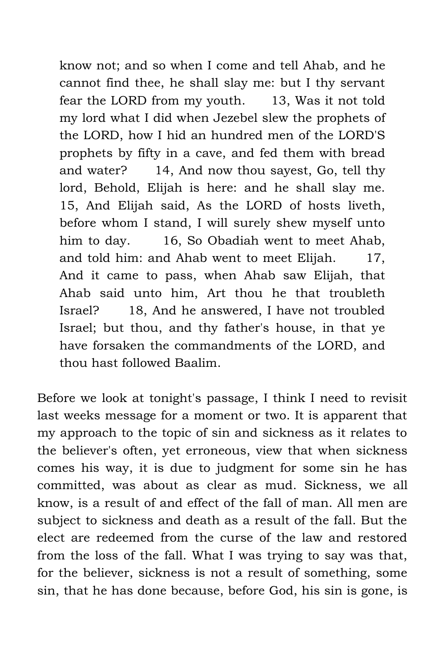know not; and so when I come and tell Ahab, and he cannot find thee, he shall slay me: but I thy servant fear the LORD from my youth. 13, Was it not told my lord what I did when Jezebel slew the prophets of the LORD, how I hid an hundred men of the LORD'S prophets by fifty in a cave, and fed them with bread and water? 14, And now thou sayest, Go, tell thy lord, Behold, Elijah is here: and he shall slay me. 15, And Elijah said, As the LORD of hosts liveth, before whom I stand, I will surely shew myself unto him to day. 16, So Obadiah went to meet Ahab, and told him: and Ahab went to meet Elijah. 17, And it came to pass, when Ahab saw Elijah, that Ahab said unto him, Art thou he that troubleth Israel? 18, And he answered, I have not troubled Israel; but thou, and thy father's house, in that ye have forsaken the commandments of the LORD, and thou hast followed Baalim.

Before we look at tonight's passage, I think I need to revisit last weeks message for a moment or two. It is apparent that my approach to the topic of sin and sickness as it relates to the believer's often, yet erroneous, view that when sickness comes his way, it is due to judgment for some sin he has committed, was about as clear as mud. Sickness, we all know, is a result of and effect of the fall of man. All men are subject to sickness and death as a result of the fall. But the elect are redeemed from the curse of the law and restored from the loss of the fall. What I was trying to say was that, for the believer, sickness is not a result of something, some sin, that he has done because, before God, his sin is gone, is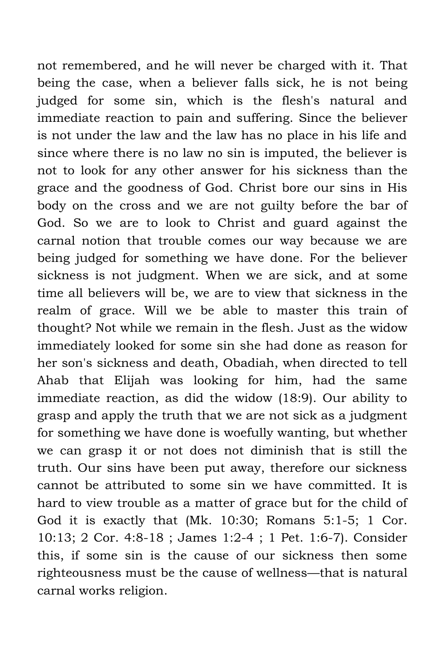not remembered, and he will never be charged with it. That being the case, when a believer falls sick, he is not being judged for some sin, which is the flesh's natural and immediate reaction to pain and suffering. Since the believer is not under the law and the law has no place in his life and since where there is no law no sin is imputed, the believer is not to look for any other answer for his sickness than the grace and the goodness of God. Christ bore our sins in His body on the cross and we are not guilty before the bar of God. So we are to look to Christ and guard against the carnal notion that trouble comes our way because we are being judged for something we have done. For the believer sickness is not judgment. When we are sick, and at some time all believers will be, we are to view that sickness in the realm of grace. Will we be able to master this train of thought? Not while we remain in the flesh. Just as the widow immediately looked for some sin she had done as reason for her son's sickness and death, Obadiah, when directed to tell Ahab that Elijah was looking for him, had the same immediate reaction, as did the widow (18:9). Our ability to grasp and apply the truth that we are not sick as a judgment for something we have done is woefully wanting, but whether we can grasp it or not does not diminish that is still the truth. Our sins have been put away, therefore our sickness cannot be attributed to some sin we have committed. It is hard to view trouble as a matter of grace but for the child of God it is exactly that (Mk. 10:30; Romans 5:1-5; 1 Cor. 10:13; 2 Cor. 4:8-18 ; James 1:2-4 ; 1 Pet. 1:6-7). Consider this, if some sin is the cause of our sickness then some righteousness must be the cause of wellness—that is natural carnal works religion.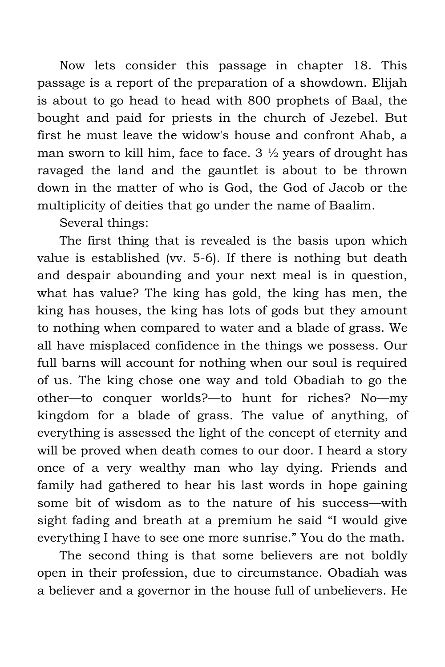Now lets consider this passage in chapter 18. This passage is a report of the preparation of a showdown. Elijah is about to go head to head with 800 prophets of Baal, the bought and paid for priests in the church of Jezebel. But first he must leave the widow's house and confront Ahab, a man sworn to kill him, face to face.  $3\frac{1}{2}$  years of drought has ravaged the land and the gauntlet is about to be thrown down in the matter of who is God, the God of Jacob or the multiplicity of deities that go under the name of Baalim.

Several things:

The first thing that is revealed is the basis upon which value is established (vv. 5-6). If there is nothing but death and despair abounding and your next meal is in question, what has value? The king has gold, the king has men, the king has houses, the king has lots of gods but they amount to nothing when compared to water and a blade of grass. We all have misplaced confidence in the things we possess. Our full barns will account for nothing when our soul is required of us. The king chose one way and told Obadiah to go the other—to conquer worlds?—to hunt for riches? No—my kingdom for a blade of grass. The value of anything, of everything is assessed the light of the concept of eternity and will be proved when death comes to our door. I heard a story once of a very wealthy man who lay dying. Friends and family had gathered to hear his last words in hope gaining some bit of wisdom as to the nature of his success—with sight fading and breath at a premium he said "I would give everything I have to see one more sunrise." You do the math.

The second thing is that some believers are not boldly open in their profession, due to circumstance. Obadiah was a believer and a governor in the house full of unbelievers. He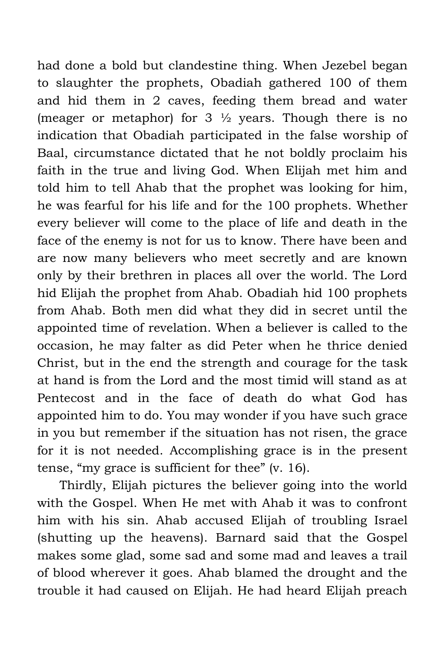had done a bold but clandestine thing. When Jezebel began to slaughter the prophets, Obadiah gathered 100 of them and hid them in 2 caves, feeding them bread and water (meager or metaphor) for  $3\frac{1}{2}$  years. Though there is no indication that Obadiah participated in the false worship of Baal, circumstance dictated that he not boldly proclaim his faith in the true and living God. When Elijah met him and told him to tell Ahab that the prophet was looking for him, he was fearful for his life and for the 100 prophets. Whether every believer will come to the place of life and death in the face of the enemy is not for us to know. There have been and are now many believers who meet secretly and are known only by their brethren in places all over the world. The Lord hid Elijah the prophet from Ahab. Obadiah hid 100 prophets from Ahab. Both men did what they did in secret until the appointed time of revelation. When a believer is called to the occasion, he may falter as did Peter when he thrice denied Christ, but in the end the strength and courage for the task at hand is from the Lord and the most timid will stand as at Pentecost and in the face of death do what God has appointed him to do. You may wonder if you have such grace in you but remember if the situation has not risen, the grace for it is not needed. Accomplishing grace is in the present tense, "my grace is sufficient for thee" (v. 16).

Thirdly, Elijah pictures the believer going into the world with the Gospel. When He met with Ahab it was to confront him with his sin. Ahab accused Elijah of troubling Israel (shutting up the heavens). Barnard said that the Gospel makes some glad, some sad and some mad and leaves a trail of blood wherever it goes. Ahab blamed the drought and the trouble it had caused on Elijah. He had heard Elijah preach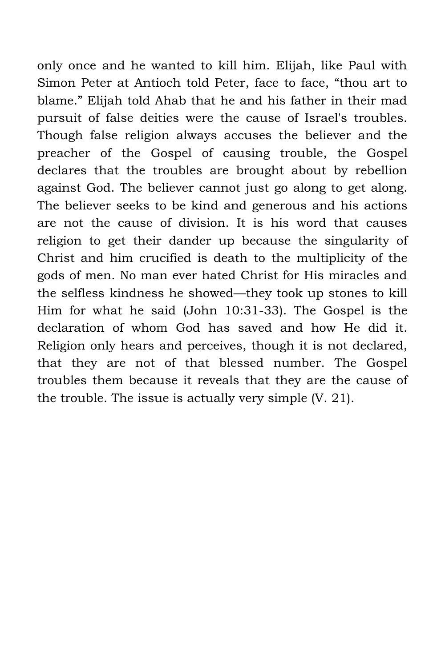only once and he wanted to kill him. Elijah, like Paul with Simon Peter at Antioch told Peter, face to face, "thou art to blame." Elijah told Ahab that he and his father in their mad pursuit of false deities were the cause of Israel's troubles. Though false religion always accuses the believer and the preacher of the Gospel of causing trouble, the Gospel declares that the troubles are brought about by rebellion against God. The believer cannot just go along to get along. The believer seeks to be kind and generous and his actions are not the cause of division. It is his word that causes religion to get their dander up because the singularity of Christ and him crucified is death to the multiplicity of the gods of men. No man ever hated Christ for His miracles and the selfless kindness he showed—they took up stones to kill Him for what he said (John 10:31-33). The Gospel is the declaration of whom God has saved and how He did it. Religion only hears and perceives, though it is not declared, that they are not of that blessed number. The Gospel troubles them because it reveals that they are the cause of the trouble. The issue is actually very simple (V. 21).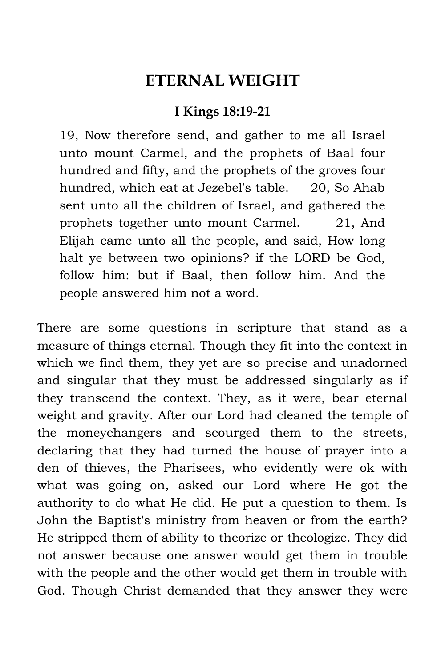### **ETERNAL WEIGHT**

### **I Kings 18:19-21**

19, Now therefore send, and gather to me all Israel unto mount Carmel, and the prophets of Baal four hundred and fifty, and the prophets of the groves four hundred, which eat at Jezebel's table. 20, So Ahab sent unto all the children of Israel, and gathered the prophets together unto mount Carmel. 21, And Elijah came unto all the people, and said, How long halt ye between two opinions? if the LORD be God, follow him: but if Baal, then follow him. And the people answered him not a word.

There are some questions in scripture that stand as a measure of things eternal. Though they fit into the context in which we find them, they yet are so precise and unadorned and singular that they must be addressed singularly as if they transcend the context. They, as it were, bear eternal weight and gravity. After our Lord had cleaned the temple of the moneychangers and scourged them to the streets, declaring that they had turned the house of prayer into a den of thieves, the Pharisees, who evidently were ok with what was going on, asked our Lord where He got the authority to do what He did. He put a question to them. Is John the Baptist's ministry from heaven or from the earth? He stripped them of ability to theorize or theologize. They did not answer because one answer would get them in trouble with the people and the other would get them in trouble with God. Though Christ demanded that they answer they were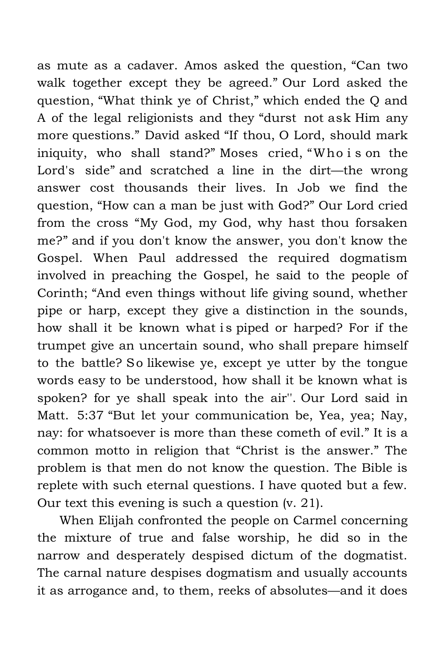as mute as a cadaver. Amos asked the question, "Can two walk together except they be agreed." Our Lord asked the question, "What think ye of Christ," which ended the Q and A of the legal religionists and they "durst not ask Him any more questions." David asked "If thou, O Lord, should mark iniquity, who shall stand?" Moses cried, "Who i s on the Lord's side" and scratched a line in the dirt—the wrong answer cost thousands their lives. In Job we find the question, "How can a man be just with God?" Our Lord cried from the cross "My God, my God, why hast thou forsaken me?" and if you don't know the answer, you don't know the Gospel. When Paul addressed the required dogmatism involved in preaching the Gospel, he said to the people of Corinth; "And even things without life giving sound, whether pipe or harp, except they give a distinction in the sounds, how shall it be known what is piped or harped? For if the trumpet give an uncertain sound, who shall prepare himself to the battle? So likewise ye, except ye utter by the tongue words easy to be understood, how shall it be known what is spoken? for ye shall speak into the air''. Our Lord said in Matt. 5:37 "But let your communication be, Yea, yea; Nay, nay: for whatsoever is more than these cometh of evil." It is a common motto in religion that "Christ is the answer." The problem is that men do not know the question. The Bible is replete with such eternal questions. I have quoted but a few. Our text this evening is such a question (v. 21).

When Elijah confronted the people on Carmel concerning the mixture of true and false worship, he did so in the narrow and desperately despised dictum of the dogmatist. The carnal nature despises dogmatism and usually accounts it as arrogance and, to them, reeks of absolutes—and it does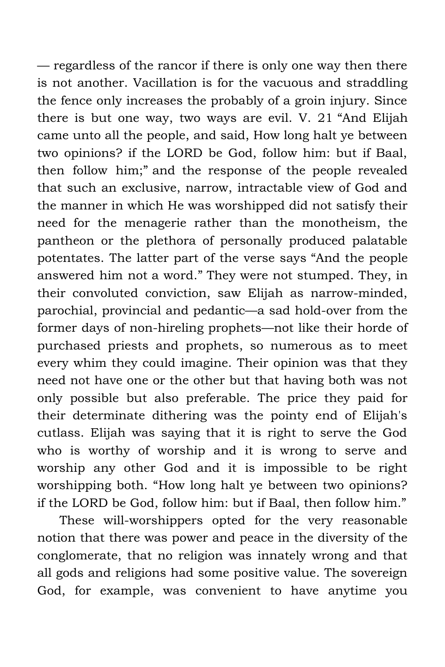— regardless of the rancor if there is only one way then there is not another. Vacillation is for the vacuous and straddling the fence only increases the probably of a groin injury. Since there is but one way, two ways are evil. V. 21 "And Elijah came unto all the people, and said, How long halt ye between two opinions? if the LORD be God, follow him: but if Baal, then follow him;" and the response of the people revealed that such an exclusive, narrow, intractable view of God and the manner in which He was worshipped did not satisfy their need for the menagerie rather than the monotheism, the pantheon or the plethora of personally produced palatable potentates. The latter part of the verse says "And the people answered him not a word." They were not stumped. They, in their convoluted conviction, saw Elijah as narrow-minded, parochial, provincial and pedantic—a sad hold-over from the former days of non-hireling prophets—not like their horde of purchased priests and prophets, so numerous as to meet every whim they could imagine. Their opinion was that they need not have one or the other but that having both was not only possible but also preferable. The price they paid for their determinate dithering was the pointy end of Elijah's cutlass. Elijah was saying that it is right to serve the God who is worthy of worship and it is wrong to serve and worship any other God and it is impossible to be right worshipping both. "How long halt ye between two opinions? if the LORD be God, follow him: but if Baal, then follow him."

These will-worshippers opted for the very reasonable notion that there was power and peace in the diversity of the conglomerate, that no religion was innately wrong and that all gods and religions had some positive value. The sovereign God, for example, was convenient to have anytime you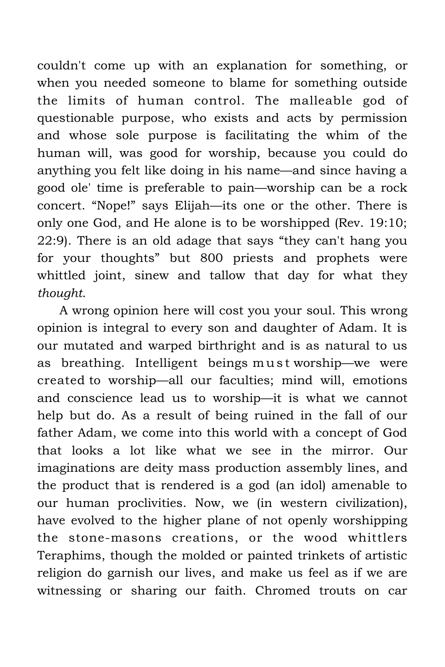couldn't come up with an explanation for something, or when you needed someone to blame for something outside the limits of human control. The malleable god of questionable purpose, who exists and acts by permission and whose sole purpose is facilitating the whim of the human will, was good for worship, because you could do anything you felt like doing in his name—and since having a good ole' time is preferable to pain—worship can be a rock concert. "Nope!" says Elijah—its one or the other. There is only one God, and He alone is to be worshipped (Rev. 19:10; 22:9). There is an old adage that says "they can't hang you for your thoughts" but 800 priests and prophets were whittled joint, sinew and tallow that day for what they *thought*.

A wrong opinion here will cost you your soul. This wrong opinion is integral to every son and daughter of Adam. It is our mutated and warped birthright and is as natural to us as breathing. Intelligent beings must worship—we were created to worship—all our faculties; mind will, emotions and conscience lead us to worship—it is what we cannot help but do. As a result of being ruined in the fall of our father Adam, we come into this world with a concept of God that looks a lot like what we see in the mirror. Our imaginations are deity mass production assembly lines, and the product that is rendered is a god (an idol) amenable to our human proclivities. Now, we (in western civilization), have evolved to the higher plane of not openly worshipping the stone-masons creations, or the wood whittlers Teraphims, though the molded or painted trinkets of artistic religion do garnish our lives, and make us feel as if we are witnessing or sharing our faith. Chromed trouts on car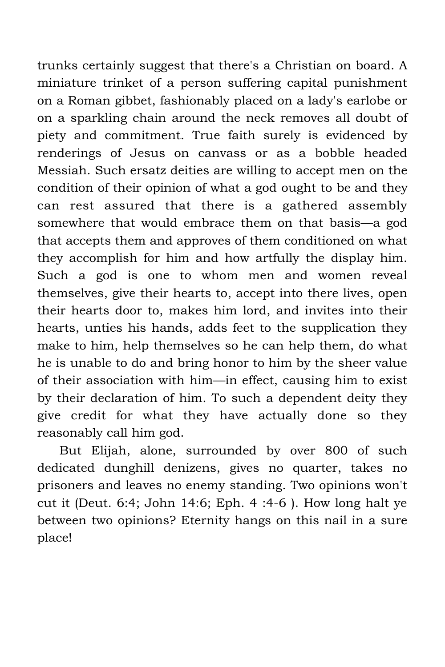trunks certainly suggest that there's a Christian on board. A miniature trinket of a person suffering capital punishment on a Roman gibbet, fashionably placed on a lady's earlobe or on a sparkling chain around the neck removes all doubt of piety and commitment. True faith surely is evidenced by renderings of Jesus on canvass or as a bobble headed Messiah. Such ersatz deities are willing to accept men on the condition of their opinion of what a god ought to be and they can rest assured that there is a gathered assembly somewhere that would embrace them on that basis—a god that accepts them and approves of them conditioned on what they accomplish for him and how artfully the display him. Such a god is one to whom men and women reveal themselves, give their hearts to, accept into there lives, open their hearts door to, makes him lord, and invites into their hearts, unties his hands, adds feet to the supplication they make to him, help themselves so he can help them, do what he is unable to do and bring honor to him by the sheer value of their association with him—in effect, causing him to exist by their declaration of him. To such a dependent deity they give credit for what they have actually done so they reasonably call him god.

But Elijah, alone, surrounded by over 800 of such dedicated dunghill denizens, gives no quarter, takes no prisoners and leaves no enemy standing. Two opinions won't cut it (Deut. 6:4; John 14:6; Eph. 4 :4-6 ). How long halt ye between two opinions? Eternity hangs on this nail in a sure place!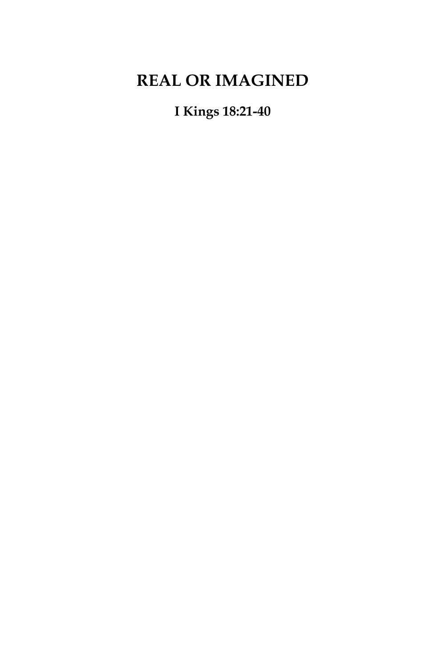# **REAL OR IMAGINED**

## **I Kings 18:21-40**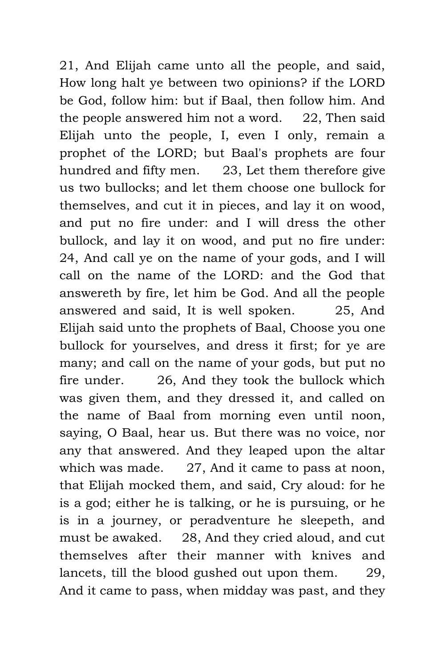21, And Elijah came unto all the people, and said, How long halt ye between two opinions? if the LORD be God, follow him: but if Baal, then follow him. And the people answered him not a word. 22, Then said Elijah unto the people, I, even I only, remain a prophet of the LORD; but Baal's prophets are four hundred and fifty men. 23, Let them therefore give us two bullocks; and let them choose one bullock for themselves, and cut it in pieces, and lay it on wood, and put no fire under: and I will dress the other bullock, and lay it on wood, and put no fire under: 24, And call ye on the name of your gods, and I will call on the name of the LORD: and the God that answereth by fire, let him be God. And all the people answered and said, It is well spoken. 25, And Elijah said unto the prophets of Baal, Choose you one bullock for yourselves, and dress it first; for ye are many; and call on the name of your gods, but put no fire under. 26, And they took the bullock which was given them, and they dressed it, and called on the name of Baal from morning even until noon, saying, O Baal, hear us. But there was no voice, nor any that answered. And they leaped upon the altar which was made. 27, And it came to pass at noon, that Elijah mocked them, and said, Cry aloud: for he is a god; either he is talking, or he is pursuing, or he is in a journey, or peradventure he sleepeth, and must be awaked. 28, And they cried aloud, and cut themselves after their manner with knives and lancets, till the blood gushed out upon them. 29, And it came to pass, when midday was past, and they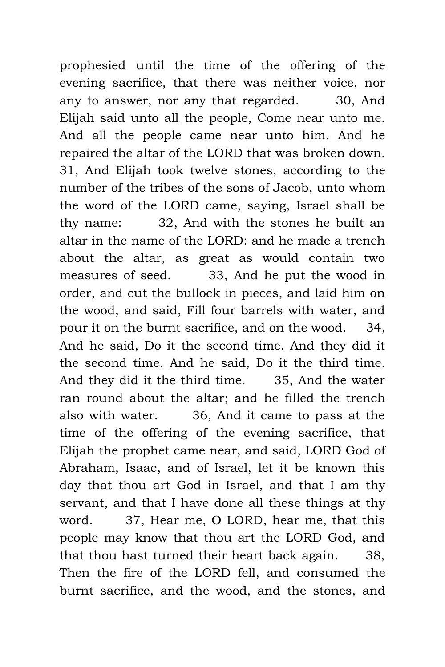prophesied until the time of the offering of the evening sacrifice, that there was neither voice, nor any to answer, nor any that regarded. 30, And Elijah said unto all the people, Come near unto me. And all the people came near unto him. And he repaired the altar of the LORD that was broken down. 31, And Elijah took twelve stones, according to the number of the tribes of the sons of Jacob, unto whom the word of the LORD came, saying, Israel shall be thy name: 32, And with the stones he built an altar in the name of the LORD: and he made a trench about the altar, as great as would contain two measures of seed. 33, And he put the wood in order, and cut the bullock in pieces, and laid him on the wood, and said, Fill four barrels with water, and pour it on the burnt sacrifice, and on the wood. 34, And he said, Do it the second time. And they did it the second time. And he said, Do it the third time. And they did it the third time. 35, And the water ran round about the altar; and he filled the trench also with water. 36, And it came to pass at the time of the offering of the evening sacrifice, that Elijah the prophet came near, and said, LORD God of Abraham, Isaac, and of Israel, let it be known this day that thou art God in Israel, and that I am thy servant, and that I have done all these things at thy word. 37, Hear me, O LORD, hear me, that this people may know that thou art the LORD God, and that thou hast turned their heart back again. 38, Then the fire of the LORD fell, and consumed the burnt sacrifice, and the wood, and the stones, and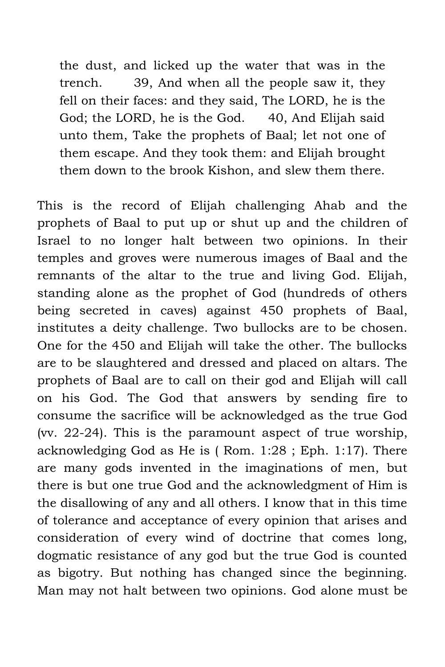the dust, and licked up the water that was in the trench. 39, And when all the people saw it, they fell on their faces: and they said, The LORD, he is the God; the LORD, he is the God. 40, And Elijah said unto them, Take the prophets of Baal; let not one of them escape. And they took them: and Elijah brought them down to the brook Kishon, and slew them there.

This is the record of Elijah challenging Ahab and the prophets of Baal to put up or shut up and the children of Israel to no longer halt between two opinions. In their temples and groves were numerous images of Baal and the remnants of the altar to the true and living God. Elijah, standing alone as the prophet of God (hundreds of others being secreted in caves) against 450 prophets of Baal, institutes a deity challenge. Two bullocks are to be chosen. One for the 450 and Elijah will take the other. The bullocks are to be slaughtered and dressed and placed on altars. The prophets of Baal are to call on their god and Elijah will call on his God. The God that answers by sending fire to consume the sacrifice will be acknowledged as the true God (vv. 22-24). This is the paramount aspect of true worship, acknowledging God as He is ( Rom. 1:28 ; Eph. 1:17). There are many gods invented in the imaginations of men, but there is but one true God and the acknowledgment of Him is the disallowing of any and all others. I know that in this time of tolerance and acceptance of every opinion that arises and consideration of every wind of doctrine that comes long, dogmatic resistance of any god but the true God is counted as bigotry. But nothing has changed since the beginning. Man may not halt between two opinions. God alone must be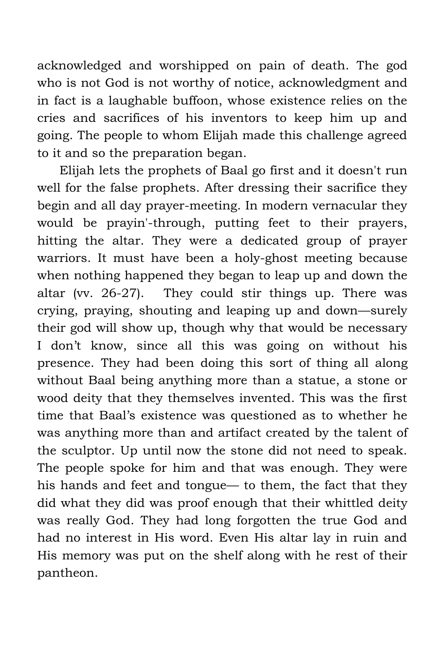acknowledged and worshipped on pain of death. The god who is not God is not worthy of notice, acknowledgment and in fact is a laughable buffoon, whose existence relies on the cries and sacrifices of his inventors to keep him up and going. The people to whom Elijah made this challenge agreed to it and so the preparation began.

Elijah lets the prophets of Baal go first and it doesn't run well for the false prophets. After dressing their sacrifice they begin and all day prayer-meeting. In modern vernacular they would be prayin'-through, putting feet to their prayers, hitting the altar. They were a dedicated group of prayer warriors. It must have been a holy-ghost meeting because when nothing happened they began to leap up and down the altar (vv. 26-27). They could stir things up. There was crying, praying, shouting and leaping up and down—surely their god will show up, though why that would be necessary I don't know, since all this was going on without his presence. They had been doing this sort of thing all along without Baal being anything more than a statue, a stone or wood deity that they themselves invented. This was the first time that Baal's existence was questioned as to whether he was anything more than and artifact created by the talent of the sculptor. Up until now the stone did not need to speak. The people spoke for him and that was enough. They were his hands and feet and tongue— to them, the fact that they did what they did was proof enough that their whittled deity was really God. They had long forgotten the true God and had no interest in His word. Even His altar lay in ruin and His memory was put on the shelf along with he rest of their pantheon.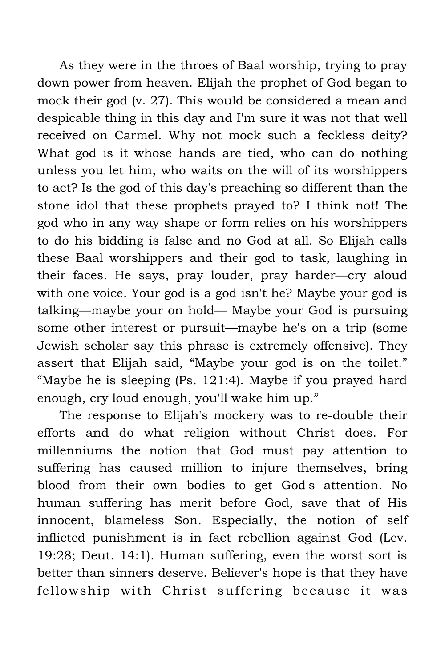As they were in the throes of Baal worship, trying to pray down power from heaven. Elijah the prophet of God began to mock their god (v. 27). This would be considered a mean and despicable thing in this day and I'm sure it was not that well received on Carmel. Why not mock such a feckless deity? What god is it whose hands are tied, who can do nothing unless you let him, who waits on the will of its worshippers to act? Is the god of this day's preaching so different than the stone idol that these prophets prayed to? I think not! The god who in any way shape or form relies on his worshippers to do his bidding is false and no God at all. So Elijah calls these Baal worshippers and their god to task, laughing in their faces. He says, pray louder, pray harder—cry aloud with one voice. Your god is a god isn't he? Maybe your god is talking—maybe your on hold— Maybe your God is pursuing some other interest or pursuit—maybe he's on a trip (some Jewish scholar say this phrase is extremely offensive). They assert that Elijah said, "Maybe your god is on the toilet." "Maybe he is sleeping (Ps. 121:4). Maybe if you prayed hard enough, cry loud enough, you'll wake him up."

The response to Elijah's mockery was to re-double their efforts and do what religion without Christ does. For millenniums the notion that God must pay attention to suffering has caused million to injure themselves, bring blood from their own bodies to get God's attention. No human suffering has merit before God, save that of His innocent, blameless Son. Especially, the notion of self inflicted punishment is in fact rebellion against God (Lev. 19:28; Deut. 14:1). Human suffering, even the worst sort is better than sinners deserve. Believer's hope is that they have fellowship with Christ suffering because it was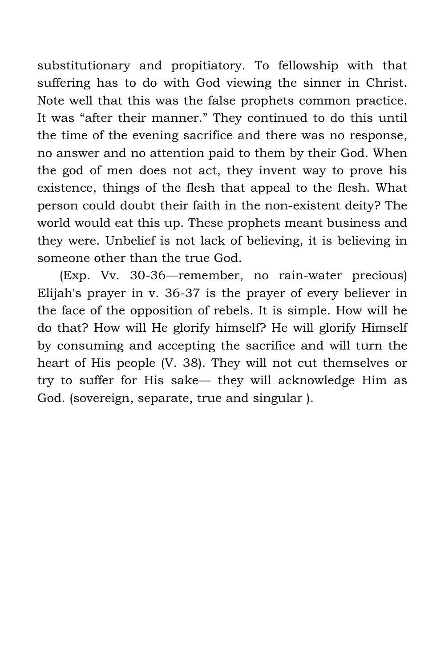substitutionary and propitiatory. To fellowship with that suffering has to do with God viewing the sinner in Christ. Note well that this was the false prophets common practice. It was "after their manner." They continued to do this until the time of the evening sacrifice and there was no response, no answer and no attention paid to them by their God. When the god of men does not act, they invent way to prove his existence, things of the flesh that appeal to the flesh. What person could doubt their faith in the non-existent deity? The world would eat this up. These prophets meant business and they were. Unbelief is not lack of believing, it is believing in someone other than the true God.

(Exp. Vv. 30-36—remember, no rain-water precious) Elijah's prayer in v. 36-37 is the prayer of every believer in the face of the opposition of rebels. It is simple. How will he do that? How will He glorify himself? He will glorify Himself by consuming and accepting the sacrifice and will turn the heart of His people (V. 38). They will not cut themselves or try to suffer for His sake— they will acknowledge Him as God. (sovereign, separate, true and singular ).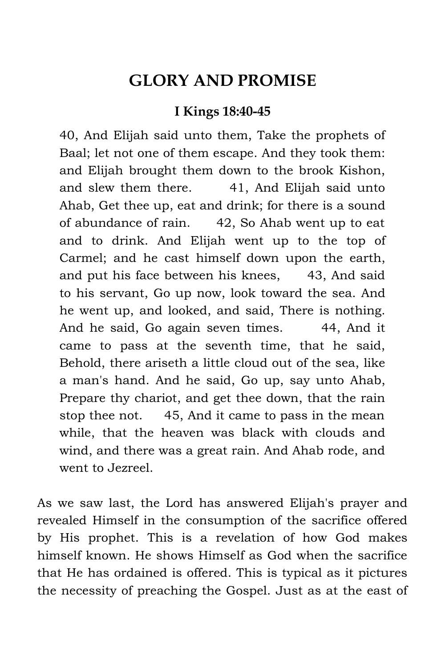## **GLORY AND PROMISE**

#### **I Kings 18:40-45**

40, And Elijah said unto them, Take the prophets of Baal; let not one of them escape. And they took them: and Elijah brought them down to the brook Kishon, and slew them there. 41, And Elijah said unto Ahab, Get thee up, eat and drink; for there is a sound of abundance of rain. 42, So Ahab went up to eat and to drink. And Elijah went up to the top of Carmel; and he cast himself down upon the earth, and put his face between his knees, 43, And said to his servant, Go up now, look toward the sea. And he went up, and looked, and said, There is nothing. And he said, Go again seven times. 44, And it came to pass at the seventh time, that he said, Behold, there ariseth a little cloud out of the sea, like a man's hand. And he said, Go up, say unto Ahab, Prepare thy chariot, and get thee down, that the rain stop thee not. 45, And it came to pass in the mean while, that the heaven was black with clouds and wind, and there was a great rain. And Ahab rode, and went to Jezreel.

As we saw last, the Lord has answered Elijah's prayer and revealed Himself in the consumption of the sacrifice offered by His prophet. This is a revelation of how God makes himself known. He shows Himself as God when the sacrifice that He has ordained is offered. This is typical as it pictures the necessity of preaching the Gospel. Just as at the east of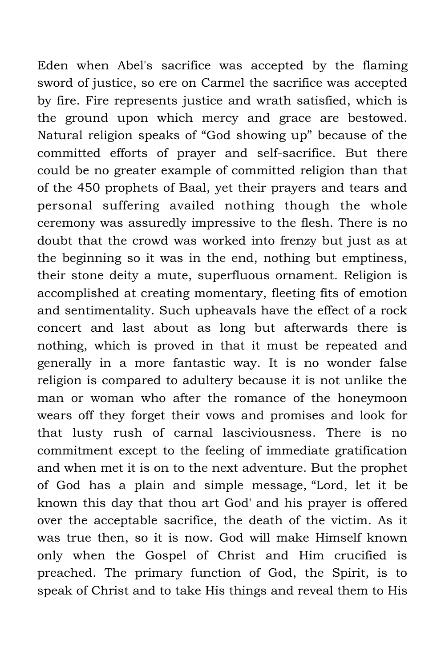Eden when Abel's sacrifice was accepted by the flaming sword of justice, so ere on Carmel the sacrifice was accepted by fire. Fire represents justice and wrath satisfied, which is the ground upon which mercy and grace are bestowed. Natural religion speaks of "God showing up" because of the committed efforts of prayer and self-sacrifice. But there could be no greater example of committed religion than that of the 450 prophets of Baal, yet their prayers and tears and personal suffering availed nothing though the whole ceremony was assuredly impressive to the flesh. There is no doubt that the crowd was worked into frenzy but just as at the beginning so it was in the end, nothing but emptiness, their stone deity a mute, superfluous ornament. Religion is accomplished at creating momentary, fleeting fits of emotion and sentimentality. Such upheavals have the effect of a rock concert and last about as long but afterwards there is nothing, which is proved in that it must be repeated and generally in a more fantastic way. It is no wonder false religion is compared to adultery because it is not unlike the man or woman who after the romance of the honeymoon wears off they forget their vows and promises and look for that lusty rush of carnal lasciviousness. There is no commitment except to the feeling of immediate gratification and when met it is on to the next adventure. But the prophet of God has a plain and simple message, "Lord, let it be known this day that thou art God' and his prayer is offered over the acceptable sacrifice, the death of the victim. As it was true then, so it is now. God will make Himself known only when the Gospel of Christ and Him crucified is preached. The primary function of God, the Spirit, is to speak of Christ and to take His things and reveal them to His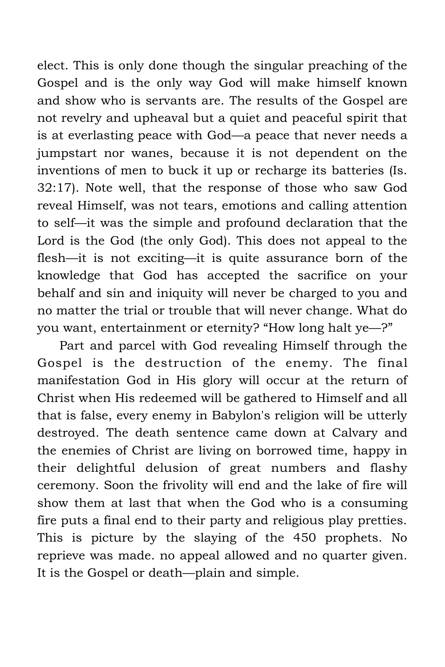elect. This is only done though the singular preaching of the Gospel and is the only way God will make himself known and show who is servants are. The results of the Gospel are not revelry and upheaval but a quiet and peaceful spirit that is at everlasting peace with God—a peace that never needs a jumpstart nor wanes, because it is not dependent on the inventions of men to buck it up or recharge its batteries (Is. 32:17). Note well, that the response of those who saw God reveal Himself, was not tears, emotions and calling attention to self—it was the simple and profound declaration that the Lord is the God (the only God). This does not appeal to the flesh—it is not exciting—it is quite assurance born of the knowledge that God has accepted the sacrifice on your behalf and sin and iniquity will never be charged to you and no matter the trial or trouble that will never change. What do you want, entertainment or eternity? "How long halt ye—?"

Part and parcel with God revealing Himself through the Gospel is the destruction of the enemy. The final manifestation God in His glory will occur at the return of Christ when His redeemed will be gathered to Himself and all that is false, every enemy in Babylon's religion will be utterly destroyed. The death sentence came down at Calvary and the enemies of Christ are living on borrowed time, happy in their delightful delusion of great numbers and flashy ceremony. Soon the frivolity will end and the lake of fire will show them at last that when the God who is a consuming fire puts a final end to their party and religious play pretties. This is picture by the slaying of the 450 prophets. No reprieve was made. no appeal allowed and no quarter given. It is the Gospel or death—plain and simple.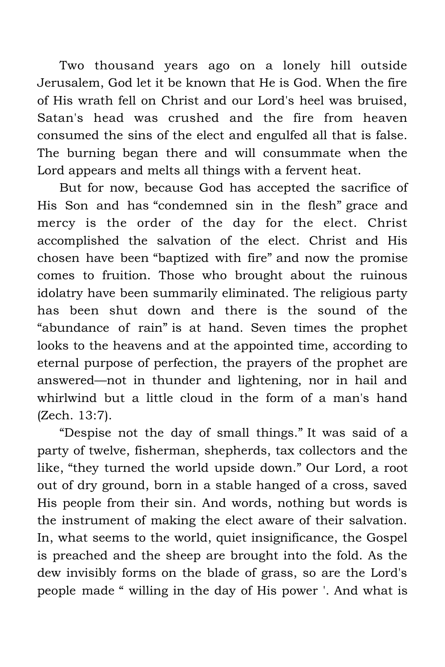Two thousand years ago on a lonely hill outside Jerusalem, God let it be known that He is God. When the fire of His wrath fell on Christ and our Lord's heel was bruised, Satan's head was crushed and the fire from heaven consumed the sins of the elect and engulfed all that is false. The burning began there and will consummate when the Lord appears and melts all things with a fervent heat.

But for now, because God has accepted the sacrifice of His Son and has "condemned sin in the flesh" grace and mercy is the order of the day for the elect. Christ accomplished the salvation of the elect. Christ and His chosen have been "baptized with fire" and now the promise comes to fruition. Those who brought about the ruinous idolatry have been summarily eliminated. The religious party has been shut down and there is the sound of the "abundance of rain" is at hand. Seven times the prophet looks to the heavens and at the appointed time, according to eternal purpose of perfection, the prayers of the prophet are answered—not in thunder and lightening, nor in hail and whirlwind but a little cloud in the form of a man's hand (Zech. 13:7).

"Despise not the day of small things." It was said of a party of twelve, fisherman, shepherds, tax collectors and the like, "they turned the world upside down." Our Lord, a root out of dry ground, born in a stable hanged of a cross, saved His people from their sin. And words, nothing but words is the instrument of making the elect aware of their salvation. In, what seems to the world, quiet insignificance, the Gospel is preached and the sheep are brought into the fold. As the dew invisibly forms on the blade of grass, so are the Lord's people made " willing in the day of His power '. And what is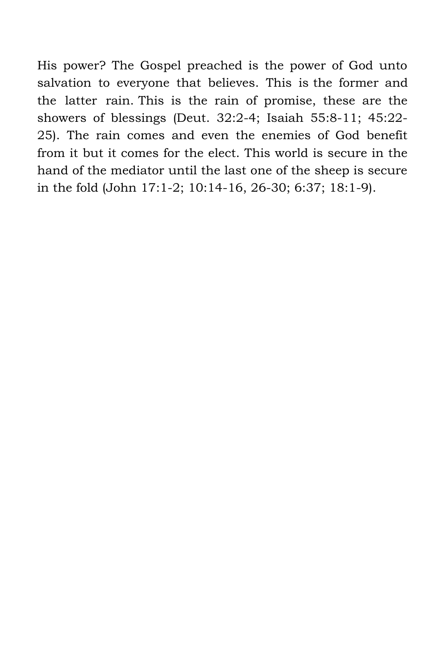His power? The Gospel preached is the power of God unto salvation to everyone that believes. This is the former and the latter rain. This is the rain of promise, these are the showers of blessings (Deut. 32:2-4; Isaiah 55:8-11; 45:22- 25). The rain comes and even the enemies of God benefit from it but it comes for the elect. This world is secure in the hand of the mediator until the last one of the sheep is secure in the fold (John 17:1-2; 10:14-16, 26-30; 6:37; 18:1-9).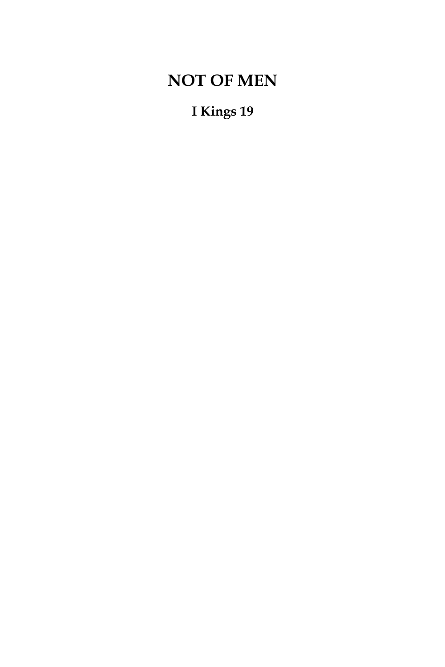# **NOT OF MEN**

**I Kings 19**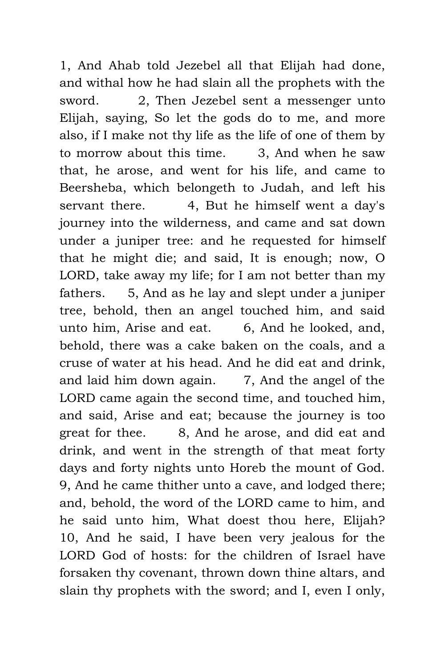1, And Ahab told Jezebel all that Elijah had done, and withal how he had slain all the prophets with the sword. 2, Then Jezebel sent a messenger unto Elijah, saying, So let the gods do to me, and more also, if I make not thy life as the life of one of them by to morrow about this time. 3, And when he saw that, he arose, and went for his life, and came to Beersheba, which belongeth to Judah, and left his servant there. 4, But he himself went a day's journey into the wilderness, and came and sat down under a juniper tree: and he requested for himself that he might die; and said, It is enough; now, O LORD, take away my life; for I am not better than my fathers. 5, And as he lay and slept under a juniper tree, behold, then an angel touched him, and said unto him, Arise and eat. 6, And he looked, and, behold, there was a cake baken on the coals, and a cruse of water at his head. And he did eat and drink, and laid him down again.  $\frac{7}{2}$ , And the angel of the LORD came again the second time, and touched him, and said, Arise and eat; because the journey is too great for thee. 8, And he arose, and did eat and drink, and went in the strength of that meat forty days and forty nights unto Horeb the mount of God. 9, And he came thither unto a cave, and lodged there; and, behold, the word of the LORD came to him, and he said unto him, What doest thou here, Elijah? 10, And he said, I have been very jealous for the LORD God of hosts: for the children of Israel have forsaken thy covenant, thrown down thine altars, and slain thy prophets with the sword; and I, even I only,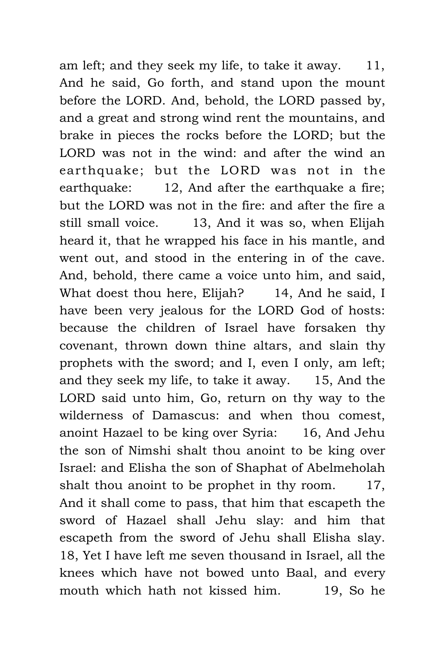am left; and they seek my life, to take it away. 11, And he said, Go forth, and stand upon the mount before the LORD. And, behold, the LORD passed by, and a great and strong wind rent the mountains, and brake in pieces the rocks before the LORD; but the LORD was not in the wind: and after the wind an earthquake; but the LORD was not in the earthquake: 12, And after the earthquake a fire; but the LORD was not in the fire: and after the fire a still small voice. 13, And it was so, when Elijah heard it, that he wrapped his face in his mantle, and went out, and stood in the entering in of the cave. And, behold, there came a voice unto him, and said, What doest thou here, Elijah? 14, And he said, I have been very jealous for the LORD God of hosts: because the children of Israel have forsaken thy covenant, thrown down thine altars, and slain thy prophets with the sword; and I, even I only, am left; and they seek my life, to take it away. 15, And the LORD said unto him, Go, return on thy way to the wilderness of Damascus: and when thou comest, anoint Hazael to be king over Syria: 16, And Jehu the son of Nimshi shalt thou anoint to be king over Israel: and Elisha the son of Shaphat of Abelmeholah shalt thou anoint to be prophet in thy room. 17, And it shall come to pass, that him that escapeth the sword of Hazael shall Jehu slay: and him that escapeth from the sword of Jehu shall Elisha slay. 18, Yet I have left me seven thousand in Israel, all the knees which have not bowed unto Baal, and every mouth which hath not kissed him. 19, So he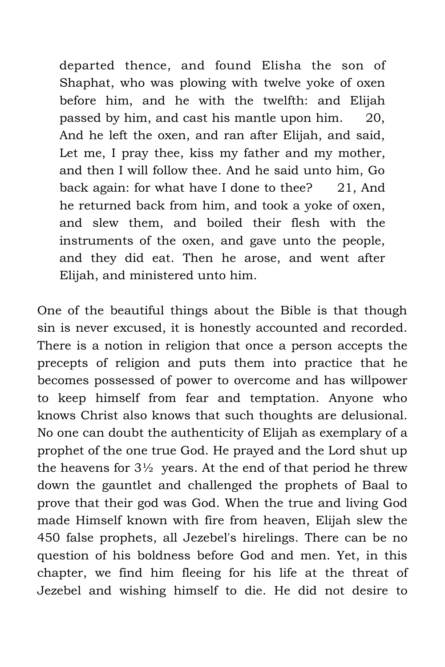departed thence, and found Elisha the son of Shaphat, who was plowing with twelve yoke of oxen before him, and he with the twelfth: and Elijah passed by him, and cast his mantle upon him. 20, And he left the oxen, and ran after Elijah, and said, Let me, I pray thee, kiss my father and my mother, and then I will follow thee. And he said unto him, Go back again: for what have I done to thee? 21, And he returned back from him, and took a yoke of oxen, and slew them, and boiled their flesh with the instruments of the oxen, and gave unto the people, and they did eat. Then he arose, and went after Elijah, and ministered unto him.

One of the beautiful things about the Bible is that though sin is never excused, it is honestly accounted and recorded. There is a notion in religion that once a person accepts the precepts of religion and puts them into practice that he becomes possessed of power to overcome and has willpower to keep himself from fear and temptation. Anyone who knows Christ also knows that such thoughts are delusional. No one can doubt the authenticity of Elijah as exemplary of a prophet of the one true God. He prayed and the Lord shut up the heavens for  $3\frac{1}{2}$  years. At the end of that period he threw down the gauntlet and challenged the prophets of Baal to prove that their god was God. When the true and living God made Himself known with fire from heaven, Elijah slew the 450 false prophets, all Jezebel's hirelings. There can be no question of his boldness before God and men. Yet, in this chapter, we find him fleeing for his life at the threat of Jezebel and wishing himself to die. He did not desire to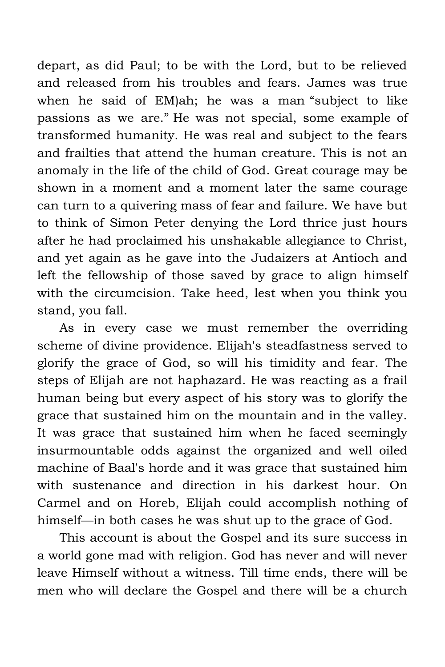depart, as did Paul; to be with the Lord, but to be relieved and released from his troubles and fears. James was true when he said of EM)ah; he was a man "subject to like passions as we are." He was not special, some example of transformed humanity. He was real and subject to the fears and frailties that attend the human creature. This is not an anomaly in the life of the child of God. Great courage may be shown in a moment and a moment later the same courage can turn to a quivering mass of fear and failure. We have but to think of Simon Peter denying the Lord thrice just hours after he had proclaimed his unshakable allegiance to Christ, and yet again as he gave into the Judaizers at Antioch and left the fellowship of those saved by grace to align himself with the circumcision. Take heed, lest when you think you stand, you fall.

As in every case we must remember the overriding scheme of divine providence. Elijah's steadfastness served to glorify the grace of God, so will his timidity and fear. The steps of Elijah are not haphazard. He was reacting as a frail human being but every aspect of his story was to glorify the grace that sustained him on the mountain and in the valley. It was grace that sustained him when he faced seemingly insurmountable odds against the organized and well oiled machine of Baal's horde and it was grace that sustained him with sustenance and direction in his darkest hour. On Carmel and on Horeb, Elijah could accomplish nothing of himself—in both cases he was shut up to the grace of God.

This account is about the Gospel and its sure success in a world gone mad with religion. God has never and will never leave Himself without a witness. Till time ends, there will be men who will declare the Gospel and there will be a church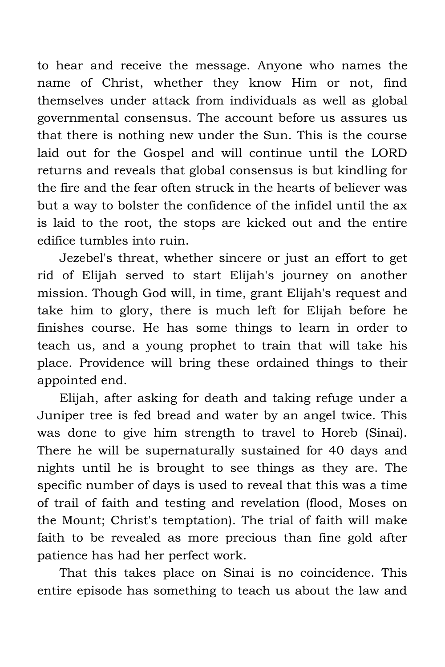to hear and receive the message. Anyone who names the name of Christ, whether they know Him or not, find themselves under attack from individuals as well as global governmental consensus. The account before us assures us that there is nothing new under the Sun. This is the course laid out for the Gospel and will continue until the LORD returns and reveals that global consensus is but kindling for the fire and the fear often struck in the hearts of believer was but a way to bolster the confidence of the infidel until the ax is laid to the root, the stops are kicked out and the entire edifice tumbles into ruin.

Jezebel's threat, whether sincere or just an effort to get rid of Elijah served to start Elijah's journey on another mission. Though God will, in time, grant Elijah's request and take him to glory, there is much left for Elijah before he finishes course. He has some things to learn in order to teach us, and a young prophet to train that will take his place. Providence will bring these ordained things to their appointed end.

Elijah, after asking for death and taking refuge under a Juniper tree is fed bread and water by an angel twice. This was done to give him strength to travel to Horeb (Sinai). There he will be supernaturally sustained for 40 days and nights until he is brought to see things as they are. The specific number of days is used to reveal that this was a time of trail of faith and testing and revelation (flood, Moses on the Mount; Christ's temptation). The trial of faith will make faith to be revealed as more precious than fine gold after patience has had her perfect work.

That this takes place on Sinai is no coincidence. This entire episode has something to teach us about the law and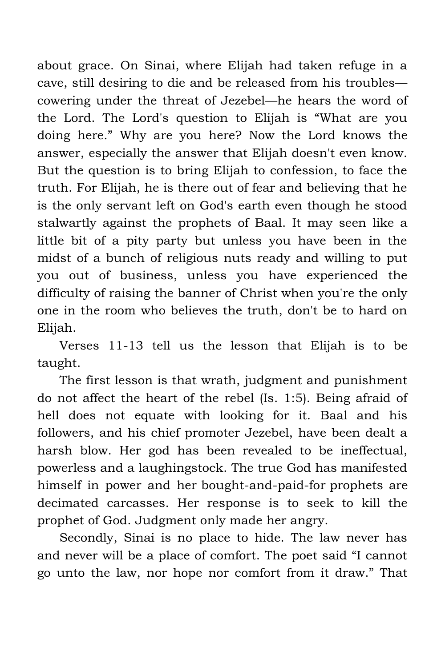about grace. On Sinai, where Elijah had taken refuge in a cave, still desiring to die and be released from his troubles cowering under the threat of Jezebel—he hears the word of the Lord. The Lord's question to Elijah is "What are you doing here." Why are you here? Now the Lord knows the answer, especially the answer that Elijah doesn't even know. But the question is to bring Elijah to confession, to face the truth. For Elijah, he is there out of fear and believing that he is the only servant left on God's earth even though he stood stalwartly against the prophets of Baal. It may seen like a little bit of a pity party but unless you have been in the midst of a bunch of religious nuts ready and willing to put you out of business, unless you have experienced the difficulty of raising the banner of Christ when you're the only one in the room who believes the truth, don't be to hard on Elijah.

Verses 11-13 tell us the lesson that Elijah is to be taught.

The first lesson is that wrath, judgment and punishment do not affect the heart of the rebel (Is. 1:5). Being afraid of hell does not equate with looking for it. Baal and his followers, and his chief promoter Jezebel, have been dealt a harsh blow. Her god has been revealed to be ineffectual, powerless and a laughingstock. The true God has manifested himself in power and her bought-and-paid-for prophets are decimated carcasses. Her response is to seek to kill the prophet of God. Judgment only made her angry.

Secondly, Sinai is no place to hide. The law never has and never will be a place of comfort. The poet said "I cannot go unto the law, nor hope nor comfort from it draw." That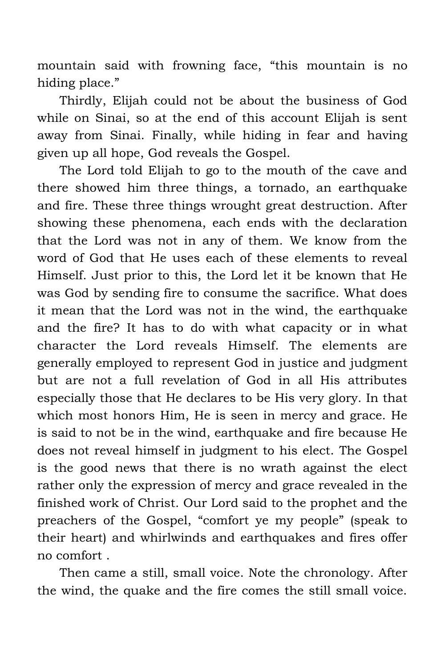mountain said with frowning face, "this mountain is no hiding place."

Thirdly, Elijah could not be about the business of God while on Sinai, so at the end of this account Elijah is sent away from Sinai. Finally, while hiding in fear and having given up all hope, God reveals the Gospel.

The Lord told Elijah to go to the mouth of the cave and there showed him three things, a tornado, an earthquake and fire. These three things wrought great destruction. After showing these phenomena, each ends with the declaration that the Lord was not in any of them. We know from the word of God that He uses each of these elements to reveal Himself. Just prior to this, the Lord let it be known that He was God by sending fire to consume the sacrifice. What does it mean that the Lord was not in the wind, the earthquake and the fire? It has to do with what capacity or in what character the Lord reveals Himself. The elements are generally employed to represent God in justice and judgment but are not a full revelation of God in all His attributes especially those that He declares to be His very glory. In that which most honors Him, He is seen in mercy and grace. He is said to not be in the wind, earthquake and fire because He does not reveal himself in judgment to his elect. The Gospel is the good news that there is no wrath against the elect rather only the expression of mercy and grace revealed in the finished work of Christ. Our Lord said to the prophet and the preachers of the Gospel, "comfort ye my people" (speak to their heart) and whirlwinds and earthquakes and fires offer no comfort .

Then came a still, small voice. Note the chronology. After the wind, the quake and the fire comes the still small voice.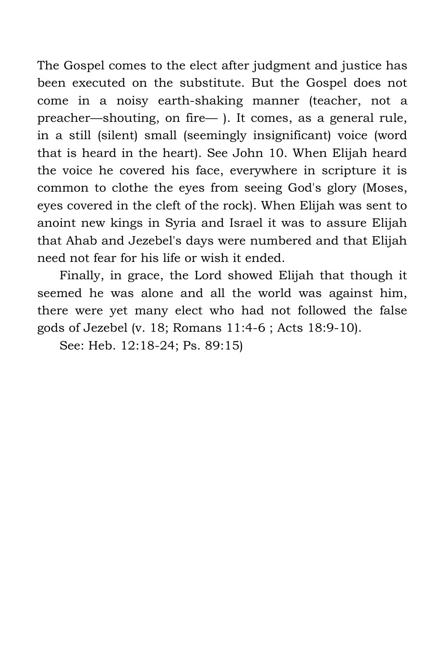The Gospel comes to the elect after judgment and justice has been executed on the substitute. But the Gospel does not come in a noisy earth-shaking manner (teacher, not a preacher—shouting, on fire— ). It comes, as a general rule, in a still (silent) small (seemingly insignificant) voice (word that is heard in the heart). See John 10. When Elijah heard the voice he covered his face, everywhere in scripture it is common to clothe the eyes from seeing God's glory (Moses, eyes covered in the cleft of the rock). When Elijah was sent to anoint new kings in Syria and Israel it was to assure Elijah that Ahab and Jezebel's days were numbered and that Elijah need not fear for his life or wish it ended.

Finally, in grace, the Lord showed Elijah that though it seemed he was alone and all the world was against him, there were yet many elect who had not followed the false gods of Jezebel (v. 18; Romans 11:4-6 ; Acts 18:9-10).

See: Heb. 12:18-24; Ps. 89:15)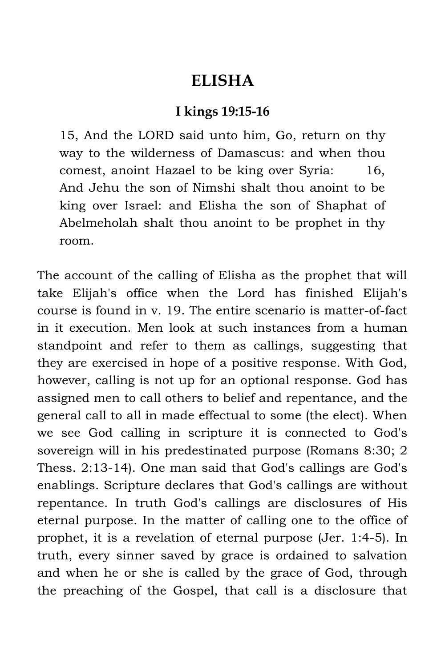### **ELISHA**

#### **I kings 19:15-16**

15, And the LORD said unto him, Go, return on thy way to the wilderness of Damascus: and when thou comest, anoint Hazael to be king over Syria: 16, And Jehu the son of Nimshi shalt thou anoint to be king over Israel: and Elisha the son of Shaphat of Abelmeholah shalt thou anoint to be prophet in thy room.

The account of the calling of Elisha as the prophet that will take Elijah's office when the Lord has finished Elijah's course is found in v. 19. The entire scenario is matter-of-fact in it execution. Men look at such instances from a human standpoint and refer to them as callings, suggesting that they are exercised in hope of a positive response. With God, however, calling is not up for an optional response. God has assigned men to call others to belief and repentance, and the general call to all in made effectual to some (the elect). When we see God calling in scripture it is connected to God's sovereign will in his predestinated purpose (Romans 8:30; 2 Thess. 2:13-14). One man said that God's callings are God's enablings. Scripture declares that God's callings are without repentance. In truth God's callings are disclosures of His eternal purpose. In the matter of calling one to the office of prophet, it is a revelation of eternal purpose (Jer. 1:4-5). In truth, every sinner saved by grace is ordained to salvation and when he or she is called by the grace of God, through the preaching of the Gospel, that call is a disclosure that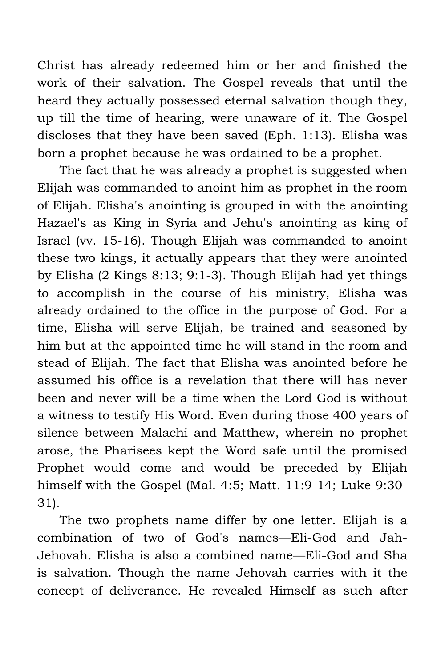Christ has already redeemed him or her and finished the work of their salvation. The Gospel reveals that until the heard they actually possessed eternal salvation though they, up till the time of hearing, were unaware of it. The Gospel discloses that they have been saved (Eph. 1:13). Elisha was born a prophet because he was ordained to be a prophet.

The fact that he was already a prophet is suggested when Elijah was commanded to anoint him as prophet in the room of Elijah. Elisha's anointing is grouped in with the anointing Hazael's as King in Syria and Jehu's anointing as king of Israel (vv. 15-16). Though Elijah was commanded to anoint these two kings, it actually appears that they were anointed by Elisha (2 Kings 8:13; 9:1-3). Though Elijah had yet things to accomplish in the course of his ministry, Elisha was already ordained to the office in the purpose of God. For a time, Elisha will serve Elijah, be trained and seasoned by him but at the appointed time he will stand in the room and stead of Elijah. The fact that Elisha was anointed before he assumed his office is a revelation that there will has never been and never will be a time when the Lord God is without a witness to testify His Word. Even during those 400 years of silence between Malachi and Matthew, wherein no prophet arose, the Pharisees kept the Word safe until the promised Prophet would come and would be preceded by Elijah himself with the Gospel (Mal. 4:5; Matt. 11:9-14; Luke 9:30- 31).

The two prophets name differ by one letter. Elijah is a combination of two of God's names—Eli-God and Jah-Jehovah. Elisha is also a combined name—Eli-God and Sha is salvation. Though the name Jehovah carries with it the concept of deliverance. He revealed Himself as such after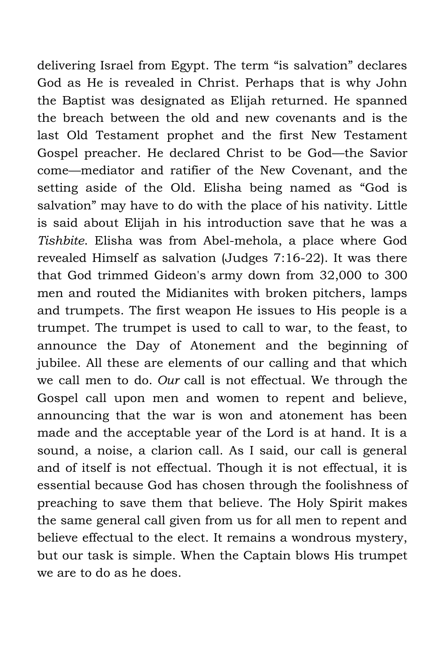delivering Israel from Egypt. The term "is salvation" declares God as He is revealed in Christ. Perhaps that is why John the Baptist was designated as Elijah returned. He spanned the breach between the old and new covenants and is the last Old Testament prophet and the first New Testament Gospel preacher. He declared Christ to be God—the Savior come—mediator and ratifier of the New Covenant, and the setting aside of the Old. Elisha being named as "God is salvation" may have to do with the place of his nativity. Little is said about Elijah in his introduction save that he was a *Tishbite*. Elisha was from Abel-mehola, a place where God revealed Himself as salvation (Judges 7:16-22). It was there that God trimmed Gideon's army down from 32,000 to 300 men and routed the Midianites with broken pitchers, lamps and trumpets. The first weapon He issues to His people is a trumpet. The trumpet is used to call to war, to the feast, to announce the Day of Atonement and the beginning of jubilee. All these are elements of our calling and that which we call men to do. *Our* call is not effectual. We through the Gospel call upon men and women to repent and believe, announcing that the war is won and atonement has been made and the acceptable year of the Lord is at hand. It is a sound, a noise, a clarion call. As I said, our call is general and of itself is not effectual. Though it is not effectual, it is essential because God has chosen through the foolishness of preaching to save them that believe. The Holy Spirit makes the same general call given from us for all men to repent and believe effectual to the elect. It remains a wondrous mystery, but our task is simple. When the Captain blows His trumpet we are to do as he does.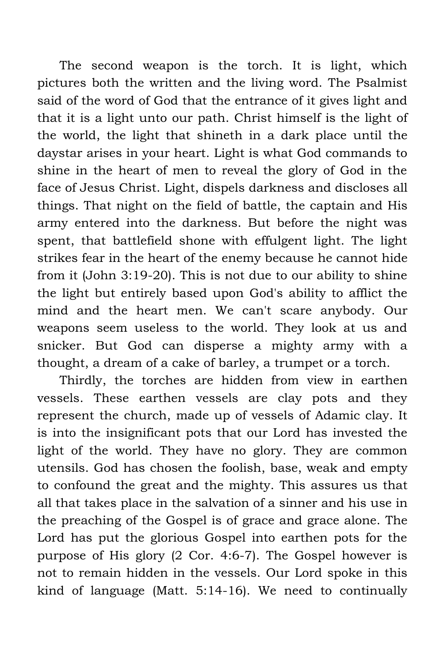The second weapon is the torch. It is light, which pictures both the written and the living word. The Psalmist said of the word of God that the entrance of it gives light and that it is a light unto our path. Christ himself is the light of the world, the light that shineth in a dark place until the daystar arises in your heart. Light is what God commands to shine in the heart of men to reveal the glory of God in the face of Jesus Christ. Light, dispels darkness and discloses all things. That night on the field of battle, the captain and His army entered into the darkness. But before the night was spent, that battlefield shone with effulgent light. The light strikes fear in the heart of the enemy because he cannot hide from it (John 3:19-20). This is not due to our ability to shine the light but entirely based upon God's ability to afflict the mind and the heart men. We can't scare anybody. Our weapons seem useless to the world. They look at us and snicker. But God can disperse a mighty army with a thought, a dream of a cake of barley, a trumpet or a torch.

Thirdly, the torches are hidden from view in earthen vessels. These earthen vessels are clay pots and they represent the church, made up of vessels of Adamic clay. It is into the insignificant pots that our Lord has invested the light of the world. They have no glory. They are common utensils. God has chosen the foolish, base, weak and empty to confound the great and the mighty. This assures us that all that takes place in the salvation of a sinner and his use in the preaching of the Gospel is of grace and grace alone. The Lord has put the glorious Gospel into earthen pots for the purpose of His glory (2 Cor. 4:6-7). The Gospel however is not to remain hidden in the vessels. Our Lord spoke in this kind of language (Matt. 5:14-16). We need to continually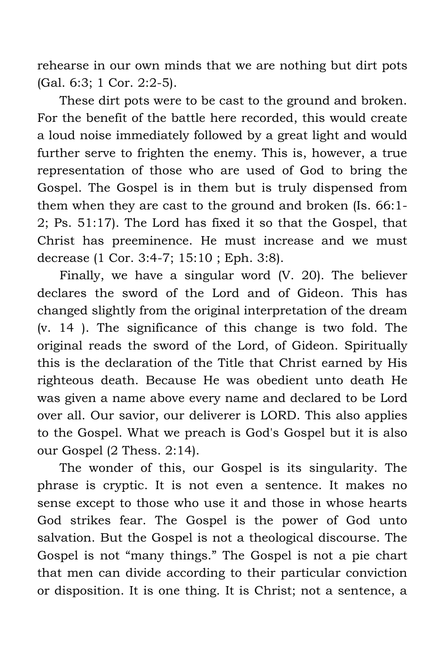rehearse in our own minds that we are nothing but dirt pots (Gal. 6:3; 1 Cor. 2:2-5).

These dirt pots were to be cast to the ground and broken. For the benefit of the battle here recorded, this would create a loud noise immediately followed by a great light and would further serve to frighten the enemy. This is, however, a true representation of those who are used of God to bring the Gospel. The Gospel is in them but is truly dispensed from them when they are cast to the ground and broken (Is. 66:1- 2; Ps. 51:17). The Lord has fixed it so that the Gospel, that Christ has preeminence. He must increase and we must decrease (1 Cor. 3:4-7; 15:10 ; Eph. 3:8).

Finally, we have a singular word (V. 20). The believer declares the sword of the Lord and of Gideon. This has changed slightly from the original interpretation of the dream (v. 14 ). The significance of this change is two fold. The original reads the sword of the Lord, of Gideon. Spiritually this is the declaration of the Title that Christ earned by His righteous death. Because He was obedient unto death He was given a name above every name and declared to be Lord over all. Our savior, our deliverer is LORD. This also applies to the Gospel. What we preach is God's Gospel but it is also our Gospel (2 Thess. 2:14).

The wonder of this, our Gospel is its singularity. The phrase is cryptic. It is not even a sentence. It makes no sense except to those who use it and those in whose hearts God strikes fear. The Gospel is the power of God unto salvation. But the Gospel is not a theological discourse. The Gospel is not "many things." The Gospel is not a pie chart that men can divide according to their particular conviction or disposition. It is one thing. It is Christ; not a sentence, a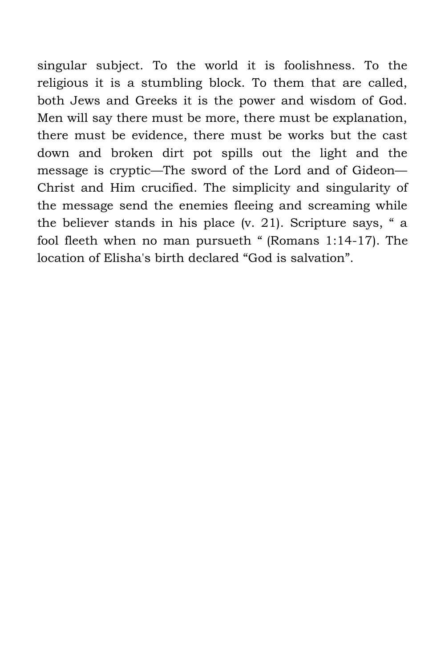singular subject. To the world it is foolishness. To the religious it is a stumbling block. To them that are called, both Jews and Greeks it is the power and wisdom of God. Men will say there must be more, there must be explanation, there must be evidence, there must be works but the cast down and broken dirt pot spills out the light and the message is cryptic—The sword of the Lord and of Gideon— Christ and Him crucified. The simplicity and singularity of the message send the enemies fleeing and screaming while the believer stands in his place (v. 21). Scripture says, " a fool fleeth when no man pursueth " (Romans 1:14-17). The location of Elisha's birth declared "God is salvation".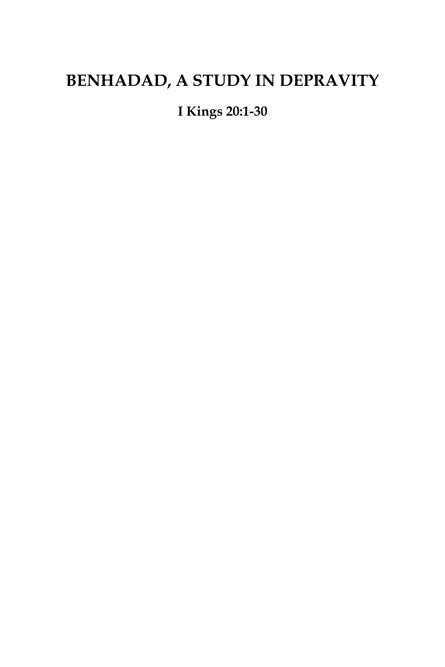# **BENHADAD, A STUDY IN DEPRAVITY**

**I Kings 20:1-30**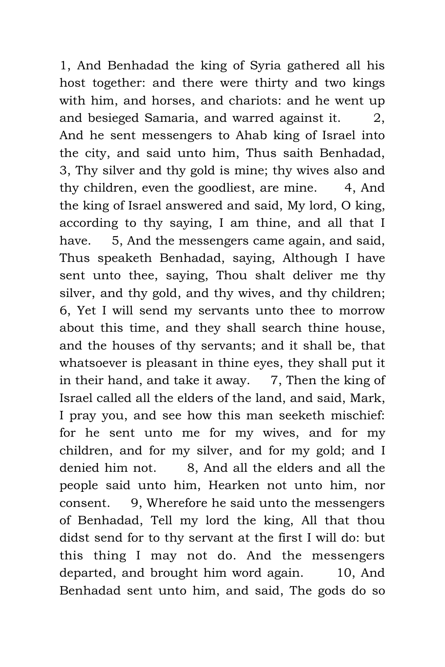1, And Benhadad the king of Syria gathered all his host together: and there were thirty and two kings with him, and horses, and chariots: and he went up and besieged Samaria, and warred against it. 2, And he sent messengers to Ahab king of Israel into the city, and said unto him, Thus saith Benhadad, 3, Thy silver and thy gold is mine; thy wives also and thy children, even the goodliest, are mine. 4, And the king of Israel answered and said, My lord, O king, according to thy saying, I am thine, and all that I have. 5, And the messengers came again, and said, Thus speaketh Benhadad, saying, Although I have sent unto thee, saying, Thou shalt deliver me thy silver, and thy gold, and thy wives, and thy children; 6, Yet I will send my servants unto thee to morrow about this time, and they shall search thine house, and the houses of thy servants; and it shall be, that whatsoever is pleasant in thine eyes, they shall put it in their hand, and take it away.  $7$ , Then the king of Israel called all the elders of the land, and said, Mark, I pray you, and see how this man seeketh mischief: for he sent unto me for my wives, and for my children, and for my silver, and for my gold; and I denied him not. 8, And all the elders and all the people said unto him, Hearken not unto him, nor consent. 9, Wherefore he said unto the messengers of Benhadad, Tell my lord the king, All that thou didst send for to thy servant at the first I will do: but this thing I may not do. And the messengers departed, and brought him word again. 10, And Benhadad sent unto him, and said, The gods do so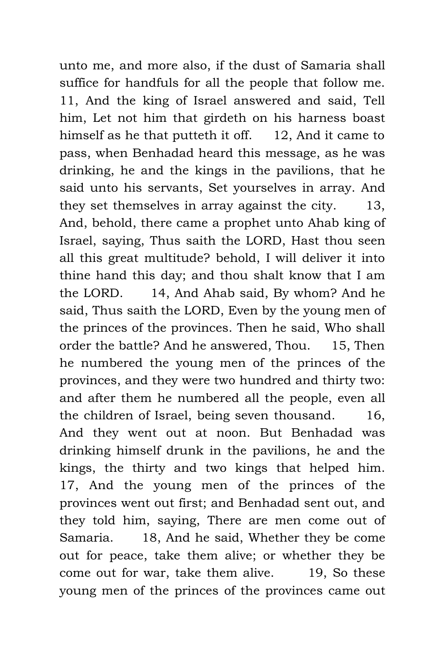unto me, and more also, if the dust of Samaria shall suffice for handfuls for all the people that follow me. 11, And the king of Israel answered and said, Tell him, Let not him that girdeth on his harness boast himself as he that putteth it off. 12, And it came to pass, when Benhadad heard this message, as he was drinking, he and the kings in the pavilions, that he said unto his servants, Set yourselves in array. And they set themselves in array against the city. 13, And, behold, there came a prophet unto Ahab king of Israel, saying, Thus saith the LORD, Hast thou seen all this great multitude? behold, I will deliver it into thine hand this day; and thou shalt know that I am the LORD. 14, And Ahab said, By whom? And he said, Thus saith the LORD, Even by the young men of the princes of the provinces. Then he said, Who shall order the battle? And he answered, Thou. 15, Then he numbered the young men of the princes of the provinces, and they were two hundred and thirty two: and after them he numbered all the people, even all the children of Israel, being seven thousand. 16, And they went out at noon. But Benhadad was drinking himself drunk in the pavilions, he and the kings, the thirty and two kings that helped him. 17, And the young men of the princes of the provinces went out first; and Benhadad sent out, and they told him, saying, There are men come out of Samaria. 18, And he said, Whether they be come out for peace, take them alive; or whether they be come out for war, take them alive. 19, So these young men of the princes of the provinces came out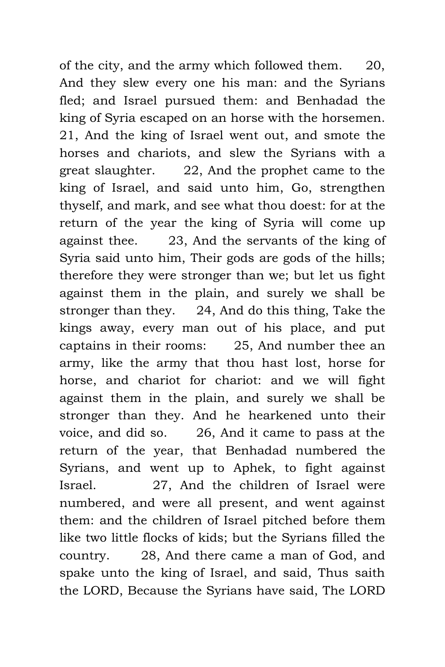of the city, and the army which followed them. 20, And they slew every one his man: and the Syrians fled; and Israel pursued them: and Benhadad the king of Syria escaped on an horse with the horsemen. 21, And the king of Israel went out, and smote the horses and chariots, and slew the Syrians with a great slaughter. 22, And the prophet came to the king of Israel, and said unto him, Go, strengthen thyself, and mark, and see what thou doest: for at the return of the year the king of Syria will come up against thee. 23, And the servants of the king of Syria said unto him, Their gods are gods of the hills; therefore they were stronger than we; but let us fight against them in the plain, and surely we shall be stronger than they. 24, And do this thing, Take the kings away, every man out of his place, and put captains in their rooms: 25, And number thee an army, like the army that thou hast lost, horse for horse, and chariot for chariot: and we will fight against them in the plain, and surely we shall be stronger than they. And he hearkened unto their voice, and did so. 26, And it came to pass at the return of the year, that Benhadad numbered the Syrians, and went up to Aphek, to fight against Israel. 27, And the children of Israel were numbered, and were all present, and went against them: and the children of Israel pitched before them like two little flocks of kids; but the Syrians filled the country. 28, And there came a man of God, and spake unto the king of Israel, and said, Thus saith the LORD, Because the Syrians have said, The LORD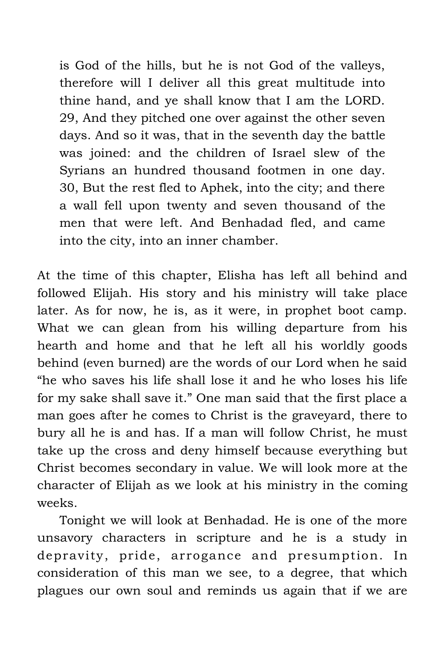is God of the hills, but he is not God of the valleys, therefore will I deliver all this great multitude into thine hand, and ye shall know that I am the LORD. 29, And they pitched one over against the other seven days. And so it was, that in the seventh day the battle was joined: and the children of Israel slew of the Syrians an hundred thousand footmen in one day. 30, But the rest fled to Aphek, into the city; and there a wall fell upon twenty and seven thousand of the men that were left. And Benhadad fled, and came into the city, into an inner chamber.

At the time of this chapter, Elisha has left all behind and followed Elijah. His story and his ministry will take place later. As for now, he is, as it were, in prophet boot camp. What we can glean from his willing departure from his hearth and home and that he left all his worldly goods behind (even burned) are the words of our Lord when he said "he who saves his life shall lose it and he who loses his life for my sake shall save it." One man said that the first place a man goes after he comes to Christ is the graveyard, there to bury all he is and has. If a man will follow Christ, he must take up the cross and deny himself because everything but Christ becomes secondary in value. We will look more at the character of Elijah as we look at his ministry in the coming weeks.

Tonight we will look at Benhadad. He is one of the more unsavory characters in scripture and he is a study in depravity, pride, arrogance and presumption. In consideration of this man we see, to a degree, that which plagues our own soul and reminds us again that if we are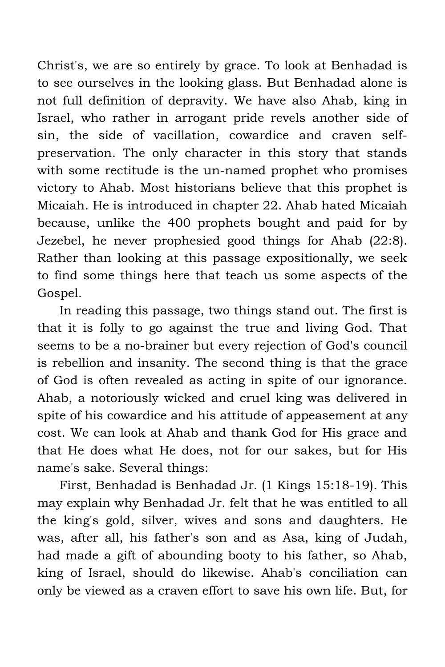Christ's, we are so entirely by grace. To look at Benhadad is to see ourselves in the looking glass. But Benhadad alone is not full definition of depravity. We have also Ahab, king in Israel, who rather in arrogant pride revels another side of sin, the side of vacillation, cowardice and craven selfpreservation. The only character in this story that stands with some rectitude is the un-named prophet who promises victory to Ahab. Most historians believe that this prophet is Micaiah. He is introduced in chapter 22. Ahab hated Micaiah because, unlike the 400 prophets bought and paid for by Jezebel, he never prophesied good things for Ahab (22:8). Rather than looking at this passage expositionally, we seek to find some things here that teach us some aspects of the Gospel.

In reading this passage, two things stand out. The first is that it is folly to go against the true and living God. That seems to be a no-brainer but every rejection of God's council is rebellion and insanity. The second thing is that the grace of God is often revealed as acting in spite of our ignorance. Ahab, a notoriously wicked and cruel king was delivered in spite of his cowardice and his attitude of appeasement at any cost. We can look at Ahab and thank God for His grace and that He does what He does, not for our sakes, but for His name's sake. Several things:

First, Benhadad is Benhadad Jr. (1 Kings 15:18-19). This may explain why Benhadad Jr. felt that he was entitled to all the king's gold, silver, wives and sons and daughters. He was, after all, his father's son and as Asa, king of Judah, had made a gift of abounding booty to his father, so Ahab, king of Israel, should do likewise. Ahab's conciliation can only be viewed as a craven effort to save his own life. But, for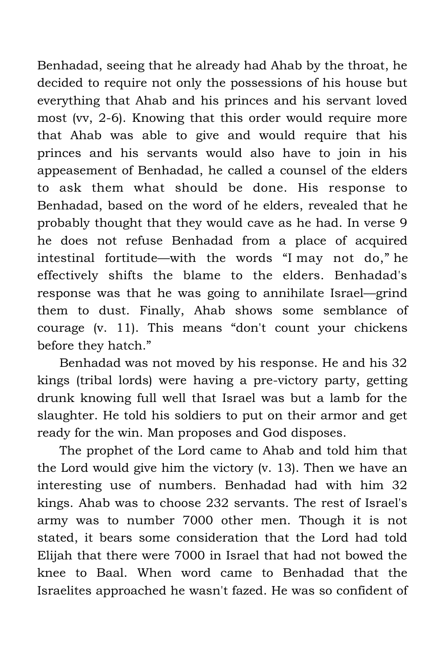Benhadad, seeing that he already had Ahab by the throat, he decided to require not only the possessions of his house but everything that Ahab and his princes and his servant loved most (vv, 2-6). Knowing that this order would require more that Ahab was able to give and would require that his princes and his servants would also have to join in his appeasement of Benhadad, he called a counsel of the elders to ask them what should be done. His response to Benhadad, based on the word of he elders, revealed that he probably thought that they would cave as he had. In verse 9 he does not refuse Benhadad from a place of acquired intestinal fortitude—with the words "I may not do," he effectively shifts the blame to the elders. Benhadad's response was that he was going to annihilate Israel—grind them to dust. Finally, Ahab shows some semblance of courage (v. 11). This means "don't count your chickens before they hatch."

Benhadad was not moved by his response. He and his 32 kings (tribal lords) were having a pre-victory party, getting drunk knowing full well that Israel was but a lamb for the slaughter. He told his soldiers to put on their armor and get ready for the win. Man proposes and God disposes.

The prophet of the Lord came to Ahab and told him that the Lord would give him the victory (v. 13). Then we have an interesting use of numbers. Benhadad had with him 32 kings. Ahab was to choose 232 servants. The rest of Israel's army was to number 7000 other men. Though it is not stated, it bears some consideration that the Lord had told Elijah that there were 7000 in Israel that had not bowed the knee to Baal. When word came to Benhadad that the Israelites approached he wasn't fazed. He was so confident of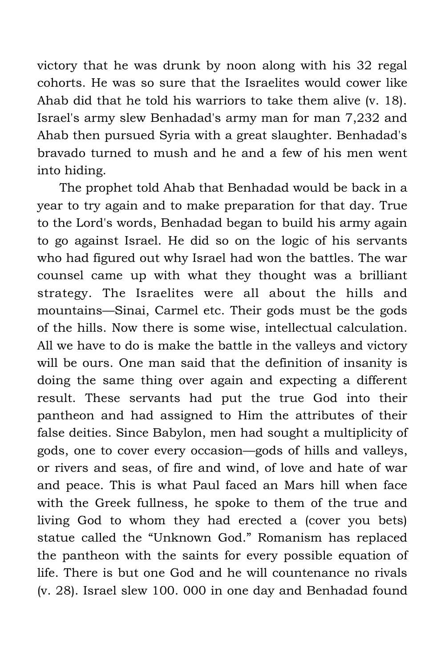victory that he was drunk by noon along with his 32 regal cohorts. He was so sure that the Israelites would cower like Ahab did that he told his warriors to take them alive (v. 18). Israel's army slew Benhadad's army man for man 7,232 and Ahab then pursued Syria with a great slaughter. Benhadad's bravado turned to mush and he and a few of his men went into hiding.

The prophet told Ahab that Benhadad would be back in a year to try again and to make preparation for that day. True to the Lord's words, Benhadad began to build his army again to go against Israel. He did so on the logic of his servants who had figured out why Israel had won the battles. The war counsel came up with what they thought was a brilliant strategy. The Israelites were all about the hills and mountains—Sinai, Carmel etc. Their gods must be the gods of the hills. Now there is some wise, intellectual calculation. All we have to do is make the battle in the valleys and victory will be ours. One man said that the definition of insanity is doing the same thing over again and expecting a different result. These servants had put the true God into their pantheon and had assigned to Him the attributes of their false deities. Since Babylon, men had sought a multiplicity of gods, one to cover every occasion—gods of hills and valleys, or rivers and seas, of fire and wind, of love and hate of war and peace. This is what Paul faced an Mars hill when face with the Greek fullness, he spoke to them of the true and living God to whom they had erected a (cover you bets) statue called the "Unknown God." Romanism has replaced the pantheon with the saints for every possible equation of life. There is but one God and he will countenance no rivals (v. 28). Israel slew 100. 000 in one day and Benhadad found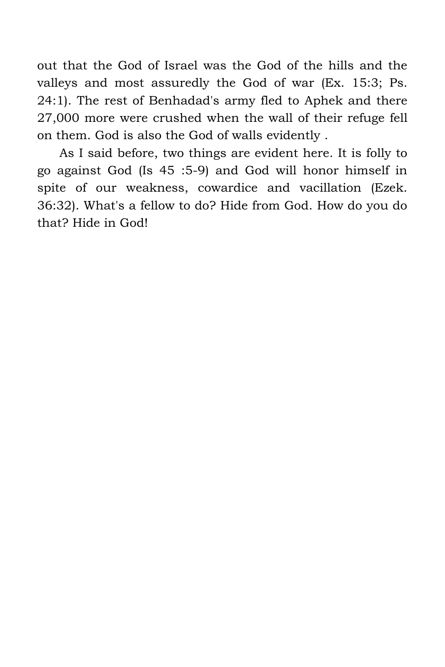out that the God of Israel was the God of the hills and the valleys and most assuredly the God of war (Ex. 15:3; Ps. 24:1). The rest of Benhadad's army fled to Aphek and there 27,000 more were crushed when the wall of their refuge fell on them. God is also the God of walls evidently .

As I said before, two things are evident here. It is folly to go against God (Is 45 :5-9) and God will honor himself in spite of our weakness, cowardice and vacillation (Ezek. 36:32). What's a fellow to do? Hide from God. How do you do that? Hide in God!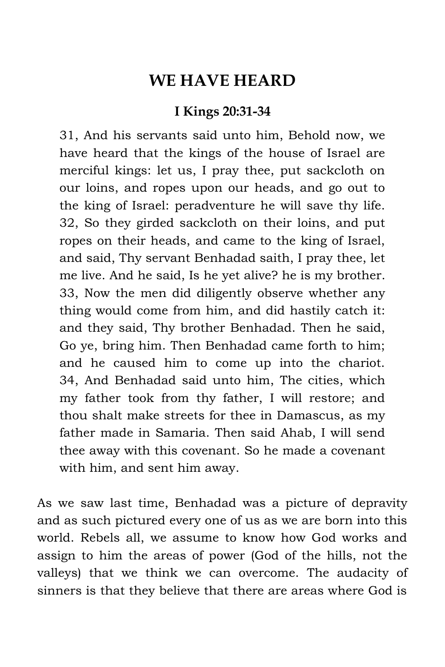## **WE HAVE HEARD**

#### **I Kings 20:31-34**

31, And his servants said unto him, Behold now, we have heard that the kings of the house of Israel are merciful kings: let us, I pray thee, put sackcloth on our loins, and ropes upon our heads, and go out to the king of Israel: peradventure he will save thy life. 32, So they girded sackcloth on their loins, and put ropes on their heads, and came to the king of Israel, and said, Thy servant Benhadad saith, I pray thee, let me live. And he said, Is he yet alive? he is my brother. 33, Now the men did diligently observe whether any thing would come from him, and did hastily catch it: and they said, Thy brother Benhadad. Then he said, Go ye, bring him. Then Benhadad came forth to him; and he caused him to come up into the chariot. 34, And Benhadad said unto him, The cities, which my father took from thy father, I will restore; and thou shalt make streets for thee in Damascus, as my father made in Samaria. Then said Ahab, I will send thee away with this covenant. So he made a covenant with him, and sent him away.

As we saw last time, Benhadad was a picture of depravity and as such pictured every one of us as we are born into this world. Rebels all, we assume to know how God works and assign to him the areas of power (God of the hills, not the valleys) that we think we can overcome. The audacity of sinners is that they believe that there are areas where God is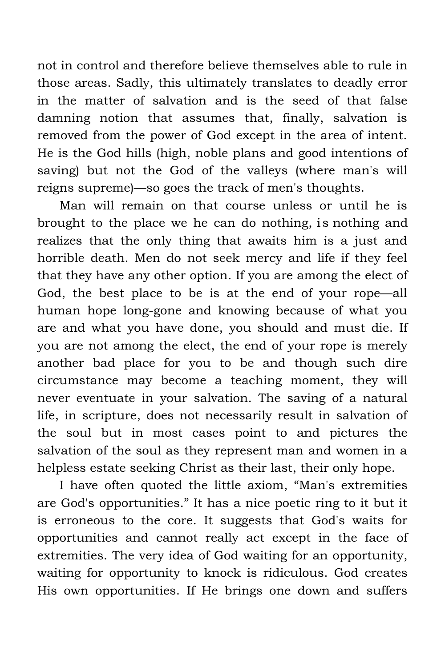not in control and therefore believe themselves able to rule in those areas. Sadly, this ultimately translates to deadly error in the matter of salvation and is the seed of that false damning notion that assumes that, finally, salvation is removed from the power of God except in the area of intent. He is the God hills (high, noble plans and good intentions of saving) but not the God of the valleys (where man's will reigns supreme)—so goes the track of men's thoughts.

Man will remain on that course unless or until he is brought to the place we he can do nothing, is nothing and realizes that the only thing that awaits him is a just and horrible death. Men do not seek mercy and life if they feel that they have any other option. If you are among the elect of God, the best place to be is at the end of your rope—all human hope long-gone and knowing because of what you are and what you have done, you should and must die. If you are not among the elect, the end of your rope is merely another bad place for you to be and though such dire circumstance may become a teaching moment, they will never eventuate in your salvation. The saving of a natural life, in scripture, does not necessarily result in salvation of the soul but in most cases point to and pictures the salvation of the soul as they represent man and women in a helpless estate seeking Christ as their last, their only hope.

I have often quoted the little axiom, "Man's extremities are God's opportunities." It has a nice poetic ring to it but it is erroneous to the core. It suggests that God's waits for opportunities and cannot really act except in the face of extremities. The very idea of God waiting for an opportunity, waiting for opportunity to knock is ridiculous. God creates His own opportunities. If He brings one down and suffers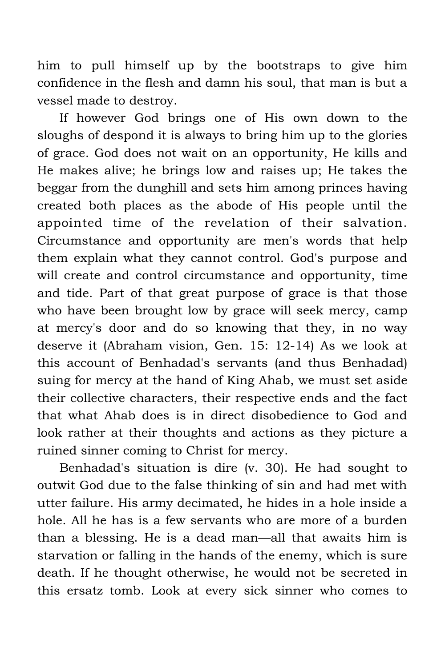him to pull himself up by the bootstraps to give him confidence in the flesh and damn his soul, that man is but a vessel made to destroy.

If however God brings one of His own down to the sloughs of despond it is always to bring him up to the glories of grace. God does not wait on an opportunity, He kills and He makes alive; he brings low and raises up; He takes the beggar from the dunghill and sets him among princes having created both places as the abode of His people until the appointed time of the revelation of their salvation. Circumstance and opportunity are men's words that help them explain what they cannot control. God's purpose and will create and control circumstance and opportunity, time and tide. Part of that great purpose of grace is that those who have been brought low by grace will seek mercy, camp at mercy's door and do so knowing that they, in no way deserve it (Abraham vision, Gen. 15: 12-14) As we look at this account of Benhadad's servants (and thus Benhadad) suing for mercy at the hand of King Ahab, we must set aside their collective characters, their respective ends and the fact that what Ahab does is in direct disobedience to God and look rather at their thoughts and actions as they picture a ruined sinner coming to Christ for mercy.

Benhadad's situation is dire (v. 30). He had sought to outwit God due to the false thinking of sin and had met with utter failure. His army decimated, he hides in a hole inside a hole. All he has is a few servants who are more of a burden than a blessing. He is a dead man—all that awaits him is starvation or falling in the hands of the enemy, which is sure death. If he thought otherwise, he would not be secreted in this ersatz tomb. Look at every sick sinner who comes to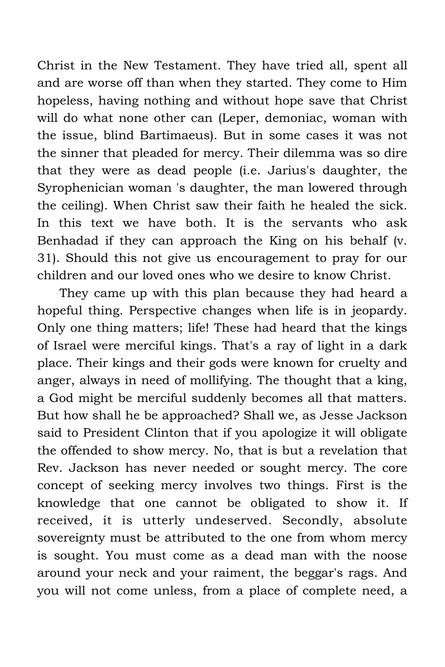Christ in the New Testament. They have tried all, spent all and are worse off than when they started. They come to Him hopeless, having nothing and without hope save that Christ will do what none other can (Leper, demoniac, woman with the issue, blind Bartimaeus). But in some cases it was not the sinner that pleaded for mercy. Their dilemma was so dire that they were as dead people (i.e. Jarius's daughter, the Syrophenician woman 's daughter, the man lowered through the ceiling). When Christ saw their faith he healed the sick. In this text we have both. It is the servants who ask Benhadad if they can approach the King on his behalf (v. 31). Should this not give us encouragement to pray for our children and our loved ones who we desire to know Christ.

They came up with this plan because they had heard a hopeful thing. Perspective changes when life is in jeopardy. Only one thing matters; life! These had heard that the kings of Israel were merciful kings. That's a ray of light in a dark place. Their kings and their gods were known for cruelty and anger, always in need of mollifying. The thought that a king, a God might be merciful suddenly becomes all that matters. But how shall he be approached? Shall we, as Jesse Jackson said to President Clinton that if you apologize it will obligate the offended to show mercy. No, that is but a revelation that Rev. Jackson has never needed or sought mercy. The core concept of seeking mercy involves two things. First is the knowledge that one cannot be obligated to show it. If received, it is utterly undeserved. Secondly, absolute sovereignty must be attributed to the one from whom mercy is sought. You must come as a dead man with the noose around your neck and your raiment, the beggar's rags. And you will not come unless, from a place of complete need, a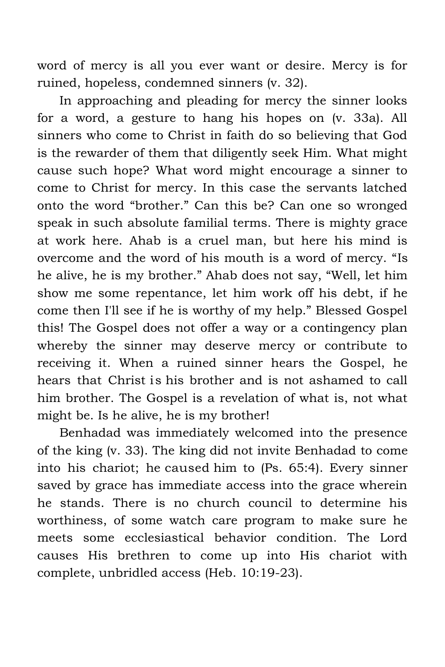word of mercy is all you ever want or desire. Mercy is for ruined, hopeless, condemned sinners (v. 32).

In approaching and pleading for mercy the sinner looks for a word, a gesture to hang his hopes on (v. 33a). All sinners who come to Christ in faith do so believing that God is the rewarder of them that diligently seek Him. What might cause such hope? What word might encourage a sinner to come to Christ for mercy. In this case the servants latched onto the word "brother." Can this be? Can one so wronged speak in such absolute familial terms. There is mighty grace at work here. Ahab is a cruel man, but here his mind is overcome and the word of his mouth is a word of mercy. "Is he alive, he is my brother." Ahab does not say, "Well, let him show me some repentance, let him work off his debt, if he come then I'll see if he is worthy of my help." Blessed Gospel this! The Gospel does not offer a way or a contingency plan whereby the sinner may deserve mercy or contribute to receiving it. When a ruined sinner hears the Gospel, he hears that Christ is his brother and is not ashamed to call him brother. The Gospel is a revelation of what is, not what might be. Is he alive, he is my brother!

Benhadad was immediately welcomed into the presence of the king (v. 33). The king did not invite Benhadad to come into his chariot; he caused him to (Ps. 65:4). Every sinner saved by grace has immediate access into the grace wherein he stands. There is no church council to determine his worthiness, of some watch care program to make sure he meets some ecclesiastical behavior condition. The Lord causes His brethren to come up into His chariot with complete, unbridled access (Heb. 10:19-23).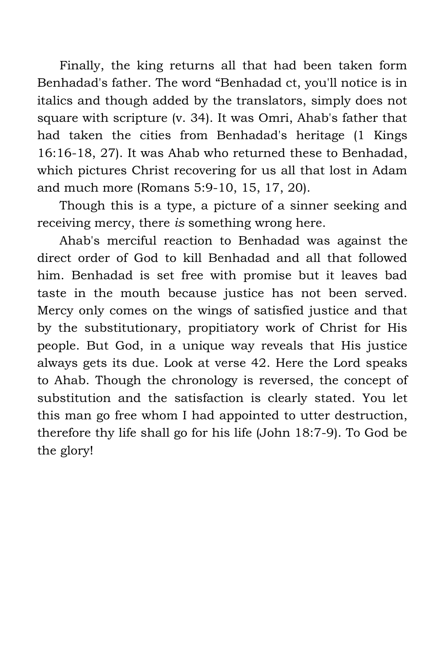Finally, the king returns all that had been taken form Benhadad's father. The word "Benhadad ct, you'll notice is in italics and though added by the translators, simply does not square with scripture (v. 34). It was Omri, Ahab's father that had taken the cities from Benhadad's heritage (1 Kings 16:16-18, 27). It was Ahab who returned these to Benhadad, which pictures Christ recovering for us all that lost in Adam and much more (Romans 5:9-10, 15, 17, 20).

Though this is a type, a picture of a sinner seeking and receiving mercy, there *is* something wrong here.

Ahab's merciful reaction to Benhadad was against the direct order of God to kill Benhadad and all that followed him. Benhadad is set free with promise but it leaves bad taste in the mouth because justice has not been served. Mercy only comes on the wings of satisfied justice and that by the substitutionary, propitiatory work of Christ for His people. But God, in a unique way reveals that His justice always gets its due. Look at verse 42. Here the Lord speaks to Ahab. Though the chronology is reversed, the concept of substitution and the satisfaction is clearly stated. You let this man go free whom I had appointed to utter destruction, therefore thy life shall go for his life (John 18:7-9). To God be the glory!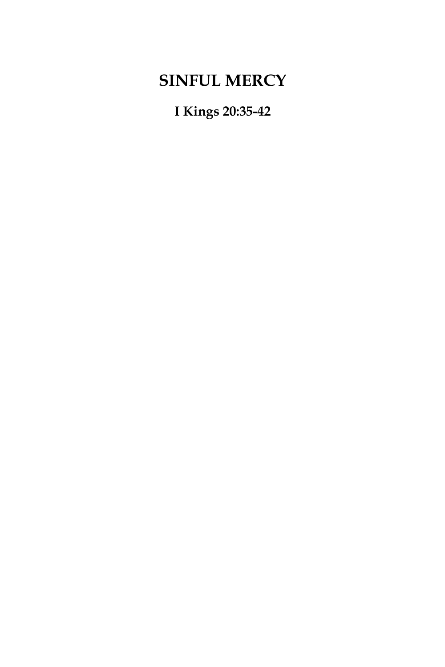# **SINFUL MERCY**

**I Kings 20:35-42**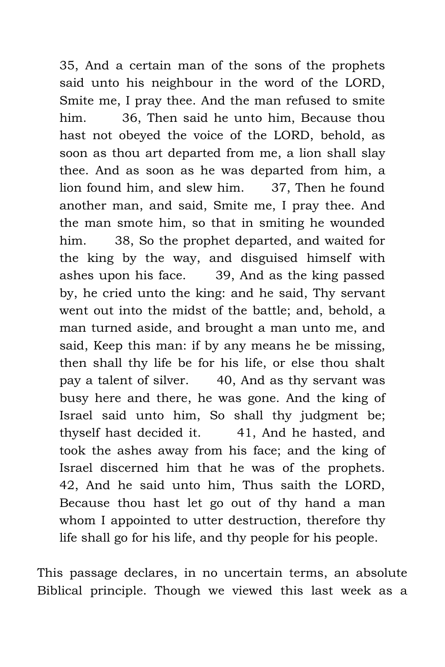35, And a certain man of the sons of the prophets said unto his neighbour in the word of the LORD, Smite me, I pray thee. And the man refused to smite him. 36, Then said he unto him, Because thou hast not obeyed the voice of the LORD, behold, as soon as thou art departed from me, a lion shall slay thee. And as soon as he was departed from him, a lion found him, and slew him. 37, Then he found another man, and said, Smite me, I pray thee. And the man smote him, so that in smiting he wounded him. 38, So the prophet departed, and waited for the king by the way, and disguised himself with ashes upon his face. 39, And as the king passed by, he cried unto the king: and he said, Thy servant went out into the midst of the battle; and, behold, a man turned aside, and brought a man unto me, and said, Keep this man: if by any means he be missing, then shall thy life be for his life, or else thou shalt pay a talent of silver. 40, And as thy servant was busy here and there, he was gone. And the king of Israel said unto him, So shall thy judgment be; thyself hast decided it. 41, And he hasted, and took the ashes away from his face; and the king of Israel discerned him that he was of the prophets. 42, And he said unto him, Thus saith the LORD, Because thou hast let go out of thy hand a man whom I appointed to utter destruction, therefore thy life shall go for his life, and thy people for his people.

This passage declares, in no uncertain terms, an absolute Biblical principle. Though we viewed this last week as a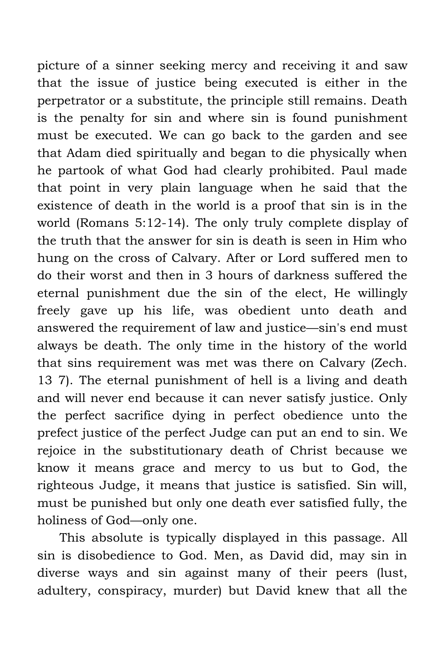picture of a sinner seeking mercy and receiving it and saw that the issue of justice being executed is either in the perpetrator or a substitute, the principle still remains. Death is the penalty for sin and where sin is found punishment must be executed. We can go back to the garden and see that Adam died spiritually and began to die physically when he partook of what God had clearly prohibited. Paul made that point in very plain language when he said that the existence of death in the world is a proof that sin is in the world (Romans 5:12-14). The only truly complete display of the truth that the answer for sin is death is seen in Him who hung on the cross of Calvary. After or Lord suffered men to do their worst and then in 3 hours of darkness suffered the eternal punishment due the sin of the elect, He willingly freely gave up his life, was obedient unto death and answered the requirement of law and justice—sin's end must always be death. The only time in the history of the world that sins requirement was met was there on Calvary (Zech. 13 7). The eternal punishment of hell is a living and death and will never end because it can never satisfy justice. Only the perfect sacrifice dying in perfect obedience unto the prefect justice of the perfect Judge can put an end to sin. We rejoice in the substitutionary death of Christ because we know it means grace and mercy to us but to God, the righteous Judge, it means that justice is satisfied. Sin will, must be punished but only one death ever satisfied fully, the holiness of God—only one.

This absolute is typically displayed in this passage. All sin is disobedience to God. Men, as David did, may sin in diverse ways and sin against many of their peers (lust, adultery, conspiracy, murder) but David knew that all the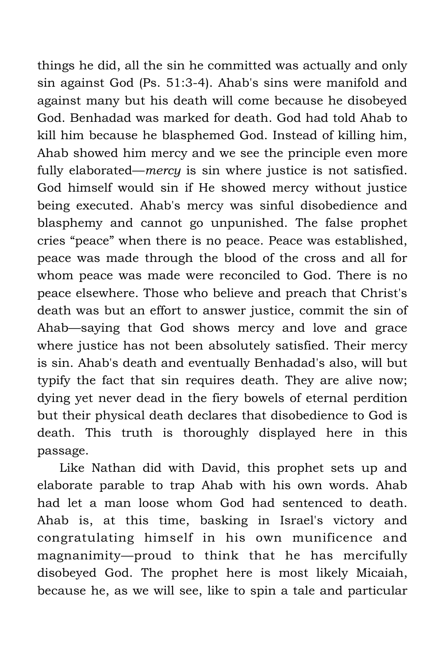things he did, all the sin he committed was actually and only sin against God (Ps. 51:3-4). Ahab's sins were manifold and against many but his death will come because he disobeyed God. Benhadad was marked for death. God had told Ahab to kill him because he blasphemed God. Instead of killing him, Ahab showed him mercy and we see the principle even more fully elaborated—*mercy* is sin where justice is not satisfied. God himself would sin if He showed mercy without justice being executed. Ahab's mercy was sinful disobedience and blasphemy and cannot go unpunished. The false prophet cries "peace" when there is no peace. Peace was established, peace was made through the blood of the cross and all for whom peace was made were reconciled to God. There is no peace elsewhere. Those who believe and preach that Christ's death was but an effort to answer justice, commit the sin of Ahab—saying that God shows mercy and love and grace where justice has not been absolutely satisfied. Their mercy is sin. Ahab's death and eventually Benhadad's also, will but typify the fact that sin requires death. They are alive now; dying yet never dead in the fiery bowels of eternal perdition but their physical death declares that disobedience to God is death. This truth is thoroughly displayed here in this passage.

Like Nathan did with David, this prophet sets up and elaborate parable to trap Ahab with his own words. Ahab had let a man loose whom God had sentenced to death. Ahab is, at this time, basking in Israel's victory and congratulating himself in his own munificence and magnanimity—proud to think that he has mercifully disobeyed God. The prophet here is most likely Micaiah, because he, as we will see, like to spin a tale and particular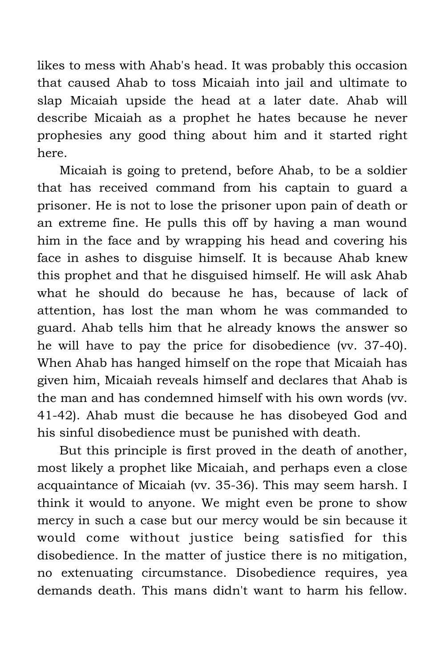likes to mess with Ahab's head. It was probably this occasion that caused Ahab to toss Micaiah into jail and ultimate to slap Micaiah upside the head at a later date. Ahab will describe Micaiah as a prophet he hates because he never prophesies any good thing about him and it started right here.

Micaiah is going to pretend, before Ahab, to be a soldier that has received command from his captain to guard a prisoner. He is not to lose the prisoner upon pain of death or an extreme fine. He pulls this off by having a man wound him in the face and by wrapping his head and covering his face in ashes to disguise himself. It is because Ahab knew this prophet and that he disguised himself. He will ask Ahab what he should do because he has, because of lack of attention, has lost the man whom he was commanded to guard. Ahab tells him that he already knows the answer so he will have to pay the price for disobedience (vv. 37-40). When Ahab has hanged himself on the rope that Micaiah has given him, Micaiah reveals himself and declares that Ahab is the man and has condemned himself with his own words (vv. 41-42). Ahab must die because he has disobeyed God and his sinful disobedience must be punished with death.

But this principle is first proved in the death of another, most likely a prophet like Micaiah, and perhaps even a close acquaintance of Micaiah (vv. 35-36). This may seem harsh. I think it would to anyone. We might even be prone to show mercy in such a case but our mercy would be sin because it would come without justice being satisfied for this disobedience. In the matter of justice there is no mitigation, no extenuating circumstance. Disobedience requires, yea demands death. This mans didn't want to harm his fellow.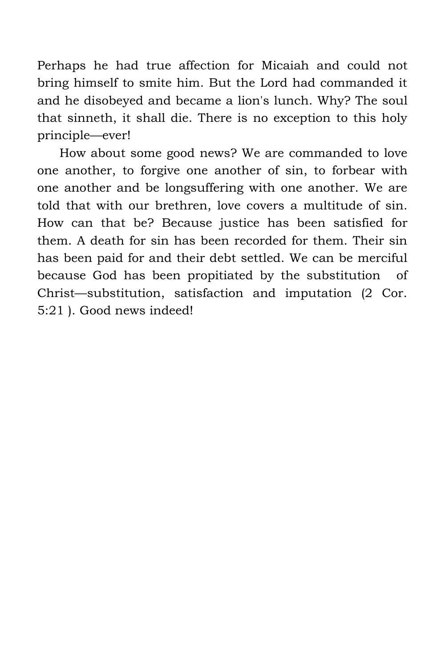Perhaps he had true affection for Micaiah and could not bring himself to smite him. But the Lord had commanded it and he disobeyed and became a lion's lunch. Why? The soul that sinneth, it shall die. There is no exception to this holy principle—ever!

How about some good news? We are commanded to love one another, to forgive one another of sin, to forbear with one another and be longsuffering with one another. We are told that with our brethren, love covers a multitude of sin. How can that be? Because justice has been satisfied for them. A death for sin has been recorded for them. Their sin has been paid for and their debt settled. We can be merciful because God has been propitiated by the substitution of Christ—substitution, satisfaction and imputation (2 Cor. 5:21 ). Good news indeed!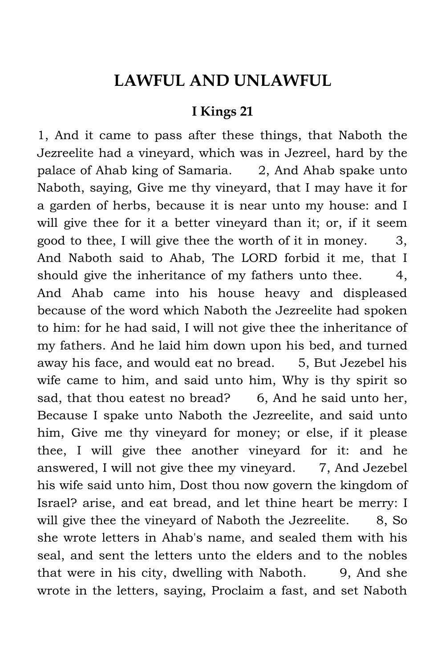### **LAWFUL AND UNLAWFUL**

#### **I Kings 21**

1, And it came to pass after these things, that Naboth the Jezreelite had a vineyard, which was in Jezreel, hard by the palace of Ahab king of Samaria. 2, And Ahab spake unto Naboth, saying, Give me thy vineyard, that I may have it for a garden of herbs, because it is near unto my house: and I will give thee for it a better vineyard than it; or, if it seem good to thee, I will give thee the worth of it in money.  $3$ , And Naboth said to Ahab, The LORD forbid it me, that I should give the inheritance of my fathers unto thee. 4, And Ahab came into his house heavy and displeased because of the word which Naboth the Jezreelite had spoken to him: for he had said, I will not give thee the inheritance of my fathers. And he laid him down upon his bed, and turned away his face, and would eat no bread. 5, But Jezebel his wife came to him, and said unto him, Why is thy spirit so sad, that thou eatest no bread? 6, And he said unto her, Because I spake unto Naboth the Jezreelite, and said unto him, Give me thy vineyard for money; or else, if it please thee, I will give thee another vineyard for it: and he answered, I will not give thee my vineyard. 7, And Jezebel his wife said unto him, Dost thou now govern the kingdom of Israel? arise, and eat bread, and let thine heart be merry: I will give thee the vineyard of Naboth the Jezreelite. 8, So she wrote letters in Ahab's name, and sealed them with his seal, and sent the letters unto the elders and to the nobles that were in his city, dwelling with Naboth. 9, And she wrote in the letters, saying, Proclaim a fast, and set Naboth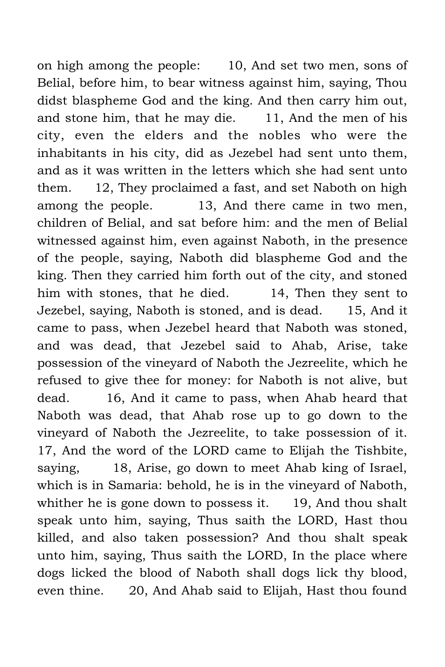on high among the people: 10, And set two men, sons of Belial, before him, to bear witness against him, saying, Thou didst blaspheme God and the king. And then carry him out, and stone him, that he may die. 11, And the men of his city, even the elders and the nobles who were the inhabitants in his city, did as Jezebel had sent unto them, and as it was written in the letters which she had sent unto them. 12, They proclaimed a fast, and set Naboth on high among the people. 13, And there came in two men, children of Belial, and sat before him: and the men of Belial witnessed against him, even against Naboth, in the presence of the people, saying, Naboth did blaspheme God and the king. Then they carried him forth out of the city, and stoned him with stones, that he died. 14, Then they sent to Jezebel, saying, Naboth is stoned, and is dead. 15, And it came to pass, when Jezebel heard that Naboth was stoned, and was dead, that Jezebel said to Ahab, Arise, take possession of the vineyard of Naboth the Jezreelite, which he refused to give thee for money: for Naboth is not alive, but dead. 16, And it came to pass, when Ahab heard that Naboth was dead, that Ahab rose up to go down to the vineyard of Naboth the Jezreelite, to take possession of it. 17, And the word of the LORD came to Elijah the Tishbite, saying, 18, Arise, go down to meet Ahab king of Israel, which is in Samaria: behold, he is in the vineyard of Naboth, whither he is gone down to possess it. 19, And thou shalt speak unto him, saying, Thus saith the LORD, Hast thou killed, and also taken possession? And thou shalt speak unto him, saying, Thus saith the LORD, In the place where dogs licked the blood of Naboth shall dogs lick thy blood, even thine. 20, And Ahab said to Elijah, Hast thou found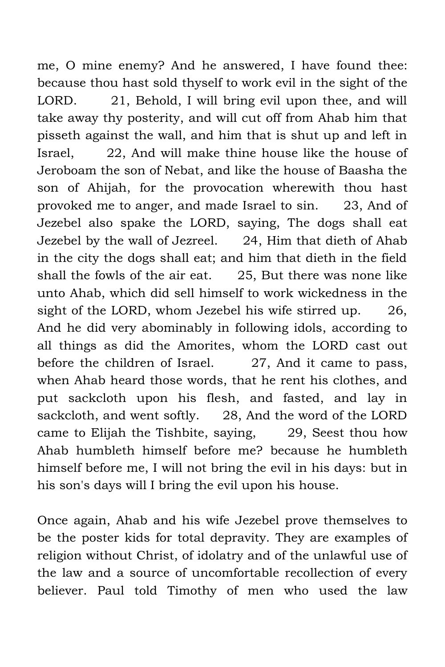me, O mine enemy? And he answered, I have found thee: because thou hast sold thyself to work evil in the sight of the LORD. 21, Behold, I will bring evil upon thee, and will take away thy posterity, and will cut off from Ahab him that pisseth against the wall, and him that is shut up and left in Israel, 22, And will make thine house like the house of Jeroboam the son of Nebat, and like the house of Baasha the son of Ahijah, for the provocation wherewith thou hast provoked me to anger, and made Israel to sin. 23, And of Jezebel also spake the LORD, saying, The dogs shall eat Jezebel by the wall of Jezreel. 24, Him that dieth of Ahab in the city the dogs shall eat; and him that dieth in the field shall the fowls of the air eat. 25, But there was none like unto Ahab, which did sell himself to work wickedness in the sight of the LORD, whom Jezebel his wife stirred up. 26, And he did very abominably in following idols, according to all things as did the Amorites, whom the LORD cast out before the children of Israel. 27, And it came to pass, when Ahab heard those words, that he rent his clothes, and put sackcloth upon his flesh, and fasted, and lay in sackcloth, and went softly. 28, And the word of the LORD came to Elijah the Tishbite, saying, 29, Seest thou how Ahab humbleth himself before me? because he humbleth himself before me, I will not bring the evil in his days: but in his son's days will I bring the evil upon his house.

Once again, Ahab and his wife Jezebel prove themselves to be the poster kids for total depravity. They are examples of religion without Christ, of idolatry and of the unlawful use of the law and a source of uncomfortable recollection of every believer. Paul told Timothy of men who used the law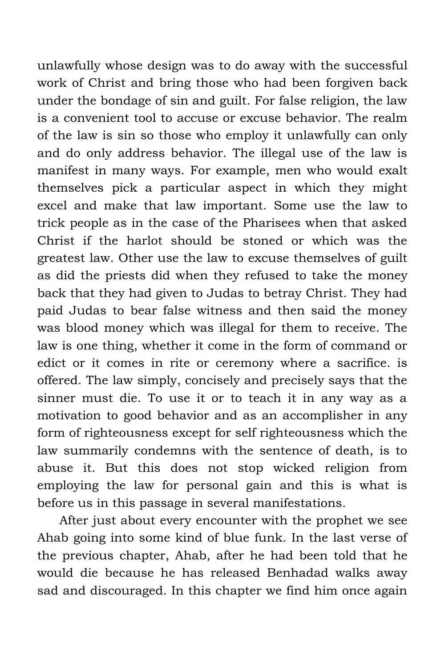unlawfully whose design was to do away with the successful work of Christ and bring those who had been forgiven back under the bondage of sin and guilt. For false religion, the law is a convenient tool to accuse or excuse behavior. The realm of the law is sin so those who employ it unlawfully can only and do only address behavior. The illegal use of the law is manifest in many ways. For example, men who would exalt themselves pick a particular aspect in which they might excel and make that law important. Some use the law to trick people as in the case of the Pharisees when that asked Christ if the harlot should be stoned or which was the greatest law. Other use the law to excuse themselves of guilt as did the priests did when they refused to take the money back that they had given to Judas to betray Christ. They had paid Judas to bear false witness and then said the money was blood money which was illegal for them to receive. The law is one thing, whether it come in the form of command or edict or it comes in rite or ceremony where a sacrifice. is offered. The law simply, concisely and precisely says that the sinner must die. To use it or to teach it in any way as a motivation to good behavior and as an accomplisher in any form of righteousness except for self righteousness which the law summarily condemns with the sentence of death, is to abuse it. But this does not stop wicked religion from employing the law for personal gain and this is what is before us in this passage in several manifestations.

After just about every encounter with the prophet we see Ahab going into some kind of blue funk. In the last verse of the previous chapter, Ahab, after he had been told that he would die because he has released Benhadad walks away sad and discouraged. In this chapter we find him once again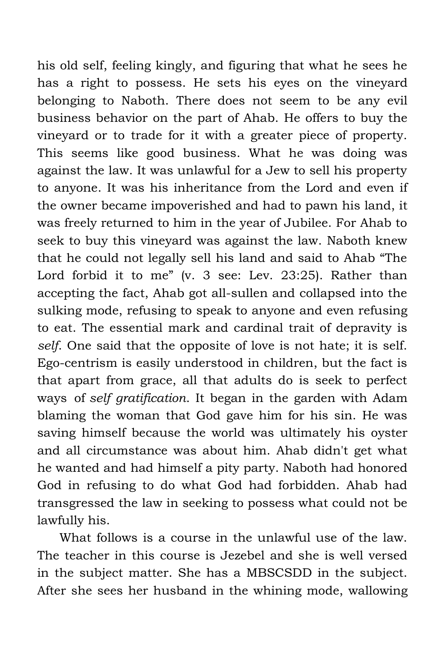his old self, feeling kingly, and figuring that what he sees he has a right to possess. He sets his eyes on the vineyard belonging to Naboth. There does not seem to be any evil business behavior on the part of Ahab. He offers to buy the vineyard or to trade for it with a greater piece of property. This seems like good business. What he was doing was against the law. It was unlawful for a Jew to sell his property to anyone. It was his inheritance from the Lord and even if the owner became impoverished and had to pawn his land, it was freely returned to him in the year of Jubilee. For Ahab to seek to buy this vineyard was against the law. Naboth knew that he could not legally sell his land and said to Ahab "The Lord forbid it to me" (v. 3 see: Lev. 23:25). Rather than accepting the fact, Ahab got all-sullen and collapsed into the sulking mode, refusing to speak to anyone and even refusing to eat. The essential mark and cardinal trait of depravity is *self*. One said that the opposite of love is not hate; it is self. Ego-centrism is easily understood in children, but the fact is that apart from grace, all that adults do is seek to perfect ways of *self gratification*. It began in the garden with Adam blaming the woman that God gave him for his sin. He was saving himself because the world was ultimately his oyster and all circumstance was about him. Ahab didn't get what he wanted and had himself a pity party. Naboth had honored God in refusing to do what God had forbidden. Ahab had transgressed the law in seeking to possess what could not be lawfully his.

What follows is a course in the unlawful use of the law. The teacher in this course is Jezebel and she is well versed in the subject matter. She has a MBSCSDD in the subject. After she sees her husband in the whining mode, wallowing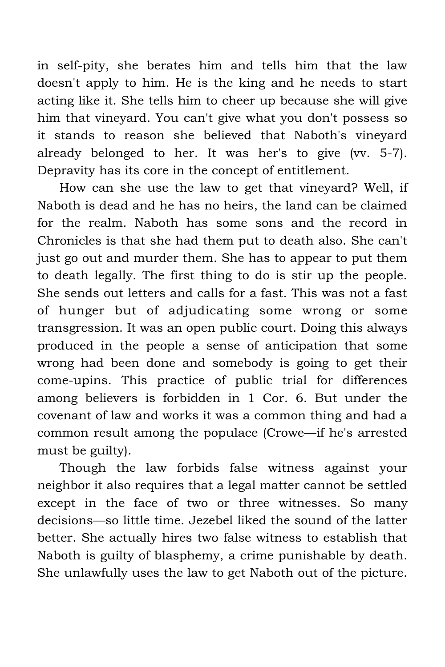in self-pity, she berates him and tells him that the law doesn't apply to him. He is the king and he needs to start acting like it. She tells him to cheer up because she will give him that vineyard. You can't give what you don't possess so it stands to reason she believed that Naboth's vineyard already belonged to her. It was her's to give (vv. 5-7). Depravity has its core in the concept of entitlement.

How can she use the law to get that vineyard? Well, if Naboth is dead and he has no heirs, the land can be claimed for the realm. Naboth has some sons and the record in Chronicles is that she had them put to death also. She can't just go out and murder them. She has to appear to put them to death legally. The first thing to do is stir up the people. She sends out letters and calls for a fast. This was not a fast of hunger but of adjudicating some wrong or some transgression. It was an open public court. Doing this always produced in the people a sense of anticipation that some wrong had been done and somebody is going to get their come-upins. This practice of public trial for differences among believers is forbidden in 1 Cor. 6. But under the covenant of law and works it was a common thing and had a common result among the populace (Crowe—if he's arrested must be guilty).

Though the law forbids false witness against your neighbor it also requires that a legal matter cannot be settled except in the face of two or three witnesses. So many decisions—so little time. Jezebel liked the sound of the latter better. She actually hires two false witness to establish that Naboth is guilty of blasphemy, a crime punishable by death. She unlawfully uses the law to get Naboth out of the picture.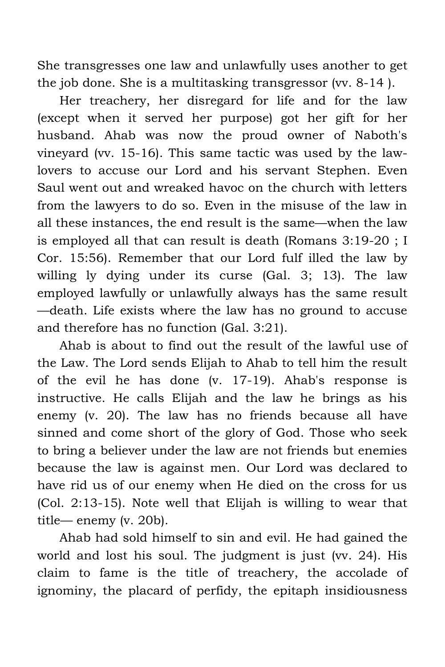She transgresses one law and unlawfully uses another to get the job done. She is a multitasking transgressor (vv. 8-14 ).

Her treachery, her disregard for life and for the law (except when it served her purpose) got her gift for her husband. Ahab was now the proud owner of Naboth's vineyard (vv. 15-16). This same tactic was used by the lawlovers to accuse our Lord and his servant Stephen. Even Saul went out and wreaked havoc on the church with letters from the lawyers to do so. Even in the misuse of the law in all these instances, the end result is the same—when the law is employed all that can result is death (Romans 3:19-20 ; I Cor. 15:56). Remember that our Lord fulf illed the law by willing ly dying under its curse (Gal. 3; 13). The law employed lawfully or unlawfully always has the same result —death. Life exists where the law has no ground to accuse and therefore has no function (Gal. 3:21).

Ahab is about to find out the result of the lawful use of the Law. The Lord sends Elijah to Ahab to tell him the result of the evil he has done (v. 17-19). Ahab's response is instructive. He calls Elijah and the law he brings as his enemy (v. 20). The law has no friends because all have sinned and come short of the glory of God. Those who seek to bring a believer under the law are not friends but enemies because the law is against men. Our Lord was declared to have rid us of our enemy when He died on the cross for us (Col. 2:13-15). Note well that Elijah is willing to wear that title— enemy (v. 20b).

Ahab had sold himself to sin and evil. He had gained the world and lost his soul. The judgment is just (vv. 24). His claim to fame is the title of treachery, the accolade of ignominy, the placard of perfidy, the epitaph insidiousness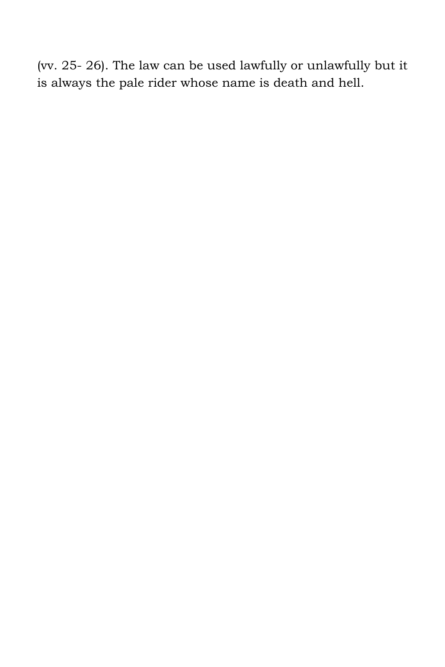(vv. 25- 26). The law can be used lawfully or unlawfully but it is always the pale rider whose name is death and hell.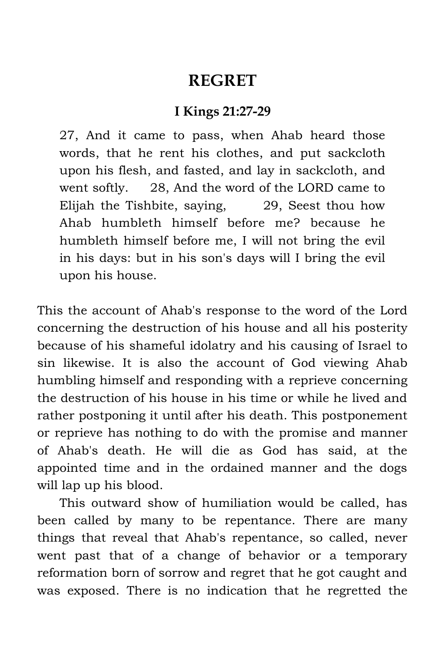### **REGRET**

#### **I Kings 21:27-29**

27, And it came to pass, when Ahab heard those words, that he rent his clothes, and put sackcloth upon his flesh, and fasted, and lay in sackcloth, and went softly. 28, And the word of the LORD came to Elijah the Tishbite, saying, 29, Seest thou how Ahab humbleth himself before me? because he humbleth himself before me, I will not bring the evil in his days: but in his son's days will I bring the evil upon his house.

This the account of Ahab's response to the word of the Lord concerning the destruction of his house and all his posterity because of his shameful idolatry and his causing of Israel to sin likewise. It is also the account of God viewing Ahab humbling himself and responding with a reprieve concerning the destruction of his house in his time or while he lived and rather postponing it until after his death. This postponement or reprieve has nothing to do with the promise and manner of Ahab's death. He will die as God has said, at the appointed time and in the ordained manner and the dogs will lap up his blood.

This outward show of humiliation would be called, has been called by many to be repentance. There are many things that reveal that Ahab's repentance, so called, never went past that of a change of behavior or a temporary reformation born of sorrow and regret that he got caught and was exposed. There is no indication that he regretted the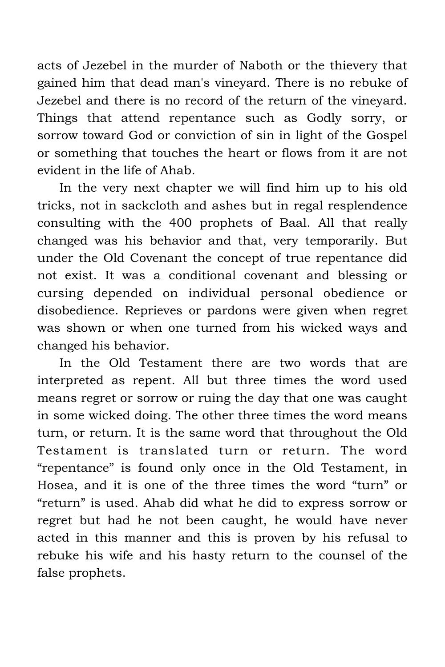acts of Jezebel in the murder of Naboth or the thievery that gained him that dead man's vineyard. There is no rebuke of Jezebel and there is no record of the return of the vineyard. Things that attend repentance such as Godly sorry, or sorrow toward God or conviction of sin in light of the Gospel or something that touches the heart or flows from it are not evident in the life of Ahab.

In the very next chapter we will find him up to his old tricks, not in sackcloth and ashes but in regal resplendence consulting with the 400 prophets of Baal. All that really changed was his behavior and that, very temporarily. But under the Old Covenant the concept of true repentance did not exist. It was a conditional covenant and blessing or cursing depended on individual personal obedience or disobedience. Reprieves or pardons were given when regret was shown or when one turned from his wicked ways and changed his behavior.

In the Old Testament there are two words that are interpreted as repent. All but three times the word used means regret or sorrow or ruing the day that one was caught in some wicked doing. The other three times the word means turn, or return. It is the same word that throughout the Old Testament is translated turn or return. The word "repentance" is found only once in the Old Testament, in Hosea, and it is one of the three times the word "turn" or "return" is used. Ahab did what he did to express sorrow or regret but had he not been caught, he would have never acted in this manner and this is proven by his refusal to rebuke his wife and his hasty return to the counsel of the false prophets.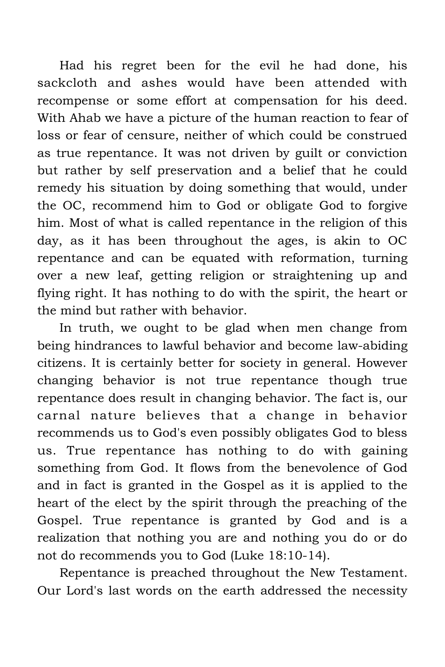Had his regret been for the evil he had done, his sackcloth and ashes would have been attended with recompense or some effort at compensation for his deed. With Ahab we have a picture of the human reaction to fear of loss or fear of censure, neither of which could be construed as true repentance. It was not driven by guilt or conviction but rather by self preservation and a belief that he could remedy his situation by doing something that would, under the OC, recommend him to God or obligate God to forgive him. Most of what is called repentance in the religion of this day, as it has been throughout the ages, is akin to OC repentance and can be equated with reformation, turning over a new leaf, getting religion or straightening up and flying right. It has nothing to do with the spirit, the heart or the mind but rather with behavior.

In truth, we ought to be glad when men change from being hindrances to lawful behavior and become law-abiding citizens. It is certainly better for society in general. However changing behavior is not true repentance though true repentance does result in changing behavior. The fact is, our carnal nature believes that a change in behavior recommends us to God's even possibly obligates God to bless us. True repentance has nothing to do with gaining something from God. It flows from the benevolence of God and in fact is granted in the Gospel as it is applied to the heart of the elect by the spirit through the preaching of the Gospel. True repentance is granted by God and is a realization that nothing you are and nothing you do or do not do recommends you to God (Luke 18:10-14).

Repentance is preached throughout the New Testament. Our Lord's last words on the earth addressed the necessity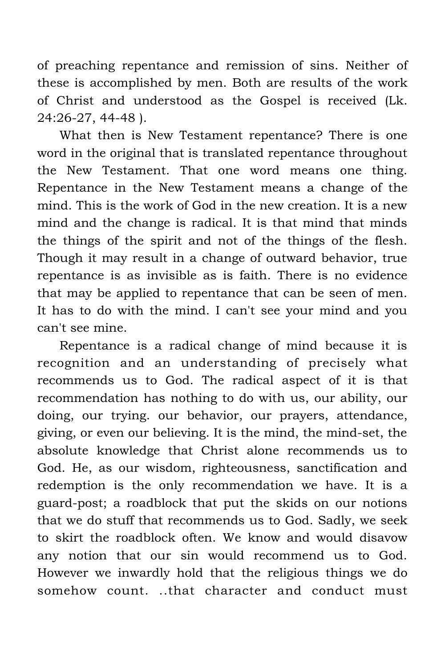of preaching repentance and remission of sins. Neither of these is accomplished by men. Both are results of the work of Christ and understood as the Gospel is received (Lk. 24:26-27, 44-48 ).

What then is New Testament repentance? There is one word in the original that is translated repentance throughout the New Testament. That one word means one thing. Repentance in the New Testament means a change of the mind. This is the work of God in the new creation. It is a new mind and the change is radical. It is that mind that minds the things of the spirit and not of the things of the flesh. Though it may result in a change of outward behavior, true repentance is as invisible as is faith. There is no evidence that may be applied to repentance that can be seen of men. It has to do with the mind. I can't see your mind and you can't see mine.

Repentance is a radical change of mind because it is recognition and an understanding of precisely what recommends us to God. The radical aspect of it is that recommendation has nothing to do with us, our ability, our doing, our trying. our behavior, our prayers, attendance, giving, or even our believing. It is the mind, the mind-set, the absolute knowledge that Christ alone recommends us to God. He, as our wisdom, righteousness, sanctification and redemption is the only recommendation we have. It is a guard-post; a roadblock that put the skids on our notions that we do stuff that recommends us to God. Sadly, we seek to skirt the roadblock often. We know and would disavow any notion that our sin would recommend us to God. However we inwardly hold that the religious things we do somehow count. ..that character and conduct must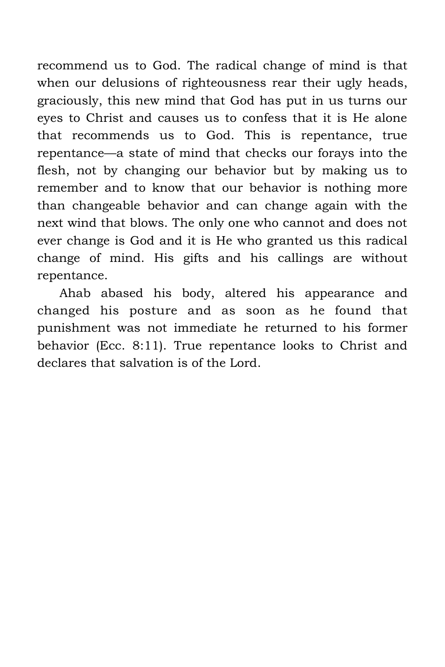recommend us to God. The radical change of mind is that when our delusions of righteousness rear their ugly heads, graciously, this new mind that God has put in us turns our eyes to Christ and causes us to confess that it is He alone that recommends us to God. This is repentance, true repentance—a state of mind that checks our forays into the flesh, not by changing our behavior but by making us to remember and to know that our behavior is nothing more than changeable behavior and can change again with the next wind that blows. The only one who cannot and does not ever change is God and it is He who granted us this radical change of mind. His gifts and his callings are without repentance.

Ahab abased his body, altered his appearance and changed his posture and as soon as he found that punishment was not immediate he returned to his former behavior (Ecc. 8:11). True repentance looks to Christ and declares that salvation is of the Lord.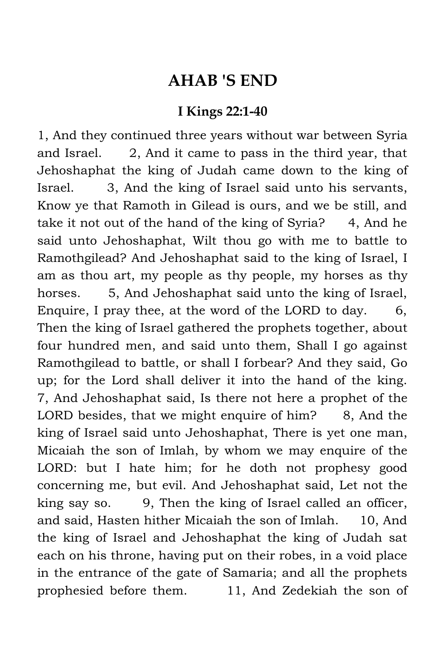## **AHAB 'S END**

## **I Kings 22:1-40**

1, And they continued three years without war between Syria and Israel. 2, And it came to pass in the third year, that Jehoshaphat the king of Judah came down to the king of Israel. 3, And the king of Israel said unto his servants, Know ye that Ramoth in Gilead is ours, and we be still, and take it not out of the hand of the king of Syria? 4, And he said unto Jehoshaphat, Wilt thou go with me to battle to Ramothgilead? And Jehoshaphat said to the king of Israel, I am as thou art, my people as thy people, my horses as thy horses. 5, And Jehoshaphat said unto the king of Israel, Enquire, I pray thee, at the word of the LORD to day.  $6,$ Then the king of Israel gathered the prophets together, about four hundred men, and said unto them, Shall I go against Ramothgilead to battle, or shall I forbear? And they said, Go up; for the Lord shall deliver it into the hand of the king. 7, And Jehoshaphat said, Is there not here a prophet of the LORD besides, that we might enquire of him?  $8$ , And the king of Israel said unto Jehoshaphat, There is yet one man, Micaiah the son of Imlah, by whom we may enquire of the LORD: but I hate him; for he doth not prophesy good concerning me, but evil. And Jehoshaphat said, Let not the king say so. 9, Then the king of Israel called an officer, and said, Hasten hither Micaiah the son of Imlah. 10, And the king of Israel and Jehoshaphat the king of Judah sat each on his throne, having put on their robes, in a void place in the entrance of the gate of Samaria; and all the prophets prophesied before them. 11, And Zedekiah the son of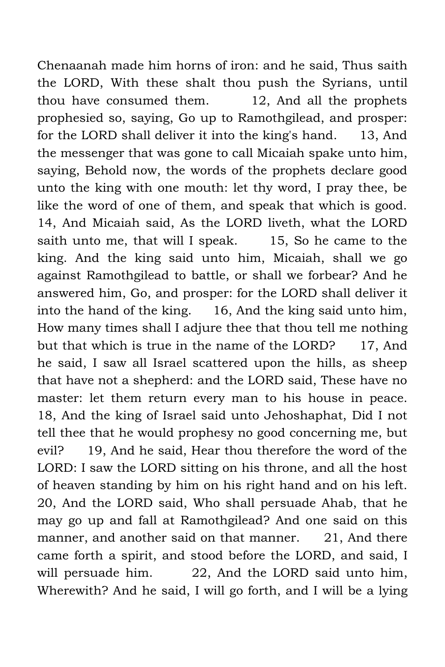Chenaanah made him horns of iron: and he said, Thus saith the LORD, With these shalt thou push the Syrians, until thou have consumed them. 12, And all the prophets prophesied so, saying, Go up to Ramothgilead, and prosper: for the LORD shall deliver it into the king's hand. 13, And the messenger that was gone to call Micaiah spake unto him, saying, Behold now, the words of the prophets declare good unto the king with one mouth: let thy word, I pray thee, be like the word of one of them, and speak that which is good. 14, And Micaiah said, As the LORD liveth, what the LORD saith unto me, that will I speak. 15, So he came to the king. And the king said unto him, Micaiah, shall we go against Ramothgilead to battle, or shall we forbear? And he answered him, Go, and prosper: for the LORD shall deliver it into the hand of the king. 16, And the king said unto him, How many times shall I adjure thee that thou tell me nothing but that which is true in the name of the LORD? 17, And he said, I saw all Israel scattered upon the hills, as sheep that have not a shepherd: and the LORD said, These have no master: let them return every man to his house in peace. 18, And the king of Israel said unto Jehoshaphat, Did I not tell thee that he would prophesy no good concerning me, but evil? 19, And he said, Hear thou therefore the word of the LORD: I saw the LORD sitting on his throne, and all the host of heaven standing by him on his right hand and on his left. 20, And the LORD said, Who shall persuade Ahab, that he may go up and fall at Ramothgilead? And one said on this manner, and another said on that manner. 21, And there came forth a spirit, and stood before the LORD, and said, I will persuade him. 22, And the LORD said unto him, Wherewith? And he said, I will go forth, and I will be a lying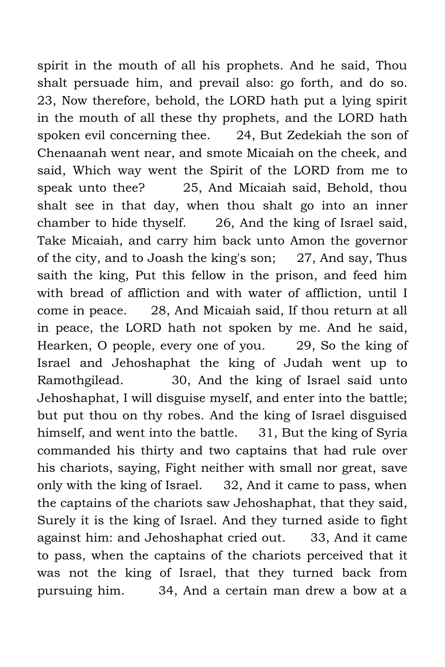spirit in the mouth of all his prophets. And he said, Thou shalt persuade him, and prevail also: go forth, and do so. 23, Now therefore, behold, the LORD hath put a lying spirit in the mouth of all these thy prophets, and the LORD hath spoken evil concerning thee. 24, But Zedekiah the son of Chenaanah went near, and smote Micaiah on the cheek, and said, Which way went the Spirit of the LORD from me to speak unto thee? 25, And Micaiah said, Behold, thou shalt see in that day, when thou shalt go into an inner chamber to hide thyself. 26, And the king of Israel said, Take Micaiah, and carry him back unto Amon the governor of the city, and to Joash the king's son; 27, And say, Thus saith the king, Put this fellow in the prison, and feed him with bread of affliction and with water of affliction, until I come in peace. 28, And Micaiah said, If thou return at all in peace, the LORD hath not spoken by me. And he said, Hearken, O people, every one of you. 29, So the king of Israel and Jehoshaphat the king of Judah went up to Ramothgilead. 30, And the king of Israel said unto Jehoshaphat, I will disguise myself, and enter into the battle; but put thou on thy robes. And the king of Israel disguised himself, and went into the battle. 31, But the king of Syria commanded his thirty and two captains that had rule over his chariots, saying, Fight neither with small nor great, save only with the king of Israel. 32, And it came to pass, when the captains of the chariots saw Jehoshaphat, that they said, Surely it is the king of Israel. And they turned aside to fight against him: and Jehoshaphat cried out. 33, And it came to pass, when the captains of the chariots perceived that it was not the king of Israel, that they turned back from pursuing him. 34, And a certain man drew a bow at a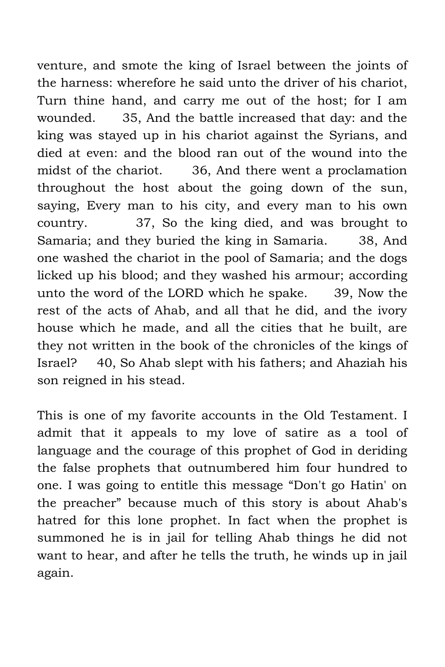venture, and smote the king of Israel between the joints of the harness: wherefore he said unto the driver of his chariot, Turn thine hand, and carry me out of the host; for I am wounded. 35, And the battle increased that day: and the king was stayed up in his chariot against the Syrians, and died at even: and the blood ran out of the wound into the midst of the chariot. 36, And there went a proclamation throughout the host about the going down of the sun, saying, Every man to his city, and every man to his own country. 37, So the king died, and was brought to Samaria; and they buried the king in Samaria. 38, And one washed the chariot in the pool of Samaria; and the dogs licked up his blood; and they washed his armour; according unto the word of the LORD which he spake. 39, Now the rest of the acts of Ahab, and all that he did, and the ivory house which he made, and all the cities that he built, are they not written in the book of the chronicles of the kings of Israel? 40, So Ahab slept with his fathers; and Ahaziah his son reigned in his stead.

This is one of my favorite accounts in the Old Testament. I admit that it appeals to my love of satire as a tool of language and the courage of this prophet of God in deriding the false prophets that outnumbered him four hundred to one. I was going to entitle this message "Don't go Hatin' on the preacher" because much of this story is about Ahab's hatred for this lone prophet. In fact when the prophet is summoned he is in jail for telling Ahab things he did not want to hear, and after he tells the truth, he winds up in jail again.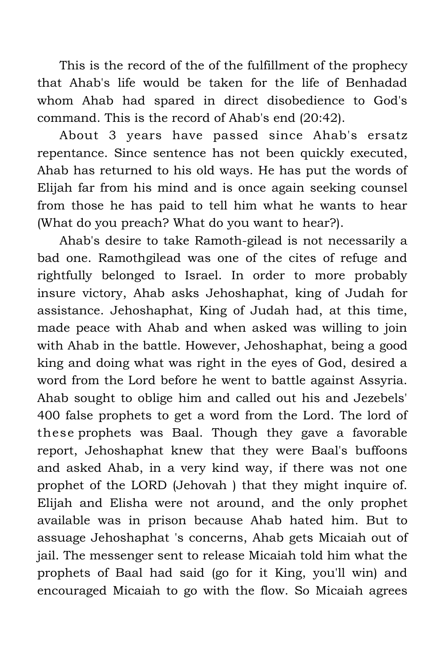This is the record of the of the fulfillment of the prophecy that Ahab's life would be taken for the life of Benhadad whom Ahab had spared in direct disobedience to God's command. This is the record of Ahab's end (20:42).

About 3 years have passed since Ahab's ersatz repentance. Since sentence has not been quickly executed, Ahab has returned to his old ways. He has put the words of Elijah far from his mind and is once again seeking counsel from those he has paid to tell him what he wants to hear (What do you preach? What do you want to hear?).

Ahab's desire to take Ramoth-gilead is not necessarily a bad one. Ramothgilead was one of the cites of refuge and rightfully belonged to Israel. In order to more probably insure victory, Ahab asks Jehoshaphat, king of Judah for assistance. Jehoshaphat, King of Judah had, at this time, made peace with Ahab and when asked was willing to join with Ahab in the battle. However, Jehoshaphat, being a good king and doing what was right in the eyes of God, desired a word from the Lord before he went to battle against Assyria. Ahab sought to oblige him and called out his and Jezebels' 400 false prophets to get a word from the Lord. The lord of these prophets was Baal. Though they gave a favorable report, Jehoshaphat knew that they were Baal's buffoons and asked Ahab, in a very kind way, if there was not one prophet of the LORD (Jehovah ) that they might inquire of. Elijah and Elisha were not around, and the only prophet available was in prison because Ahab hated him. But to assuage Jehoshaphat 's concerns, Ahab gets Micaiah out of jail. The messenger sent to release Micaiah told him what the prophets of Baal had said (go for it King, you'll win) and encouraged Micaiah to go with the flow. So Micaiah agrees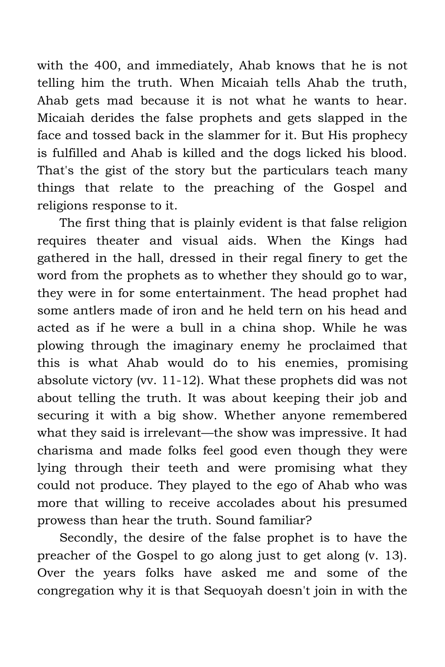with the 400, and immediately, Ahab knows that he is not telling him the truth. When Micaiah tells Ahab the truth, Ahab gets mad because it is not what he wants to hear. Micaiah derides the false prophets and gets slapped in the face and tossed back in the slammer for it. But His prophecy is fulfilled and Ahab is killed and the dogs licked his blood. That's the gist of the story but the particulars teach many things that relate to the preaching of the Gospel and religions response to it.

The first thing that is plainly evident is that false religion requires theater and visual aids. When the Kings had gathered in the hall, dressed in their regal finery to get the word from the prophets as to whether they should go to war, they were in for some entertainment. The head prophet had some antlers made of iron and he held tern on his head and acted as if he were a bull in a china shop. While he was plowing through the imaginary enemy he proclaimed that this is what Ahab would do to his enemies, promising absolute victory (vv. 11-12). What these prophets did was not about telling the truth. It was about keeping their job and securing it with a big show. Whether anyone remembered what they said is irrelevant—the show was impressive. It had charisma and made folks feel good even though they were lying through their teeth and were promising what they could not produce. They played to the ego of Ahab who was more that willing to receive accolades about his presumed prowess than hear the truth. Sound familiar?

Secondly, the desire of the false prophet is to have the preacher of the Gospel to go along just to get along (v. 13). Over the years folks have asked me and some of the congregation why it is that Sequoyah doesn't join in with the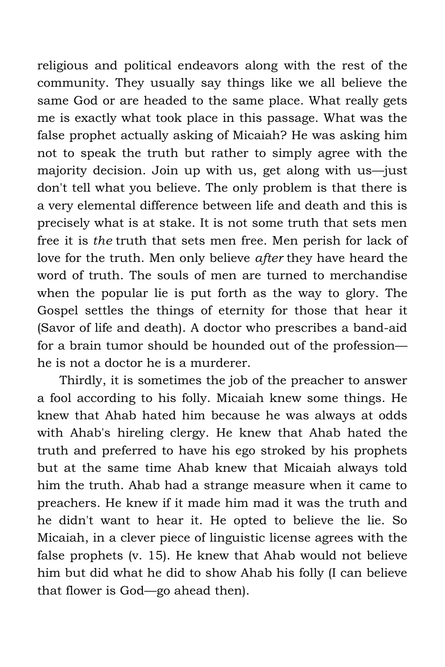religious and political endeavors along with the rest of the community. They usually say things like we all believe the same God or are headed to the same place. What really gets me is exactly what took place in this passage. What was the false prophet actually asking of Micaiah? He was asking him not to speak the truth but rather to simply agree with the majority decision. Join up with us, get along with us—just don't tell what you believe. The only problem is that there is a very elemental difference between life and death and this is precisely what is at stake. It is not some truth that sets men free it is *the* truth that sets men free. Men perish for lack of love for the truth. Men only believe *after* they have heard the word of truth. The souls of men are turned to merchandise when the popular lie is put forth as the way to glory. The Gospel settles the things of eternity for those that hear it (Savor of life and death). A doctor who prescribes a band-aid for a brain tumor should be hounded out of the profession he is not a doctor he is a murderer.

Thirdly, it is sometimes the job of the preacher to answer a fool according to his folly. Micaiah knew some things. He knew that Ahab hated him because he was always at odds with Ahab's hireling clergy. He knew that Ahab hated the truth and preferred to have his ego stroked by his prophets but at the same time Ahab knew that Micaiah always told him the truth. Ahab had a strange measure when it came to preachers. He knew if it made him mad it was the truth and he didn't want to hear it. He opted to believe the lie. So Micaiah, in a clever piece of linguistic license agrees with the false prophets (v. 15). He knew that Ahab would not believe him but did what he did to show Ahab his folly (I can believe that flower is God—go ahead then).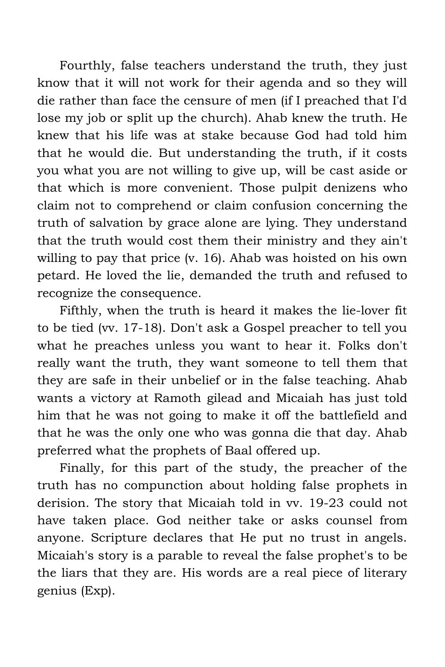Fourthly, false teachers understand the truth, they just know that it will not work for their agenda and so they will die rather than face the censure of men (if I preached that I'd lose my job or split up the church). Ahab knew the truth. He knew that his life was at stake because God had told him that he would die. But understanding the truth, if it costs you what you are not willing to give up, will be cast aside or that which is more convenient. Those pulpit denizens who claim not to comprehend or claim confusion concerning the truth of salvation by grace alone are lying. They understand that the truth would cost them their ministry and they ain't willing to pay that price (v. 16). Ahab was hoisted on his own petard. He loved the lie, demanded the truth and refused to recognize the consequence.

Fifthly, when the truth is heard it makes the lie-lover fit to be tied (vv. 17-18). Don't ask a Gospel preacher to tell you what he preaches unless you want to hear it. Folks don't really want the truth, they want someone to tell them that they are safe in their unbelief or in the false teaching. Ahab wants a victory at Ramoth gilead and Micaiah has just told him that he was not going to make it off the battlefield and that he was the only one who was gonna die that day. Ahab preferred what the prophets of Baal offered up.

Finally, for this part of the study, the preacher of the truth has no compunction about holding false prophets in derision. The story that Micaiah told in vv. 19-23 could not have taken place. God neither take or asks counsel from anyone. Scripture declares that He put no trust in angels. Micaiah's story is a parable to reveal the false prophet's to be the liars that they are. His words are a real piece of literary genius (Exp).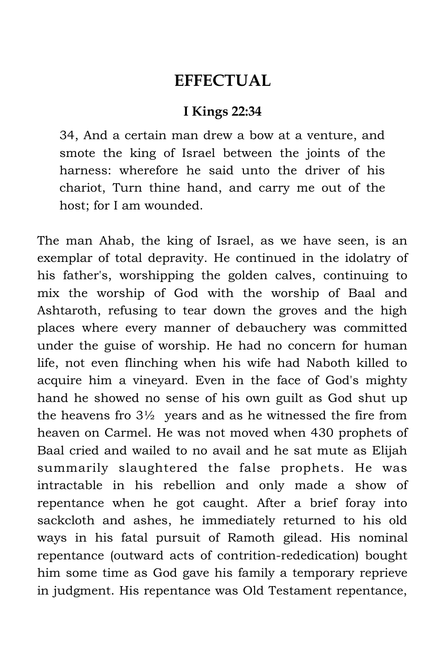## **EFFECTUAL**

## **I Kings 22:34**

34, And a certain man drew a bow at a venture, and smote the king of Israel between the joints of the harness: wherefore he said unto the driver of his chariot, Turn thine hand, and carry me out of the host; for I am wounded.

The man Ahab, the king of Israel, as we have seen, is an exemplar of total depravity. He continued in the idolatry of his father's, worshipping the golden calves, continuing to mix the worship of God with the worship of Baal and Ashtaroth, refusing to tear down the groves and the high places where every manner of debauchery was committed under the guise of worship. He had no concern for human life, not even flinching when his wife had Naboth killed to acquire him a vineyard. Even in the face of God's mighty hand he showed no sense of his own guilt as God shut up the heavens fro  $3\frac{1}{2}$  years and as he witnessed the fire from heaven on Carmel. He was not moved when 430 prophets of Baal cried and wailed to no avail and he sat mute as Elijah summarily slaughtered the false prophets. He was intractable in his rebellion and only made a show of repentance when he got caught. After a brief foray into sackcloth and ashes, he immediately returned to his old ways in his fatal pursuit of Ramoth gilead. His nominal repentance (outward acts of contrition-rededication) bought him some time as God gave his family a temporary reprieve in judgment. His repentance was Old Testament repentance,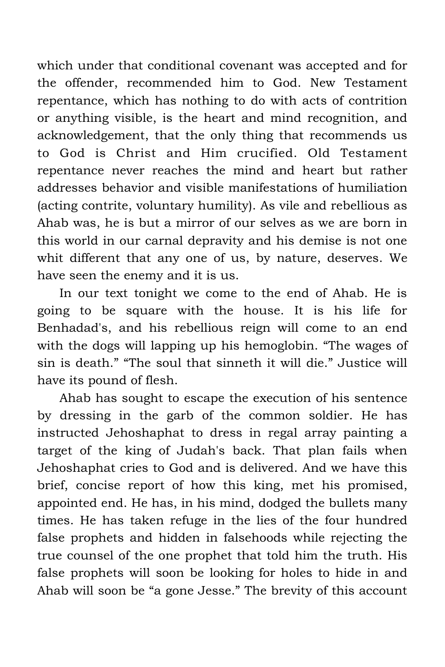which under that conditional covenant was accepted and for the offender, recommended him to God. New Testament repentance, which has nothing to do with acts of contrition or anything visible, is the heart and mind recognition, and acknowledgement, that the only thing that recommends us to God is Christ and Him crucified. Old Testament repentance never reaches the mind and heart but rather addresses behavior and visible manifestations of humiliation (acting contrite, voluntary humility). As vile and rebellious as Ahab was, he is but a mirror of our selves as we are born in this world in our carnal depravity and his demise is not one whit different that any one of us, by nature, deserves. We have seen the enemy and it is us.

In our text tonight we come to the end of Ahab. He is going to be square with the house. It is his life for Benhadad's, and his rebellious reign will come to an end with the dogs will lapping up his hemoglobin. "The wages of sin is death." "The soul that sinneth it will die." Justice will have its pound of flesh.

Ahab has sought to escape the execution of his sentence by dressing in the garb of the common soldier. He has instructed Jehoshaphat to dress in regal array painting a target of the king of Judah's back. That plan fails when Jehoshaphat cries to God and is delivered. And we have this brief, concise report of how this king, met his promised, appointed end. He has, in his mind, dodged the bullets many times. He has taken refuge in the lies of the four hundred false prophets and hidden in falsehoods while rejecting the true counsel of the one prophet that told him the truth. His false prophets will soon be looking for holes to hide in and Ahab will soon be "a gone Jesse." The brevity of this account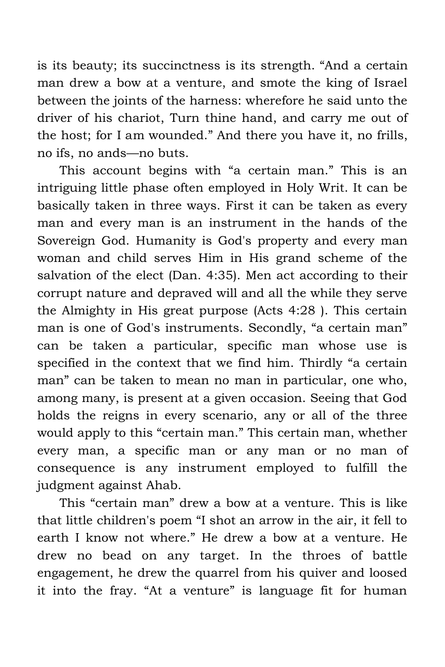is its beauty; its succinctness is its strength. "And a certain man drew a bow at a venture, and smote the king of Israel between the joints of the harness: wherefore he said unto the driver of his chariot, Turn thine hand, and carry me out of the host; for I am wounded." And there you have it, no frills, no ifs, no ands—no buts.

This account begins with "a certain man." This is an intriguing little phase often employed in Holy Writ. It can be basically taken in three ways. First it can be taken as every man and every man is an instrument in the hands of the Sovereign God. Humanity is God's property and every man woman and child serves Him in His grand scheme of the salvation of the elect (Dan. 4:35). Men act according to their corrupt nature and depraved will and all the while they serve the Almighty in His great purpose (Acts 4:28 ). This certain man is one of God's instruments. Secondly, "a certain man" can be taken a particular, specific man whose use is specified in the context that we find him. Thirdly "a certain man" can be taken to mean no man in particular, one who, among many, is present at a given occasion. Seeing that God holds the reigns in every scenario, any or all of the three would apply to this "certain man." This certain man, whether every man, a specific man or any man or no man of consequence is any instrument employed to fulfill the judgment against Ahab.

This "certain man" drew a bow at a venture. This is like that little children's poem "I shot an arrow in the air, it fell to earth I know not where." He drew a bow at a venture. He drew no bead on any target. In the throes of battle engagement, he drew the quarrel from his quiver and loosed it into the fray. "At a venture" is language fit for human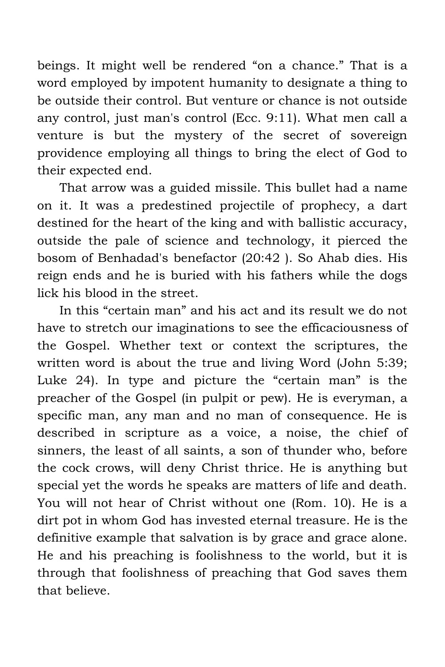beings. It might well be rendered "on a chance." That is a word employed by impotent humanity to designate a thing to be outside their control. But venture or chance is not outside any control, just man's control (Ecc. 9:11). What men call a venture is but the mystery of the secret of sovereign providence employing all things to bring the elect of God to their expected end.

That arrow was a guided missile. This bullet had a name on it. It was a predestined projectile of prophecy, a dart destined for the heart of the king and with ballistic accuracy, outside the pale of science and technology, it pierced the bosom of Benhadad's benefactor (20:42 ). So Ahab dies. His reign ends and he is buried with his fathers while the dogs lick his blood in the street.

In this "certain man" and his act and its result we do not have to stretch our imaginations to see the efficaciousness of the Gospel. Whether text or context the scriptures, the written word is about the true and living Word (John 5:39; Luke 24). In type and picture the "certain man" is the preacher of the Gospel (in pulpit or pew). He is everyman, a specific man, any man and no man of consequence. He is described in scripture as a voice, a noise, the chief of sinners, the least of all saints, a son of thunder who, before the cock crows, will deny Christ thrice. He is anything but special yet the words he speaks are matters of life and death. You will not hear of Christ without one (Rom. 10). He is a dirt pot in whom God has invested eternal treasure. He is the definitive example that salvation is by grace and grace alone. He and his preaching is foolishness to the world, but it is through that foolishness of preaching that God saves them that believe.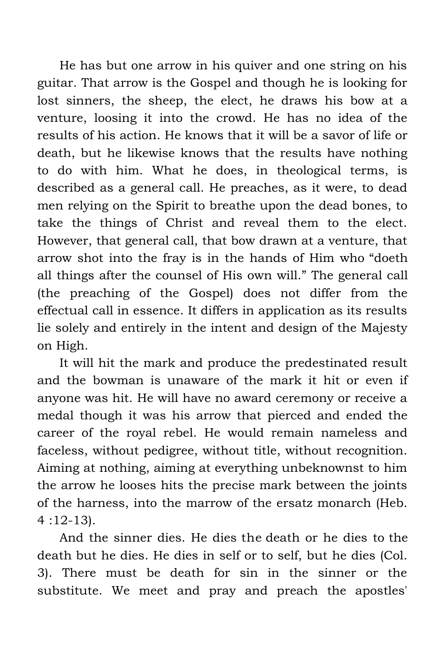He has but one arrow in his quiver and one string on his guitar. That arrow is the Gospel and though he is looking for lost sinners, the sheep, the elect, he draws his bow at a venture, loosing it into the crowd. He has no idea of the results of his action. He knows that it will be a savor of life or death, but he likewise knows that the results have nothing to do with him. What he does, in theological terms, is described as a general call. He preaches, as it were, to dead men relying on the Spirit to breathe upon the dead bones, to take the things of Christ and reveal them to the elect. However, that general call, that bow drawn at a venture, that arrow shot into the fray is in the hands of Him who "doeth all things after the counsel of His own will." The general call (the preaching of the Gospel) does not differ from the effectual call in essence. It differs in application as its results lie solely and entirely in the intent and design of the Majesty on High.

It will hit the mark and produce the predestinated result and the bowman is unaware of the mark it hit or even if anyone was hit. He will have no award ceremony or receive a medal though it was his arrow that pierced and ended the career of the royal rebel. He would remain nameless and faceless, without pedigree, without title, without recognition. Aiming at nothing, aiming at everything unbeknownst to him the arrow he looses hits the precise mark between the joints of the harness, into the marrow of the ersatz monarch (Heb. 4 :12-13).

And the sinner dies. He dies the death or he dies to the death but he dies. He dies in self or to self, but he dies (Col. 3). There must be death for sin in the sinner or the substitute. We meet and pray and preach the apostles'